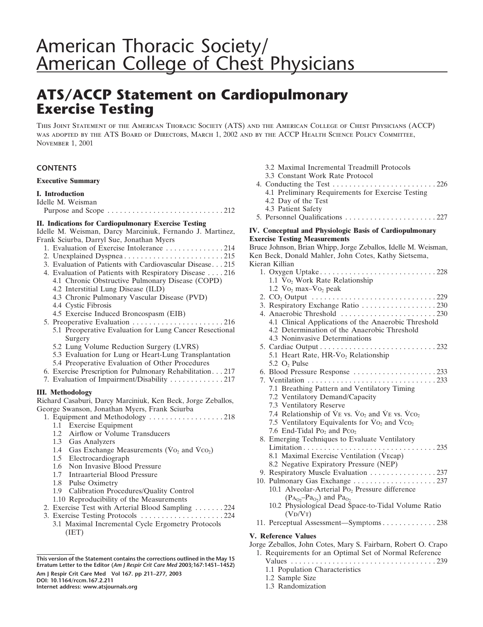# **ATS/ACCP Statement on Cardiopulmonary Exercise Testing**

This Joint Statement of the American Thoracic Society (ATS) and the American College of Chest Physicians (ACCP) was adopted by the ATS Board of Directors, March 1, 2002 and by the ACCP Health Science Policy Committee, November 1, 2001

| Idelle M. Weisman | 4.2 Day of the Test |
|-------------------|---------------------|
|                   | 4.3 Patient Safety  |

# **II. Indications for Cardiopulmonary Exercise Testing**

Idelle M. Weisman, Darcy Marciniuk, Fernando J. Martinez, **IV. Conceptual and Physiologic Basis of Cardiopulmonary**

- 
- 2. Unexplained Dyspnea . . . . . . . . . . . . . . . . . . . . . . . . 215 Ken Beck, Donald Mahler, John Cotes, Kathy Sietsema,
- 3. Evaluation of Patients with Cardiovascular Disease...215
- 4. Evaluation of Patients with Respiratory Disease . . . . 216
- 4.1 Chronic Obstructive Pulmonary Disease (COPD) 4.2 Interstitial Lung Disease (ILD)
- 4.3 Chronic Pulmonary Vascular Disease (PVD)
- 4.4 Cystic Fibrosis
- 4.5 Exercise Induced Broncospasm (EIB)
- 5. Preoperative Evaluation . . . . . . . . . . . . . . . . . . . . . . 216 4.1 Clinical Applications of the Anaerobic Threshold 5.1 Preoperative Evaluation for Lung Cancer Resectional
	- 5.2 Lung Volume Reduction Surgery (LVRS)
	- 5.3 Evaluation for Lung or Heart-Lung Transplantation
- 5.4 Preoperative Evaluation of Other Procedures
- 6. Exercise Prescription for Pulmonary Rehabilitation. . . 217
- 7. Evaluation of Impairment/Disability . . . . . . . . . . . . . 217

- -
	-
	-
	-
	-
	- 1.7 Intraarterial Blood Pressure<br>1.8 Pulse Oximetry
	-
	- 1.9 Calibration Procedures/Quality Control
	- 1.10 Reproducibility of the Measurements
- 2. Exercise Test with Arterial Blood Sampling . . . . . . . 224
- 3. Exercise Testing Protocols  $\dots \dots \dots \dots \dots \dots \dots 224$ 
	- 3.1 Maximal Incremental Cycle Ergometry Protocols (IET) **V. Reference Values**

**DOI: 10.1164/rccm.167.2.211** 1.2 Sample Size is a structure of the size of the size is a structure of the size i<br>1.3 Randomization in the size of the size of the size of the size of the size of the size of the size of the

**Internet address: www.atsjournals.org** 

- **CONTENTS** 3.2 Maximal Incremental Treadmill Protocols<br>
3.3 Constant Work Rate Protocol 3.3 Constant Work Rate Protocol **Executive Summary** 4. Conducting the Test . . . . . . . . . . . . . . . . . . . . . . . . . 226 **I. Introduction** 4.1 Preliminary Requirements for Exercise Testing 4.3 Patient Safety 5. Personnel Qualifications . . . . . . . . . . . . . . . . . . . . . . 227
	-

Frank Sciurba, Darryl Sue, Jonathan Myers **Exercise Testing Measurements**<br>1. Evaluation of Exercise Intolerance . . . . . . . . . . . . . . 214 Bruce Johnson, Brian Whipp, Jorge Zeballos, Idelle M. Weisman, 1. Evaluation of Exercise Intolerance . . . . . . . . . . . . . . 214 Bruce Johnson, Brian Whipp, Jorge Zeballos, Idelle M. Weisman,

| 3. Evaluation of Fations with Cardiovascular Discase 213                                                      | INIVEGH INIHIGH                                                               |
|---------------------------------------------------------------------------------------------------------------|-------------------------------------------------------------------------------|
| 4. Evaluation of Patients with Respiratory Disease 216                                                        | 1. Oxygen Uptake228                                                           |
| 4.1 Chronic Obstructive Pulmonary Disease (COPD)                                                              | 1.1 Vo <sub>2</sub> Work Rate Relationship                                    |
| 4.2 Interstitial Lung Disease (ILD)                                                                           | 1.2 $\dot{V}$ <sub>2</sub> max- $\dot{V}$ <sub>2</sub> peak                   |
| 4.3 Chronic Pulmonary Vascular Disease (PVD)                                                                  |                                                                               |
| 4.4 Cystic Fibrosis                                                                                           | 3. Respiratory Exchange Ratio 230                                             |
| 4.5 Exercise Induced Broncospasm (EIB)                                                                        | 4. Anaerobic Threshold $\ldots \ldots \ldots \ldots \ldots \ldots \ldots 230$ |
|                                                                                                               | 4.1 Clinical Applications of the Anaerobic Threshold                          |
| 5.1 Preoperative Evaluation for Lung Cancer Resectional                                                       | 4.2 Determination of the Anaerobic Threshold                                  |
| Surgery                                                                                                       | 4.3 Noninvasive Determinations                                                |
| 5.2 Lung Volume Reduction Surgery (LVRS)                                                                      |                                                                               |
| 5.3 Evaluation for Lung or Heart-Lung Transplantation                                                         | 5.1 Heart Rate, $HR-Vo_2$ Relationship                                        |
| 5.4 Preoperative Evaluation of Other Procedures                                                               | 5.2 $O_2$ Pulse                                                               |
| 6. Exercise Prescription for Pulmonary Rehabilitation217                                                      |                                                                               |
| 7. Evaluation of Impairment/Disability 217                                                                    |                                                                               |
|                                                                                                               | 7.1 Breathing Pattern and Ventilatory Timing                                  |
| <b>III. Methodology</b>                                                                                       | 7.2 Ventilatory Demand/Capacity                                               |
| Richard Casaburi, Darcy Marciniuk, Ken Beck, Jorge Zeballos,<br>George Swanson, Jonathan Myers, Frank Sciurba | 7.3 Ventilatory Reserve                                                       |
|                                                                                                               | 7.4 Relationship of $Ve$ vs. $Vo_2$ and $Ve$ vs. $Vco_2$                      |
| 1.1 Exercise Equipment                                                                                        | 7.5 Ventilatory Equivalents for Vo <sub>2</sub> and Vco <sub>2</sub>          |
| 1.2 Airflow or Volume Transducers                                                                             | 7.6 End-Tidal $Po_2$ and $Pco_2$                                              |
| 1.3 Gas Analyzers                                                                                             | 8. Emerging Techniques to Evaluate Ventilatory                                |
| 1.4 Gas Exchange Measurements ( $\rm\dot{V}o_{2}$ and $\rm\dot{V}co_{2}$ )                                    |                                                                               |
| 1.5 Electrocardiograph                                                                                        | 8.1 Maximal Exercise Ventilation (VEcap)                                      |
| 1.6 Non Invasive Blood Pressure                                                                               | 8.2 Negative Expiratory Pressure (NEP)                                        |
| 1.7 Intraarterial Blood Pressure                                                                              | 9. Respiratory Muscle Evaluation 237                                          |
| 1.8 Pulse Oximetry                                                                                            | 10. Pulmonary Gas Exchange 237                                                |
| 1.9 Calibration Procedures/Quality Control                                                                    | 10.1 Alveolar-Arterial Po <sub>2</sub> Pressure difference                    |
| 1.10 Reproducibility of the Measurements                                                                      | $(P_{AO}-PaO)$ and $PaO$ ,                                                    |
| 2. Exercise Test with Arterial Blood Sampling 224                                                             | 10.2 Physiological Dead Space-to-Tidal Volume Ratio                           |
| 3. Exercise Testing Protocols 224                                                                             | (V <sub>D</sub> /V <sub>T</sub> )                                             |
| 3.1 Maximal Incremental Cycle Ergometry Protocols                                                             | 11. Perceptual Assessment—Symptoms238                                         |
| (IET)                                                                                                         |                                                                               |
|                                                                                                               | <b>V. Reference Values</b>                                                    |
|                                                                                                               | Jorge Zeballos, John Cotes, Mary S. Fairbarn, Robert O. Crapo                 |
| This version of the Statement contains the corrections outlined in the May 15                                 | 1. Requirements for an Optimal Set of Normal Reference                        |
|                                                                                                               | 230<br>$V_2$ lues                                                             |

- 
- 
- 
- 

This version of the Statement contains the corrections outlined in the May 15<br>
Erratum Letter to the Editor (Am J Respir Crit Care Med 2003;167:1451-1452)<br>
Am J Respir Crit Care Med Vol 167. pp 211-277, 2003<br>
DOI: 10.1164/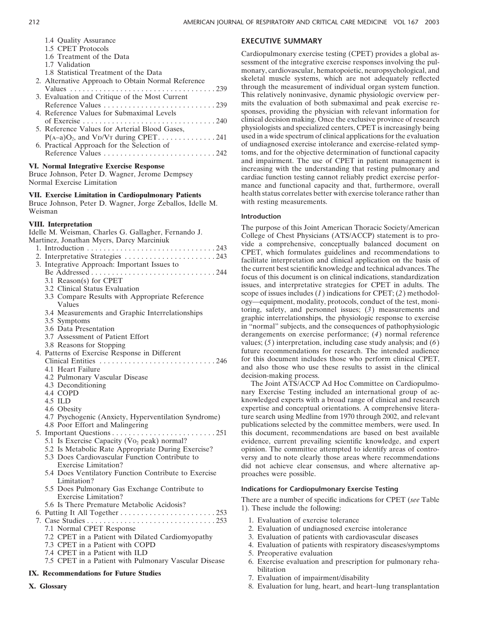- 
- 
- 
- 
- 

| 3. Evaluation and Critique of the Most Current |
|------------------------------------------------|
|                                                |

| 4. Reference Values for Submaximal Levels     |  |
|-----------------------------------------------|--|
|                                               |  |
| 5. Reference Values for Arterial Blood Gases, |  |
|                                               |  |
| 6. Practical Approach for the Selection of    |  |

Bruce Johnson, Peter D. Wagner, Jorge Zeballos, Idelle M. Weisman

| raelle M. Weisman, Charles G. Gallagher, Fernando J.         |
|--------------------------------------------------------------|
| Martinez, Jonathan Myers, Darcy Marciniuk                    |
|                                                              |
| 2. Interpretative Strategies 243                             |
| 3. Integrative Approach: Important Issues to                 |
|                                                              |
| 3.1 Reason(s) for CPET                                       |
| 3.2 Clinical Status Evaluation                               |
| 3.3 Compare Results with Appropriate Reference               |
| Values                                                       |
| 3.4 Measurements and Graphic Interrelationships              |
| 3.5 Symptoms                                                 |
| 3.6 Data Presentation                                        |
| 3.7 Assessment of Patient Effort                             |
| 3.8 Reasons for Stopping                                     |
| 4. Patterns of Exercise Response in Different                |
| Clinical Entities 246                                        |
| 4.1 Heart Failure                                            |
| 4.2 Pulmonary Vascular Disease                               |
| 4.3 Deconditioning                                           |
| 4.4 COPD                                                     |
| 4.5 ILD                                                      |
| 4.6 Obesity                                                  |
| 4.7 Psychogenic (Anxiety, Hyperventilation Syndrome)         |
| 4.8 Poor Effort and Malingering                              |
|                                                              |
| 5.1 Is Exercise Capacity ( $\rm\dot{Vo}_{2}$ peak) normal?   |
| 5.2 Is Metabolic Rate Appropriate During Exercise?           |
| 5.3 Does Cardiovascular Function Contribute to               |
| <b>Exercise Limitation?</b>                                  |
| 5.4 Does Ventilatory Function Contribute to Exercise         |
| Limitation?<br>5.5 Does Pulmonary Gas Exchange Contribute to |
| Exercise Limitation?                                         |
| 5.6 Is There Premature Metabolic Acidosis?                   |
|                                                              |
|                                                              |
| 7.1 Normal CPET Response                                     |
| 7.2 CPET in a Patient with Dilated Cardiomyopathy            |
| 7.3 CPET in a Patient with COPD                              |
|                                                              |

- 
- 7.4 CPET in a Patient with ILD<br>
7.5 CPET in a Patient with Pulmonary Vascular Disease 6. Exercise evaluation and

# 1.4 Quality Assurance **EXECUTIVE SUMMARY**

1.6 Treatment of the Data **Cardiopulmonary exercise testing (CPET)** provides a global assessment of the integrative exercise responses involving the pul- 1.7 Validation monary, cardiovascular, hematopoietic, neuropsychological, and 1.8 Statistical Treatment of the Data 2. Alternative Approach to Obtain Normal Reference<br>Values extens, which are not adequately reflected through the measurement of individual organ system function. through the measurement of individual organ system function. This relatively noninvasive, dynamic physiologic overview per-<br>239 mits the evaluation of both submaximal and peak exercise re-Reference Values mits the evaluation of both submaximal and peak exercise re- . . . . . . . . . . . . . . . . . . . . . . . . . . . 239 sponses, providing the physician with relevant information for clinical decision making. Once the exclusive province of research physiologists and specialized centers, CPET is increasingly being used in a wide spectrum of clinical applications for the evaluation of undiagnosed exercise intolerance and exercise-related symp-Reference Values . . . . . . . . . . . . . . . . . . . . . . . . . . . 242 toms, and for the objective determination of functional capacity VI. Normal Integrative Exercise Response<br>Bruce Johnson, Peter D. Wagner, Jerome Dempsey<br>Normal Exercise Limitation<br>Normal Exercise Limitation<br>Normal Exercise Limitation<br>Normal Exercise Limitation **VII. Exercise Limitation in Cardiopulmonary Patients** health status correlates better with exercise tolerance rather than<br>Bruce Johnson, Peter D. Wagner, Jorge Zeballos, Idelle M. with resting measurements.

# **Introduction**

**VIII. Interpretation**<br>
Martinez, Jonahan Myers, Darce G. Gallagher, Fernando J. The purpose of this Joint American Thoracic Society/American<br>
Martinez, Jonahan Myers, Darcy Marciniuk<br>
1. Introduction .................... values;  $(5)$  interpretation, including case study analysis; and  $(6)$  future recommendations for research. The intended audience for this document includes those who perform clinical CPET, and also those who use these results to assist in the clinical decision-making process.

> The Joint ATS/ACCP Ad Hoc Committee on Cardiopulmonary Exercise Testing included an international group of acknowledged experts with a broad range of clinical and research expertise and conceptual orientations. A comprehensive literature search using Medline from 1970 through 2002, and relevant publications selected by the committee members, were used. In this document, recommendations are based on best available evidence, current prevailing scientific knowledge, and expert opinion. The committee attempted to identify areas of controversy and to note clearly those areas where recommendations did not achieve clear consensus, and where alternative approaches were possible.

## **Indications for Cardiopulmonary Exercise Testing**

There are a number of specific indications for CPET (see Table 1). These include the following:

- 1. Evaluation of exercise tolerance
- 2. Evaluation of undiagnosed exercise intolerance
- 3. Evaluation of patients with cardiovascular diseases
- 4. Evaluation of patients with respiratory diseases/symptoms
- 
- 6. Exercise evaluation and prescription for pulmonary reha-**IX. Recommendations for Future Studies** bilitation bilitation bilitation **7.** Evaluation of impairment/disability
	-
- **X. Glossary** 8. Evaluation for lung, heart, and heart–lung transplantation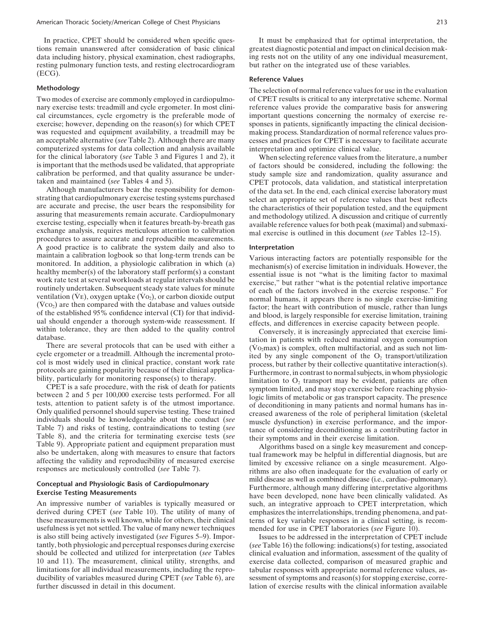In practice, CPET should be considered when specific ques- It must be emphasized that for optimal interpretation, the tions remain unanswered after consideration of basic clinical greatest diagnostic potential and impact on clinical decision makdata including history, physical examination, chest radiographs, ing rests not on the utility of any one individual measurement, resting pulmonary function tests, and resting electrocardiogram but rather on the integrated use of these variables. (ECG). **Reference Values**

nary exercise tests: treadmill and cycle ergometer. In most clini- reference values provide the comparative basis for answering cal circumstances, cycle ergometry is the preferable mode of important questions concerning the normalcy of exercise reexercise; however, depending on the reason(s) for which CPET sponses in patients, significantly impacting the clinical decisionwas requested and equipment availability, a treadmill may be making process. Standardization of normal reference values proan acceptable alternative (*see* Table 2). Although there are many cesses and practices for CPET is necessary to facilitate accurate computerized systems for data collection and analysis available interpretation and optimize clinical value.<br>
for the clinical laboratory (see Table 3 and Figures 1 and 2), it When selecting reference values from the for the clinical laboratory (*see* Table 3 and Figures 1 and 2), it When selecting reference values from the literature, a number is important that the methods used be validated, that appropriate of factors should be considered, including the following: the calibration be performed, and that quality assurance be under-<br>calibration be performed, and t

Although manufacturers bear the responsibility for demontor of the data set. In the end, each clinical exercise laboratory must<br>strating that cardiopulmonary exercise testing systems purchased<br>are accurate and precise, the A good practice is to calibrate the system daily and also to **Interpretation**

derived during CPET (*see* Table 10). The utility of many of emphasizes the interrelationships, trending phenomena, and pat-<br>these measurements is well known, while for others, their clinical terms of key variable response usefulness is yet not settled. The value of many newer techniques mended for use in CPET laboratories (*see* Figure 10). is also still being actively investigated (*see* Figures 5–9). Impor- Issues to be addressed in the interpretation of CPET include tantly, both physiologic and perceptual responses during exercise (*see* Table 16) the following: indications(s) for testing, associated should be collected and utilized for interpretation (*see* Tables clinical evaluation and information, assessment of the quality of 10 and 11). The measurement, clinical utility, strengths, and exercise data collected, comparison of measured graphic and limitations for all individual measurements, including the repro- tabular responses with appropriate normal reference values, asducibility of variables measured during CPET (*see* Table 6), are sessment of symptoms and reason(s) for stopping exercise, correfurther discussed in detail in this document. lation of exercise results with the clinical information available

**Methodology** The selection of normal reference values for use in the evaluation Two modes of exercise are commonly employed in cardiopulmo- of CPET results is critical to any interpretative scheme. Normal

calibration be performed, and that quality assurance be under-<br>taken and maintained (see Tables 4 and 5).<br>Although manufacturers bear the responsibility for demon-<br>of the data set In the end-each clinical exercise laborato

maintain a calibration logbook so that for general trends can be Various interacting factors are potentially responsible for the healthy menhanism(s) of exercise limitation in individuals. However, the healthy menhanism(s

Conceptual and Physiologic Basis of Cardiopulmonary<br>
Furthermore, although many differing interpretative algorithms<br>
Exercise Testing Measurements<br>
Exercise Testing Measurements<br>
As been developed, none have been clinicall An impressive number of variables is typically measured or such, an integrative approach to CPET interpretation, which derived during CPET (see Table 10). The utility of many of emphasizes the interrelationships, trending terns of key variable responses in a clinical setting, is recom-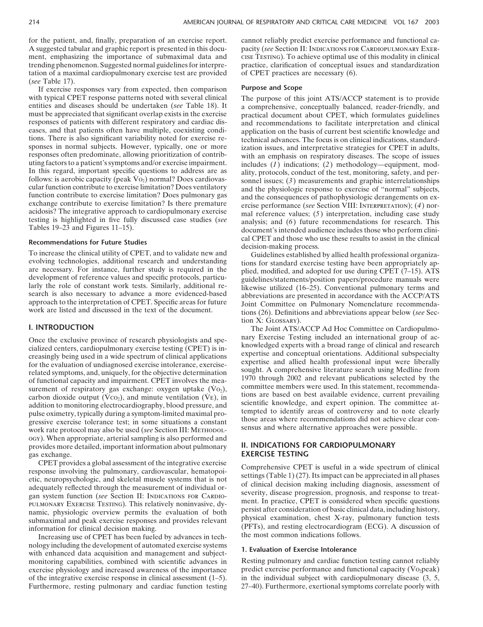If exercise responses vary from expected, then comparison **Purpose and Scope** with typical CPET response patterns noted with several clinical<br>entities and diseases should be undertaken (see Table 18). It<br>must be appreciated that significant overlap exists in the exercise<br>mactical document about CPET must be appreciated that significant overlap exists in the exercise practical document about CPET, which formulates guidelines responses of patients with different respiratory and cardiac dis-<br>and recommendations to facili responses of patients with different respiratory and cardiac dis-<br>eases, and that patients often have multiple, coexisting condi-<br>tions. There is also significant variability noted for exercise re-<br>sponses in normal subjec

related symptoms, and, uniquely, for the objective determination sought. A comprehensive literature search using Medline from<br>of functional capacity and impairment CPET involves the mea. 1970 through 2002 and relevant publ of functional capacity and impairment. CPET involves the mea-<br>surement of respiratory gas exchange: oxygen uptake  $(Vo_2)$ ,<br>carbon dioxide output  $(Vo_2)$ , and minute ventilation  $(VE)$ , in<br>addition to monitoring electrocard ogy). When appropriate, arterial sampling is also performed and provides more detailed, important information about pulmonary **II. INDICATIONS FOR CARDIOPULMONARY** gas exchange. **EXERCISE TESTING**

nology including the development of automated exercise systems **1. Evaluation of Exercise Intolerance** with enhanced data acquisition and management and subjectmonitoring capabilities, combined with scientific advances in Resting pulmonary and cardiac function testing cannot reliably exercise physiology and increased awareness of the importance predict exercise performance and fu exercise physiology and increased awareness of the importance of the integrative exercise response in clinical assessment  $(1-5)$ . in the individual subject with cardiopulmonary disease  $(3, 5)$ , Furthermore, resting pulmonary and cardiac function testing 27–40). Furthermore, exertional symptoms correlate poorly with

for the patient, and, finally, preparation of an exercise report. cannot reliably predict exercise performance and functional ca-A suggested tabular and graphic report is presented in this docu-<br>ment, emphasizing the importance of submaximal data and crise Testing). To achieve optimal use of this modality in clinical cise Testing). To achieve optimal use of this modality in clinical trending phenomenon. Suggested normal guidelines for interpre- practice, clarification of conceptual issues and standardization

sponses in normal subjects. However, typically, one or more<br>responses often predominate, allowing prioritization of contribution issues, and interpretative strategies for CPET in adults,<br>responses often predominate, allowi

**Recommendations for Future Studies**<br>
To increase the clinical utility of CPET, and to validate new and<br>
evolving technologies, additional research and understanding<br>
evolving technologies, additional research and understa

**I. INTRODUCTION** tion X: GLOSSARY).<br>The Joint ATS/ACCP Ad Hoc Committee on Cardiopulmo-Once the exclusive province of research physiologists and spe-<br>
cialized centers, cardiopulmonary exercise testing (CPET) is in-<br>
creasingly being used in a wide spectrum of clinical applications<br>
for the evaluation of und

CPET provides a global assessment of the integrative exercise<br>
response involving the pulmonary, cardiovascular, hematopoies and settings (Table 1) (27). Its impact can be appreciated in all phases<br>
etic, neuropsychologic,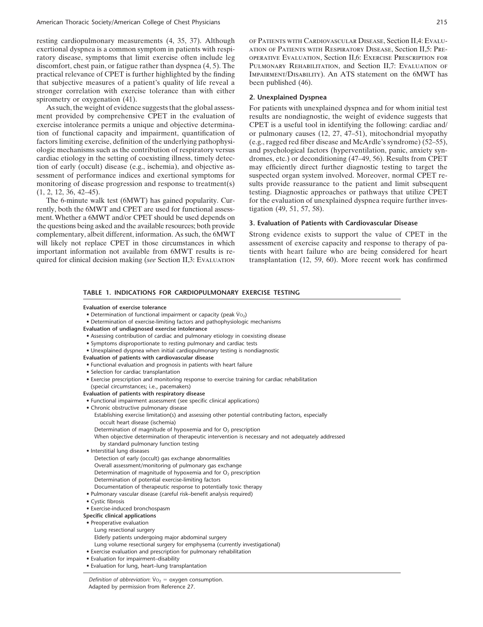resting cardiopulmonary measurements (4, 35, 37). Although of Pattents with Cardiovascular Disease, Section II,4: Evaluexertional dyspnea is a common symptom in patients with respi- ation of Patients with Respiratory Disease, Section II,5: Preratory disease, symptoms that limit exercise often include leg operative Evaluation, Section II,6: Exercise Prescription for discomfort, chest pain, or fatigue rather than dyspnea  $(4, 5)$ . The PULMONARY REHABILITATION, and Section II,7: EVALUATION OF practical relevance of CPET is further highlighted by the finding Impairment/Disability). An ATS statement on the 6MWT has that subjective measures of a patient's quality of life reveal a been published (46). stronger correlation with exercise tolerance than with either **2. Unexplained Dyspnea** spirometry or oxygenation (41).

As such, the weight of evidence suggests that the global assess- For patients with unexplained dyspnea and for whom initial test ment provided by comprehensive CPET in the evaluation of results are nondiagnostic, the weight of evidence suggests that exercise intolerance permits a unique and objective determina-<br>CPET is a useful tool in identifying the following: cardiac and/ tion of functional capacity and impairment, quantification of or pulmonary causes (12, 27, 47–51), mitochondrial myopathy factors limiting exercise, definition of the underlying pathophysi- (e.g., ragged red fiber disease and McArdle's syndrome) (52–55), ologic mechanisms such as the contribution of respiratory versus and psychological factors (hyperventilation, panic, anxiety syncardiac etiology in the setting of coexisting illness, timely detec- dromes, etc.) or deconditioning (47–49, 56). Results from CPET tion of early (occult) disease (e.g., ischemia), and objective as- may efficiently direct further diagnostic testing to target the sessment of performance indices and exertional symptoms for suspected organ system involved. Moreover, normal CPET remonitoring of disease progression and response to treatment(s) sults provide reassurance to the patient and limit subsequent

rently, both the 6MWT and CPET are used for functional assess- tigation (49, 51, 57, 58). ment. Whether a 6MWT and/or CPET should be used depends on **3. Evaluation of Patients with Cardiovascular Disease** the questions being asked and the available resources; both provide **3. Evaluation of Patients with Cardiov** complementary, albeit different, information. As such, the 6MWT Strong evidence exists to support the value of CPET in the will likely not replace CPET in those circumstances in which assessment of exercise capacity and response to therapy of paimportant information not available from 6MWT results is re- tients with heart failure who are being considered for heart quired for clinical decision making (*see* Section II,3: Evaluation transplantation (12, 59, 60). More recent work has confirmed

(1, 2, 12, 36, 42–45). testing. Diagnostic approaches or pathways that utilize CPET for the evaluation of unexplained dyspnea require further inves-

## **TABLE 1. INDICATIONS FOR CARDIOPULMONARY EXERCISE TESTING**

### **Evaluation of exercise tolerance**

- Determination of functional impairment or capacity (peak  $\dot{V}_{O_2}$ )
- Determination of exercise-limiting factors and pathophysiologic mechanisms
- **Evaluation of undiagnosed exercise intolerance**
- Assessing contribution of cardiac and pulmonary etiology in coexisting disease
- Symptoms disproportionate to resting pulmonary and cardiac tests
- Unexplained dyspnea when initial cardiopulmonary testing is nondiagnostic

### **Evaluation of patients with cardiovascular disease**

- Functional evaluation and prognosis in patients with heart failure
- Selection for cardiac transplantation
- Exercise prescription and monitoring response to exercise training for cardiac rehabilitation (special circumstances; i.e., pacemakers)

### **Evaluation of patients with respiratory disease**

- Functional impairment assessment (see specific clinical applications)
- Chronic obstructive pulmonary disease

### Establishing exercise limitation(s) and assessing other potential contributing factors, especially occult heart disease (ischemia)

- Determination of magnitude of hypoxemia and for  $O<sub>2</sub>$  prescription
- When objective determination of therapeutic intervention is necessary and not adequately addressed by standard pulmonary function testing
- Interstitial lung diseases
- Detection of early (occult) gas exchange abnormalities Overall assessment/monitoring of pulmonary gas exchange Determination of magnitude of hypoxemia and for  $O<sub>2</sub>$  prescription Determination of potential exercise-limiting factors Documentation of therapeutic response to potentially toxic therapy • Pulmonary vascular disease (careful risk–benefit analysis required)
- 
- Cystic fibrosis

# • Exercise-induced bronchospasm

- **Specific clinical applications**
- Preoperative evaluation
	- Lung resectional surgery Elderly patients undergoing major abdominal surgery
	-
- Lung volume resectional surgery for emphysema (currently investigational) • Exercise evaluation and prescription for pulmonary rehabilitation
- Evaluation for impairment–disability
- Evaluation for lung, heart–lung transplantation

*Definition of abbreviation*:  $\dot{V}_{O_2}$  = oxygen consumption. Adapted by permission from Reference 27.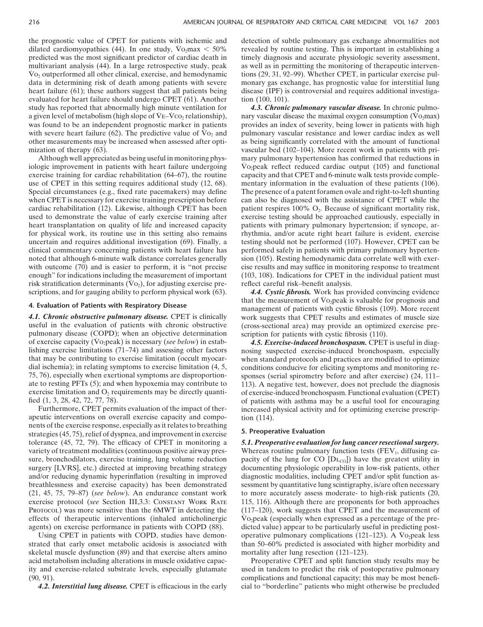dilated cardiomyopathies (44). In one study,  $V_0$ <sub>2</sub>max  $<$  50% predicted was the most significant predictor of cardiac death in timely diagnosis and accurate physiologic severity assessment, multivariant analysis (44). In a large retrospective study, peak as well as in permitting the monitoring of therapeutic interven- $V_{\text{O}_2}$  outperformed all other clinical, exercise, and hemodynamic tions (29, 31, 92–99). Whether CPET, in particular exercise puldata in determining risk of death among patients with severe monary gas exchange, has prognostic value for interstitial lung heart failure (61); these authors suggest that all patients being disease (IPF) is controversial and requires additional investigaevaluated for heart failure should undergo CPET (61). Another tion (100, 101). study has reported that abnormally high minute ventilation for *4.3. Chronic pulmonary vascular disease.* In chronic pulmoa given level of metabolism (high slope of  $V E-V co_2$  relationship), inary vascular disease the maximal oxygen consumption ( $V o_2$ max) was found to be an independent prognostic marker in patients provides an index of severity, being lower in patients with high with severe heart failure (62). The predictive value of  $V_{Q}$  and  $V_{Q}$  pulmonary vascular resistance and lower cardiac index as well other measurements may be increased when assessed after opti- as being significantly correlated with the amount of functional mization of therapy (63). vascular bed (102–104). More recent work in patients with pri-

iologic improvement in patients with heart failure undergoing  $V_{O_2}$  veak reflect reduced cardiac output (105) and functional exercise training for cardiac rehabilitation (64–67), the routine capacity and that CPET and 6-minute walk tests provide compleuse of CPET in this setting requires additional study (12, 68). mentary information in the evaluation of these patients (106). Special circumstances (e.g., fixed rate pacemakers) may define The presence of a patent foramen ovale and right-to-left shunting when CPET is necessary for exercise training prescription before can also be diagnosed with the assistance of CPET while the cardiac rehabilitation (12). Likewise, although CPET has been patient respires  $100\%$   $O_2$ . Because of significant mortality risk, used to demonstrate the value of early exercise training after exercise testing should be approached cautiously, especially in heart transplantation on quality of life and increased capacity patients with primary pulmonary hypertension; if syncope, arfor physical work, its routine use in this setting also remains rhythmia, and/or acute right heart failure is evident, exercise uncertain and requires additional investigation (69). Finally, a testing should not be performed (107). However, CPET can be clinical commentary concerning patients with heart failure has performed safely in patients with primary pulmonary hypertennoted that although 6-minute walk distance correlates generally sion (105). Resting hemodynamic data correlate well with exerwith outcome (70) and is easier to perform, it is "not precise cise results and may suffice in monitoring response to treatment enough" for indications including the measurement of important (103, 108). Indications for CPET in the individual patient must risk stratification determinants ( $V_0$ ), for adjusting exercise pre-<br>scriptions, and for gauging ability to perform physical work (63). **4.4. Cystic fibrosis.** Work has provided convincing evidence scriptions, and for gauging ability to perform physical work (63).

**4.1. Chronic obstructive pulmonary disease.** CPET is clinically work suggests that CPET results and estimates of muscle size useful in the evaluation of patients with chronic obstructive (cross-sectional area) may provide pulmonary disease (COPD); when an objective determination scription for patients with cystic fibrosis (110). of exercise capacity (Vo<sub>2</sub>peak) is necessary (*see below*) in estab- **4.5. Exercise-induced bronchospasm.** CPET is useful in diaglishing exercise limitations (71–74) and assessing other factors nosing suspected exercise-induced bronchospasm, especially that may be contributing to exercise limitation (occult myocar- when standard protocols and practices are modified to optimize dial ischemia); in relating symptoms to exercise limitation (4, 5, conditions conducive for eliciting symptoms and monitoring re-75, 76), especially when exertional symptoms are disproportion- sponses (serial spirometry before and after exercise) (24, 111– ate to resting PFTs (5); and when hypoxemia may contribute to 113). A negative test, however, does not preclude the diagnosis exercise limitation and  $O_2$  requirements may be directly quanti- of exercise-induced bronchospasm. Functional evaluation (CPET) fied (1, 3, 28, 42, 72, 77, 78). of patients with asthma may be a useful tool for encouraging

apeutic interventions on overall exercise capacity and compo- tion (114). nents of the exercise response, especially as it relates to breathing<br>strategies (45, 75), relief of dyspnea, and improvement in exercise **5. Preoperative Evaluation** tolerance (45, 72, 79). The efficacy of CPET in monitoring a *5.1. Preoperative evaluation for lung cancer resectional surgery.* variety of treatment modalities (continuous positive airway pres- Whereas routine pulmonary function tests (FEV<sub>1</sub>, diffusing casure, bronchodilators, exercise training, lung volume reduction pacity of the lung for CO  $[DL_{CO}]$ ) have the greatest utility in surgery [LVRS], etc.) directed at improving breathing strategy documenting physiologic operability in low-risk patients, other and/or reducing dynamic hyperinflation (resulting in improved diagnostic modalities, including CPET and/or split function asbreathlessness and exercise capacity) has been demonstrated sessment by quantitative lung scintigraphy, is/are often necessary (21, 45, 75, 79–87) (*see below*). An endurance constant work to more accurately assess moderate- to high-risk patients (20, exercise protocol (*see* Section III,3.3: CONSTANT WORK RATE 115, 116). Although there are proponents for both approaches Protocol) was more sensitive than the 6MWT in detecting the (117–120), work suggests that CPET and the measurement of effects of therapeutic interventions (inhaled anticholinergic  $V_{O_2}$  (especially when expressed as a percentage of the preagents) on exercise performance in patients with COPD (88). dicted value) appear to be particularly useful in predicting post-

skeletal muscle dysfunction (89) and that exercise alters amino mortality after lung resection (121–123). acid metabolism including alterations in muscle oxidative capac- Preoperative CPET and split function study results may be ity and exercise-related substrate levels, especially glutamate used in tandem to predict the risk of postoperative pulmonary (90, 91). complications and functional capacity; this may be most benefi-

the prognostic value of CPET for patients with ischemic and detection of subtle pulmonary gas exchange abnormalities not revealed by routine testing. This is important in establishing a

Although well appreciated as being useful in monitoring phys- mary pulmonary hypertension has confirmed that reductions in

**4. Evaluation of Patients with Respiratory Disease** that the measurement of  $\rm{Vo}_2$ peak is valuable for prognosis and management of patients with cystic fibrosis (109). More recent **4.1. Chronic obstructive pulmonary dis** (cross-sectional area) may provide an optimized exercise pre-

Furthermore, CPET permits evaluation of the impact of ther- increased physical activity and for optimizing exercise prescrip-

Using CPET in patients with COPD, studies have demon-<br>strated pulmonary complications (121–123). A  $\sqrt{V_{O_2}}$  of the strated that early onset metabolic acidosis is associated with the strated is associated with higher mo than 50–60% predicted is associated with higher morbidity and

*4.2. Interstitial lung disease.* CPET is efficacious in the early cial to "borderline" patients who might otherwise be precluded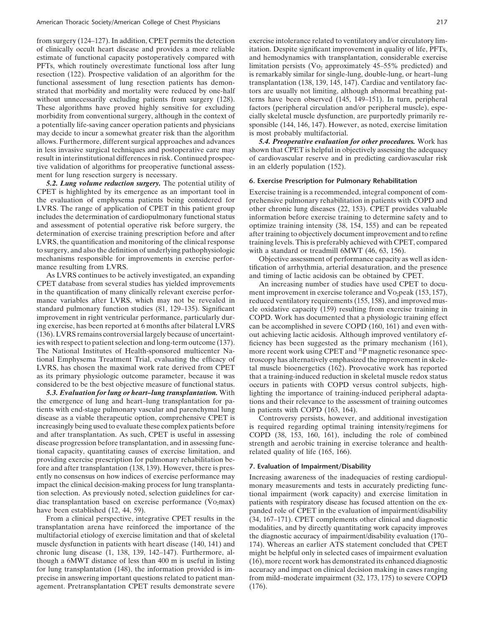from surgery (124–127). In addition, CPET permits the detection exercise intolerance related to ventilatory and/or circulatory limof clinically occult heart disease and provides a more reliable itation. Despite significant improvement in quality of life, PFTs, estimate of functional capacity postoperatively compared with and hemodynamics with transplantation, considerable exercise PFTs, which routinely overestimate functional loss after lung limitation persists ( $V_0$  approximately 45–55% predicted) and resection (122). Prospective validation of an algorithm for the is remarkably similar for single-lung, double-lung, or heart–lung functional assessment of lung resection patients has demon- transplantation (138, 139, 145, 147). Cardiac and ventilatory facstrated that morbidity and mortality were reduced by one-half tors are usually not limiting, although abnormal breathing patwithout unnecessarily excluding patients from surgery (128). terns have been observed (145, 149–151). In turn, peripheral These algorithms have proved highly sensitive for excluding factors (peripheral circulation and/or peripheral muscle), espemorbidity from conventional surgery, although in the context of cially skeletal muscle dysfunction, are purportedly primarily rea potentially life-saving cancer operation patients and physicians sponsible (144, 146, 147). However, as noted, exercise limitation may decide to incur a somewhat greater risk than the algorithm is most probably multifactorial. allows. Furthermore, different surgical approaches and advances *5.4. Preoperative evaluation for other procedures.* Work has in less invasive surgical techniques and postoperative care may shown that CPET is helpful in objectively assessing the adequacy result in interinstitutional differences in risk. Continued prospec- of cardiovascular reserve and in predicting cardiovascular risk tive validation of algorithms for preoperative functional assess- in an elderly population (152).

ment for lung resection surgery is necessary.<br>**6. Exercise Prescription for Pulmonary Rehabilitation 5.2. Lung volume reduction surgery.** The potential utility of **6. Exercise Prescription for Pulmonary Rehabilitation** CPET is highlighted by its emergence as an important tool in Exercise training is a recommended, integral component of comthe evaluation of emphysema patients being considered for prehensive pulmonary rehabilitation in patients with COPD and LVRS. The range of application of CPET in this patient group other chronic lung diseases (22, 153). CPET provides valuable includes the determination of cardiopulmonary functional status information before exercise training to determine safety and to and assessment of potential operative risk before surgery, the optimize training intensity (38, 154, 155) and can be repeated determination of exercise training prescription before and after after training to objectively document improvement and to refine LVRS, the quantification and monitoring of the clinical response training levels. This is preferably achieved with CPET, compared to surgery, and also the definition of underlying pathophysiologic with a standard or treadmill 6MWT (46, 63, 156). mechanisms responsible for improvements in exercise perfor- Objective assessment of performance capacity as well as idenmance resulting from LVRS. tification of arrhythmia, arterial desaturation, and the presence

CPET database from several studies has yielded improvements An increasing number of studies have used CPET to docu-

tients with end-stage pulmonary vascular and parenchymal lung in patients with COPD (163, 164). disease as a viable therapeutic option, comprehensive CPET is Controversy persists, however, and additional investigation tional capacity, quantitating causes of exercise limitation, and related quality of life (165, 166). providing exercise prescription for pulmonary rehabilitation be-<br>fore and after transplantation (138, 139). However, there is pres- **7. Evaluation of Impairment/Disability** ently no consensus on how indices of exercise performance may Increasing awareness of the inadequacies of resting cardiopul-

agement. Pretransplantation CPET results demonstrate severe (176).

As LVRS continues to be actively investigated, an expanding and timing of lactic acidosis can be obtained by CPET.

in the quantification of many clinically relevant exercise perfor-<br>ment improvement in exercise tolerance and  $\dot{V}o_2$  peak (153, 157),<br>mance variables after LVRS, which may not be revealed in reduced ventilatory requir mance variables after LVRS, which may not be revealed in reduced ventilatory requirements (155, 158), and improved mus-<br>standard pulmonary function studies (81, 129–135). Significant cle oxidative capacity (159) resulting standard pulmonary function studies (81, 129–135). Significant cle oxidative capacity (159) resulting from exercise training in<br>improvement in right ventricular performance, particularly dur-<br>COPD. Work has documented that COPD. Work has documented that a physiologic training effect ing exercise, has been reported at 6 months after bilateral LVRS can be accomplished in severe COPD (160, 161) and even with- (136). LVRS remains controversial largely because of uncertaint- out achieving lactic acidosis. Although improved ventilatory efies with respect to patient selection and long-term outcome (137). ficiency has been suggested as the primary mechanism (161), The National Institutes of Health-sponsored multicenter Na- more recent work using CPET and <sup>31</sup>P magnetic resonance spectional Emphysema Treatment Trial, evaluating the efficacy of troscopy has alternatively emphasized the improvement in skele-LVRS, has chosen the maximal work rate derived from CPET tal muscle bioenergetics (162). Provocative work has reported as its primary physiologic outcome parameter, because it was that a training-induced reduction in skeletal muscle redox status considered to be the best objective measure of functional status. occurs in patients with COPD versus control subjects, high-*5.3. Evaluation for lung or heart–lung transplantation.* With lighting the importance of training-induced peripheral adaptathe emergence of lung and heart–lung transplantation for pa- tions and their relevance to the assessment of training outcomes

increasingly being used to evaluate these complex patients before is required regarding optimal training intensity/regimens for and after transplantation. As such, CPET is useful in assessing COPD (38, 153, 160, 161), including the role of combined disease progression before transplantation, and in assessing func- strength and aerobic training in exercise tolerance and health-

impact the clinical decision-making process for lung transplanta-<br>tion selection. As previously noted, selection guidelines for car-<br>tional impairment (work capacity) and exercise limitation in tional impairment (work capacity) and exercise limitation in diac transplantation based on exercise performance ( $\dot{V}o_2$ max) patients with respiratory disease has focused attention on the ex-<br>have been established (12, 44, 59). panded role of CPET in the evaluation of impairment/disability From a clinical perspective, integrative CPET results in the (34, 167–171). CPET complements other clinical and diagnostic transplantation arena have reinforced the importance of the modalities, and by directly quantitating work capacity improves multifactorial etiology of exercise limitation and that of skeletal the diagnostic accuracy of impairment/disability evaluation (170– muscle dysfunction in patients with heart disease (140, 141) and 174). Whereas an earlier ATS statement concluded that CPET chronic lung disease (1, 138, 139, 142–147). Furthermore, al- might be helpful only in selected cases of impairment evaluation though a 6MWT distance of less than 400 m is useful in listing (16), more recent work has demonstrated its enhanced diagnostic for lung transplantation (148), the information provided is im- accuracy and impact on clinical decision making in cases ranging precise in answering important questions related to patient man- from mild–moderate impairment (32, 173, 175) to severe COPD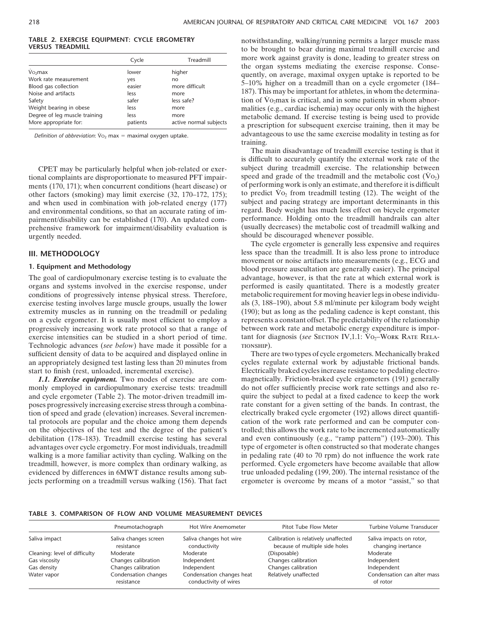|                         | TABLE 2. EXERCISE EQUIPMENT: CYCLE ERGOMETRY |  |
|-------------------------|----------------------------------------------|--|
| <b>VERSUS TREADMILL</b> |                                              |  |

|                               | Cycle    | Treadmill              |
|-------------------------------|----------|------------------------|
| Vo <sub>2</sub> max           | lower    | higher                 |
| Work rate measurement         | yes      | no                     |
| Blood gas collection          | easier   | more difficult         |
| Noise and artifacts           | less     | more                   |
| Safety                        | safer    | less safe?             |
| Weight bearing in obese       | less     | more                   |
| Degree of leg muscle training | less     | more                   |
| More appropriate for:         | patients | active normal subjects |

tional complaints are disproportionate to measured PFT impair-<br>speed and grade of the treadmill and the metabolic cost  $(\dot{V}_{02})$ ments (170, 171); when concurrent conditions (heart disease) or of performing work is only an estimate, and therefore it is difficult other factors (smoking) may limit exercise (32, 170–172, 175); to predict Vo<sub>2</sub> from tr other factors (smoking) may limit exercise  $(32, 170-172, 175)$ ; and when used in combination with job-related energy (177) subject and pacing strategy are important determinants in this and environmental conditions, so that an accurate rating of im- regard. Body weight has much less effect on bicycle ergometer pairment/disability can be established (170). An updated com- performance. Holding onto the treadmill handrails can alter prehensive framework for impairment/disability evaluation is (usually decreases) the metabolic cost of treadmill walking and urgently needed. should be discouraged whenever possible.

organs and systems involved in the exercise response, under performed is easily quantitated. There is a modestly greater conditions of progressively intense physical stress. Therefore, metabolic requirement for moving heavier legs in obese individuexercise testing involves large muscle groups, usually the lower als (3, 188–190), about 5.8 ml/minute per kilogram body weight extremity muscles as in running on the treadmill or pedaling (190); but as long as the pedaling cadence is kept constant, this on a cycle ergometer. It is usually most efficient to employ a represents a constant offset. The predictability of the relationship progressively increasing work rate protocol so that a range of between work rate and metabolic energy expenditure is impor-<br>exercise intensities can be studied in a short period of time. tant for diagnosis (see SECTION IV, Technologic advances (see below) have made it possible for a TIONSHIP). sufficient density of data to be acquired and displayed online in There are two types of cycle ergometers. Mechanically braked an appropriately designed test lasting less than 20 minutes from cycles regulate external work by adjustable frictional bands. start to finish (rest, unloaded, incremental exercise). Electrically braked cycles increase resistance to pedaling electro-

monly employed in cardiopulmonary exercise tests: treadmill do not offer sufficiently precise work rate settings and also reand cycle ergometer (Table 2). The motor-driven treadmill im- quire the subject to pedal at a fixed cadence to keep the work poses progressively increasing exercise stress through a combina- rate constant for a given setting of the bands. In contrast, the tion of speed and grade (elevation) increases. Several incremen- electrically braked cycle ergometer (192) allows direct quantifital protocols are popular and the choice among them depends cation of the work rate performed and can be computer conon the objectives of the test and the degree of the patient's trolled; this allows the work rate to be incremented automatically debilitation (178–183). Treadmill exercise testing has several and even continuously (e.g., "ramp pattern") (193–200). This advantages over cycle ergometry. For most individuals, treadmill type of ergometer is often constructed so that moderate changes walking is a more familiar activity than cycling. Walking on the in pedaling rate (40 to 70 rpm) do not influence the work rate treadmill, however, is more complex than ordinary walking, as performed. Cycle ergometers have become available that allow evidenced by differences in 6MWT distance results among sub- true unloaded pedaling (199, 200). The internal resistance of the jects performing on a treadmill versus walking (156). That fact ergometer is overcome by means of a motor "assist," so that

notwithstanding, walking/running permits a larger muscle mass to be brought to bear during maximal treadmill exercise and more work against gravity is done, leading to greater stress on the organ systems mediating the exercise response. Consequently, on average, maximal oxygen uptake is reported to be 5–10% higher on a treadmill than on a cycle ergometer (184– 187). This may be important for athletes, in whom the determination of  $\dot{V}$ <sub>2</sub>max is critical, and in some patients in whom abnormalities (e.g., cardiac ischemia) may occur only with the highest metabolic demand. If exercise testing is being used to provide a prescription for subsequent exercise training, then it may be *Definition of abbreviation*: V<sub>O2</sub> max = maximal oxygen uptake. and advantageous to use the same exercise modality in testing as for training.

The main disadvantage of treadmill exercise testing is that it is difficult to accurately quantify the external work rate of the CPET may be particularly helpful when job-related or exer- subject during treadmill exercise. The relationship between

The cycle ergometer is generally less expensive and requires **III. METHODOLOGY** less space than the treadmill. It is also less prone to introduce movement or noise artifacts into measurements (e.g., ECG and **1. Equipment and Methodology** and **1. Equipment and Methodology** blood pressure auscultation are generally easier). The principal The goal of cardiopulmonary exercise testing is to evaluate the advantage, however, is that the rate at which external work is tant for diagnosis (*see* Section IV,1.1: V<sub>O2</sub>–WORK RATE RELA-

*1.1. Exercise equipment.* Two modes of exercise are com- magnetically. Friction-braked cycle ergometers (191) generally

### **TABLE 3. COMPARISON OF FLOW AND VOLUME MEASUREMENT DEVICES**

|                               | Pneumotachograph                    | Hot Wire Anemometer                                | Pitot Tube Flow Meter                                                  | Turbine Volume Transducer                      |
|-------------------------------|-------------------------------------|----------------------------------------------------|------------------------------------------------------------------------|------------------------------------------------|
| Saliva impact                 | Saliva changes screen<br>resistance | Saliva changes hot wire<br>conductivity            | Calibration is relatively unaffected<br>because of multiple side holes | Saliva impacts on rotor,<br>changing inertance |
| Cleaning: level of difficulty | Moderate                            | Moderate                                           | (Disposable)                                                           | Moderate                                       |
| Gas viscosity                 | Changes calibration                 | Independent                                        | Changes calibration                                                    | Independent                                    |
| Gas density                   | Changes calibration                 | Independent                                        | Changes calibration                                                    | Independent                                    |
| Water vapor                   | Condensation changes<br>resistance  | Condensation changes heat<br>conductivity of wires | Relatively unaffected                                                  | Condensation can alter mass<br>of rotor        |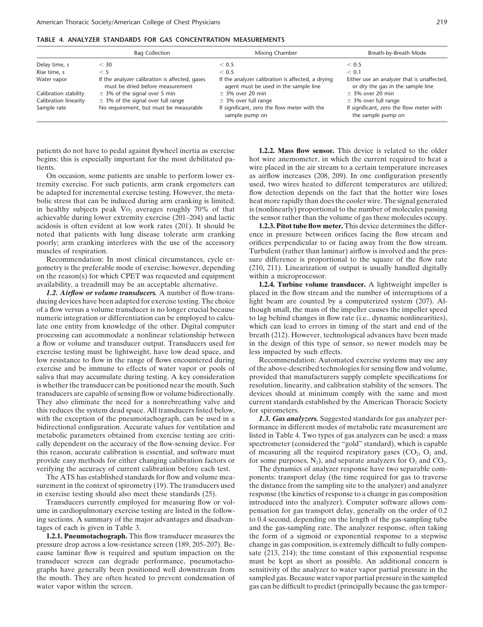**TABLE 4. ANALYZER STANDARDS FOR GAS CONCENTRATION MEASUREMENTS**

|                       | Mixing Chamber<br><b>Bag Collection</b>                                            |                                                                                            | Breath-by-Breath Mode                                                           |  |
|-----------------------|------------------------------------------------------------------------------------|--------------------------------------------------------------------------------------------|---------------------------------------------------------------------------------|--|
| Delay time, s         | $<$ 30                                                                             | ${}_{0.5}$                                                                                 | ${}_{0.5}$                                                                      |  |
| Rise time, s          | < 5                                                                                | ${}_{0.5}$                                                                                 | < 0.1                                                                           |  |
| Water vapor           | If the analyzer calibration is affected, gases<br>must be dried before measurement | If the analyzer calibration is affected, a drying<br>agent must be used in the sample line | Either use an analyzer that is unaffected,<br>or dry the gas in the sample line |  |
| Calibration stability | $\pm$ 3% of the signal over 5 min                                                  | $\pm$ 3% over 20 min                                                                       | $\pm$ 3% over 20 min                                                            |  |
| Calibration linearity | $\pm$ 3% of the signal over full range                                             | $\pm$ 3% over full range                                                                   | $\pm$ 3% over full range                                                        |  |
| Sample rate           | No requirement, but must be measurable                                             | If significant, zero the flow meter with the<br>sample pump on                             | If significant, zero the flow meter with<br>the sample pump on                  |  |

patients do not have to pedal against flywheel inertia as exercise **1.2.2. Mass flow sensor.** This device is related to the older

achievable during lower extremity exercise (201–204) and lactic the sensor rather than the volume of gas these molecules occupy. acidosis is often evident at low work rates (201). It should be **1.2.3. Pitot tube flow meter.** This device determines the differ-

gometry is the preferable mode of exercise; however, depending (210, 211). Linearization of output is usually handled digitally on the reason(s) for which CPET was requested and equipment within a microprocessor. availability, a treadmill may be an acceptable alternative. **1.2.4. Turbine volume transducer.** A lightweight impeller is

ducing devices have been adapted for exercise testing. The choice light beam are counted by a computerized system (207). Alof a flow versus a volume transducer is no longer crucial because though small, the mass of the impeller causes the impeller speed numeric integration or differentiation can be employed to calcu-<br>to lag behind changes in flow rate (i.e., dynamic nonlinearities), late one entity from knowledge of the other. Digital computer which can lead to errors in timing of the start and end of the processing can accommodate a nonlinear relationship between breath (212). However, technological advances have been made a flow or volume and transducer output. Transducers used for in the design of this type of sensor, so newer models may be exercise testing must be lightweight, have low dead space, and less impacted by such effects. low resistance to flow in the range of flows encountered during Recommendation: Automated exercise systems may use any exercise and be immune to effects of water vapor or pools of of the above-described technologies for sensing flow and volume, saliva that may accumulate during testing. A key consideration provided that manufacturers supply complete specifications for is whether the transducer can be positioned near the mouth. Such resolution, linearity, and calibration stability of the sensors. The transducers are capable of sensing flow or volume bidirectionally. devices should at minimum comply with the same and most They also eliminate the need for a nonrebreathing valve and current standards established by the American Thoracic Society this reduces the system dead space. All transducers listed below, for spirometers. with the exception of the pneumotachograph, can be used in a **1.3. Gas analyzers.** Suggested standards for gas analyzer perbidirectional configuration. Accurate values for ventilation and formance in different modes of metabolic rate measurement are metabolic parameters obtained from exercise testing are criti- listed in Table 4. Two types of gas analyzers can be used: a mass cally dependent on the accuracy of the flow-sensing device. For spectrometer (considered the "gold" standard), which is capable this reason, accurate calibration is essential, and software must of measuring all the required respiratory gases  $(CO_2, O_2$  and, provide easy methods for either changing calibration factors or . for some purposes,  $N_2$ ), and separate analyzers for  $O_2$  and  $CO_2$ .

pressure drop across a low-resistance screen (189, 205–207). Be- change in gas composition, is extremely difficult to fully compencause laminar flow is required and sputum impaction on the sate (213, 214); the time constant of this exponential response transducer screen can degrade performance, pneumotacho- must be kept as short as possible. An additional concern is graphs have generally been positioned well downstream from sensitivity of the analyzer to water vapor partial pressure in the the mouth. They are often heated to prevent condensation of sampled gas. Because water vapor partial pressure in the sampled water vapor within the screen.  $\qquad \qquad$  gas can be difficult to predict (principally because the gas temper-

begins; this is especially important for the most debilitated pa- hot wire anemometer, in which the current required to heat a tients. wire placed in the air stream to a certain temperature increases On occasion, some patients are unable to perform lower ex- as airflow increases (208, 209). In one configuration presently tremity exercise. For such patients, arm crank ergometers can used, two wires heated to different temperatures are utilized; be adapted for incremental exercise testing. However, the meta- flow detection depends on the fact that the hotter wire loses bolic stress that can be induced during arm cranking is limited; heat more rapidly than does the cooler wire. The signal generated in healthy subjects peak  $\dot{V}o_2$  averages roughly 70% of that is (nonlinearly) proportional to the number of molecules passing

noted that patients with lung disease tolerate arm cranking ence in pressure between orifices facing the flow stream and poorly; arm cranking interferes with the use of the accessory orifices perpendicular to or facing away from the flow stream. muscles of respiration. Turbulent (rather than laminar) airflow is involved and the pres-Recommendation: In most clinical circumstances, cycle er-<br>sure difference is proportional to the square of the flow rate

*1.2. Airflow or volume transducers.* A number of flow-trans- placed in the flow stream and the number of interruptions of a

verifying the accuracy of current calibration before each test. The dynamics of analyzer response have two separable com-The ATS has established standards for flow and volume mea- ponents: transport delay (the time required for gas to traverse surement in the context of spirometry (19). The transducers used the distance from the sampling site to the analyzer) and analyzer in exercise testing should also meet these standards (25). response (the kinetics of response to a change in gas composition Transducers currently employed for measuring flow or vol- introduced into the analyzer). Computer software allows comume in cardiopulmonary exercise testing are listed in the follow- pensation for gas transport delay, generally on the order of 0.2 ing sections. A summary of the major advantages and disadvan- to 0.4 second, depending on the length of the gas-sampling tube tages of each is given in Table 3. and the gas-sampling rate. The analyzer response, often taking **1.2.1. Pneumotachograph.** This flow transducer measures the the form of a sigmoid or exponential response to a stepwise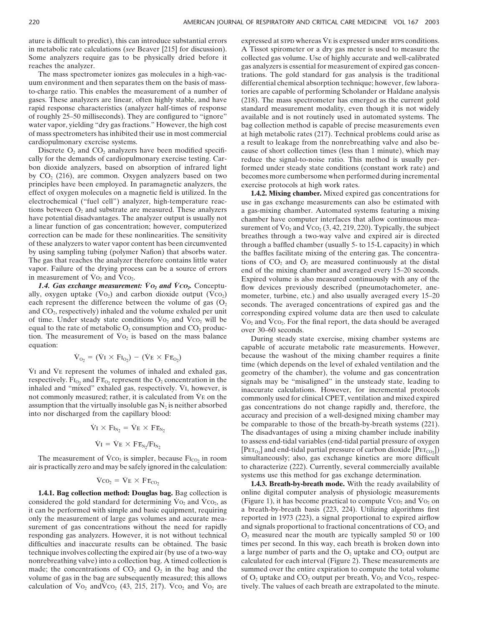ature is difficult to predict), this can introduce substantial errors expressed at strp whereas  $\dot{V}$  e is expressed under bar conditions.

to-charge ratio. This enables the measurement of a number of tories are capable of performing Scholander or Haldane analysis rapid response characteristics (analyzer half-times of response standard measurement modality, even though it is not widely of roughly 25–50 milliseconds). They are configured to "ignore" available and is not routinely used in automated systems. The of mass spectrometers has inhibited their use in most commercial at high metabolic rates (217). Technical problems could arise as

cally for the demands of cardiopulmonary exercise testing. Car- reduce the signal-to-noise ratio. This method is usually perbon dioxide analyzers, based on absorption of infrared light formed under steady state conditions (constant work rate) and by  $CO<sub>2</sub>$  (216), are common. Oxygen analyzers based on two becomes more cumbersome when perfor principles have been employed. In paramagnetic analyzers, the exercise protocols at high work rates. effect of oxygen molecules on a magnetic field is utilized. In the **1.4.2. Mixing chamber.** Mixed expired gas concentrations for electrochemical ("fuel cell") analyzer, high-temperature reac-<br>use in gas exchange measuremen tions between  $O_2$  and substrate are measured. These analyzers a gas-mixing chamber. Automated systems featuring a mixing have potential disadvantages. The analyzer output is usually not chamber have computer interfaces a linear function of gas concentration; however, computerized surement of  $\dot{V}o_2$  and  $\dot{V}o_2$  (3, 42, 219, 220). Typically, the subject correction can be made for these nonlinearities. The sensitivity breathes throu correction can be made for these nonlinearities. The sensitivity breathes through a two-way valve and expired air is directed<br>of these analyzers to water vapor content has been circumvented through a baffled chamber (usual of these analyzers to water vapor content has been circumvented through a baffled chamber (usually 5- to 15-L capacity) in which<br>by using sampling tubing (polymer Nafion) that absorbs water. the baffles facilitate mixing o by using sampling tubing (polymer Nafion) that absorbs water. the baffles facilitate mixing of the entering gas. The concentra-<br>The gas that reaches the analyzer therefore contains little water tions of CO<sub>2</sub> and O<sub>2</sub> are The gas that reaches the analyzer therefore contains little water tions of  $CO_2$  and  $O_2$  are measured continuously at the distal vapor. Failure of the drying process can be a source of errors end of the mixing chamber a

equal to the rate of metabolic  $O_2$  consumption and  $CO_2$  production. The measurement of  $\dot{V}o_2$  is based on the mass balance<br>equation: capable of accurate metabolic rate measurements. However,

$$
\dot{V}_{O_2} = (\dot{V}_I \times F_{I_{O_2}}) - (\dot{V}_E \times F \overline{E}_{O_2})
$$

VI and VE represent the volumes of inhaled and exhaled gas, geometry of the chamber), the volume and gas concentration respectively. Fi<sub>O</sub>, and  $F_{\text{O}}$ , represent the O<sub>2</sub> concentration in the signals may be "misaligned inhaled and "mixed" exhaled gas, respectively. V<sub>I</sub>, however, is inaccurate calculations. However, for incremental protocols not commonly measured; rather, it is calculated from  $\overline{V}E$  on the commonly used for clinical CPET, ventilation and mixed expired assumption that the virtually insoluble gas  $N_2$  is neither absorbed assumptions do not

$$
\dot{V}_I \times F_{I_{N_2}} = \dot{V}_E \times F \overline{E}_{N_2}
$$

$$
\dot{V}_I = \dot{V}_E \times F \overline{E}_{N_2} / F_{I_{N_2}}
$$

The measurement of  $\rm VCO_2$  is simpler, because  $\rm F_{ICO_2}$  in room simultaneously; also, gas exchange kinetics are more difficult air is practically zero and may be safely ignored in the calculation: to characterize (222

$$
\dot{V}_{\rm CO_2} = \dot{V}_{\rm E} \times F_{\rm E_{CO_2}}
$$

considered the gold standard for determining  $\overline{V}o_2$  and  $\overline{V}o_2$ , as (Figure 1), it has become practical to compute  $\overline{V}o_2$  and  $\overline{V}o_2$  on it can be performed with simple and basic equipment, requiring a b it can be performed with simple and basic equipment, requiring a breath-by-breath basis (223, 224). Utilizing algorithms first<br>only the measurement of large gas volumes and accurate mea-<br>reported in 1973 (223), a signal pr only the measurement of large gas volumes and accurate mea-<br>surement of gas concentrations without the need for rapidly and signals proportional to fractional concentrations of  $CO<sub>2</sub>$  and surement of gas concentrations without the need for rapidly responding gas analyzers. However, it is not without technical  $O_2$  measured near the mouth are typically sampled 50 or 100 difficulties and inaccurate results can be obtained. The basic times per second. In this way, each breath is broken down into technique involves collecting the expired air (by use of a two-way a large number of parts and the  $O_2$  uptake and  $CO_2$  output are nonrebreathing valve) into a collection bag. A timed collection is calculated for each interval (Figure 2). These measurements are made; the concentrations of  $CO_2$  and  $O_2$  in the bag and the summed over the entire expiration to compute the total volume volume of gas in the bag are subsequently measured; this allows of  $O_2$  uptake and  $CO_2$  output per breath,  $V_{O_2}$  and  $V_{CO_2}$ , respeccalculation of  $\overline{V}o_2$  and  $\overline{V}o_2$  (43, 215, 217).  $\overline{V}o_2$  and  $\overline{V}o_2$  are tively. The values of each breath are extrapolated to the minute.

in metabolic rate calculations (*see* Beaver [215] for discussion). A Tissot spirometer or a dry gas meter is used to measure the Some analyzers require gas to be physically dried before it collected gas volume. Use of highly accurate and well-calibrated reaches the analyzer. gas analyzers is essential for measurement of expired gas concen-The mass spectrometer ionizes gas molecules in a high-vac- trations. The gold standard for gas analysis is the traditional uum environment and then separates them on the basis of mass- differential chemical absorption technique; however, few laboragases. These analyzers are linear, often highly stable, and have (218). The mass spectrometer has emerged as the current gold water vapor, yielding "dry gas fractions." However, the high cost bag collection method is capable of precise measurements even cardiopulmonary exercise systems. a result to leakage from the nonrebreathing valve and also be-Discrete  $O_2$  and  $CO_2$  analyzers have been modified specifi- cause of short collection times (less than 1 minute), which may becomes more cumbersome when performed during incremental

use in gas exchange measurements can also be estimated with chamber have computer interfaces that allow continuous meavapor. Failure of the drying process can be a source of errors end of the mixing chamber and averaged every 15–20 seconds.<br>Expired volume is also measured continuously with any of the in measurement of  $\sqrt{V_0}$  and  $\sqrt{V_0}$ .<br> **1.4. Gas exchange measurement:**  $\dot{V}_0$  and  $\dot{V}_0$ . Conceptu-<br>
ally, oxygen uptake ( $\dot{V}_0$ ) and carbon dioxide output ( $\dot{V}_0$ )<br>
each represent the difference between the

because the washout of the mixing chamber requires a finite <sup>time</sup> (which depends on the level of exhaled ventilation and the<br>V<sub>I</sub> and V<sub>E</sub> represent the volumes of inhaled and exhaled gas, secondary of the chamber), the volume and gas concentration signals may be "misaligned" in the unsteady state, leading to assumption that the virtually insoluble gas  $N_2$  is neither absorbed gas concentrations do not change rapidly and, therefore, the into nor discharged from the capillary blood:<br>accuracy and precision of a well-designed mi be comparable to those of the breath-by-breath systems (221). The disadvantages of using a mixing chamber include inability to assess end-tidal variables (end-tidal partial pressure of oxygen  $V_{N_2}$  is asset to asset the  $[Per_{O_2}]$ ] and end-tidal partial pressure of carbon dioxide  $[\text{Per}_{\text{CO}_2}]$ ) to characterize (222). Currently, several commercially available

systems use this method for gas exchange determination.<br>**1.4.3. Breath-by-breath mode.** With the ready availability of **1.4.1. Bag collection method: Douglas bag.** Bag collection is online digital computer analysis of physiologic measurements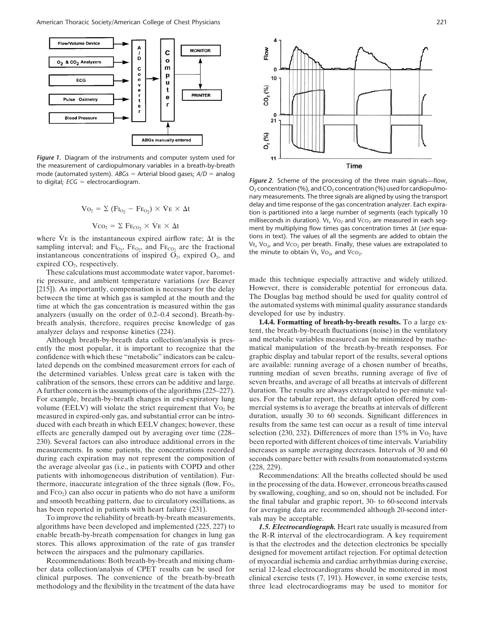

*Figure 1.* Diagram of the instruments and computer system used for the measurement of cardiopulmonary variables in a breath-by-breath mode (automated system).  $ABGs =$  Arterial blood gases;  $A/D =$  analog to digital; *ECG* = electrocardiogram.

$$
V_{\text{O}_2} = \Sigma (\text{Ft}_{\text{O}_2} - \text{Ft}_{\text{O}_2}) \times \text{V}_{\text{E}} \times \Delta t
$$

$$
V_{\text{CO}_2} = \Sigma \text{F}_{\text{E}_{\text{CO}_2}} \times \text{V}_{\text{E}} \times \Delta t
$$

sampling interval; and  $\text{F}_{\text{L}_0}$ ,  $\text{F}_{\text{E}_{\text{O}_2}}$  are the fractional  $\text{V}_{\text{E}}$ , V<sub>O2</sub>, and V<sub>CO2</sub> per breath. Finally, these values are extrapolated to instantaneous concentrations of inspired  $O_2$ , expired  $O_2$ , and the minute to obtain V $\epsilon$ , V $o_2$ , and V $\epsilon$ , expired  $CO<sub>2</sub>$ , respectively.

These calculations must accommodate water vapor, barometric pressure, and ambient temperature variations (*see* Beaver made this technique especially attractive and widely utilized. [215]). As importantly, compensation is necessary for the delay however, there is considerable potential for erroneous data.<br>
However, there is considerable potential for erroneous data. between the time at which gas is sampled at the mouth and the time at which the gas concentration is measured within the gas the automated systems with minimal quality assurance standards analyzers (usually on the order of 0.2–0.4 second). Breath-by-<br>developed for use by industry. analyzers (usually on the order of 0.2–0.4 second). Breath-by-<br>breath analysis, therefore, requires precise knowledge of gas **1.4.4. Formatting of breath-by-breath results.** To a large exbreath analysis, therefore, requires precise knowledge of gas

Although breath-by-breath data collection/analysis is presently the most popular, it is important to recognize that the matical manipulation of the breath-by-breath responses. For confidence with which these "metabolic" indicators can be calcu-<br>graphic display and tabular report confidence with which these "metabolic" indicators can be calcu-<br>lated depends on the combined measurement errors for each of are available: running average of a chosen number of breaths, lated depends on the combined measurement errors for each of the determined variables. Unless great care is taken with the running median of seven breaths, running average of five of calibration of the sensors, these errors can be additive and large. seven breaths, and average of all breaths at intervals of different A further concern is the assumptions of the algorithms (225–227). duration. The results are always extrapolated to per-minute val-For example, breath-by-breath changes in end-expiratory lung ues. For the tabular report, the default option offered by comvolume (EELV) will violate the strict requirement that  $\dot{V}_{O_2}$  be mercial systems is to average the breaths at intervals of different measured in expired-only gas, and substantial error can be intro- duration, usually 30 to 60 seconds. Significant differences in duced with each breath in which EELV changes; however, these results from the same test can occur as a result of time interval effects are generally damped out by averaging over time (228– selection (230, 232). Differences of more than 15% in  $\dot{V}o_2$  have 230). Several factors can also introduce additional errors in the been reported with different choices of time intervals. Variability measurements. In some patients, the concentrations recorded increases as sample averaging decreases. Intervals of 30 and 60 during each expiration may not represent the composition of seconds compare better with results from nonautomated systems the average alveolar gas (i.e., in patients with COPD and other (228, 229). patients with inhomogeneous distribution of ventilation). Fur- Recommendations: All the breaths collected should be used thermore, inaccurate integration of the three signals (flow,  $F_{Q_2}$ , in the processing of the data. However, erroneous breaths caused and  $F\text{co}_2$ ) can also occur in patients who do not have a uniform by swallowing, coughing, and so on, should not be included. For and smooth breathing pattern, due to circulatory oscillations, as the final tabular and graphic report, 30- to 60-second intervals

To improve the reliability of breath-by-breath measurements, vals may be acceptable.<br>algorithms have been developed and implemented (225, 227) to **1.5. Electrocardiogram** enable breath-by-breath compensation for changes in lung gas the R-R interval of the electrocardiogram. A key requirement stores. This allows approximation of the rate of gas transfer is that the electrodes and the detection electronics be specially

methodology and the flexibility in the treatment of the data have three lead electrocardiograms may be used to monitor for



 $O_2$  concentration (%), and  $CO_2$  concentration (%) used for cardiopulmonary measurements. The three signals are aligned by using the transport delay and time response of the gas concentration analyzer. Each expiration is partitioned into a large number of segments (each typically 10 milliseconds in duration). Vε, Vo<sub>2</sub> and Vco<sub>2</sub> are measured in each seg-<br>ment by multiplying flow times gas concentration times Δt (*see* equawhere  $\dot{V}E$  is the instantaneous expired airflow rate;  $\Delta t$  is the instant the values of all the segments are added to obtain the segments are added to obtain the segments are extrapolated to

analyzer delays and response kinetics (224). tent, the breath-by-breath fluctuations (noise) in the ventilatory<br>Although breath-by-breath data collection/analysis is pres-<br>and metabolic variables measured can be minimized

has been reported in patients with heart failure (231). for averaging data are recommended although 20-second inter-

1.5. Electrocardiograph. Heart rate usually is measured from between the airspaces and the pulmonary capillaries. designed for movement artifact rejection. For optimal detection Recommendations: Both breath-by-breath and mixing cham- of myocardial ischemia and cardiac arrhythmias during exercise, ber data collection/analysis of CPET results can be used for serial 12-lead electrocardiograms should be monitored in most clinical purposes. The convenience of the breath-by-breath clinical exercise tests (7, 191). However, in some exercise tests,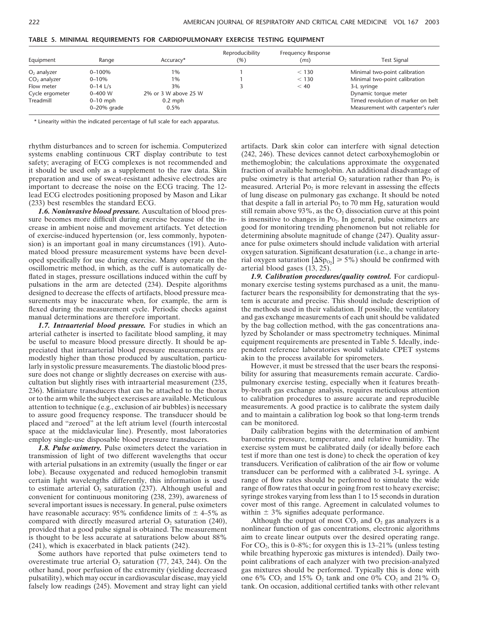| TABLE 5. MINIMAL REQUIREMENTS FOR CARDIOPULMONARY EXERCISE TESTING EQUIPMENT |  |  |  |  |
|------------------------------------------------------------------------------|--|--|--|--|
|------------------------------------------------------------------------------|--|--|--|--|

| Equipment       | Range         | Accuracy*            | Reproducibility<br>(%) | Frequency Response<br>(ms) | Test Signal                        |
|-----------------|---------------|----------------------|------------------------|----------------------------|------------------------------------|
| $O2$ analyzer   | $0 - 100%$    | 1%                   |                        | < 130                      | Minimal two-point calibration      |
| $CO2$ analyzer  | $0 - 10%$     | 1%                   |                        | < 130                      | Minimal two-point calibration      |
| Flow meter      | $0 - 14$ L/s  | 3%                   |                        | < 40                       | 3-L syringe                        |
| Cycle ergometer | $0 - 400$ W   | 2% or 3 W above 25 W |                        |                            | Dynamic torque meter               |
| Treadmill       | $0-10$ mph    | $0.2$ mph            |                        |                            | Timed revolution of marker on belt |
|                 | $0-20%$ grade | $0.5\%$              |                        |                            | Measurement with carpenter's ruler |

\* Linearity within the indicated percentage of full scale for each apparatus.

sure becomes more difficult during exercise because of the inmated blood pressure measurement systems have been developed specifically for use during exercise. Many operate on the ial oxygen saturation  $[\Delta Sp_{02}] \ge 5\%$ ) should be confirmed with oscillometric method, in which, as the cuff is automatically de-<br>arterial blood gases (13, 25) oscillometric method, in which, as the cuff is automatically deflated in stages, pressure oscillations induced within the cuff by **1.9. Calibration procedures/quality control.** For cardiopul-<br>pulsations in the arm are detected (234). Despite algorithms monary exercise testing systems pulsations in the arm are detected (234). Despite algorithms designed to decrease the effects of artifacts, blood pressure mea-<br>facturer bears the responsibility for demonstrating that the syssurements may be inaccurate when, for example, the arm is tem is accurate and precise. This should include description of flexed during the measurement cycle. Periodic checks against the methods used in their validation. If possible, the ventilatory manual determinations are therefore important. and gas exchange measurements of each unit should be validated

arterial catheter is inserted to facilitate blood sampling, it may lyzed by Scholander or mass spectrometry techniques. Minimal be useful to measure blood pressure directly. It should be ap- equipment requirements are presented in Table 5. Ideally, indepreciated that intraarterial blood pressure measurements are pendent reference laboratories would validate CPET systems modestly higher than those produced by auscultation, particu-<br>akin to the process available for spirom modestly higher than those produced by auscultation, particularly in systolic pressure measurements. The diastolic blood pres- However, it must be stressed that the user bears the responsisure does not change or slightly decreases on exercise with aus-<br>bility for assuring that measurements remain accurate. Cardiocultation but slightly rises with intraarterial measurement (235, pulmonary exercise testing, especially when it features breath-236). Miniature transducers that can be attached to the thorax by-breath gas exchange analysis, requires meticulous attention or to the arm while the subject exercises are available. Meticulous to calibration procedures to assure accurate and reproducible attention to technique (e.g., exclusion of air bubbles) is necessary measurements. A good practice is to calibrate the system daily to assure good frequency response. The transducer should be and to maintain a calibration log book so that long-term trends placed and "zeroed" at the left atrium level (fourth intercostal can be monitored. placed and "zeroed" at the left atrium level (fourth intercostal space at the midclavicular line). Presently, most laboratories Daily calibration begins with the determination of ambient employ single-use disposable blood pressure transducers. barometric pressure, temperature, and relative humidity. The

transmission of light of two different wavelengths that occur<br>with arterial pulsations in an extremity (usually the finger or ear<br>transducers. Verification of calibration of the air flow or volume with arterial pulsations in an extremity (usually the finger or ear lobe). Because oxygenated and reduced hemoglobin transmit transducer can be performed with a calibrated 3-L syringe. A certain light wavelengths differently, this information is used range of flow rates should be performed to simulate the wide to estimate arterial  $O_2$  saturation (237). Although useful and range of flow rates that occur in going from rest to heavy exercise; convenient for continuous monitoring (238, 239), awareness of syringe strokes varying f convenient for continuous monitoring (238, 239), awareness of several important issues is necessary. In general, pulse oximeters cover most of this range. Agreement in calculated volumes to have reasonable accuracy: 95% confidence limits of  $\pm$  4–5% as within  $\pm$  3% signifies adeq have reasonable accuracy: 95% confidence limits of  $\pm$  4–5% as within  $\pm$  3% signifies adequate performance.<br>compared with directly measured arterial O<sub>2</sub> saturation (240), Although the output of most CO<sub>2</sub> and O<sub>2</sub> gas compared with directly measured arterial  $O_2$  saturation (240), Although the output of most  $CO_2$  and  $O_2$  gas analyzers is a provided that a good pulse signal is obtained. The measurement nonlinear function of gas conc provided that a good pulse signal is obtained. The measurement is thought to be less accurate at saturations below about 88% aim to create linear outputs over the desired operating range. (241), which is exacerbated in black patients (242). For  $CO_2$ , this is 0–8%; for oxygen this is 13–21% (unless testing

rhythm disturbances and to screen for ischemia. Computerized artifacts. Dark skin color can interfere with signal detection systems enabling continuous CRT display contribute to test (242, 246). These devices cannot detect carboxyhemoglobin or safety; averaging of ECG complexes is not recommended and methemoglobin; the calculations approximate the oxygenated it should be used only as a supplement to the raw data. Skin fraction of available hemoglobin. An additional disadvantage of preparation and use of sweat-resistant adhesive electrodes are pulse oximetry is that arterial  $O_2$  saturation rather than Po<sub>2</sub> is important to decrease the noise on the ECG tracing. The  $12$ - measured. Arterial Po<sub>2</sub> is more relevant in assessing the effects lead ECG electrodes positioning proposed by Mason and Likar of lung disease on pulmonary gas exchange. It should be noted (233) best resembles the standard ECG. that despite a fall in arterial Po<sub>2</sub> to 70 mm Hg, saturation would **1.6. Noninvasive blood pressure.** Auscultation of blood pres-<br>ill remain above 93%, as the  $O_2$  dissociation curve at this point is becomes more difficult during exercise because of the in-<br>is insensitive to changes in crease in ambient noise and movement artifacts. Yet detection good for monitoring trending phenomenon but not reliable for of exercise-induced hypertension (or, less commonly, hypoten- determining absolute magnitude of change (247). Quality assursion) is an important goal in many circumstances (191). Auto-<br>mated blood pressure measurement systems have been devel-<br>oxygen saturation. Significant desaturation (i.e., a change in arte-

**1.7. Intraarterial blood pressure.** For studies in which an by the bag collection method, with the gas concentrations ana-

**1.8. Pulse oximetry.** Pulse oximeters detect the variation in exercise system must be calibrated daily (or ideally before each

Some authors have reported that pulse oximeters tend to while breathing hyperoxic gas mixtures is intended). Daily twooverestimate true arterial O<sub>2</sub> saturation (77, 243, 244). On the point calibrations of each analyzer with two precision-analyzed other hand, poor perfusion of the extremity (yielding decreased gas mixtures should be perfo gas mixtures should be performed. Typically this is done with pulsatility), which may occur in cardiovascular disease, may yield one 6%  $CO_2$  and 15%  $O_2$  tank and one 0%  $CO_2$  and 21%  $O_2$  falsely low readings (245). Movement and stray light can yield tank. On occasion, additiona tank. On occasion, additional certified tanks with other relevant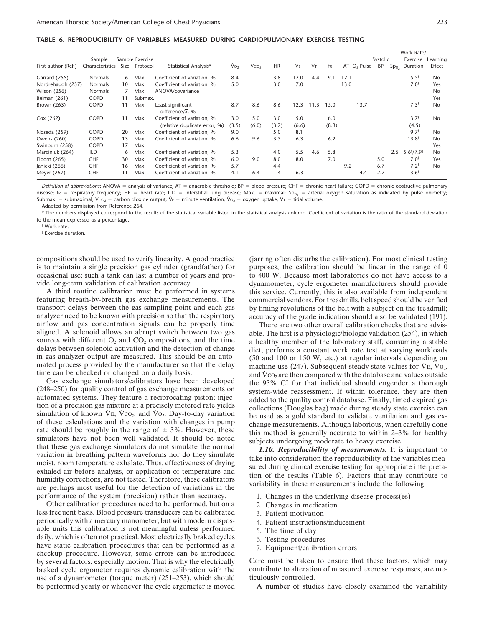| TABLE 6. REPRODUCIBILITY OF VARIABLES MEASURED DURING CARDIOPULMONARY EXERCISE TESTING |
|----------------------------------------------------------------------------------------|
|----------------------------------------------------------------------------------------|

|                     |                 |      |                 |                                                     |                        |                  |           |       |      |       |      |                           |           |     | Work Rate/                    |           |
|---------------------|-----------------|------|-----------------|-----------------------------------------------------|------------------------|------------------|-----------|-------|------|-------|------|---------------------------|-----------|-----|-------------------------------|-----------|
|                     | Sample          |      | Sample Exercise |                                                     |                        |                  |           |       |      |       |      |                           | Systolic  |     | Exercise                      | Learning  |
| First author (Ref.) | Characteristics | Size | Protocol        | Statistical Analysis*                               | $\dot{V}$ <sub>2</sub> | VCO <sub>2</sub> | <b>HR</b> | ΨE    | VT   | fr    |      | $AT$ O <sub>2</sub> Pulse | <b>BP</b> |     | $Sp0$ , Duration              | Effect    |
| Garrard (255)       | Normals         | 6    | Max.            | Coefficient of variation, %                         | 8.4                    |                  | 3.8       | 12.0  | 4.4  | 9.1   | 12.1 |                           |           |     | $5.5^{\dagger}$               | <b>No</b> |
| Nordrehaugh (257)   | Normals         | 10   | Max.            | Coefficient of variation, %                         | 5.0                    |                  | 3.0       | 7.0   |      |       | 13.0 |                           |           |     | $7.0^{\dagger}$               | Yes       |
| <b>Wilson (256)</b> | Normals         |      | Max.            | ANOVA/covariance                                    |                        |                  |           |       |      |       |      |                           |           |     |                               | <b>No</b> |
| Belman (261)        | <b>COPD</b>     | 11   | Submax.         |                                                     |                        |                  |           |       |      |       |      |                           |           |     |                               | Yes       |
| Brown $(263)$       | <b>COPD</b>     | 11   | Max.            | Least significant<br>difference/ $\overline{x}$ . % | 8.7                    | 8.6              | 8.6       | 12.3  | 11.3 | 15.0  |      | 13.7                      |           |     | $7.3^{\dagger}$               | <b>No</b> |
| Cox (262)           | <b>COPD</b>     | 11   | Max.            | Coefficient of variation, %                         | 3.0                    | 5.0              | 3.0       | 5.0   |      | 6.0   |      |                           |           |     | $3.7^{\dagger}$               | No        |
|                     |                 |      |                 | (relative duplicate error, %)                       | (3.5)                  | (6.0)            | (3.7)     | (6.6) |      | (8.3) |      |                           |           |     | (4.5)                         |           |
| Noseda (259)        | <b>COPD</b>     | 20   | Max.            | Coefficient of variation, %                         | 9.0                    |                  | 5.0       | 8.1   |      |       |      |                           |           |     | $9.7^{\dagger}$               | No        |
| Owens (260)         | <b>COPD</b>     | 13   | Max.            | Coefficient of variation, %                         | 6.6                    | 9.6              | 3.5       | 6.3   |      | 6.2   |      |                           |           |     | $13.8^{\dagger}$              | No        |
| Swinburn (258)      | COPD            | 17   | Max.            |                                                     |                        |                  |           |       |      |       |      |                           |           |     |                               | Yes       |
| Marciniuk (264)     | <b>ILD</b>      | 6    | Max.            | Coefficient of variation, %                         | 5.3                    |                  | 4.0       | 5.5   | 4.6  | 5.8   |      |                           |           | 2.5 | $5.6^{\dagger}/7.9^{\dagger}$ | No        |
| Elborn (265)        | <b>CHF</b>      | 30   | Max.            | Coefficient of variation, %                         | 6.0                    | 9.0              | 8.0       | 8.0   |      | 7.0   |      |                           | 5.0       |     | $7.0*$                        | Yes       |
| Janicki (266)       | <b>CHF</b>      | 16   | Max.            | Coefficient of variation, %                         | 5.7                    |                  | 4.4       |       |      |       | 9.2  |                           | 6.7       |     | $7.2*$                        | <b>No</b> |
| Meyer (267)         | <b>CHF</b>      | 11   | Max.            | Coefficient of variation, %                         | 4.1                    | 6.4              | 1.4       | 6.3   |      |       |      | 4.4                       | 2.2       |     | $3.6^{\dagger}$               |           |

*Definition of abbreviations*: ANOVA = analysis of variance; AT = anaerobic threshold; BP = blood pressure; CHF = chronic heart failure; COPD = chronic obstructive pulmonary disease; fR = respiratory frequency; HR = heart rate; ILD = interstitial lung disease; Max. = maximal;  $Sp_{O_2}$  = arterial oxygen saturation as indicated by pulse oximetry; Submax. = submaximal; Vco<sub>2</sub> = carbon dioxide output; VE = minute ventilation; Vo<sub>2</sub> = oxygen uptake; VT = tidal volume.

Adapted by permission from Reference 264.

\* The numbers displayed correspond to the results of the statistical variable listed in the statistical analysis column. Coefficient of variation is the ratio of the standard deviation to the mean expressed as a percentage.

† Work rate.

‡ Exercise duration.

is to maintain a single precision gas cylinder (grandfather) for purposes, the calibration should be linear in the range of 0 occasional use; such a tank can last a number of years and pro- to 400 W. Because most laboratories do not have access to a vide long-term validation of calibration accuracy.  $\Box$  dynamometer, cycle ergometer manufacturers should provide

A third routine calibration must be performed in systems this service. Currently, this is also available from independent featuring breath-by-breath gas exchange measurements. The commercial vendors. For treadmills, belt s featuring breath-by-breath gas exchange measurements. The commercial vendors. For treadmills, belt speed should be verified transport delays between the gas sampling point and each gas by timing revolutions of the belt wit transport delays between the gas sampling point and each gas by timing revolutions of the belt with a subject on the treadmill;<br>analyzer need to be known with precision so that the respiratory accuracy of the grade indicat analyzer need to be known with precision so that the respiratory accuracy of the grade indication should also be validated (191).<br>airflow and gas concentration signals can be properly time There are two other overall calib airflow and gas concentration signals can be properly time<br>aligned. A solenoid allows an abrupt switch between two gas able. The first is a physiologic/biologic validation (254), in which aligned. A solenoid allows an abrupt switch between two gas able. The first is a physiologic/biologic validation (254), in which sources with different  $O_2$  and  $CO_2$  compositions, and the time a healthy member of the la

sources with different O<sub>2</sub> and CO<sub>2</sub> compositions, and the time in easure and delays between solenoid activation and the detection of change a healthy member of the laboratory staff, consuming a stable<br>in gas analyzer out performance of the system (precision) rather than accuracy. 1. Changes in the underlying disease process(es)

Other calibration procedures need to be performed, but on a 2. Changes in medication less frequent basis. Blood pressure transducers can be calibrated 3. Patient motivation periodically with a mercury manometer, but with modern dispos-<br>able units this calibration is not meaningful unless performed<br> $\frac{1}{5}$  The time of day able units this calibration is not meaningful unless performed<br>daily, which is often not practical. Most electrically braked cycles<br>have static calibration procedures that can be performed as a<br>checkup procedure. However, braked cycle ergometer requires dynamic calibration with the use of a dynamometer (torque meter) (251–253), which should ticulously controlled. be performed yearly or whenever the cycle ergometer is moved A number of studies have closely examined the variability

compositions should be used to verify linearity. A good practice (jarring often disturbs the calibration). For most clinical testing

- 
- 
- 
- 
- 
- 
- 

by several factors, especially motion. That is why the electrically Care must be taken to ensure that these factors, which may braked cycle ergometer requires dynamic calibration with the contribute to alteration of measur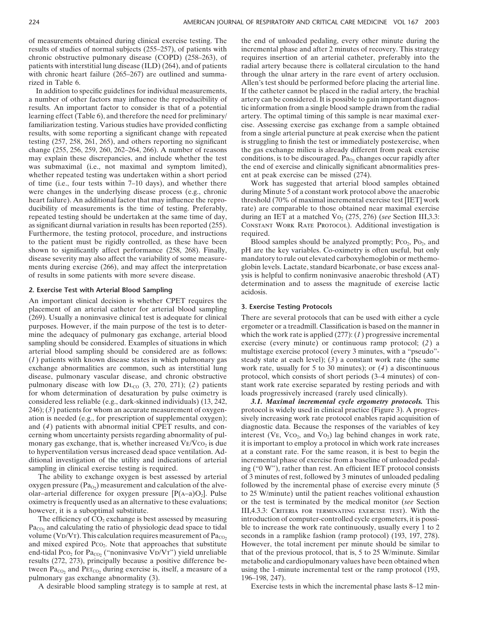a number of other factors may influence the reproducibility of artery can be considered. It is possible to gain important diagnosresults. An important factor to consider is that of a potential tic information from a single blood sample drawn from the radial learning effect (Table 6), and therefore the need for preliminary/ artery. The optimal timing of this sample is near maximal exerfamiliarization testing. Various studies have provided conflicting cise. Assessing exercise gas exchange from a sample obtained results, with some reporting a significant change with repeated from a single arterial puncture at peak exercise when the patient testing (257, 258, 261, 265), and others reporting no significant is struggling to finish the test or immediately postexercise, when change (255, 256, 259, 260, 262–264, 266). A number of reasons the gas exchange milieu is already different from peak exercise may explain these discrepancies, and include whether the test conditions, is to be discouraged. Pa<sub>O2</sub> changes occur rapidly after was submaximal (i.e., not maximal and symptom limited), the end of exercise and clinically whether repeated testing was undertaken within a short period ent at peak exercise can be missed (274). of time (i.e., four tests within 7–10 days), and whether there Work has suggested that arterial blood samples obtained were changes in the underlying disease process (e.g., chronic during Minute 5 of a constant work protocol above the anaerobic heart failure). An additional factor that may influence the repro-<br>threshold (70% of maximal incremental exercise test [IET] work ducibility of measurements is the time of testing. Preferably, rate) are comparable to those obtained near maximal exercise repeated testing should be undertaken at the same time of day, during an IET at a matched  $\rm{Vo}_2$  (275, 276) (*see* Section III,3.3: as significant diurnal variation in results has been reported (255). CONSTANT WORK RATE PROTOCOL). Additional investigation is Furthermore, the testing protocol, procedure, and instructions required. to the patient must be rigidly controlled, as these have been Blood samples should be analyzed promptly; Pco<sub>2</sub>, Po<sub>2</sub>, and shown to significantly affect performance (258, 268). Finally, pH are the key variables. Co-oximetry is often useful, but only disease severity may also affect the variability of some measure- mandatory to rule out elevated carboxyhemoglobin or methemoments during exercise (266), and may affect the interpretation globin levels. Lactate, standard bicarbonate, or base excess analof results in some patients with more severe disease. ysis is helpful to confirm noninvasive anaerobic threshold (AT)

An important clinical decision is whether CPET requires the **3. Exercise Testing Protocols** placement of an arterial catheter for arterial blood sampling (269). Usually a noninvasive clinical test is adequate for clinical There are several protocols that can be used with either a cycle purposes. However, if the main purpose of the test is to deter- ergometer or a treadmill. Classification is based on the manner in mine the adequacy of pulmonary gas exchange, arterial blood which the work rate is applied (277): (*1*) progressive incremental sampling should be considered. Examples of situations in which exercise (every minute) or continuous ramp protocol; (*2*) a arterial blood sampling should be considered are as follows: multistage exercise protocol (every 3 minutes, with a "pseudo"- (*1*) patients with known disease states in which pulmonary gas steady state at each level); (*3*) a constant work rate (the same exchange abnormalities are common, such as interstitial lung work rate, usually for 5 to 30 minutes); or (*4*) a discontinuous disease, pulmonary vascular disease, and chronic obstructive protocol, which consists of short periods (3–4 minutes) of conpulmonary disease with low D<sub>L<sub>CO</sub> (3, 270, 271); (2) patients stant work rate exercise separated by resting periods and with for whom determination of desaturation by pulse oximetry is loads progressively increased (rarel</sub> for whom determination of desaturation by pulse oximetry is considered less reliable (e.g., dark-skinned individuals) (13, 242, *3.1. Maximal incremental cycle ergometry protocols.* This 246); (3) patients for whom an accurate measurement of oxygen-<br>protocol is widely used in clinical practice (Figure 3). A progresation is needed (e.g., for prescription of supplemental oxygen); sively increasing work rate protocol enables rapid acquisition of and (*4*) patients with abnormal initial CPET results, and con- diagnostic data. Because the responses of the variables of key cerning whom uncertainty persists regarding abnormality of pul-<br>interest (V $E$ , V $CO<sub>2</sub>$ , and V $O<sub>2</sub>$ ) lag behind changes in work rate, monary gas exchange, that is, whether increased  $\overline{V}E/VCO_2$  is due  $\overline{E}$  it is important to employ a protocol in which work rate increases to hyperventilation versus increased dead space ventilation. Ad- at a constant rate. For the same reason, it is best to begin the ditional investigation of the utility and indications of arterial incremental phase of exercise from a baseline of unloaded pedalsampling in clinical exercise testing is required. ing ("0 W"), rather than rest. An efficient IET protocol consists

oxygen pressure  $(Pa_{02})$  measurement and calculation of the alveolar–arterial difference for oxygen pressure  $[P(A-a)O_2]$ . Pulse oximetry is frequently used as an alternative to these evaluations; or the test is terminated by the medical monitor (*see* Section however, it is a suboptimal substitute. III,4.3.3: CRITERIA FOR TERMINATING EXERCISE TEST). With the

 $Pa_{CO_2}$  and calculating the ratio of physiologic dead space to tidal ble to increase the work rate continuously, usually every 1 to 2 volume (VD/VT). This calculation requires measurement of  $Pa_{CO_2}$  seconds in a ramplik volume (VD/VT). This calculation requires measurement of Pa<sub>CO2</sub> seconds in a ramplike fashion (ramp protocol) (193, 197, 278). and mixed expired Pco<sub>2</sub>. Note that approaches that substitute However, the total increment p end-tidal Pco<sub>2</sub> for Pa<sub>co<sub>2</sub> ("noninvasive VD/V<sub>T</sub>") yield unreliable that of the previous protocol, that is, 5 to 25 W/minute. Similar results (272, 273), principally because a positive difference be-<br>metabolic and card</sub> tween Pa<sub>CO2</sub> and PET<sub>CO2</sub> during exercise is, itself, a measure of a using the 1-minute incremental test or the ramp protocol (193, pulmonary gas exchange abnormality (3).  $196-198, 247$ ). pulmonary gas exchange abnormality (3).

rized in Table 6. Allen's test should be performed before placing the arterial line. In addition to specific guidelines for individual measurements, If the catheter cannot be placed in the radial artery, the brachial the end of exercise and clinically significant abnormalities pres-

**2. Exercise Test with Arterial Blood Sampling** determination and to assess the magnitude of exercise lactic acidosis.

The ability to exchange oxygen is best assessed by arterial of 3 minutes of rest, followed by 3 minutes of unloaded pedaling followed by the incremental phase of exercise every minute (5 to 25 W/minute) until the patient reaches volitional exhaustion The efficiency of CO<sub>2</sub> exchange is best assessed by measuring introduction of computer-controlled cycle ergometers, it is possi-However, the total increment per minute should be similar to metabolic and cardiopulmonary values have been obtained when

A desirable blood sampling strategy is to sample at rest, at Exercise tests in which the incremental phase lasts 8–12 min-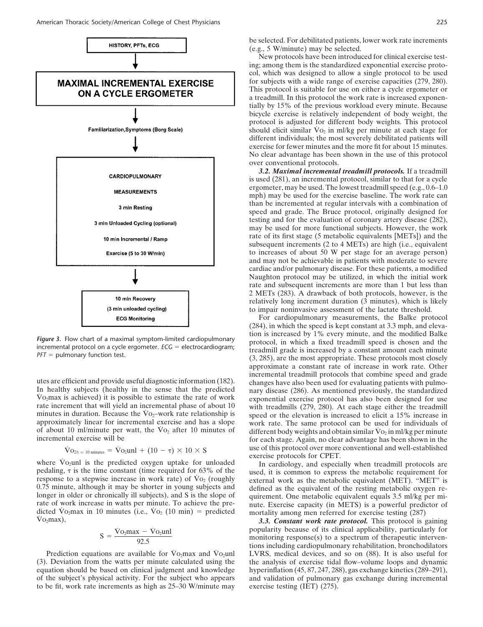

$$
V_{O_{2/t} = 10 \text{ minutes}} = V_{O_2} \text{unl} + (10 - \tau) \times 10 \times S
$$

where  $\dot{V}_{O_2}$  is the predicted oxygen uptake for unloaded<br>pedaling,  $\tau$  is the time constant (time required for 63% of the<br>response to a stepwise increase in work rate) of  $\dot{V}_{O_2}$  (roughly<br>0.75 minute, although i

$$
S = \frac{V_{O_2} \cdot V_{O_2} \cdot V_{O_2} \cdot V_{O_2}}{92.5}
$$

to be fit, work rate increments as high as 25–30 W/minute may exercise testing (IET) (275).

be selected. For debilitated patients, lower work rate increments (e.g., 5 W/minute) may be selected.

New protocols have been introduced for clinical exercise testing; among them is the standardized exponential exercise protocol, which was designed to allow a single protocol to be used for subjects with a wide range of exercise capacities (279, 280). This protocol is suitable for use on either a cycle ergometer or a treadmill. In this protocol the work rate is increased exponentially by 15% of the previous workload every minute. Because bicycle exercise is relatively independent of body weight, the protocol is adjusted for different body weights. This protocol should elicit similar  $\dot{V}o_2$  in ml/kg per minute at each stage for different individuals; the most severely debilitated patients will exercise for fewer minutes and the more fit for about 15 minutes. No clear advantage has been shown in the use of this protocol over conventional protocols.

*3.2. Maximal incremental treadmill protocols.* If a treadmill is used (281), an incremental protocol, similar to that for a cycle ergometer, may be used. The lowest treadmill speed (e.g., 0.6–1.0 mph) may be used for the exercise baseline. The work rate can than be incremented at regular intervals with a combination of speed and grade. The Bruce protocol, originally designed for testing and for the evaluation of coronary artery disease (282), may be used for more functional subjects. However, the work rate of its first stage (5 metabolic equivalents [METs]) and the subsequent increments (2 to 4 METs) are high (i.e., equivalent to increases of about 50 W per stage for an average person) and may not be achievable in patients with moderate to severe cardiac and/or pulmonary disease. For these patients, a modified Naughton protocol may be utilized, in which the initial work rate and subsequent increments are more than 1 but less than 2 METs (283). A drawback of both protocols, however, is the relatively long increment duration (3 minutes), which is likely to impair noninvasive assessment of the lactate threshold.

For cardiopulmonary measurements, the Balke protocol (284), in which the speed is kept constant at 3.3 mph, and eleva-Figure 3. Flow chart of a maximal symptom-limited cardiopulmonary<br>incremental protocol on a cycle ergometer.  $ECG = \text{electrocardiogram}$ ;<br> $PFT = \text{pulmonary function test.}$ <br> $PFT = \text{pulmonary function test.}$ <br> $PFT = \text{pulmonary function test.}$ <br> $PFT = \text{pulmonary function test.}$ approximate a constant rate of increase in work rate. Other incremental treadmill protocols that combine speed and grade<br>In healthy subjects (healthy in the sense that the predicted<br>Vo<sub>2</sub>max is achieved) it is possible to estimate the rate of work<br>Vo<sub>2</sub>max is achieved) it is possib Vo<sub>2</sub>max is achieved) it is possible to estimate the rate of work<br>rate increment that will yield an incremental phase of about 10<br>minutes in duration. Because the Vo<sub>2</sub>-work rate relationship is<br>approximately linear for i use of this protocol over more conventional and well-established exercise protocols for CPET.

popularity because of its clinical applicability, particularly for monitoring response(s) to a spectrum of therapeutic interventions including cardiopulmonary rehabilitation, bronchodilators Prediction equations are available for  $\overline{V}_{O_2}$  max and  $\overline{V}_{O_2}$ unl LVRS, medical devices, and so on (88). It is also useful for (3). Deviation from the watts per minute calculated using the the analysis of exerci the analysis of exercise tidal flow–volume loops and dynamic equation should be based on clinical judgment and knowledge hyperinflation (45, 87, 247, 288), gas exchange kinetics (289–291), of the subject's physical activity. For the subject who appears and validation of pulmonary gas exchange during incremental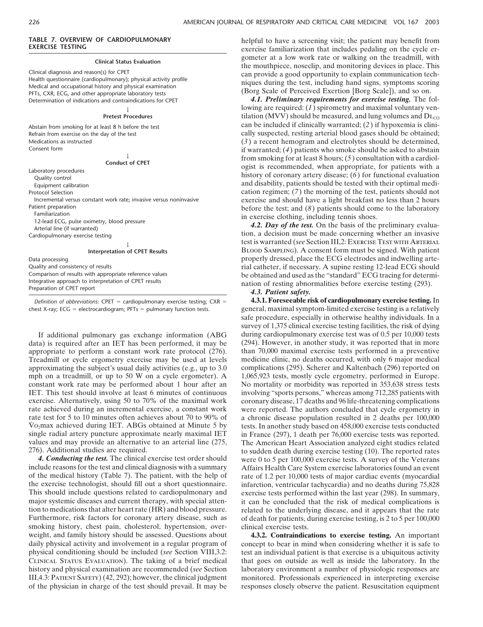PFT<sub>S</sub>, CXR, ECG, and other appropriate laboratory tests **1998** (Borg Scale of Perceived Exertion [Borg Scale]), and so on.<br>Determination of indications and contraindications for CPET **1. Preliminary requirements for exerc** 

data) is required after an IET has been performed, it may be (294). However, in another study, it was reported that in more appropriate to perform a constant work rate protocol (276). than 70,000 maximal exercise tests per appropriate to perform a constant work rate protocol (276). than 70,000 maximal exercise tests performed in a preventive<br>Treadmill or cycle ergometry exercise may be used at levels medicine clinic, no deaths occurred, with Treadmill or cycle ergometry exercise may be used at levels approximating the subject's usual daily activities (e.g., up to 3.0 complications (295). Scherer and Kaltenbach (296) reported on mph on a treadmill, or up to 50 W on a cycle ergometer). A  $1,065,923$  tests, mostly cycle mph on a treadmill, or up to 50 W on a cycle ergometer). A constant work rate may be performed about 1 hour after an No mortality or morbidity was reported in 353,638 stress tests IET. This test should involve at least 6 minutes of continuous involving "sports persons," whereas among 712,285 patients with exercise. Alternatively, using 50 to 70% of the maximal work coronary disease, 17 deaths and 96 life-threatening complications rate achieved during an incremental exercise, a constant work were reported. The authors concluded that cycle ergometry in rate test for 5 to 10 minutes often achieves about 70 to 90% of a chronic disease population resulted in 2 deaths per 100,000  $\sqrt{V_{O_2}}$  varies of during IET. ABGs obtained at Minute 5 by tests. In another study based on 458,000 exercise tests conducted single radial artery puncture approximate nearly maximal  $IET$  in France (297), 1 death per 76,000 exercise tests was reported. values and may provide an alternative to an arterial line (275, The American Heart Association analyzed eight studies related

include reasons for the test and clinical diagnosis with a summary Affairs Health Care System exercise laboratories found an event of the medical history (Table 7). The patient, with the help of rate of 1.2 per 10,000 tests of major cardiac events (myocardial the exercise technologist, should fill out a short questionnaire. infarction, ventricular tachycardia) and no deaths during 75,828 This should include questions related to cardiopulmonary and exercise tests performed within the last year (298). In summary, major systemic diseases and current therapy, with special attentions it can be concluded that th major systemic diseases and current therapy, with special atten-<br>tion to medications that alter heart rate (HR) and blood pressure. <br>related to the underlying disease, and it appears that the rate tion to medications that alter heart rate (HR) and blood pressure. related to the underlying disease, and it appears that the rate<br>Furthermore, risk factors for coronary artery disease, such as of death for patients, durin smoking history, chest pain, cholesterol, hypertension, over- clinical exercise tests. weight, and family history should be assessed. Questions about **4.3.2. Contraindications to exercise testing.** An important daily physical activity and involvement in a regular program of concept to bear in mind when considering whether it is safe to physical conditioning should be included (*see* Section VIII,3.2: test an individual patient is that exercise is a ubiquitous activity Clinical Status Evaluation). The taking of a brief medical that goes on outside as well as inside the laboratory. In the history and physical examination are recommended (*see* Section laboratory environment a number of physiologic responses are III,4.3: Patient Safety) (42, 292); however, the clinical judgment monitored. Professionals experienced in interpreting exercise

**TABLE 7. OVERVIEW OF CARDIOPULMONARY** helpful to have a screening visit; the patient may benefit from **EXERCISE TESTING** exercise familiarization that includes pedaling on the cycle er-Clinical diagnosis and reason(s) for CPET<br>
Clinical Status Evaluation<br>
Clinical Status Evaluation<br>
the mouthpiece, noseclip, and monitoring devices in place. This<br>
the mouthpiece, noseclip, and monitoring devices in place.

lowing are required: (*1*) spirometry and maximal voluntary ven- <sup>↓</sup>  $\mu$ ilation (MVV) should be measured, and lung volumes and  $D_{\text{L}_\text{CO}}$ Abstain from smoking for at least 8 h before the test can be included if clinically warranted; (2) if hypoxemia is clini-Refrain from exercise on the day of the test cally suspected, resting arterial blood gases should be obtained; Medications as instructed (*3*) a recent hemogram and electrolytes should be determined,<br>Consent form in the saked to abstain if warranted: (*4*) patients who smoke should be asked to abstain  $\text{if warranted}; (4) \text{ patients who smoke should be asked to abstain}$ Laboratory procedures<br>
Conduct of CPET<br>
Conduct of CPET<br>
Conduct of CPET<br>
Conduct of CPET<br>
Conduct of CPET<br>
Conduct of CPET<br>
Conduct of CPET<br>
Conduct of CPET<br>
Conduct of CPET<br>
Conduct of CPET<br>
Conduct of CPET<br>
Conduct of and disability, patients should be tested with their optimal medi- Equipment calibration Protocol Selection cation regimen; (*7*) the morning of the test, patients should not Incremental versus constant work rate; invasive versus noninvasive exercise and should have a light breakfast no less than 2 hours<br>Patient preparation tient preparation<br>
Familiarization<br>
Taniliarization<br>
12-lead ECG, pulse oximetry, blood pressure<br>
12-lead ECG, pulse oximetry, blood pressure<br>
12-lead ECG, pulse oximetry, blood pressure<br>
Arterial line (if warranted)<br>
Arte

Cardiopulmonary exercise testing the cardiopulmonary exercise testing the material invasive cardiopulmonary exercise testing test is warranted (*see* Section III,2: EXERCISE TEST WITH ARTERIAL <br>Interpretation of CPET Results **BLOOD SAMPLING**). A consent form must be signed. With patient BLOOD SAMPLING). A consent form must be signed. With patient Data processing properly dressed, place the ECG electrodes and indwelling arte-Quality and consistency of results<br>Comparison of results with appropriate reference values<br>  $\frac{1}{2}$  be obtained and used as the "standard" ECG tracing for determi-Comparison of results with appropriate reference values<br>Integrative approach to interpretation of CPET results<br>
Preparation of CPET report<br> **A.3. Patient safety.**<br> **A.3. Patient safety.** 

*Definition of abbreviations*: CPET = cardiopulmonary exercise testing; CXR = **4.3.1. Foreseeable risk of cardiopulmonary exercise testing.** In general, maximal symptom-limited exercise testing is a relatively general, maximal symptom-limited exercise testing is a relatively safe procedure, especially in otherwise healthy individuals. In a survey of 1,375 clinical exercise testing facilities, the risk of dying If additional pulmonary gas exchange information (ABG during cardiopulmonary exercise test was of 0.5 per 10,000 tests ta) is required after an IET has been performed, it may be (294). However, in another study, it was rep 276). Additional studies are required. to sudden death during exercise testing (10). The reported rates **4. Conducting the test.** The clinical exercise test order should were 0 to 5 per 100,000 exercise tests. A survey of the Veterans of death for patients, during exercise testing, is 2 to 5 per 100,000

of the physician in charge of the test should prevail. It may be responses closely observe the patient. Resuscitation equipment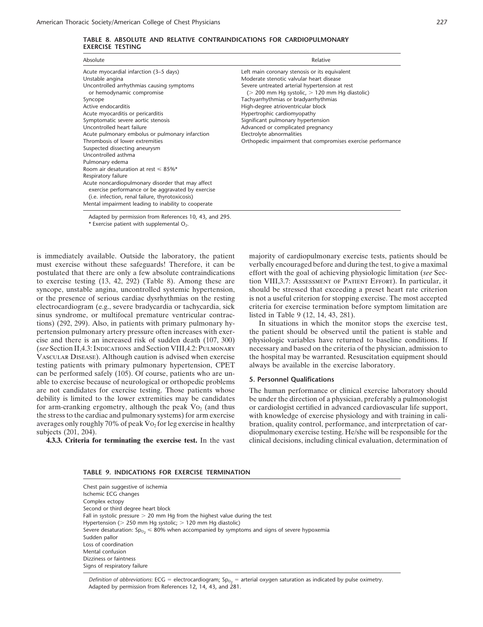|  |                         |  | TABLE 8. ABSOLUTE AND RELATIVE CONTRAINDICATIONS FOR CARDIOPULMONARY |  |
|--|-------------------------|--|----------------------------------------------------------------------|--|
|  | <b>EXERCISE TESTING</b> |  |                                                                      |  |

| Absolute                                                                                                                                                                                                                                                                                                                                                                                                                                                                                                                                                           | Relative                                                                                                                                                                                                                                                                                                                                                                               |
|--------------------------------------------------------------------------------------------------------------------------------------------------------------------------------------------------------------------------------------------------------------------------------------------------------------------------------------------------------------------------------------------------------------------------------------------------------------------------------------------------------------------------------------------------------------------|----------------------------------------------------------------------------------------------------------------------------------------------------------------------------------------------------------------------------------------------------------------------------------------------------------------------------------------------------------------------------------------|
| Acute myocardial infarction (3–5 days)                                                                                                                                                                                                                                                                                                                                                                                                                                                                                                                             | Left main coronary stenosis or its equivalent                                                                                                                                                                                                                                                                                                                                          |
| Unstable angina                                                                                                                                                                                                                                                                                                                                                                                                                                                                                                                                                    | Moderate stenotic valvular heart disease                                                                                                                                                                                                                                                                                                                                               |
| Uncontrolled arrhythmias causing symptoms<br>or hemodynamic compromise<br>Syncope<br>Active endocarditis<br>Acute myocarditis or pericarditis<br>Symptomatic severe aortic stenosis<br>Uncontrolled heart failure<br>Acute pulmonary embolus or pulmonary infarction<br>Thrombosis of lower extremities<br>Suspected dissecting aneurysm<br>Uncontrolled asthma<br>Pulmonary edema<br>Room air desaturation at rest $\leq 85\%$ *<br>Respiratory failure<br>Acute noncardiopulmonary disorder that may affect<br>exercise performance or be aggravated by exercise | Severe untreated arterial hypertension at rest<br>$($ 200 mm Hg systolic, $> 120$ mm Hg diastolic)<br>Tachyarrhythmias or bradyarrhythmias<br>High-degree atrioventricular block<br>Hypertrophic cardiomyopathy<br>Significant pulmonary hypertension<br>Advanced or complicated pregnancy<br>Electrolyte abnormalities<br>Orthopedic impairment that compromises exercise performance |
| (i.e. infection, renal failure, thyrotoxicosis)                                                                                                                                                                                                                                                                                                                                                                                                                                                                                                                    |                                                                                                                                                                                                                                                                                                                                                                                        |
| Mental impairment leading to inability to cooperate                                                                                                                                                                                                                                                                                                                                                                                                                                                                                                                |                                                                                                                                                                                                                                                                                                                                                                                        |

Adapted by permission from References 10, 43, and 295.  $*$  Exercise patient with supplemental  $O<sub>2</sub>$ .

is immediately available. Outside the laboratory, the patient majority of cardiopulmonary exercise tests, patients should be sinus syndrome, or multifocal premature ventricular contrac- listed in Table 9 (12, 14, 43, 281). tions) (292, 299). Also, in patients with primary pulmonary hy- In situations in which the monitor stops the exercise test, pertension pulmonary artery pressure often increases with exer- the patient should be observed until the patient is stable and cise and there is an increased risk of sudden death (107, 300) physiologic variables have returned to baseline conditions. If (*see* Section II,4.3:Indications and Section VIII,4.2: Pulmonary necessary and based on the criteria of the physician, admission to Vascular Disease). Although caution is advised when exercise the hospital may be warranted. Resuscitation equipment should testing patients with primary pulmonary hypertension, CPET always be available in the exercise laboratory. can be performed safely (105). Of course, patients who are un-<br>able to exercise because of neurological or orthopedic problems **5. Personnel Qualifications** are not candidates for exercise testing. Those patients whose The human performance or clinical exercise laboratory should debility is limited to the lower extremities may be candidates be under the direction of a physician, preferably a pulmonologist for arm-cranking ergometry, although the peak  $\overline{V}o_2$  (and thus or cardiologist certified in advanced cardiovascular life support, the stress to the cardiac and pulmonary systems) for arm exercise with knowledge of exercise physiology and with training in caliaverages only roughly 70% of peak  $V_0$  for leg exercise in healthy bration, quality control, performance, and interpretation of carsubjects (201, 204). diopulmonary exercise testing. He/she will be responsible for the

must exercise without these safeguards! Therefore, it can be verbally encouraged before and during the test, to give a maximal postulated that there are only a few absolute contraindications effort with the goal of achieving physiologic limitation (*see* Secto exercise testing (13, 42, 292) (Table 8). Among these are tion VIII,3.7: ASSESSMENT OF PATIENT EFFORT). In particular, it syncope, unstable angina, uncontrolled systemic hypertension, should be stressed that exceeding a preset heart rate criterion or the presence of serious cardiac dysrhythmias on the resting is not a useful criterion for stopping exercise. The most accepted electrocardiogram (e.g., severe bradycardia or tachycardia, sick criteria for exercise termination before symptom limitation are

**4.3.3. Criteria for terminating the exercise test.** In the vast clinical decisions, including clinical evaluation, determination of

### **TABLE 9. INDICATIONS FOR EXERCISE TERMINATION**

Chest pain suggestive of ischemia Ischemic ECG changes Complex ectopy Second or third degree heart block Fall in systolic pressure 20 mm Hg from the highest value during the test Hypertension ( 250 mm Hg systolic; 120 mm Hg diastolic) Severe desaturation:  $Sp_{0,2} \leq 80\%$  when accompanied by symptoms and signs of severe hypoxemia Sudden pallor Loss of coordination Mental confusion Dizziness or faintness Signs of respiratory failure

*Definition of abbreviations*: ECG = electrocardiogram; Sp<sub>o<sub>2</sub></sub> = arterial oxygen saturation as indicated by pulse oximetry. Adapted by permission from References 12, 14, 43, and 281.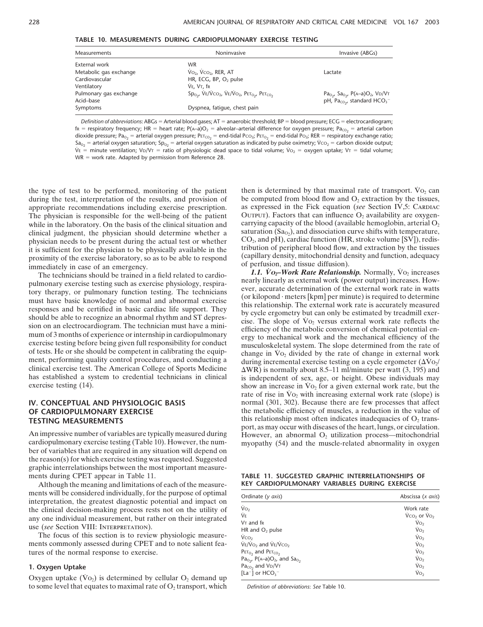**TABLE 10. MEASUREMENTS DURING CARDIOPULMONARY EXERCISE TESTING**

| <b>Measurements</b>    | Noninvasive                                                                                    | Invasive (ABGs)                                                                       |
|------------------------|------------------------------------------------------------------------------------------------|---------------------------------------------------------------------------------------|
| External work          | WR.                                                                                            |                                                                                       |
| Metabolic gas exchange | $Vo2$ , $Vco2$ , RER, AT                                                                       | Lactate                                                                               |
| Cardiovascular         | HR, ECG, BP, O <sub>2</sub> pulse                                                              |                                                                                       |
| Ventilatory            | $V_E$ , $V_T$ , $f_R$                                                                          |                                                                                       |
| Pulmonary gas exchange | $Sp_{0.2}$ , VE/VCO <sub>2</sub> , VE/VO <sub>2</sub> , PET <sub>O2</sub> , PET <sub>CO2</sub> | $Pa_{0,1}$ , Sa <sub>02</sub> , P(A-a)O <sub>2</sub> , V <sub>D</sub> /V <sub>T</sub> |
| Acid-base              |                                                                                                | pH, Pa <sub>co</sub> , standard $HCO_3^-$                                             |
| Symptoms               | Dyspnea, fatique, chest pain                                                                   |                                                                                       |

*Definition of abbreviations*: ABGs = Arterial blood gases; AT = anaerobic threshold; BP = blood pressure; ECG = electrocardiogram; f $R =$  respiratory frequency; HR = heart rate; P(A–a)O<sub>2</sub> = alveolar–arterial difference for oxygen pressure; Pa<sub>co<sub>2</sub></sub> = arterial carbon dioxide pressure; Pa<sub>O2</sub> = arterial oxygen pressure; PET<sub>CO2</sub> = end-tidal Pc<sub>O2</sub>; PET<sub>O2</sub> = end-tidal P<sub>O2</sub>; RER = respiratory exchange ratio;  $Sa_{02}$  = arterial oxygen saturation;  $Sp_{02}$  = arterial oxygen saturation as indicated by pulse oximetry; Vco<sub>2</sub> = carbon dioxide output; = minute ventilation; V<sub>D</sub>/V<sub>T</sub> = ratio of physiologic dead space to tidal volume; V<sub>O2</sub> = oxygen uptake; V<sub>T</sub> = tidal volume;  $WR =$  work rate. Adapted by permission from Reference 28.

during the test, interpretation of the results, and provision of be computed from blood flow and  $O_2$  extraction by the tissues, appropriate recommendations including exercise prescription. as expressed in the Fick equation (*see* Section IV,5: CARDIAC<br>The physician is responsible for the well-being of the patient OUTPUT). Factors that can influence The physician is responsible for the well-being of the patient OUTPUT). Factors that can influence  $O_2$  availability are oxygen-<br>while in the laboratory. On the basis of the clinical situation and carrying capacity of th while in the laboratory. On the basis of the clinical situation and

clinical exercise test. The American College of Sports Medicine  $\Delta WR$ ) is normally about 8.5–11 ml/minute per watt (3, 195) and has established a system to credential technicians in clinical is independent of sex, age, or has established a system to credential technicians in clinical is independent of sex, age, or height. Obese individuals may exercise testing (14).<br>
show an increase in V<sub>O</sub>, for a given external work rate, but the

ber of variables that are required in any situation will depend on the reason(s) for which exercise testing was requested. Suggested graphic interrelationships between the most important measure-

Although the meaning and limitations of each of the measurements will be considered individually, for the purpose of optimal interpretation, the greatest diagnostic potential and impact on the clinical decision-making process rests not on the utility of any one individual measurement, but rather on their integrated use (*see* Section VIII: INTERPRETATION).

The focus of this section is to review physiologic measurements commonly assessed during CPET and to note salient features of the normal response to exercise.

## 1. Oxygen Uptake

Oxygen uptake  $(\dot{V}o_2)$  is determined by cellular  $O_2$  demand up to some level that equates to maximal rate of O<sub>2</sub> transport, which *Definition of abbreviations: See* Table 10.

the type of test to be performed, monitoring of the patient then is determined by that maximal rate of transport. Vo<sub>2</sub> can saturation (Sa<sub>O2</sub>), and dissociation curve shifts with temperature,  $CO_2$ , and pH), cardiac function (HR, stroke volume [SV]), redis-

clinical judgment, the physician should determine whether a<br>saturation (Sa<sub>os</sub>), and dissociation curve shifts with temperature,<br>physician needs to be present during the actual test or whether<br>it is sufficient for the phy show an increase in  $\dot{V}$ <sub>2</sub> for a given external work rate, but the rate of rise in  $Vo_2$  with increasing external work rate (slope) is **IV. CONCEPTUAL AND PHYSIOLOGIC BASIS** normal (301, 302). Because there are few processes that affect **OF CARDIOPULMONARY EXERCISE** the metabolic efficiency of muscles, a reduction in the value of **TESTING MEASUREMENTS** this relationship most often indicates inadequacies of O<sub>2</sub> transport, as may occur with diseases of the heart, lungs, or circulation. An impressive number of variables are typically measured during  $\overline{H}$  However, an abnormal  $O_2$  utilization process—mitochondrial cardiopulmonary exercise testing (Table 10). However, the num-<br>myopathy (54) and the mu myopathy (54) and the muscle-related abnormality in oxygen

ments during CPET appear in Table 11.<br>Although the meaning and limitations of each of the measure-**KEY CARDIOPULMONARY VARIABLES DURING EXERCISE** 

| Ordinate (y axis)                                         | Abscissa (x axis)       |
|-----------------------------------------------------------|-------------------------|
| Ÿо,                                                       | Work rate               |
| ΨF                                                        | $V_{CO}$ , or $V_{O}$ , |
| V <sub>T</sub> and f <sub>R</sub>                         | Vο,                     |
| HR and $O2$ pulse                                         | Vo <sub>2</sub>         |
| $V_{CO2}$                                                 | Vo <sub>2</sub>         |
| $V_E/V_{O_2}$ and $V_E/V_{CO_2}$                          | $V_{O2}$                |
| $P_{ETO2}$ and $P_{ETCO2}$                                | $V_{O2}$                |
| $Pa02$ , P( $A-a$ )O <sub>2</sub> , and Sa <sub>0</sub> , | $\dot{V}$ <sub>O</sub>  |
| Pa <sub>co</sub> , and V <sub>D</sub> /V <sub>T</sub>     | $\dot{V}$ <sub>O</sub>  |
| [La <sup>-</sup> ] or $HCO_3^-$                           | Vо,                     |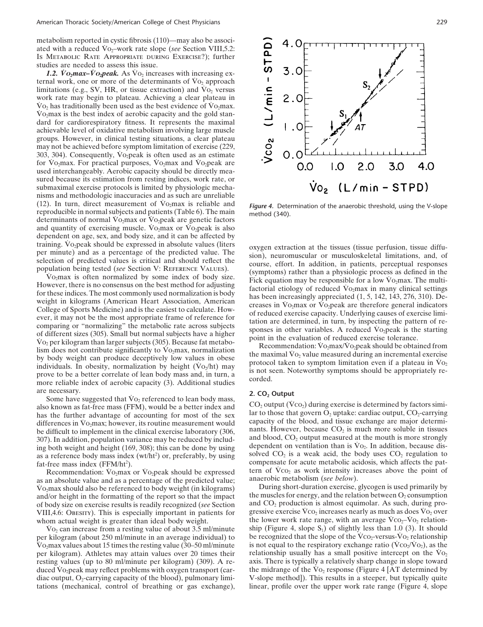metabolism reported in cystic fibrosis (110)—may also be associated with a reduced Vo<sub>2</sub>-work rate slope (see Section VIII,5.2: Is Metabolic Rate Appropriate during Exercise?); further studies are needed to assess this issue.

**1.2.**  $\dot{V}o_2$ *max–* $\dot{V}o_2$ *peak.* As  $\dot{V}o_2$  increases with increasing external work, one or more of the determinants of  $\dot{V}$ <sub>2</sub> approach limitations (e.g., SV, HR, or tissue extraction) and  $\dot{V}$ <sub>2</sub> versus work rate may begin to plateau. Achieving a clear plateau in  $\rm\dot{V}o_2$  has traditionally been used as the best evidence of  $\rm\dot{V}o_2$  max. Vo<sub>2</sub>max is the best index of aerobic capacity and the gold standard for cardiorespiratory fitness. It represents the maximal achievable level of oxidative metabolism involving large muscle groups. However, in clinical testing situations, a clear plateau may not be achieved before symptom limitation of exercise (229, 303, 304). Consequently,  $\overline{V}o_2$  peak is often used as an estimate for V $o_2$ max. For practical purposes, V $o_2$ max and V $o_2$ peak are used interchangeably. Aerobic capacity should be directly measured because its estimation from resting indices, work rate, or submaximal exercise protocols is limited by physiologic mechanisms and methodologic inaccuracies and as such are unreliable (12). In turn, direct measurement of  $\sqrt{O_2}$ max is reliable and **Figure 4.** Determination of the anaerobic threshold, using the V-slope reproducible in normal subjects and patients (Table 6). The main determinants of no and quantity of exercising muscle. V $o_2$ max or V $o_2$ peak is also dependent on age, sex, and body size, and it can be affected by

training, Vo,peak should be expressed in absolute values (liters<br>
per minute) and as a percentage of the predicted value. The<br>
selection of predicted values is critical and should reflect the<br>
power minute) and source, ef

are necessary.<br>
Some have suggested that  $\dot{V}o_2$  referenced to lean body mass,<br>
also known as fat-free mass (FFM), would be a better index and<br>
has the further advantage of accounting for most of the sex<br>
lar to those as a reference body mass index (wt/ht<sup>2</sup>) or, preferably, by using solved  $CO_2$  is a weak acid, the body uses  $CO_2$  regulation to compensate for acute metabolic acidosis, which affects the pat- fat-free mass index (FFM/ht fat-free mass index (FFM/ht<sup>2</sup>).

as an absolute value and as a percentage of the predicted value; anaerobic metabolism (*see below*).<br>Vo-max should also be referenced to body weight (in kilograms) During short-duration exercise, glycogen is used primarily  $\dot{V}_{\text{O}_2}$  V<sub>O2</sub> max should also be referenced to body weight (in kilograms) During short-duration exercise, glycogen is used primarily by 2md/or height in the formatting of the report so that the impact the muscles f and/or height in the formatting of the report so that the impact<br>of body size on exercise results is readily recognized (see Section and CO<sub>2</sub> production is almost equimolar. As such, during proof body size on exercise results is readily recognized (see Section and CO<sub>2</sub> production is almost equimolar. As such, during pro-<br>*VIII 4.6*: OBESITY). This is especially important in patients for gressive exercise Vco<sub>2</sub> VIII,4.6: Obesity). This is especially important in patients for

 $\rm\acute{Vo}_2$  can increase from a resting value of about 3.5 ml/minute per kilogram (about 250 ml/minute in an average individual) to be recognized that the slope of the  $\rm{Vco}_{2}$ -versus- $\rm{Vo}_{2}$  relationship  $\sqrt{v_{\rm 2max}}$  values about 15 times the resting value (30–50 ml/minute is not equal to the respiratory exchange ratio ( $\sqrt{v_{\rm 2max}}$ ), as the per kilogram). Athletes may attain values over 20 times their relationship usually has a small positive intercept on the  $\rm V_{O_2}$ resting values (up to 80 ml/minute per kilogram) (309). A re- axis. There is typically a relatively sharp change in slope toward duced Vo<sub>2</sub>peak may reflect problems with oxygen transport (car-<br>diac output, O<sub>2</sub>-carrying capacity of the blood), pulmonary limi-<br>V-slope method]). This results in a steeper, but typically quite diac output,  $O_2$ -carrying capacity of the blood), pulmonary limitations (mechanical, control of breathing or gas exchange), linear, profile over the upper work rate range (Figure 4, slope



Recommendation:  $\dot{V}_{Q}$ max or  $\dot{V}_{Q}$ peak should be expressed tern of  $\dot{V}_{CQ_2}$  as work intensity increases above the point of an absolute value and as a percentage of the predicted value: anaerobic metabolism (see

whom actual weight is greater than ideal body weight. the lower work rate range, with an average V $\text{co}_2$ –V $\text{o}_2$  relation-<br>V $\text{o}_2$  can increase from a resting value of about 3.5 ml/minute ship (Figure 4, slope  $S_1$ )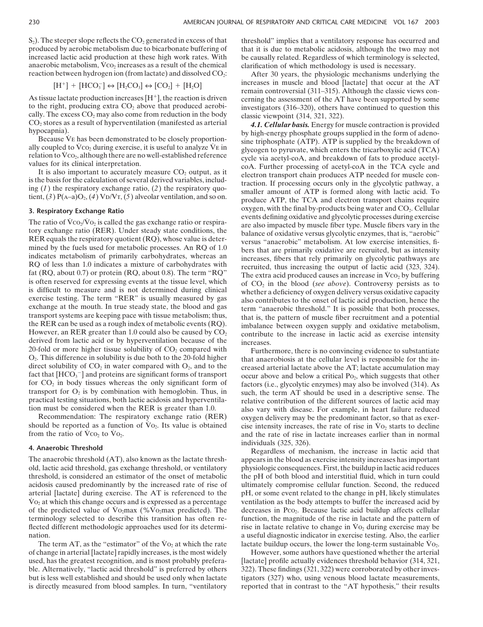$S<sub>2</sub>$ ). The steeper slope reflects the CO<sub>2</sub> generated in excess of that threshold" implies that a ventilatory response has occurred and anaerobic metabolism,  $VCO<sub>2</sub>$  increases as a result of the chemical clarification of which methodology is used is necessary. reaction between hydrogen ion (from lactate) and dissolved CO<sub>2</sub>: After 30 years, the physiologic mechanisms underlying the

$$
[\mathrm{H}^+] + [\mathrm{HCO}_3^-] \leftrightarrow [\mathrm{H}_2\mathrm{CO}_3] \leftrightarrow [\mathrm{CO}_2] + [\mathrm{H}_2\mathrm{O}]
$$

20-fold or more higher tissue solubility of  $CO_2$  compared with<br>  $O_2$ . This difference in solubility is due both to the 20-fold higher<br>
direct solubility of  $CO_2$  in water compared with  $O_2$ , and to the<br>
fact that [HCO<sub></sub> fact that  $[HCO<sub>3</sub>^-]$  and proteins are significant forms of transport occur above and below a critical Po<sub>2</sub>, which suggests that other for  $CO<sub>2</sub>$  in body tissues whereas the only significant form of factors (i.e., transport for  $O_2$  is by combination with hemoglobin. Thus, in such, the term AT should be used in a descriptive sense. The practical testing situations, both lactic acidosis and hyperventila-<br>tion must be considered when the RER is greater than 1.0.<br>also vary with disease. For example, in heart failure reduced

should be reported as a function of  $\dot{V}_{Q_2}$ . Its value is obtained cise intensity increases, the rate of rise in  $\dot{V}_{Q_2}$  starts to decline and the rate of rise in lactate increases earlier than in normal

old, lactic acid threshold, gas exchange threshold, or ventilatory physiologic consequences. First, the buildup in lactic acid reduces acidosis caused predominantly by the increased rate of rise of ultimately compromise cellular function. Second, the reduced arterial [lactate] during exercise. The AT is referenced to the pH, or some event related to the change in pH, likely stimulates of the predicted value of  $\overline{V}$  o<sub>2</sub>max (% $\overline{V}$  o<sub>2</sub>max predicted). The decreases in Pco<sub>2</sub>. Because lactic acid buildup affects cellular terminology selected to describe this transition has often re- function, the magnitude of the rise in lactate and the pattern of flected different methodologic approaches used for its determi- rise in lactate relative to change in  $V_0$  during exercise may be nation. **a** useful diagnostic indicator in exercise testing. Also, the earlier

produced by aerobic metabolism due to bicarbonate buffering of that it is due to metabolic acidosis, although the two may not increased lactic acid production at these high work rates. With be causally related. Regardless of which terminology is selected,

increases in muscle and blood [lactate] that occur at the AT remain controversial  $(311-315)$ . Although the classic views con-

[H<sup>+</sup>] + [HCO<sub>3</sub>] → [H<sub>2</sub>CO<sub>3</sub>] → [CO<sub>2</sub>] + [H<sub>2</sub>O]<br>
remain controversial (311–315). Although the classic views can<br>
remain controversial (311–315). Although the classic views con-<br>
remain controversial (311–315). Althou **3. Respiratory Exchange Ratio** oxygen, with the final by-products being water and CO<sub>2</sub>. Cellular<br>The ratio of Vco<sub>2</sub>/Vo<sub>2</sub> is called the gas exchange ratio or respira-<br><sup>eren</sup> are also impacted by muscle fiber type. Musc

factors (i.e., glycolytic enzymes) may also be involved (314). As the must be considered when the RER is greater than 1.0. also vary with disease. For example, in heart failure reduced Recommendation: The respiratory exchange ratio (RER) oxygen delivery may be the predominant factor, so oxygen delivery may be the predominant factor, so that as exerand the rate of rise in lactate increases earlier than in normal **4. Anaerobic Threshold 4. Anaerobic Threshold Regardless of mechanism**, the increase in lactic acid that **Regardless** of mechanism, the increase in lactic acid that

The anaerobic threshold (AT), also known as the lactate thresh- appears in the blood as exercise intensity increases has important threshold, is considered an estimator of the onset of metabolic the pH of both blood and interstitial fluid, which in turn could  $\rm{Vo}_2$  at which this change occurs and is expressed as a percentage ventilation as the body attempts to buffer the increased acid by The term AT, as the "estimator" of the  $\dot{V}o_2$  at which the rate lactate buildup occurs, the lower the long-term sustainable  $\dot{V}o_2$ .

of change in arterial [lactate] rapidly increases, is the most widely However, some authors have questioned whether the arterial used, has the greatest recognition, and is most probably prefera- [lactate] profile actually evidences threshold behavior (314, 321, ble. Alternatively, "lactic acid threshold" is preferred by others 322). These findings (321, 322) were corroborated by other invesbut is less well established and should be used only when lactate tigators (327) who, using venous blood lactate measurements, is directly measured from blood samples. In turn, "ventilatory reported that in contrast to the "AT hypothesis," their results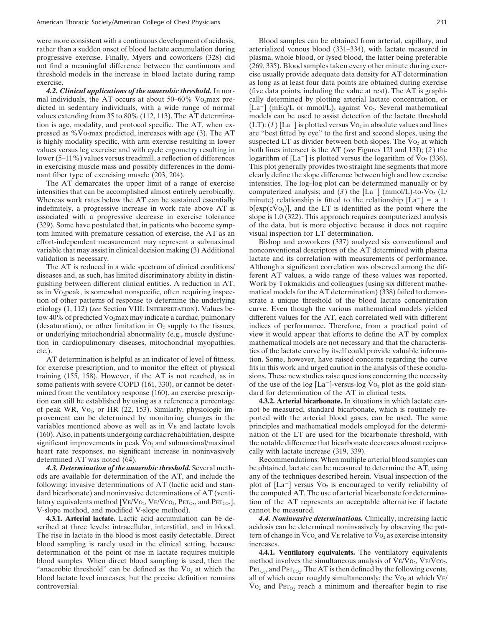were more consistent with a continuous development of acidosis, Blood samples can be obtained from arterial, capillary, and

tom limited with premature cessation of exercise, the AT as an visual inspection for LT determination. effort-independent measurement may represent a submaximal Bishop and coworkers (337) analyzed six conventional and

mined from the ventilatory response (160), an exercise prescrip- dard for determination of the AT in clinical tests. tion can still be established by using as a reference a percentage **4.3.2. Arterial bicarbonate.** In situations in which lactate canof peak WR, Vo<sub>2</sub>, or HR (22, 153). Similarly, physiologic im- not be measured, standard bicarbonate, which is routinely reprovement can be determined by monitoring changes in the ported with the arterial blood gases, can be used. The same variables mentioned above as well as in  $\dot{V}$  and lactate levels principles and mathematical models employed for the determi-(160). Also, in patients undergoing cardiac rehabilitation, despite nation of the LT are used for the bicarbonate threshold, with significant improvements in peak  $V_{O_2}$  and submaximal/maximal the notable difference that bicarbonate decreases almost reciproheart rate responses, no significant increase in noninvasively cally with lactate increase (319, 339). determined AT was noted (64). The recommendations: When multiple arterial blood samples can

ods are available for determination of the AT, and include the any of the techniques described herein. Visual inspection of the following: invasive determinations of AT (lactic acid and stan- plot of  $[La^-]$  versus  $\dot{V}o_2$  is encouraged to verify reliability of dard bicarbonate) and noninvasive determinations of AT (venti-<br>the computed AT. The use of arterial bicarbonate for determinalatory equivalents method [VE/V<sub>O2</sub>, VE/V<sub>CO2</sub>, PET<sub>O2</sub>, and PET<sub>CO2</sub>], tion of the AT represents an acceptable alternative if lactate V-slope method, and modified V-slope method). cannot be measured.

**4.3.1. Arterial lactate.** Lactic acid accumulation can be de- *4.4. Noninvasive determinations.* Clinically, increasing lactic blood sampling is rarely used in the clinical setting, because increases. determination of the point of rise in lactate requires multiple **4.4.1. Ventilatory equivalents.** The ventilatory equivalents controversial. The controversial controversial.  $\sqrt{V_{O_2}}$  and  $\text{Per}_{O_2}$  reach a minimum and thereafter begin to rise

rather than a sudden onset of blood lactate accumulation during arterialized venous blood (331–334), with lactate measured in progressive exercise. Finally, Myers and coworkers (328) did plasma, whole blood, or lysed blood, the latter being preferable not find a meaningful difference between the continuous and (269, 335). Blood samples taken every other minute during exerthreshold models in the increase in blood lactate during ramp cise usually provide adequate data density for AT determination exercise. **as a long as at least four data points are obtained during exercise** *4.2. Clinical applications of the anaerobic threshold.* In nor- (five data points, including the value at rest). The AT is graphimal individuals, the AT occurs at about  $50-60\%$  V $o_2$ max pre-cally determined by plotting arterial lactate concentration, or dicted in sedentary individuals, with a wide range of normal  $\left[ La^-\right]$  (mEq/L or mmol/L), against V $o_2$ . Several mathematical values extending from 35 to 80% (112, 113). The AT determina- models can be used to assist detection of the lactate threshold tion is age, modality, and protocol specific. The AT, when ex-  $(LT):(1)[La^-]$  is plotted versus  $Vo_2$  in absolute values and lines pressed as  $\%$ V $o_2$ max predicted, increases with age (3). The AT are "best fitted by eye" to the first and second slopes, using the is highly modality specific, with arm exercise resulting in lower suspected LT as divider between both slopes. The  $V_{\text{O}_2}$  at which values versus leg exercise and with cycle ergometry resulting in both lines intersect is the AT (*see* Figures 12I and 13I); (*2*) the lower (5–11%) values versus treadmill, a reflection of differences logarithm of  $\lceil La^- \rceil$  is plotted versus the logarithm of  $\rm Vo_2$  (336). in exercising muscle mass and possibly differences in the domi- This plot generally provides two straight line segments that more nant fiber type of exercising muscle (203, 204). clearly define the slope difference between high and low exercise The AT demarcates the upper limit of a range of exercise intensities. The log–log plot can be determined manually or by intensities that can be accomplished almost entirely aerobically. computerized analysis; and (3) the  $\lceil La^- \rceil$  (mmol/L)-to-Vo<sub>2</sub> (L/ Whereas work rates below the AT can be sustained essentially minute) relationship is fitted to the relationship  $[La^-] = a$  + indefinitely, a progressive increase in work rate above AT is b[ $exp(c\acute{V}o_2)$ ], and the LT is identified as the point where the associated with a progressive decrease in exercise tolerance slope is 1.0 (322). This approach requires computerized analysis (329). Some have postulated that, in patients who become symp- of the data, but is more objective because it does not require

variable that may assist in clinical decision making (3) Additional nonconventional descriptors of the AT determined with plasma validation is necessary. The lactate and its correlation with measurements of performance. The AT is reduced in a wide spectrum of clinical conditions/ Although a significant correlation was observed among the difdiseases and, as such, has limited discriminatory ability in distin- ferent AT values, a wide range of these values was reported. guishing between different clinical entities. A reduction in AT, Work by Tokmakidis and colleagues (using six different matheas in Vo<sub>2</sub>peak, is somewhat nonspecific, often requiring inspec- matical models for the AT determination) (338) failed to demontion of other patterns of response to determine the underlying strate a unique threshold of the blood lactate concentration etiology (1, 112) (*see* Section VIII: Interpretation). Values be- curve. Even though the various mathematical models yielded low 40% of predicted Vo<sub>2</sub>max may indicate a cardiac, pulmonary different values for the AT, each correlated well with different (desaturation), or other limitation in  $O_2$  supply to the tissues, indices of performance. Therefore, from a practical point of or underlying mitochondrial abnormality (e.g., muscle dysfunc- view it would appear that efforts to define the AT by complex tion in cardiopulmonary diseases, mitochondrial myopathies, mathematical models are not necessary and that the characterisetc.). tics of the lactate curve by itself could provide valuable informa-AT determination is helpful as an indicator of level of fitness, tion. Some, however, have raised concerns regarding the curve for exercise prescription, and to monitor the effect of physical fits in this work and urged caution in the analysis of these conclutraining (155, 158). However, if the AT is not reached, as in sions. These new studies raise questions concerning the necessity some patients with severe COPD (161, 330), or cannot be deter- of the use of the log  $\text{[La}^-$ -versus-log  $\text{Vo}_2$  plot as the gold stan-

*4.3. Determination of the anaerobic threshold.* Several meth- be obtained, lactate can be measured to determine the AT, using

scribed at three levels: intracellular, interstitial, and in blood. acidosis can be determined noninvasively by observing the pat-The rise in lactate in the blood is most easily detectable. Direct tern of change in V $\rm{co}_2$  and V $\rm{E}$  relative to V $\rm{o}_2$  as exercise intensity

blood samples. When direct blood sampling is used, then the method involves the simultaneous analysis of V $E/Vo_2$ , V $E/Vco_2$ , "anaerobic threshold" can be defined as the  $\dot{V}o_2$  at which the PET<sub>O2</sub>, and PET<sub>CO2</sub>. The AT is then defined by the following events, blood lactate level increases, but the precise definition remains all of which occur roughly simultaneously: the  $\rm{Vo}_2$  at which  $\rm{Ve}/$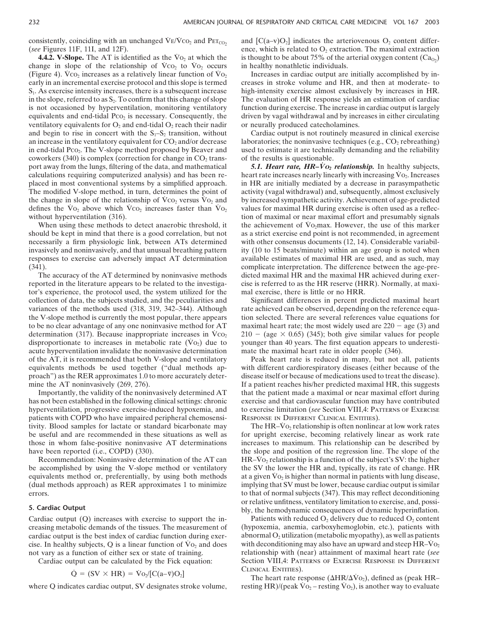consistently, coinciding with an unchanged  $\text{Ve/Vco}_2$  and  $\text{Per}_{\text{CO}_2}$  and  $\text{[C(a-v)O}_2\text{]}$  indicates the arteriovenous  $\text{O}_2$  content differ-<br>(see Figures 11F, 11I, and 12F).

**4.4.2. V-Slope.** The AT is identified as the  $\overline{V}o_2$  at which the is thought to be about 75% of the arge in slope of the relationship of  $\overline{V}o_2$  to  $\overline{V}o_2$  occurs in healthy nonathletic individuals. change in slope of the relationship of  $V_{\text{CO}_2}$  to  $V_{\text{O}_2}$  occurs (Figure 4). Vco<sub>2</sub> increases as a relatively linear function of  $V_0$  Increases in cardiac output are initially accomplished by inis not occasioned by hyperventilation, monitoring ventilatory function during exercise. The increase in cardiac output is largely ventilatory equivalents for  $O_2$  and end-tidal  $O_2$  reach their nadir or neurally produced catecholamines. and begin to rise in concert with the  $S_1-S_2$  transition, without Cardiac output is not routinely measured in clinical exercise an increase in the ventilatory equivalent for  $CO_2$  and/or decrease laboratories; the noninvasive techniques (e.g.,  $CO_2$  rebreathing) in end-tidal Pco<sub>2</sub>. The V-slope method proposed by Beaver and used to estimate it are technically demanding and the reliability coworkers  $(340)$  is complex (correction for change in  $CO<sub>2</sub>$  trans- of the results is questionable. port away from the lungs, filtering of the data, and mathematical **5.1. Heart rate, HR–V** $o_2$  **relationship.** In healthy subjects,

should be kept in mind that there is a good correlation, but not as a strict exercise end point is not recommended, in agreement necessarily a firm physiologic link, between ATs determined with other consensus documents (12, 14). Considerable variabilinvasively and noninvasively, and that unusual breathing pattern ity (10 to 15 beats/minute) within an age group is noted when responses to exercise can adversely impact AT determination available estimates of maximal HR are used, and as such, may (341). complicate interpretation. The difference between the age-pre-

reported in the literature appears to be related to the investiga- cise is referred to as the HR reserve (HRR). Normally, at maxitor's experience, the protocol used, the system utilized for the mal exercise, there is little or no HRR. collection of data, the subjects studied, and the peculiarities and Significant differences in percent predicted maximal heart variances of the methods used (318, 319, 342–344). Although rate achieved can be observed, depending on the reference equathe V-slope method is currently the most popular, there appears tion selected. There are several references value equations for to be no clear advantage of any one noninvasive method for AT maximal heart rate; the most widely used are  $220 - age(3)$  and determination (317). Because inappropriate increases in  $\rm{Vco}_{2}$  210 – (age  $\times$  0.65) (345); both give similar values for people disproportionate to increases in metabolic rate  $(\dot{V}_{Q_2})$  due to vounger than 40 years. The first equation appears to underestiacute hyperventilation invalidate the noninvasive determination mate the maximal heart rate in older people (346). of the AT, it is recommended that both V-slope and ventilatory Peak heart rate is reduced in many, but not all, patients proach") as the RER approximates 1.0 to more accurately deter- disease itself or because of medications used to treat the disease).

patients with COPD who have impaired peripheral chemosensi-<br>RESPONSE IN DIFFERENT CLINICAL ENTITIES). tivity. Blood samples for lactate or standard bicarbonate may The  $HR-Vo<sub>2</sub>$  relationship is often nonlinear at low work rates

creasing metabolic demands of the tissues. The measurement of (hypoxemia, anemia, carboxyhemoglobin, etc.), patients with cardiac output is the best index of cardiac function during exer-<br>abnormal  $O_2$  utilization (metabolic myopathy), as well as patients cise. In healthy subjects, Q is a linear function of  $\rm\acute{Vo}_2$  and does with deconditioning may also have an upward and steep HR– $\rm\acute{Vo}_2$ not vary as a function of either sex or state of training. relationship with (near) attainment of maximal heart rate (*see*

$$
\dot{Q} = (SV \times HR) = \dot{V}o_2/[C(a-\overline{v})O_2]
$$

ence, which is related to O<sub>2</sub> extraction. The maximal extraction is thought to be about 75% of the arterial oxygen content  $(Ca<sub>0</sub>)$ 

early in an incremental exercise protocol and this slope is termed creases in stroke volume and HR, and then at moderate- to S1. As exercise intensity increases, there is a subsequent increase high-intensity exercise almost exclusively by increases in HR. in the slope, referred to as S<sub>2</sub>. To confirm that this change of slope The evaluation of HR response yields an estimation of cardiac equivalents and end-tidal Pco<sub>2</sub> is necessary. Consequently, the driven by vagal withdrawal and by increases in either circulating

calculations requiring computerized analysis) and has been re- heart rate increases nearly linearly with increasing  $V_{O_2}$ . Increases placed in most conventional systems by a simplified approach. in HR are initially mediated by a decrease in parasympathetic The modified V-slope method, in turn, determines the point of activity (vagal withdrawal) and, subsequently, almost exclusively the change in slope of the relationship of  $V_{\text{CO}_2}$  versus  $V_{\text{O}_2}$  and by increased sympathetic activity. Achievement of age-predicted defines the V $o_2$  above which V $\overline{v}$  o<sub>2</sub> increases faster than V $o_2$  values for maximal HR during exercise is often used as a reflecwithout hyperventilation (316). tion of maximal or near maximal effort and presumably signals When using these methods to detect anaerobic threshold, it the achievement of  $\dot{V}_{Q}$ max. However, the use of this marker The accuracy of the AT determined by noninvasive methods dicted maximal HR and the maximal HR achieved during exer-

equivalents methods be used together ("dual methods ap- with different cardiorespiratory diseases (either because of the mine the AT noninvasively (269, 276). If a patient reaches his/her predicted maximal HR, this suggests Importantly, the validity of the noninvasively determined AT that the patient made a maximal or near maximal effort during has not been established in the following clinical settings: chronic exercise and that cardiovascular function may have contributed hyperventilation, progressive exercise-induced hypoxemia, and to exercise limitation (*see* Section VIII,4: PATTERNS OF EXERCISE

be useful and are recommended in these situations as well as for upright exercise, becoming relatively linear as work rate those in whom false-positive noninvasive AT determinations increases to maximum. This relationship can be described by have been reported (i.e., COPD) (330). the slope and position of the regression line. The slope of the Recommendation: Noninvasive determination of the AT can  $HR-V_0$ ; relationship is a function of the subject's SV: the higher be accomplished by using the V-slope method or ventilatory the SV the lower the HR and, typically, its rate of change. HR equivalents method or, preferentially, by using both methods at a given  $\rm V_{O_2}$  is higher than normal in patients with lung disease,<br>(dual methods approach) as RER approximates 1 to minimize implying that SV must be lo implying that SV must be lower, because cardiac output is similar errors. to that of normal subjects (347). This may reflect deconditioning **5. Cardiac Output 5. Cardiac Output 5. Cardiac Output bly, the hemodynamic consequences of dynamic hyperinflation.** 

Cardiac output (Q) increases with exercise to support the in-<br>Patients with reduced  $O_2$  delivery due to reduced  $O_2$  content Cardiac output can be calculated by the Fick equation: Section VIII,4: PATTERNS OF EXERCISE RESPONSE IN DIFFERENT CLINICAL ENTITIES). The heart rate response ( $\Delta HR/\Delta\acute{V}o_2$ ), defined as (peak HR–

where Q indicates cardiac output, SV designates stroke volume, resting HR)/(peak  $\overline{V}o_2$  – resting  $\overline{V}o_2$ ), is another way to evaluate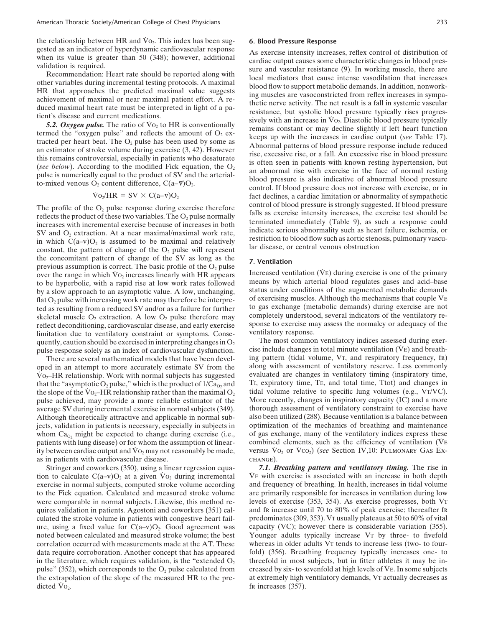the relationship between HR and  $\dot{V}_{Q_2}$ . This index has been sug-<br>**6. Blood Pressure Response** 

$$
V_{\text{O}_2}/HR = SV \times C(a-\overline{v})\text{O}_2
$$

SV and  $O_2$  extraction. At a near maximal/maximal work rate,<br>in which  $C(a-v)O_2$  is assumed to be maximal and relatively<br>constant, the pattern of change of the  $O_2$  pulse will represent<br>lar disease, or central venous obs the concomitant pattern of change of the SV as long as the<br>previous assumption is correct. The basic profile of the O<sub>2</sub> pulse<br>over the range in which  $V_0$  increases linearly with HR appears<br>to be hyperbolic, with a rapi by a slow approach to an asymptotic value. A low, unchanging, status under conditions of the augmented metabolic demands<br>flat O pulse with increasing work rate may therefore be interpre-<br>of exercising muscles. Although the flat O<sub>2</sub> pulse with increasing work rate may therefore be interpre-<br>ted as resulting from a reduced SV and/or as a failure for further<br>skeletal muscle O<sub>2</sub> extraction. A low O<sub>2</sub> pulse therefore may<br>reflect deconditionin reflect deconditioning, cardiovascular disease, and early exercise sponse to exercise may be not the normal contraint or symptoms  $\epsilon$ . limitation due to ventilatory constraint or symptoms. Conse-<br>quently caution should be exercised in interpreting changes in  $\Omega$ . The most common ventilatory indices assessed during exerquently, caution should be exercised in interpreting changes in  $O_2$ pulse response solely as an index of cardiovascular dysfunction. cise include changes in total minute ventilation (VE) and breath-

oped in an attempt to more accurately estimate SV from the  $\overline{V}_{Q_2}$ –HR relationship. Work with normal subjects has suggested evaluated are changes in ventilatory timing (inspiratory time, that the "asymptotic O<sub>2</sub> pulse," which is the product of  $1/Ca_0$  and  $\overline{I}$ , expirato that the "asymptotic  $O_2$  pulse," which is the product of  $1/Ca_{O_2}$  and the slope of the V<sub>O2</sub>-HR relationship rather than the maximal O<sub>2</sub> pulse achieved, may provide a more reliable estimator of the More recently, changes in inspiratory capacity (IC) and a more average SV during incremental exercise in normal subjects (349). thorough assessment of ventilator average SV during incremental exercise in normal subjects (349). thorough assessment of ventilatory constraint to exercise have<br>Although theoretically attractive and applicable in normal sub-<br>also been utilized (288). Beca Although theoretically attractive and applicable in normal sub-<br>jects, validation in patients is necessary, especially in subjects in optimization of the mechanics of breathing and maintenance jects, validation in patients is necessary, especially in subjects in optimization of the mechanics of breathing and maintenance whom  $Ca<sub>0</sub>$  might be expected to change during exercise (i.e., of gas exchange, many of whom  $Ca<sub>0</sub>$  might be expected to change during exercise (i.e., patients with lung disease) or for whom the assumption of linearity between cardiac output and  $\overline{V}o_2$  may not reasonably be made, versus  $\overline{V}o_2$  or  $\overline{V}o_2$  (*see* Section IV,10: PULMONARY GAS Exas in patients with cardiovascular disease. change).

quires validation in patients. Agostoni and coworkers (351) caldicted  $V_{0<sub>2</sub>}$ . fr increases (357).

gested as an indicator of hyperdynamic cardiovascular response<br>when its value is greater than 50 (348); however, additional<br>values are and vascular resistance (9). In working muscle, there are<br>validation is required.<br>Neco fact declines, a cardiac limitation or abnormality of sympathetic The profile of the  $O_2$  pulse response during exercise therefore<br>reflects the product of these two variables. The  $O_2$  pulse normally<br>reflects the product of these two variables. The  $O_2$  pulse normally<br>increases with

There are several mathematical models that have been devel-<br>
Ing pattern (tidal volume, Vr, and respiratory frequency, frequency, frequency, frequency, frequency, frequency, frequency, frequency, frequency, frequency, freq tidal volume relative to specific lung volumes (e.g.,  $V_T/VC$ ). combined elements, such as the efficiency of ventilation ( $\dot{V}$ E

Stringer and coworkers (350), using a linear regression equa- *7.1. Breathing pattern and ventilatory timing.* The rise in tion to calculate  $C(a-v)O_2$  at a given V $o_2$  during incremental V $\overline{v}$  with exercise is associated with an increase in both depth exercise in normal subjects, computed stroke volume according and frequency of breathing. In health, increases in tidal volume to the Fick equation. Calculated and measured stroke volume are primarily responsible for increases in ventilation during low were comparable in normal subjects. Likewise, this method re-<br>quires validation in patients. Agostoni and coworkers (351) cal-<br>and fr increase until 70 to 80% of peak exercise; thereafter fr culated the stroke volume in patients with congestive heart fail-<br>predominates (309, 353). VT usually plateaus at 50 to 60% of vital ure, using a fixed value for  $C(a-v)O_2$ . Good agreement was capacity (VC); however there is considerable variation (355). noted between calculated and measured stroke volume; the best Younger adults typically increase Vr b Younger adults typically increase V<sub>T</sub> by three- to fivefold correlation occurred with measurements made at the AT. These whereas in older adults VT tends to increase less (two- to fourdata require corroboration. Another concept that has appeared fold) (356). Breathing frequency typically increases one- to in the literature, which requires validation, is the "extended  $O_2$  threefold in most subjects, but in fitter athletes it may be inpulse" (352), which corresponds to the  $O_2$  pulse calculated from creased by six- to sevenfold at high levels of V $E$ . In some subjects the extrapolation of the slope of the measured HR to the pre-<br>at extremely high ventilatory demands, VT actually decreases as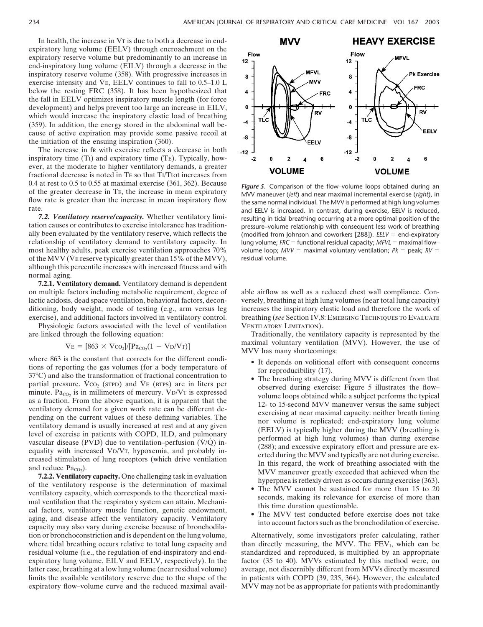In health, the increase in  $V_T$  is due to both a decrease in endexpiratory lung volume (EELV) through encroachment on the expiratory reserve volume but predominantly to an increase in end-inspiratory lung volume (EILV) through a decrease in the inspiratory reserve volume (358). With progressive increases in exercise intensity and  $Ve$ , EELV continues to fall to 0.5–1.0 L below the resting FRC (358). It has been hypothesized that the fall in EELV optimizes inspiratory muscle length (for force development) and helps prevent too large an increase in EILV, which would increase the inspiratory elastic load of breathing (359). In addition, the energy stored in the abdominal wall because of active expiration may provide some passive recoil at the initiation of the ensuing inspiration (360).

The increase in fr with exercise reflects a decrease in both inspiratory time (Ti) and expiratory time (Te). Typically, however, at the moderate to higher ventilatory demands, a greater fractional decrease is noted in Te so that Ti/Ttot increases from 0.4 at rest to 0.5 to 0.55 at maximal exercise (361, 362). Because<br>of the greater decrease in TE, the increase in mean expiratory<br>flow rate is greater than the increase in mean inspiratory flow<br>rate.<br>The MVV is performed

tation causes or contributes to exercise intolerance has tradition-<br>ally been evaluated by the ventilatory reserve, which reflects the (modified from Johnson and coworkers [288]). *EELV* = end-expiratory relationship of ventilatory demand to ventilatory capacity. In lung volume; *FRC* = functional residual capacity; *MFVL* = maximal flow– most healthy adults, peak exercise ventilation approaches 70% volume loop;  $MVV =$  maximal voluntary ventilation;  $Pk =$  peak;  $RV =$ of the MVV (V $E$  reserve typically greater than 15% of the MVV), residual volume. although this percentile increases with increased fitness and with normal aging.

**7.2.1. Ventilatory demand.** Ventilatory demand is dependent on multiple factors including metabolic requirement, degree of able airflow as well as a reduced chest wall compliance. Conlactic acidosis, dead space ventilation, behavioral factors, decon- versely, breathing at high lung volumes (near total lung capacity) ditioning, body weight, mode of testing (e.g., arm versus leg increases the inspiratory elastic load and therefore the work of

Physiologic factors associated with the level of ventilation VENTILATORY LIMITATION). are linked through the following equation: Traditionally, the ventilatory capacity is represented by the

$$
\dot{V}_{E} = [863 \times \dot{V} \text{CO}_2]/[Pa_{\text{CO}_2}(1 - V \text{D}/V \text{T})]
$$

where 863 is the constant that corrects for the different conditional effort with consequent concerns<br>37°C) and also the transformation of fractional concentration to<br>37°C) and also the transformation of fractional concen

2.2. Ventilatory capacity. One challenging task in evaluation<br>
of the ventilatory response is the determination of maximal<br>
of the ventilatory response is the determination of maximal<br>
ventilatory capacity, which correspo tion or bronchoconstriction and is dependent on the lung volume, Alternatively, some investigators prefer calculating, rather where tidal breathing occurs relative to total lung capacity and , than directly measuring, the MVV. The FEV<sub>1</sub>, which can be residual volume (i.e., the regulation of end-inspiratory and end- standardized and reproduced, is multiplied by an appropriate expiratory lung volume, EILV and EELV, respectively). In the factor (35 to 40). MVVs estimated by this method were, on latter case, breathing at a low lung volume (near residual volume) average, not discernibly different from MVVs directly measured limits the available ventilatory reserve due to the shape of the in patients with COPD (39, 235, 364). However, the calculated



and EELV is increased. In contrast, during exercise, EELV is reduced, **7.2. Ventilatory reserve/capacity.** Whether ventilatory limi-<br>tation causes or contributes to exercise intolerance has tradition-<br>pressure-volume relationship with consequent less work of breathing (modified from Johnson and coworkers [288]). *EELV* = end-expiratory

exercise), and additional factors involved in ventilatory control. breathing (*see* Section IV,8: Emerging Techniques to Evaluate

maximal voluntary ventilation (MVV). However, the use of MVV has many shortcomings:

- 
- 
- 
- 

expiratory flow–volume curve and the reduced maximal avail- MVV may not be as appropriate for patients with predominantly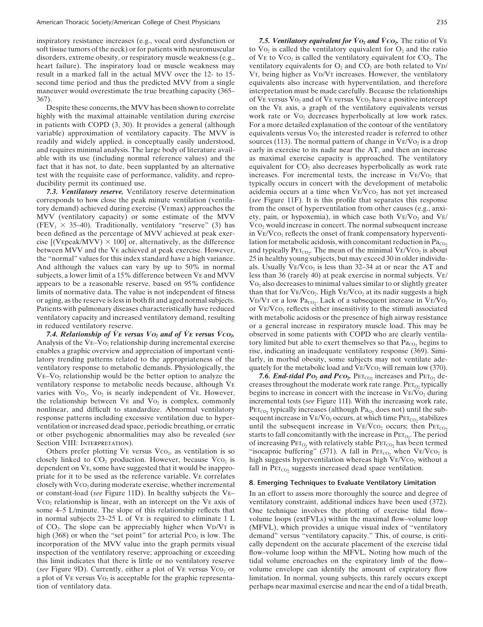inspiratory resistance increases (e.g., vocal cord dysfunction or **7.5. Ventilatory equivalent for V**<sub>O</sub><sub>2</sub> and V<sub>CO</sub><sub>2</sub>. The ratio of V<sub>E</sub> soft tissue tumors of the neck) or for patients with neuromuscular to  $V_{Q_2}$  is called the ventilatory equivalent for  $O_2$  and the ratio disorders, extreme obesity, or respiratory muscle weakness (e.g., of V $E$  to V $\text{co}_2$  is called the ventilatory equivalent for  $\text{CO}_2$ . The heart failure). The inspiratory load or muscle weakness may ventilatory equivalents for  $O_2$  and  $CO_2$  are both related to V<sub>D</sub>/ result in a marked fall in the actual MVV over the 12- to 15- V<sub>T</sub>, being higher as V<sub>D</sub>/V<sub>T</sub> increases. However, the ventilatory second time period and thus the predicted MVV from a single equivalents also increase with hyperventilation, and therefore maneuver would overestimate the true breathing capacity (365– interpretation must be made carefully. Because the relationships 367). Some statements of VE versus V $o_2$  and of VE versus V $o_2$  have a positive intercept

highly with the maximal attainable ventilation during exercise work rate or  $V_{O_2}$  decreases hyperbolically at low work rates. in patients with COPD  $(3, 30)$ . It provides a general (although For a more detailed explanation of the contour of the ventilatory variable) approximation of ventilatory capacity. The MVV is equivalents versus  $\dot{V}$ <sub>2</sub> the interested reader is referred to other readily and widely applied, is conceptually easily understood, sources (113). The normal pattern of change in  $V_{E}/V_{O_2}$  is a drop and requires minimal analysis. The large body of literature avail- early in exercise to its nadir near the AT, and then an increase able with its use (including normal reference values) and the as maximal exercise capacity is approached. The ventilatory fact that it has not, to date, been supplanted by an alternative equivalent for  $CO_2$  also decreases hyperbolically as work rate test with the requisite ease of performance, validity, and repro- increases. For incremental tests, the increase in  $V_{E}/V_{O_2}$  that ducibility permit its continued use. typically occurs in concert with the development of metabolic

corresponds to how close the peak minute ventilation (ventila- (*see* Figure 11F). It is this profile that separates this response tory demand) achieved during exercise (VEmax) approaches the from the onset of hyperventilation from other causes (e.g., anxi-MVV (ventilatory capacity) or some estimate of the MVV ety, pain, or hypoxemia), in which case both V $\rm E/Vo_2$  and V $\rm E/$ (FEV<sub>1</sub>  $\times$  35–40). Traditionally, ventilatory "reserve" (3) has Vco<sub>2</sub> would increase in concert. The normal subsequent increase been defined as the percentage of MVV achieved at peak exer- in  $V_{E}/V_{CO}$  reflects the onset of frank compensatory hyperventicise  $[(\text{Vepeak/MVV}) \times 100]$  or, alternatively, as the difference lation for metabolic acidosis, with concomitant reduction in Pa<sub>CO2</sub> between MVV and the VE achieved at peak exercise. However, and typically PET<sub>CO2</sub>. The me between MVV and the VE achieved at peak exercise. However, and typically  $PET_{CO_2}$ . The mean of the minimal  $V_{E}/V_{CO_2}$  is about the "normal" values for this index standard have a high variance. 25 in healthy young subjects, but may exceed 30 in older individu-And although the values can vary by up to 50% in normal als. Usually  $V \to V \sim C_2$  is less than 32–34 at or near the AT and subjects, a lower limit of a 15% difference between VE and MVV less than 36 (rarely 40) at peak exercise in normal subjects. VE/ appears to be a reasonable reserve, based on 95% confidence  $V_{O_2}$  also decreases to minimal values similar to or slightly greater limits of normative data. The value is not independent of fitness than that for  $\rm{Vi}$  $\rm{Vi}$  $\rm{Co}_2$ . High  $\rm{Vi}$  $\rm{Co}_2$  at its nadir suggests a high or aging, as the reserve is less in both fit and aged normal subjects. VD/VT or a low Pa<sub>CO2</sub>. Lack of a subsequent increase in V $E/VO_2$ <br>Patients with pulmonary diseases characteristically have reduced or V $E/VCO_2$  reflect Patients with pulmonary diseases characteristically have reduced or  $\dot{V}e/\dot{V}co_2$  reflects either insensitivity to the stimuli associated ventilatory capacity and increased ventilatory demand, resulting with metabolic in reduced ventilatory reserve. or a general increase in respiratory muscle load. This may be

Analysis of the VE–V $o_2$  relationship during incremental exercise tory limited but able to exert themselves so that Pa<sub>CO2</sub> begins to enables a graphic overview and appreciation of important venti-<br>rise, indicating an in latory trending patterns related to the appropriateness of the larly, in morbid obesity, some subjects may not ventilate adeventilatory response to metabolic demands. Physiologically, the quately for the metabolic load and  $\dot{V}E/VCO$ , will remain low (370).  $V_{E}-V_{O_2}$  relationship would be the better option to analyze the **7.6. End-tidal PO<sub>2</sub> and PCO<sub>2</sub>.** Per<sub>CO<sub>2</sub></sub> increases and Per<sub>O<sub>2</sub> deventilatory response to metabolic needs because, although  $V_{E}$  creases through</sub> ventilatory response to metabolic needs because, although  $\overline{V}E$  creases throughout the moderate work rate range. Per<sub>O2</sub> typically varies with  $\overline{V}o_2$ ,  $\overline{V}o_2$  is nearly independent of  $\overline{V}E$ . However, begi the relationship between VE and V<sub>O2</sub> is complex, commonly incremental tests (*see* Figure 111). With the increasing work rate, nonlinear, and difficult to standardize. Abnormal ventilatory  $\Pr_{\text{CO}_2}$  typically increases (although Pa<sub>O2</sub> does not) until the sub-<br>response patterns including excessive ventilation due to hyper-<br>sequent increase in response patterns including excessive ventilation due to hyper-<br>ventilation or increased dead space, periodic breathing, or erratic until the subsequent increase in  $V \to V' \text{CO}_2$  occurs; then PET<sub>CO2</sub> ventilation or increased dead space, periodic breathing, or erratic until the subsequent increase in  $\rm{V}E/VCO<sub>2</sub>$  occurs; then  $\rm{PET_{CO_2}}$  or other psychogenic abnormalities may also be revealed (see starts to fall or other psychogenic abnormalities may also be revealed (*see* starts to fall concomitantly with the increase in PET<sub>O2</sub>. The period<br>Section VIII: INTERPRETATION). of increasing PET<sub>O2</sub> with relatively stable PET<sub>CO2</sub> has

dependent on  $V_E$ , some have suggested that it would be inappro-<br>iall in  $PET_{CO}$ , suggests increased dead space ventilation. priate for it to be used as the reference variable. VE correlates **8. Emerging Techniques to Evaluate Ventilation** closely with V<sup>i</sup> collection of the Ventilatory Cosely with V<sup>i</sup> co<sub>2</sub> during moderate exercise, whether incremental 8. Emerging Techniques to Evaluate Ventilatory Limitatio or constant-load (*see* Figure 11D). In healthy subjects the V<sup>E</sup> in an effort to assess more thoroughly the source and degree of V<sub>CO<sub>2</sub></sub> relationship is linear, with an intercept on the V<sub>E</sub> axis of ventilatory constrain some 4–5 L/minute. The slope of this relationship reflects that One technique involves the plotting of exercise tidal flow– in normal subjects  $23-25$  L of VE is required to eliminate 1 L volume loops (extFVLs) within the maximal flow–volume loop of  $CO_2$ . The slope can be appreciably higher when VD/V<sub>T</sub> is (MFVL), which provides a unique visual index of "ventilatory high (368) or when the "set point" for arterial Pco<sub>2</sub> is low. The demand" versus "ventilatory cap incorporation of the MVV value into the graph permits visual cally dependent on the accurate placement of the exercise tidal inspection of the ventilatory reserve; approaching or exceeding flow–volume loop within the MFVL. Noting how much of the this limit indicates that there is little or no ventilatory reserve tidal volume encroaches on the expiratory limb of the flow– (see Figure 9D). Currently, either a plot of  $Ve$  versus  $VCO<sub>2</sub>$  or volume envelope can identify the amount of expiratory flow a plot of V<sub>E</sub> versus V $o_2$  is acceptable for the graphic representa- ilmitation. In normal, young subjects, this rarely occurs except tion of ventilatory data. perhaps near maximal exercise and near the end of a tidal breath,

Despite these concerns, the MVV has been shown to correlate on the V<sup>E</sup> axis, a graph of the ventilatory equivalents versus **7.3. Ventilatory reserve.** Ventilatory reserve determination acidemia occurs at a time when VE/Vco<sub>2</sub> has not yet increased with metabolic acidosis or the presence of high airway resistance *7.4. Relationship of V<sup>E</sup> versus V<sub>O</sub><sub>2</sub> and of V<sup>E</sup> versus V<sup>c</sup>O<sub>2</sub>. observed in some patients with COPD who are clearly ventila*rise, indicating an inadequate ventilatory response (369). Simi-

begins to increase in concert with the increase in  $\dot{V}E/\dot{V}o_2$  during Section VIII: INTERPRETATION). of increasing  $\text{Per}_{O_2}$  with relatively stable  $\text{Per}_{CO_2}$  has been termed<br>Others prefer plotting VE versus Vco<sub>2</sub>, as ventilation is so "isocapnic buffering" (371). A fall in  $\text{Per}_{CO}$ , w Others prefer plotting V<sup>E</sup> versus V<sup>CO<sub>2</sub>, as ventilation is so "isocapnic buffering" (371). A fall in PET<sub>CO2</sub> when V<sup>E</sup>/V<sup>CO<sub>2</sub> is closely linked to CO<sub>2</sub> production. However, because V<sup>CO<sub>2</sub></sub> is high suggests hyperven</sup></sup></sup> high suggests hyperventilation whereas high  $\rm{V}_{E}/\rm{V}_{CO_2}$  without a

ventilatory constraint, additional indices have been used (372). demand" versus "ventilatory capacity." This, of course, is criti-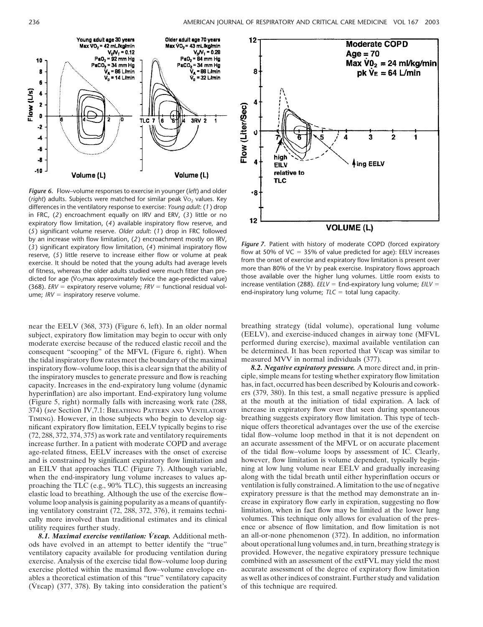

*Figure 6.* Flow–volume responses to exercise in younger (*left*) and older (*right*) adults. Subjects were matched for similar peak V<sub>O2</sub> values. Key differences in the ventilatory response to exercise: *Young adult*: (*1*) drop in FRC, (*2*) encroachment equally on IRV and ERV, (*3*) little or no expiratory flow limitation, (*4*) available inspiratory flow reserve, and (*5*) significant volume reserve. *Older adult*: (*1*) drop in FRC followed by an increase with flow limitation, (2) encroachment mostly on IRV,<br>
(3) significant expiratory flow limitation, (4) minimal inspiratory flow<br>
reserve, (5) little reserve to increase either flow or volume at peak<br>
exerci (368). *ERV* = expiratory reserve volume; *FRV* = functional residual volumetricase ventilation (288). *EELV* = End-expiratory lung view end-inspiratory lung volume; *TLC* = total lung capacity.

subject, expiratory flow limitation may begin to occur with only (EELV), and exercise-induced changes in airway tone (MFVL moderate exercise because of the reduced elastic recoil and the performed during exercise), maximal available ventilation can consequent "scooping" of the MFVL (Figure 6, right). When be determined. It has been reported that V $\epsilon$ cap was similar to the tidal inspiratory flow rates meet the boundary of the maximal measured MVV in normal individua the tidal inspiratory flow rates meet the boundary of the maximal measured MVV in normal individuals (377).<br>
inspiratory flow-volume loop, this is a clear sign that the ability of 8.2. Negative expiratory pressure. A more inspiratory flow–volume loop, this is a clear sign that the ability of 8.2. Negative expiratory pressure. A more direct and, in prin-<br>the inspiratory muscles to generate pressure and flow is reaching ciple, simple means fo the inspiratory muscles to generate pressure and flow is reaching ciple, simple means for testing whether expiratory flow limitation capacity. Increases in the end-expiratory lung volume (dynamic has, in fact, occurred has capacity. Increases in the end-expiratory lung volume (dynamic has, in fact, occurred has been described by Kolouris and cowork-<br>hyperinflation) are also important. End-expiratory lung volume ers (379, 380). In this test, hyperinflation) are also important. End-expiratory lung volume ers (379, 380). In this test, a small negative pressure is applied (Figure 5, right) normally falls with increasing work rate (288, at the mouth at the initiat (Figure 5, right) normally falls with increasing work rate (288, at the mouth at the initiation of tidal expiration. A lack of 374) (see Section IV,7.1: BREATHING PATTERN AND VENTILATORY increase in expiratory flow over th 374) (*see* Section IV,7.1: BREATHING PATTERN AND VENTILATORY increase in expiratory flow over that seen during spontaneous TIMING). However, in those subjects who begin to develop sig-<br>TIMING). However, in those subjects TIMING). However, in those subjects who begin to develop sig-<br>nificant expiratory flow limitation, EELV typically begins to rise inque offers theoretical advantages over the use of the exercise nificant expiratory flow limitation, EELV typically begins to rise nique offers theoretical advantages over the use of the exercise (72, 288, 372, 374, 375) as work rate and ventilatory requirements tidal flow-volume loop (72, 288, 372, 374, 375) as work rate and ventilatory requirements tidal flow–volume loop method in that it is not dependent on increase further. In a patient with moderate COPD and average an accurate assessment of the MF increase further. In a patient with moderate COPD and average an accurate assessment of the MFVL or on accurate placement age-related fitness, EELV increases with the onset of exercise of the tidal flow-volume loops by ass age-related fitness, EELV increases with the onset of exercise and is constrained by significant expiratory flow limitation and however, flow limitation is volume dependent, typically beginan EILV that approaches TLC (Figure 7). Although variable, ning at low lung volume near EELV and gradually increasing when the end-inspiratory lung volume increases to values ap- along with the tidal breath until either hyperinflation occurs or proaching the TLC (e.g., 90% TLC), this suggests an increasing ventilation is fully constrained. A limitation to the use of negative elastic load to breathing. Although the use of the exercise flow-<br>expiratory pressure is elastic load to breathing. Although the use of the exercise flow– volume loop analysis is gaining popularity as a means of quantify- crease in expiratory flow early in expiration, suggesting no flow ing ventilatory constraint (72, 288, 372, 376), it remains techni- limitation, when in fact flow may be limited at the lower lung cally more involved than traditional estimates and its clinical volumes. This technique only allows for evaluation of the presutility requires further study. ence or absence of flow limitation, and flow limitation is not

(V˙ ecap) (377, 378). By taking into consideration the patient's of this technique are required.



near the EELV (368, 373) (Figure 6, left). In an older normal breathing strategy (tidal volume), operational lung volume

*8.1. Maximal exercise ventilation: V˙* **<sup>E</sup>***cap.* Additional meth- an all-or-none phenomenon (372). In addition, no information ods have evolved in an attempt to better identify the "true" about operational lung volumes and, in turn, breathing strategy is ventilatory capacity available for producing ventilation during provided. However, the negative expiratory pressure technique exercise. Analysis of the exercise tidal flow–volume loop during combined with an assessment of the extFVL may yield the most exercise plotted within the maximal flow–volume envelope en- accurate assessment of the degree of expiratory flow limitation ables a theoretical estimation of this "true" ventilatory capacity as well as other indices of constraint. Further study and validation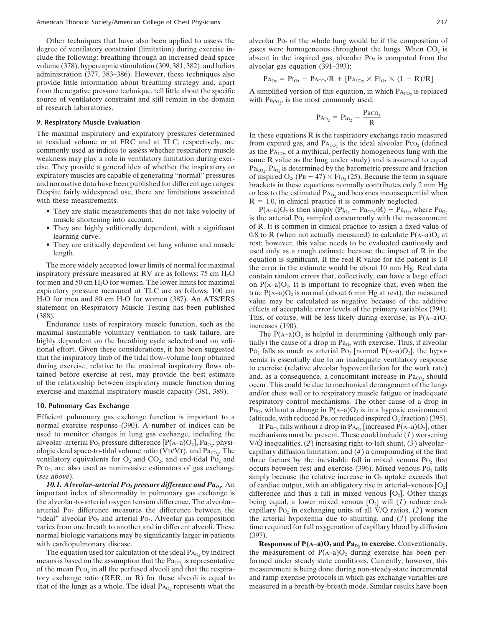degree of ventilatory constraint (limitation) during exercise in-<br>gases were homogeneous throughout the lungs. When  $CO<sub>2</sub>$  is clude the following: breathing through an increased dead space absent in the inspired gas, alveolar  $Po_2$  is computed from the volume (378), hypercapnic stimulation (309, 381, 382), and heliox alveolar gas equation (391–393): administration (377, 383–386). However, these techniques also provide little information about breathing strategy and, apart from the negative pressure technique, tell little about the specific A simplified version of this equation, in which  $PA_{CO_2}$  is replaced source of ventilatory constraint and still remain in the domain of research laboratories.

### **9. Respiratory Muscle Evaluation**

The maximal inspiratory and expiratory pressures determined<br>at residual volume or at FRC and at TLC, respectively, are<br>commonly used as indices to assess whether respiratory muscle<br>weakness may play a role in ventilatory cise. They provide a general idea of whether the inspiratory or expiratory muscles are capable of generating "normal" pressures and normative data have been published for different age ranges. Despite fairly widespread use, there are limitations associated or less to the estimated  $PA<sub>O<sub>2</sub></sub>$  and becomes inconsequential when with these measurements.

- They are static measurements that do not take velocity of
- They are highly volitionally dependent, with a significant
- 

(388).<br>
Endurance tests of respiratory muscle function, such as the<br>
maximal sustainable voluntary ventilation to task failure, are<br>
highly dependent on the breathing cycle selected and on voli-<br>
tional effort. Given thes

Efficient pulmonary gas exchange function is important to a (altitude, with reduced Pb, or reduced inspired  $O_2$  fraction) (395).<br>normal exercise response (390). A number of indices can be If  $P_{A_O}$  falls without a drop normal exercise response (390). A number of indices can be If  $Pa_{O_2}$  falls without a drop in  $Pa_{O_2}$  [increased  $P(A-a)O_2$ ], other used to monitor changes in lung gas exchange, including the mechanisms must be present. alveolar–arterial Po<sub>2</sub> pressure difference  $[P(A-a)O_2]$ , Pa<sub>O2</sub>, physiologic dead space-to-tidal volume ratio (VD/VT), and Pa<sub>CO2</sub>. The ventilatory equivalents for  $O_2$  and  $CO_2$ , and end-tidal P<sub>O<sub>2</sub></sub> and ventilatory equivalents for  $O_2$  and  $CO_2$ , and end-tidal  $Po_2$  and three factors by the inevitable fall in mixed venous  $Po_2$  that  $PCO_2$ , are also used as noninvasive estimators of gas exchange occurs between rest and

normal biologic variations may be significantly larger in patients (397).

means is based on the assumption that the  $Pa_{CO_2}$  is representative of the mean  $PCO_2$  in all the perfused alveoli and that the respira-

Other techniques that have also been applied to assess the alveolar  $Po_2$  of the whole lung would be if the composition of

$$
P_{A_{O_2}} = P_{I_{O_2}} - P_{A_{CO_2}}/R + [P_{A_{CO_2}} \times F_{I_{O_2}} \times (1 - R)/R]
$$

with  $Pa<sub>CO</sub>$ , is the most commonly used:

$$
P_{A_{O_2}} = P_{I_{O_2}} - \frac{Pacc_2}{R}
$$

same R value as the lung under study) and is assumed to equal  $Pa<sub>CO</sub>$ . P<sub>IO2</sub> is determined by the barometric pressure and fraction of inspired  $O_2$ , (PB – 47)  $\times$  Fi<sub>O2</sub> (25). Because the term in square brackets in these equations normally contributes only 2 mm Hg  $R = 1.0$ , in clinical practice it is commonly neglected.

 $P(A-a)O_2$  is then simply  $(P_{I_O2} - Pa_{CO2}/R) - Pa_{O2}$ , where  $Pa_{O2}$ muscle shortening into account.<br>
They are highly volitionally dependent, with a significant of R. It is common in clinical practice to assign a fixed value of Learning curve.<br>  $0.8$  to R (when not actually measured) to calculate P( $A$ -a) $O_2$  at<br>
They are critically dependent on lung volume and muscle rest; however, this value needs to be evaluated cautiously and • They are critically dependent on lung volume and muscle rest; however, this value needs to be evaluated cautiously and used only as a rough estimate because the impact of R in the length.<br>
The more widely accepted lower limits of normal for maximal<br>
inspiratory pressure measured at RV are as follows: 75 cm H<sub>2</sub>O<br>
for men and 50 cm H<sub>2</sub>O for women. The lower limits for maximal<br>
expiratory pressure m

that the inspiratory limb of the tidal flow-volume loop obtained<br>during exercise, relative to the maximal inspiratory flows ob-<br>tained before exercise at rest, may provide the best estimate<br>of the relationship between ins occur. This could be due to mechanical derangement of the lungs<br>exercise and maximal inspiratory muscle capacity (381, 389). and/or chest wall or to respiratory muscle fatigue or inadequate **10. Pulmonary Gas Exchange**<br> **10. Pulmonary Gas Exchange** parameters of a drop in Pa<sub>O<sub>2</sub> without a change in P(A–a)O<sub>2</sub> is in a hypoxic environment<br> **10. Pulmonary gas exchange function is important to a** (altitude, with</sub>

mechanisms must be present. These could include  $(1)$  worsening  $\dot{V}/\dot{Q}$  inequalities, (2) increasing right-to-left shunt, (3) alveolar– capillary diffusion limitation, and  $(4)$  a compounding of the first occurs between rest and exercise (396). Mixed venous Po<sub>2</sub> falls (*see above*). Simply because the relative increase in O<sub>2</sub> uptake exceeds that **10.1. Alveolar–arterial P** $O_2$  **pressure difference and P** $a_{O_2}$ **. An** of cardiac output, with an obligatory rise in arterial–venous  $[O_2]$  important index of abnormality in pulmonary gas exchange is difference and thus important index of abnormality in pulmonary gas exchange is difference and thus a fall in mixed venous  $[O_2]$ . Other things the alveolar-to-arterial oxygen tension difference. The alveolar-<br>being equal, a lower mixed ven the alveolar-to-arterial oxygen tension difference. The alveolar-<br>arterial Po<sub>2</sub> difference measures the difference between the capillary Po<sub>2</sub> in exchanging units of all  $\dot{V}/\dot{Q}$  ratios, (2) worsen capillary Po<sub>2</sub> in exchanging units of all  $\dot{V}/\dot{Q}$  ratios, (2) worsen "ideal" alveolar Po<sub>2</sub> and arterial Po<sub>2</sub>. Alveolar gas composition the arterial hypoxemia due to shunting, and  $(3)$  prolong the varies from one breath to another and in different alveoli. These time required for full oxygenation of capillary blood by diffusion

with cardiopulmonary disease.<br>The equation used for calculation of the ideal  $PA_0$ , by indirect the measurement of  $P(A-a)O_2$  during exercise has been per-The equation used for calculation of the ideal PA<sub>O2</sub> by indirect the measurement of P( $A$ -a)O<sub>2</sub> during exercise has been per-<br>ans is based on the assumption that the Pa<sub>CO2</sub> is representative formed under steady state c measurement is being done during non-steady-state incremental tory exchange ratio (RER, or R) for these alveoli is equal to and ramp exercise protocols in which gas exchange variables are that of the lungs as a whole. The ideal PA<sub>O2</sub> represents what the measured in a breath-by-breath mode. Similar results have been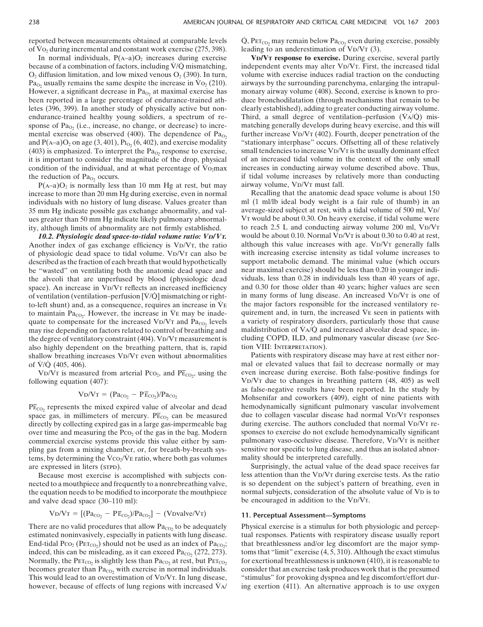of  $\mathrm{Vo}_2$  during incremental and constant work exercise (275, 398).

been reported in a large percentage of endurance-trained athit is important to consider the magnitude of the drop, physical

 $P(A=a)O_2$  is normally less than 10 mm Hg at rest, but may airway volume, VD/V<sub>T</sub> must fall.<br>
Recalling that the anatomic dead space volume is about 150 increase to more than 20 mm Hg during exercise, even in normal individuals with no history of lung disease. Values greater than ml (1 ml/lb ideal body weight is a fair rule of thumb) in an 35 mm Hg indicate possible gas exchange abnormality, and val- average-sized subject at rest, with a tidal volume of 500 ml,  $V_D$ ues greater than 50 mm Hg indicate likely pulmonary abnormal-<br>V<sub>T</sub> would be about 0.30. On heavy exercise, if tidal volume were ity, although limits of abnormality are not firmly established. to reach 2.5 L and conducting airway volume 200 ml,  $V_D/V_T$ 

Another index of gas exchange efficiency is  $V_D/V_T$ , the ratio although this value increases with age.  $V_D/V_T$  generally falls of physiologic dead space to tidal volume.  $V_D/V_T$  can also be with increasing exercise intensity of physiologic dead space to tidal volume. VD/V<sub>T</sub> can also be with increasing exercise intensity as tidal volume increases to described as the fraction of each breath that would hypothetically support metabolic demand. Th described as the fraction of each breath that would hypothetically support metabolic demand. The minimal value (which occurs<br>be "wasted" on ventilating both the anatomic dead space and near maximal exercise) should be less be "wasted" on ventilating both the anatomic dead space and the alveoli that are unperfused by blood (physiologic dead viduals, less than 0.28 in individuals less than 40 years of age, space). An increase in  $V_D/V_T$  reflects an increased inefficiency and 0.30 for those older than 40 years; higher values are seen of ventilation (ventilation–perfusion [V $\dot{O}$ ] mismatching or right-<br>to-left shunt) and, as a consequence, requires an increase in  $\dot{V}$  the major factors responsible for the increased ventilatory reto-left shunt) and, as a consequence, requires an increase in  $\rm V\rm E$ to maintain  $Pa_{CO<sub>2</sub>}$ . However, the increase in VE may be inadequate to compensate for the increased VD/V<sub>T</sub> and Pa<sub>co<sub>2</sub> levels may rise depending on factors related to control of breathing and</sub> the degree of ventilatory constraint (404). V<sub>D</sub>/V<sub>T</sub> measurement is also highly dependent on the breathing pattern, that is, rapid tion VIII: Interpretation). shallow breathing increases VD/V<sub>T</sub> even without abnormalities Patients with respiratory disease may have at rest either nor-

following equation (407):  $\text{VD/VT}$  due to changes in breathing pattern (48, 405) as well

$$
V_D/V_T = (Pa_{CO_2} - P\overline{E}_{CO_2})/Pa_{CO_2}
$$

space gas, in millimeters of mercury.  $P_{\text{E}_{CO_2}}$  can be measured due to collagen vascular disease had normal VD/VT responses directly by collecting expired gas in a large gas-impermeable bag during exercise. The author directly by collecting expired gas in a large gas-impermeable bag over time and measuring the Pco<sub>2</sub> of the gas in the bag. Modern sponses to exercise do not exclude hemodynamically significant commercial exercise systems provide this value either by sam- pulmonary vaso-occlusive disease. Therefore, VD/VT is neither pling gas from a mixing chamber, or, for breath-by-breath sys- sensitive nor specific to lung disease, and thus an isolated abnortems, by determining the  $\rm Vco_2/Ve$  ratio, where both gas volumes mality should be interpreted carefully. are expressed in liters (srpp). Surprisingly, the actual value of the dead space receives far

nected to a mouthpiece and frequently to a nonrebreathing valve, is so dependent on the subject's pattern of breathing, even in the equation needs to be modified to incorporate the mouthpiece normal subjects, consideration of the absolute value of VD is to and valve dead space  $(30-110 \text{ ml})$ : be encouraged in addition to the VD/V<sub>T</sub>.

$$
V_D/V_T = [(Pa_{CO_2} - P\overline{E}_{CO_2})/Pa_{CO_2}] - (V_Dvalue/V_T)
$$

estimated noninvasively, especially in patients with lung disease. indeed, this can be misleading, as it can exceed Pa<sub>CO2</sub> (272, 273). toms that "limit" exercise (4, 5, 310). Although the exact stimulus Normally, the PET<sub>CO2</sub> is slightly less than Pa<sub>CO2</sub> at rest, but PET<sub>CO2</sub> for exert Normally, the Per<sub>CO2</sub> is slightly less than Pa<sub>CO<sub>2</sub> at rest, but Per<sub>CO2</sub> for exertional breathlessness is unknown (410), it is reasonable to becomes greater than Pa<sub>CO2</sub>, with exercise in normal individuals. consider t</sub> becomes greater than  $Pa_{CO_2}$  with exercise in normal individuals. This would lead to an overestimation of VD/V<sub>T</sub>. In lung disease, however, because of effects of lung regions with increased  $V_A$  ing exertion (411). An alternative approach is to use oxygen

reported between measurements obtained at comparable levels  $\dot{Q}$ , PET<sub>CO2</sub> may remain below Pa<sub>CO2</sub> even during exercise, possibly of V<sub>O</sub>, during incremental and constant work exercise (275, 398). leading to an undere

In normal individuals, P( $A$ –a) $O_2$  increases during exercise **VD/VT** response to exercise. During exercise, several partly because of a combination of factors, including  $\dot{V}/Q$  mismatching, independent events may alter  $VD/VT$ . First, the increased tidal  $O<sub>2</sub>$  diffusion limitation, and low mixed venous  $O<sub>2</sub>$  (390). In turn, volume with exercise induces radial traction on the conducting Pa<sub>O2</sub> usually remains the same despite the increase in  $\dot{V}$ O<sub>2</sub> (210). airways by the surrounding parenchyma, enlarging the intrapul-<br>However, a significant decrease in Pa<sub>O2</sub> at maximal exercise has monary airway vol However, a significant decrease in Pa<sub>O2</sub> at maximal exercise has monary airway volume (408). Second, exercise is known to pro-<br>been reported in a large percentage of endurance-trained ath-<br>duce bronchodilatation (through letes (396, 399). In another study of physically active but non- clearly established), adding to greater conducting airway volume. endurance-trained healthy young soldiers, a spectrum of re-<br>Third, a small degree of ventilation–perfusion  $(\dot{V}A/\dot{Q})$  missponse of Pa<sub>O<sub>2</sub> (i.e., increase, no change, or decrease) to incre-<br>matching generally develops during heavy exercise, and this will<br>mental exercise was observed (400). The dependence of Pa<sub>O</sub>, further increase VD/V<sub>T</sub> (</sub> mental exercise was observed (400). The dependence of Pa<sub>O2</sub> further increase VD/VT (402). Fourth, deeper penetration of the and P( $A$ –a)O<sub>2</sub> on age (3,401), P<sub>I<sub>O2</sub> (6,402), and exercise modality "stationary interphase" </sub> and P( $A$ –a)O<sub>2</sub> on age (3, 401), P<sub>IO<sub>2</sub></sub> (6, 402), and exercise modality "stationary interphase" occurs. Offsetting all of these relatively (403) is emphasized. To interpret the Pa<sub>O2</sub> response to exercise, small tenden (403) is emphasized. To interpret the Pa<sub>O<sub>2</sub> response to exercise, small tendencies to increase VD/V<sub>T</sub> is the usually dominant effect it is important to consider the magnitude of the drop, physical of an increased tidal</sub> condition of the individual, and at what percentage of  $Vo<sub>2</sub>max$  increases in conducting airway volume described above. Thus, the reduction of Pa<sub>O<sub>2</sub></sub> occurs.<br>  $P(A-a)O_2$  is normally less than 10 mm Hg at rest, but may airway volume, VD/VT must fall.

**10.2. Physiologic dead space-to-tidal volume ratio:** V<sub>D</sub>/V<sub>T</sub>. would be about 0.10. Normal V<sub>D</sub>/V<sub>T</sub> is about 0.30 to 0.40 at rest, other index of gas exchange efficiency is V<sub>D</sub>/V<sub>T</sub>, the ratio although this value incre quirement and, in turn, the increased VE seen in patients with a variety of respiratory disorders, particularly those that cause maldistribution of  $\rm V_A/Q$  and increased alveolar dead space, in-<br>cluding COPD, ILD, and pulmonary vascular disease (see Sec-

of  $\sqrt{Q}$  (405, 406).<br>V<sub>D</sub>/V<sub>T</sub> is measured from arterial Pco<sub>2</sub>, and P<sub>ECO3</sub>, using the even increase during exercise. Both false-positive findings for VD/VT is measured from arterial Pco<sub>2</sub>, and P $\overline{E}_{CO_2}$ , using the even increase during exercise. Both false-positive findings for as false-negative results have been reported. In the study by Mohsenifar and coworkers (409), eight of nine patients with  $\overline{P_{E_{CO_2}}}$  represents the mixed expired value of alveolar and dead<br>space gas, in millimeters of mercury.  $\overline{P_{E_{CO}}}$  can be measured due to collagen vascular disease had normal VD/VT responses

Because most exercise is accomplished with subjects con-<br>less attention than the VD/VT during exercise tests. As the ratio

### 11. Perceptual Assessment—Symptoms

There are no valid procedures that allow  $Pa_{CO_2}$  to be adequately Physical exercise is a stimulus for both physiologic and percepertimated noninvasively, especially in patients with lung disease. tual responses. Patients End-tidal Pco<sub>2</sub> (PET<sub>CO2</sub>) should not be used as an index of Pa<sub>CO2</sub>; that breathlessness and/or leg discomfort are the major symp-"stimulus" for provoking dyspnea and leg discomfort/effort dur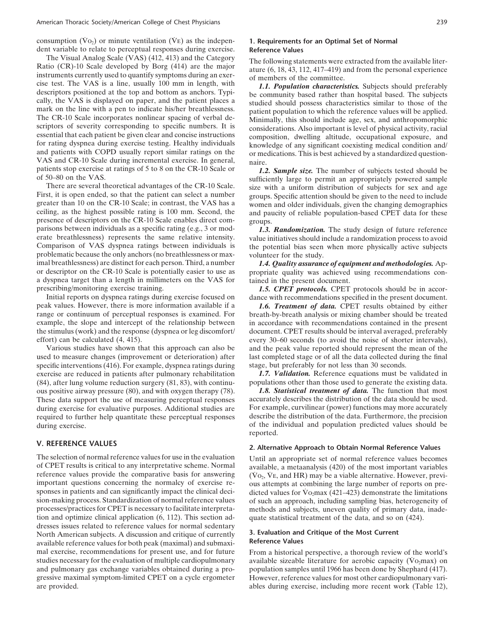consumption  $(\dot{V}_{Q})$  or minute ventilation  $(\dot{V}_{E})$  as the indepen-**1. Requirements for an Optimal Set of Normal** dent variable to relate to perceptual responses during exercise. **Reference Values**

The Visual Analog Scale (VAS) (412, 413) and the Category<br>
Ratio (CR)-10 Scale developed by Borg (414) are the major<br>
instruments currently used to quantify symptoms during an exer-<br>
cise test. The VAS is a line, usually 1 cise test. The VAS is a line, usually 100 mm in length, with<br>descriptors positioned at the top and bottom as anchors. Typi-<br>descriptors positioned at the top and bottom as anchors. Typi-<br>be community based rather than hosp

First, it is open ended, so that the patient can select a number groups. Specific attention should be given to the need to include greater than 10 on the CR-10 Scale; in contrast, the VAS has a women and older individuals, greater than 10 on the CR-10 Scale; in contrast, the VAS has a women and older individuals, given the changing demographics ceiling, as the highest possible rating is 100 mm. Second, the and paucity of reliable populationpresence of descriptors on the CR-10 Scale enables direct comparisons between individuals as a specific rating (e.g., 3 or mod-<br>erate breathlessness) represents the same relative intensity. value initiatives should include a randomization process to avoid erate breathlessness) represents the same relative intensity. value initiatives should include a randomization process to avoid<br>Comparison of VAS dyspnea ratings between individuals is the potential bias seen when more phy problematic because the only anchors (no breathlessness or max-<br>imal breathlessness) are distinct for each person. Third, a number 1.4. Quality assurance imal breathlessness) are distinct for each person. Third, a number **1.4. Quality assurance of equipment and methodologies.** Ap-<br>or descriptor on the CR-10 Scale is potentially easier to use as propriate quality was achieve a dyspnea target than a length in millimeters on the VAS for<br>prescribing in the present document.<br>**1.5. CPET protocols.** CPET

peak values. However, there is more information available if a *1.6. Treatment of data.* CPET results obtained by either

specific interventions (416). For example, dyspnea ratings during stage, but preferably for not less than 30 seconds. (84), after lung volume reduction surgery (81, 83), with continu-<br>ous positive airway pressure (80), and with oxygen therapy (78). **1.8. Statistical treatment of data.** The function that most ous positive airway pressure (80), and with oxygen therapy (78). These data support the use of measuring perceptual responses accurately describes the distribution of the data should be used. during exercise for evaluative purposes. Additional studies are For example, curvilinear (power) functions may more accurately required to further help quantitate these perceptual responses describe the distribution of the required to further help quantitate these perceptual responses during exercise. The individual and population predicted values should be during exercise.

The selection of normal reference values for use in the evaluation Until an appropriate set of normal reference values becomes of CPET results is critical to any interpretative scheme. Normal available, a metaanalysis (420 of CPET results is critical to any interpretative scheme. Normal available, a metaanalysis (420) of the most important variables reference values provide the comparative basis for answering  $\hat{V}_{Q_2}$ ,  $\hat{V}_{E_1}$  and HR) reference values provide the comparative basis for answering  $(Vo_2, Ve, and HR)$  may be a viable alternative. However, previ-<br>important questions concerning the normalcy of exercise re-<br>ous attempts at combining the large number sponses in patients and can significantly impact the clinical deci-<br>sion-making process. Standardization of normal reference values of such an approach, including sampling bias, heterogeneity of processes/practices for CPET is necessary to facilitate interpreta- methods and subjects, uneven quality of primary data, inadetion and optimize clinical application (6, 112). This section ad- quate statistical treatment of the data, and so on (424). dresses issues related to reference values for normal sedentary North American subjects. A discussion and critique of currently **3. Evaluation and Critique of the Most Current**<br>available reference values for both peak (maximal) and submaxi. **Reference Values** available reference values for both peak (maximal) and submaximal exercise, recommendations for present use, and for future From a historical perspective, a thorough review of the world's studies necessary for the evaluation of multiple cardiopulmonary available sizeable literature for aerobic capacity ( $\dot{V}o_2$ max) on and pulmonary gas exchange variables obtained during a pro- population samples until 1966 has been done by Shephard (417). gressive maximal symptom-limited CPET on a cycle ergometer However, reference values for most other cardiopulmonary variare provided. ables during exercise, including more recent work (Table 12),

patients stop exercise at ratings of 5 to 8 on the CR-10 Scale or<br>of 50–80 on the VAS.<br>There are several theoretical advantages of the CR-10 Scale.<br>Tirst, it is open ended, so that the patient can select a number<br>First, it and paucity of reliable population-based CPET data for these

the potential bias seen when more physically active subjects

propriate quality was achieved using recommendations con-

scribing/monitoring exercise training.<br>Initial reports on dyspnea ratings during exercise focused on dance with recommendations specified in the present document. dance with recommendations specified in the present document.

range or continuum of perceptual responses is examined. For breath-by-breath analysis or mixing chamber should be treated example, the slope and intercept of the relationship between in accordance with recommendations contained in the present the stimulus (work) and the response (dyspnea or leg discomfort/ document. CPET results should be interval averaged, preferably effort) can be calculated (4, 415). every 30–60 seconds (to avoid the noise of shorter intervals), Various studies have shown that this approach can also be and the peak value reported should represent the mean of the used to measure changes (improvement or deterioration) after last completed stage or of all the data collected during the final

exercise are reduced in patients after pulmonary rehabilitation *1.7. Validation*. Reference equations must be validated in

reported.

# **V. REFERENCE VALUES 2. Alternative Approach to Obtain Normal Reference Values**

ous attempts at combining the large number of reports on preof such an approach, including sampling bias, heterogeneity of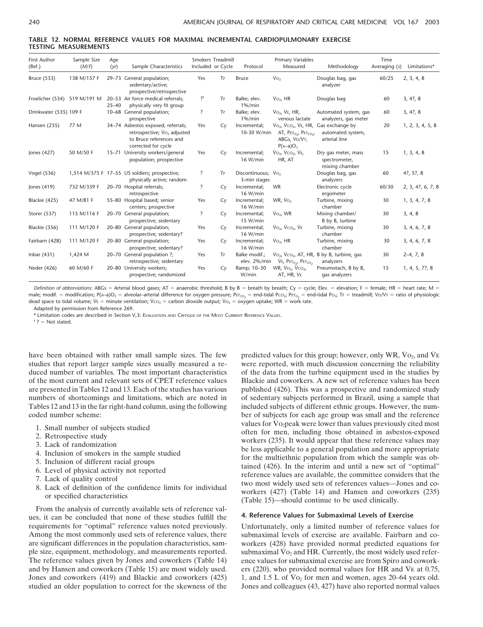### **TABLE 12. NORMAL REFERENCE VALUES FOR MAXIMAL INCREMENTAL CARDIOPULMONARY EXERCISE TESTING MEASUREMENTS**

| <b>First Author</b><br>(Ref.) | Sample Size<br>(M/F) | Age<br>(yr) | Sample Characteristics                                                                                                          | Smokers Treadmill<br>Included or Cycle |    | Protocol                                       | Primary Variables<br>Measured                                                                                                     | Methodology                                                                    | Time<br>Averaging (s) | Limitations*      |
|-------------------------------|----------------------|-------------|---------------------------------------------------------------------------------------------------------------------------------|----------------------------------------|----|------------------------------------------------|-----------------------------------------------------------------------------------------------------------------------------------|--------------------------------------------------------------------------------|-----------------------|-------------------|
| <b>Bruce (533)</b>            | 138 M/157 F          |             | 29-73 General population;<br>sedentary/active;<br>prospective/retrospective                                                     | Yes                                    | Tr | <b>Bruce</b>                                   | Vо,                                                                                                                               | Douglas bag, gas<br>analyzer                                                   | 60/25                 | 2, 3, 4, 8        |
| Froelicher (534) 519 M/191 M  |                      | $25 - 40$   | 20-53 Air force medical referrals;<br>physically very fit group                                                                 | 2 <sup>†</sup>                         | Tr | Balke; elev.<br>$1\%/min$                      | $V_{O2}$ , HR                                                                                                                     | Douglas bag                                                                    | 60                    | $3, 4?$ , 8       |
| Drinkwater (535) 109 F        |                      |             | 10-68 General population;<br>prospective                                                                                        | $\overline{\mathbf{?}}$                | Tr | Balke; elev.<br>$1\%$ /min                     | $Vo2$ , $Ver HRr$<br>venous lactate                                                                                               | Automated system, gas<br>analyzers, gas meter                                  | 60                    | $3, 4?$ , 8       |
| Hansen (235)                  | 77 M                 |             | 34-74 Asbestos exposed; referrals;<br>retrospective; Vo <sub>2</sub> adjusted<br>to Bruce references and<br>corrected for cycle | Yes                                    | Cy | Incremental;<br>10-30 W/min                    | $V_0$ , $V_{CO2}$ , $V_E$ , HR,<br>AT, PET <sub>O<sub>2</sub></sub> , PET <sub>CO<sub>2</sub></sub><br>ABGs, VD/VT,<br>$P(A-a)O2$ | Gas exchange by<br>automated system,<br>arterial line                          | 20                    | 1, 2, 3, 4, 5, 8  |
| Jones (427)                   | 50 M/50 F            |             | 15-71 University workers/general<br>population; prospective                                                                     | Yes                                    | Cy | Incremental;<br>16 W/min                       | Vo <sub>2</sub> , V <sub>CO2</sub> , V <sub>E</sub><br>HR, AT                                                                     | Dry gas meter, mass<br>spectrometer,<br>mixing chamber                         | 15                    | 1, 3, 4, 8        |
| Vogel (536)                   |                      |             | 1,514 M/375 F 17-55 US soldiers; prospective;<br>physically active; random                                                      | ?                                      | Tr | Discontinuous; Vo <sub>2</sub><br>3-min stages |                                                                                                                                   | Douglas bag, gas<br>analyzers                                                  | 60                    | 4?, 5?, 8         |
| Jones (419)                   | 732 M/339 F          |             | 20-70 Hospital referrals;<br>retrospective                                                                                      | $\overline{\cdot}$                     | Cy | Incremental;<br>16 W/min                       | <b>WR</b>                                                                                                                         | Electronic cycle<br>ergometer                                                  | 60/30                 | 2, 3, 4?, 6, 7, 8 |
| Blackie (425)                 | 47 M/81 F            |             | 55-80 Hospital based; senior<br>centers; prospective                                                                            | Yes                                    | Cy | Incremental;<br>16 W/min                       | WR, Vo,                                                                                                                           | Turbine, mixing<br>chamber                                                     | 30                    | 1, 3, 4, 7, 8     |
| Storer (537)                  | 115 M/116 F          |             | 20-70 General population;<br>prospective; sedentary                                                                             | $\overline{\cdot}$                     | Cy | Incremental;<br>15 W/min                       | $\vee$ <sub>2</sub> , WR                                                                                                          | Mixing chamber/<br>B by B, turbine                                             | 30                    | 3, 4, 8           |
| Blackie (356)                 | 111 M/120 F          |             | 20-80 General population;<br>prospective; sedentary?                                                                            | Yes                                    | Cy | Incremental;<br>16 W/min                       | $Vo2$ , $Vco2$ , $Ve1$                                                                                                            | Turbine, mixing<br>chamber                                                     | 30                    | 3, 4, 6, 7, 8     |
| Fairbarn (428)                | 111 M/120 F          |             | 20-80 General population;<br>prospective; sedentary?                                                                            | Yes                                    | Cy | Incremental;<br>16 W/min                       | $Vo2$ , HR                                                                                                                        | Turbine, mixing<br>chamber                                                     | 30                    | 3, 4, 6, 7, 8     |
| Inbar $(431)$                 | 1,424 M              |             | 20-70 General population ?;<br>retrospective; sedentary                                                                         | Yes                                    | Tr | Balke modif.;<br>elev. 2%/min                  | $V_{E}$ , PET <sub>O<sub>2</sub></sub> , PET <sub>CO3</sub>                                                                       | Vo <sub>2</sub> , Vco <sub>2</sub> , AT, HR, B by B, turbine, gas<br>analyzers | 30                    | $2-4, 7, 8$       |
| Neder (426)                   | 60 M/60 F            |             | 20-80 University workers;<br>prospective; randomized                                                                            | Yes                                    | Cy | Ramp; 10-30<br>W/min                           | WR, $\dot{V}O_2$ , $\dot{V}CO_2$ ,<br>AT, HR, VE                                                                                  | Pneumotach, B by B,<br>gas analyzers                                           | 15                    | $1, 4, 5, 7?$ , 8 |

*Definition of abbreviations*: ABGs = Arterial blood gases; AT = anaerobic threshold; B by B = breath by breath; Cy = cycle; Elev. = elevation; F = female; HR = heart rate; M = male; modif. = modification; P(A–a)O<sub>2</sub> = alveolar–arterial difference for oxygen pressure; PET<sub>CO2</sub> = end-tidal PC<sub>O2</sub>; PET<sub>O3</sub> = end-tidal PC<sub>O2</sub>; Tr = treadmill; VD/VT = ratio of physiologic dead space to tidal volume; VE = minute ventilation; Vco<sub>2</sub> = carbon dioxide output; Vo<sub>2</sub> = oxygen uptake; WR = work rate.

Adapted by permission from Reference 269.

\* Limitation codes are described in Section V,3: EVALUATION AND CRITIQUE OF THE MOST CURRENT REFERENCE VALUES.

 $\dagger$  ? = Not stated.

- 
- 
- 
- 
- 
- 
- 
- 

From the analysis of currently available sets of reference val-<br>ues, it can be concluded that none of these studies fulfill the **4. Reference Values for Submaximal Levels of Exercise** requirements for "optimal" reference values noted previously. Unfortunately, only a limited number of reference values for Among the most commonly used sets of reference values, there submaximal levels of exercise are available. Fairbarn and coare significant differences in the population characteristics, sam- workers (428) have provided normal predicted equations for ple size, equipment, methodology, and measurements reported. submaximal  $\rm\acute{v}_{O_2}$  and HR. Currently, the most widely used refer-<br>The reference values given by Jones and coworkers (Table 14) ence values for submaximal and by Hansen and coworkers (Table 15) are most widely used. ers (220), who provided normal values for HR and V $\epsilon$  at 0.75, studied an older population to correct for the skewness of the

have been obtained with rather small sample sizes. The few predicted values for this group; however, only WR, V $o_2$ , and V $\overline{e}$ studies that report larger sample sizes usually measured a re- were reported, with much discussion concerning the reliability duced number of variables. The most important characteristics of the data from the turbine equipment used in the studies by of the most current and relevant sets of CPET reference values Blackie and coworkers. A new set of reference values has been<br>are presented in Tables 12 and 13. Each of the studies has various published (426). This was a pr published (426). This was a prospective and randomized study numbers of shortcomings and limitations, which are noted in of sedentary subjects performed in Brazil, using a sample that Tables 12 and 13 in the far right-hand column, using the following included subjects of different ethnic groups. However, the numcoded number scheme:<br>
ber of subjects for each age group was small and the reference<br>
values for  $\sqrt{V}$  values for  $\sqrt{V}$  values for  $\sqrt{V}$  values for  $\sqrt{V}$  values for  $\sqrt{V}$  values for  $\sqrt{V}$  values for  $\sqrt{V}$  val 1. Small number of subjects studied<br>
2. Retrospective study<br>
3. Lack of randomization<br>
4. Inclusion of smokers in the sample studied<br>
5. Inclusion of different racial groups<br>
4. Inclusion of smokers in the sample studied<br>

ence values for submaximal exercise are from Spiro and cowork-Jones and coworkers (419) and Blackie and coworkers (425) 1, and 1.5 L of  $\rm\acute{Vo}_2$  for men and women, ages 20–64 years old.<br>studied an older population to correct for the skewness of the Jones and colleagues (43, 427)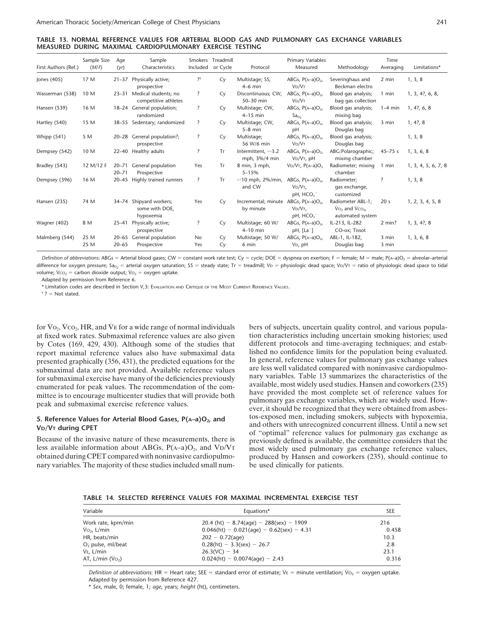**TABLE 13. NORMAL REFERENCE VALUES FOR ARTERIAL BLOOD GAS AND PULMONARY GAS EXCHANGE VARIABLES MEASURED DURING MAXIMAL CARDIOPULMONARY EXERCISE TESTING**

| First Authors (Ref.) | Sample Size<br>(M/F) | Age<br>(yr)            | Sample<br>Characteristics                              | Included                 | Smokers Treadmill<br>or Cycle | Protocol                                             | Primary Variables<br>Measured                             | Methodology                                                                                                  | Time<br>Averaging | Limitations*        |
|----------------------|----------------------|------------------------|--------------------------------------------------------|--------------------------|-------------------------------|------------------------------------------------------|-----------------------------------------------------------|--------------------------------------------------------------------------------------------------------------|-------------------|---------------------|
| Jones (405)          | 17 M                 | $21 - 37$              | Physically active;<br>prospective                      | $?^{\dagger}$            | Cy                            | Multistage; SS,<br>$4-6$ min                         | ABGs, $P(A-a)O2$ ,<br>V <sub>D</sub> /V <sub>T</sub>      | Severinghaus and<br>Beckman electro                                                                          | 2 min             | 1, 3, 8             |
| Wasserman (538)      | 10 M                 |                        | 23-31 Medical students; no<br>competitive athletes     | $\overline{\mathbf{z}}$  | Cy                            | Discontinuous; CW,<br>$50-30$ min                    | ABGs, $P(A-a)O2$ ,<br>$V_D/V_T$                           | Blood gas analysis;<br>bag gas collection                                                                    | $1$ min           | $1, 3, 4?$ , 6, 8,  |
| Hansen (539)         | 16 M                 |                        | 18-24 General population;<br>randomized                | $\overline{\mathbf{z}}$  | Cy                            | Multistage; CW,<br>$4-15$ min                        | ABGs, $P(A-a)O2$ ,<br>Sa <sub>0<sub>2</sub></sub>         | Blood gas analysis;<br>mixing bag                                                                            | $1-4$ min         | $1, 4?$ , 6, 8      |
| Hartley (540)        | 15 M                 |                        | 38-55 Sedentary; randomized                            | $\overline{\mathbf{?}}$  | Cy                            | Multistage; CW,<br>$5-8$ min                         | ABGs, $P(A-a)O_2$ ,<br>pH                                 | Blood gas analysis;<br>Douglas bag                                                                           | 3 min             | $1, 4?$ , 8         |
| <b>Whipp (541)</b>   | 5 M                  |                        | 20-28 General population?;<br>prospective              | $\overline{\cdot}$       | Cy                            | Multistage;<br>56 W/6 min                            | ABGs, $P(A-a)O_2$ ,<br>$V_D/V_T$                          | Blood gas analysis;<br>Douglas bag                                                                           |                   | 1, 3, 8             |
| Dempsey (542)        | 10 M                 |                        | 22-40 Healthy adults                                   | $\overline{\mathbf{z}}$  | Tr                            | Intermittent. $\sim$ 3.2<br>mph, 3%/4 min            | ABGs, $P(A-a)O2$ ,<br>V <sub>D</sub> /V <sub>T</sub> , pH | ABG:Polarographic;<br>mixing chamber                                                                         | $45 - 75$ s       | 1, 3, 6, 8          |
| Bradley (543)        | 12 M/12 F            | $20 - 71$<br>$20 - 71$ | General population<br>Prospective                      | Yes                      | Tr                            | 8 min, 3 mph,<br>$5 - 15%$                           | $V_D/V_T$ , $P(A-a)O_2$                                   | Radiometer; mixing<br>chamber                                                                                | 1 min             | 1, 3, 4, 5, 6, 7, 8 |
| Dempsey (396)        | 16 M                 | $20 - 45$              | Highly trained runners                                 | $\overline{\phantom{0}}$ | Tr                            | $\sim$ 10 mph, 2%/min,<br>and CW                     | ABGs, $P(A-a)O2$ ,<br>$V_D/V_T$<br>pH, HCO <sub>3</sub>   | Radiometer;<br>gas exchange,<br>customized                                                                   | ?                 | 1, 3, 8             |
| Hansen (235)         | 74 M                 |                        | 34-74 Shipyard workers;<br>some with DOE,<br>hypoxemia | Yes                      | Cy                            | Incremental; minute ABGs, $P(A-a)O_2$ ,<br>by minute | $V_D/V_T$<br>pH, HCO <sub>3</sub>                         | Radiometer ABL-1;<br>$\dot{V}$ <sub>2</sub> , and $\dot{V}$ <sub>co</sub> <sub>2</sub> ,<br>automated system | 20 <sub>s</sub>   | 1, 2, 3, 4, 5, 8    |
| Wagner (402)         | 8 M                  | $25 - 41$              | Physically active;<br>prospective                      | $\overline{\phantom{0}}$ | Cy                            | Multistage; 60 W/<br>$4-10$ min                      | ABGs, $P(A-a)O2$ ,<br>pH, [La <sup>-</sup> ]              | IL-213, IL-282<br>CO-ox; Tissot                                                                              | 2 min?            | $1, 3, 4?$ , 8      |
| Malmberg (544)       | 25 M<br>25 M         | $20 - 65$              | 20-65 General population<br>Prospective                | No<br>Yes                | Cy<br>Cy                      | Multistage; 50 W/<br>6 min                           | ABGs, $P(A-a)O2$ ,<br>V <sub>D</sub> , pH                 | ABL-1, IL-182,<br>Douglas bag                                                                                | 3 min<br>3 min    | 1, 3, 6, 8          |

*Definition of abbreviations*: ABGs = Arterial blood gases; CW = constant work rate test; Cy = cycle; DOE = dyspnea on exertion; F = female; M = male; P(A–a)O<sub>2</sub> = alveolar–arterial difference for oxygen pressure; Sa<sub>o2</sub> = arterial oxygen saturation; SS = steady state; Tr = treadmill; VD = physiologic dead space; VD/VT = ratio of physiologic dead space to tidal volume;  $VCO_2 =$  carbon dioxide output;  $VO_2 =$  oxygen uptake.

Adapted by permission from Reference 6.

\* Limitation codes are described in Section V,3: EVALUATION AND CRITIQUE OF THE MOST CURRENT REFERENCE VALUES.

 $\dagger$  ? = Not stated.

at fixed work rates. Submaximal reference values are also given tion characteristics including uncertain smoking histories; used by Cotes (169, 429, 430). Although some of the studies that different protocols and time-averaging techniques; and estabreport maximal reference values also have submaximal data lished no confidence limits for the population being evaluated.<br>
In general, reference values for pulmonary gas exchange values presented graphically (356, 431), the predicted equations for the In general, reference values for pulmonary gas exchange values submaximal data are not provided. Available reference values are less well validated compared

nary variables. The majority of these studies included small num- be used clinically for patients.

for  $\overline{V}o_2$ ,  $\overline{V}co_2$ , HR, and  $\overline{V}$  e for a wide range of normal individuals bers of subjects, uncertain quality control, and various populasubmaximal data are not provided. Available reference values<br>for submaximal exercise have many of the deficiencies previously<br>for submaximal exercise have many of the deficiencies previously<br>enumerated for peak values. The **5. Reference Values for Arterial Blood Gases,**  $P(A-a)O_2$ **, and** tos-exposed men, including smokers, subjects with hypoxemia,<br> **VD/VT during CPET**<br>
Because of the invasive nature of these measurements, there is<br>
defined is obtained during CPET compared with noninvasive cardiopulmo- produced by Hansen and coworkers (235), should continue to

**TABLE 14. SELECTED REFERENCE VALUES FOR MAXIMAL INCREMENTAL EXERCISE TEST**

| Variable                                        | Equations*                                   | SEE   |
|-------------------------------------------------|----------------------------------------------|-------|
| Work rate, kpm/min                              | $20.4$ (ht) - 8.74(age) - 288(sex) - 1909    | 216   |
| Vo <sub>2</sub> , L/min                         | $0.046$ (ht) - 0.021(age) - 0.62(sex) - 4.31 | 0.458 |
| HR, beats/min                                   | $202 - 0.72$ (age)                           | 10.3  |
| $O2$ pulse, ml/beat                             | $0.28$ (ht) - 3.3(sex) - 26.7                | 2.8   |
| VE, L/min                                       | $26.3(VC) - 34$                              | 23.1  |
| AT, L/min ( $\dot{\mathsf{V}}\mathsf{_{O_2}}$ ) | $0.024(ht) - 0.0074(aqe) - 2.43$             | 0.316 |
|                                                 |                                              |       |

*Definition of abbreviations*: HR = Heart rate; SEE = standard error of estimate;  $V \overline{\epsilon}$  = minute ventilation;  $V \overline{\varphi}_2$  = oxygen uptake. Adapted by permission from Reference 427.

\* *Sex*, male, 0; female, 1; *age*, years; *height* (ht), centimeters.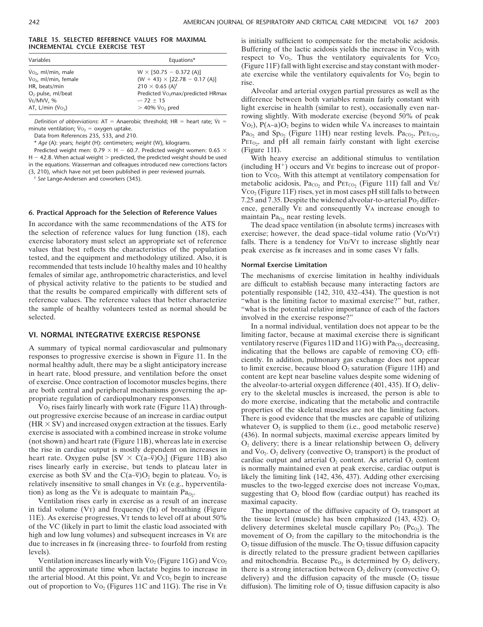| Variables                               | Equations*                                    |
|-----------------------------------------|-----------------------------------------------|
| $\dot{V}$ <sub>2</sub> , ml/min, male   | $W \times [50.75 - 0.372(A)]$                 |
| $\dot{V}_{\text{O}_2}$ , ml/min, female | $(W + 43) \times [22.78 - 0.17(A)]$           |
| HR, beats/min                           | $210 \times 0.65$ (A) <sup>†</sup>            |
| $O2$ pulse, ml/beat                     | Predicted Vo <sub>2</sub> max/predicted HRmax |
| VE/MVV, %                               | $\sim$ 72 + 15                                |
| AT, $L/min (Vo2)$                       | $>$ 40% V <sub>O</sub> , pred                 |

\* *Age* (A): years; *height* (H): centimeters; *weight* (W), kilograms.  $\begin{array}{cc} \text{PET}_{O_2}, \text{ and } \text{p} \end{array}$  (Figure 111).

Predicted weight men: 0.79  $\times$  H  $-$  60.7. Predicted weight women: 0.65  $\times$  $H - 42.8$ . When actual weight  $>$  predicted, the predicted weight should be used  $H - 42.8$ . When actual weight > predicted, the predicted weight should be used With heavy exercise an additional stimulus to ventilation<br>in the equations. Wasserman and colleagues introduced new corrections factors (inclu

In accordance with the same recommendations of the ATS for<br>the selection of reference values for lung function (18), each exercise; however, the dead space-tidal volume ratio (VD/V<sub>T</sub>) exercise laboratory must select an appropriate set of reference falls. There is a tendency for VD/VT to increase slightly near values that best reflects the characteristics of the population peak exercise as fr increases and in some cases VT falls. tested, and the equipment and methodology utilized. Also, it is recommended that tests include 10 healthy males and 10 healthy **Normal Exercise Limitation** females of similar age, anthropometric characteristics, and level The mechanisms of exercise limitation in healthy individuals of physical activity relative to the patients to be studied and are difficult to establish because many interacting factors are that the results be compared empirically with different sets of potentially responsible (142, that the results be compared empirically with different sets of potentially responsible (142, 310, 432–434). The question is not reference values. The reference values that better characterize "what is the limiting factor reference values. The reference values that better characterize what is the limiting factor to maximal exercise?" but, rather, the sample of healthy volunteers tested as normal should be "what is the potential relative imp the sample of healthy volunteers tested as normal should be "what is the potential relative importance of each of the factors selected.<br>
involved in the exercise response?"

rises linearly early in exercise, but tends to plateau later in is normally maintained even at peak exercise, cardiac output is exercise as both SV and the  $C(a-\overline{v})O_2$  begin to plateau. Vo<sub>2</sub> is likely the limiting link tion) as long as the V $E$  is adequate to maintain  $Pa<sub>0</sub>$ .

Ventilation rises early in exercise as a result of an increase maximal capacity.<br>in tidal volume (VT) and frequency (fR) of breathing (Figure The importance in tidal volume (V<sub>T</sub>) and frequency (fr) of breathing (Figure The importance of the diffusive capacity of  $O_2$  transport at 11E). As exercise progresses, V<sub>T</sub> tends to level of at about 50% the tissue level (muscle) has of the VC (likely in part to limit the elastic load associated with delivery determines skeletal muscle capillary  $Po_2$  ( $Pc_{O_2}$ ). The

the arterial blood. At this point, VE and Vco<sub>2</sub> begin to increase delivery) and the diffusion capacity of the muscle ( $O_2$  tissue out of proportion to  $\dot{V}o_2$  (Figures 11C and 11G). The rise in  $\dot{V}E$  diffusion). The limiting role of  $O_2$  tissue diffusion capacity is also

**TABLE 15. SELECTED REFERENCE VALUES FOR MAXIMAL** is initially sufficient to compensate for the metabolic acidosis.<br>INCREMENTAL CYCLE EXERCISE TEST **EXECUSE ASSESS** Buffering of the lactic acidosis yields the increase in respect to  $Vo_2$ . Thus the ventilatory equivalents for  $Vo_2$ .<br>(Figure 11F) fall with light exercise and stay constant with moderate exercise while the ventilatory equivalents for  $V_0$  begin to rise.

Alveolar and arterial oxygen partial pressures as well as the difference between both variables remain fairly constant with light exercise in health (similar to rest), occasionally even nar-*Definition of abbreviations*: AT = Anaerobic threshold; HR = heart rate;  $\dot{V}_{E}$  rowing slightly. With moderate exercise (beyond 50% of peak<br>minute ventilation;  $V_{O_2}$  = oxygen uptake.<br>Data from References 235, 533, Data from References 235, 533, and 210.

in the equations. Wasserman and colleagues introduced new corrections factors (including  $H^+$ ) occurs and  $\check{V}E$  begins to increase out of propor-<br>
(3, 210), which have not yet been published in peer reviewed journals.  $\rm{Vco}_{2}$  (Figure 11F) rises, yet in most cases pH still falls to between 7.25 and 7.35. Despite the widened alveolar-to-arterial  $Po_2$  differ-**6. Practical Approach for the Selection of Reference Values** ence, generally  $\dot{V}$  and consequently  $\dot{V}$  a increase enough to maintain  $P_{a_{O_2}}$  near resting levels.<br>In accordance with the same recommendations of t

exercise; however, the dead space–tidal volume ratio ( $V<sub>D</sub>/V<sub>T</sub>$ )

involved in the exercise response?"

In a normal individual, ventilation does not appear to be the **VI. NORMAL INTEGRATIVE EXERCISE RESPONSE** limiting factor, because at maximal exercise there is significant ventilatory reserve (Figures 11D and 11G) with Pa<sub>co</sub>, decreasing, A summary of typical normal cardiovascular and pulmonary<br>responses to progressive exercise is shown in Figure 11. In the<br>normal healthy adult, there may be a slight anticipatory increase<br>in heart rate, blood pressure, and are both central and peripheral mechanisms governing the ap-<br>
propriate regulation of cardiopulmonary responses.<br>
Vo<sub>2</sub> rises fairly linearly with work rate (Figure 11A) through-<br>
out properties of the skeletal muscles is muscles to the two-legged exercise does not increase  $\rm Vo_2max$ , suggesting that  $O_2$  blood flow (cardiac output) has reached its

11E). As exercise progresses, V<sub>T</sub> tends to level off at about 50% the tissue level (muscle) has been emphasized (143, 432). O<sub>2</sub> of the VC (likely in part to limit the elastic load associated with delivery determines ske high and low lung volumes) and subsequent increases in  $Ve$  are movement of  $O_2$  from the capillary to the mitochondria is the due to increases in fr (increasing three-to fourfold from resting  $O_2$  fissue diffusion of th due to increases in fr (increasing three- to fourfold from resting  $O_2$  tissue diffusion of the muscle. The  $O_2$  tissue diffusion capacity<br>is directly related to the pressure gradient between capillaries is directly related to the pressure gradient between capillaries Ventilation increases linearly with V $o_2$  (Figure 11G) and Vc $o_2$  and mitochondria. Because Pc<sub>O<sub>2</sub></sub> is determined by O<sub>2</sub> delivery, until the approximate time when lactate begins to increase in there is a strong intera there is a strong interaction between  $O_2$  delivery (convective  $O_2$ )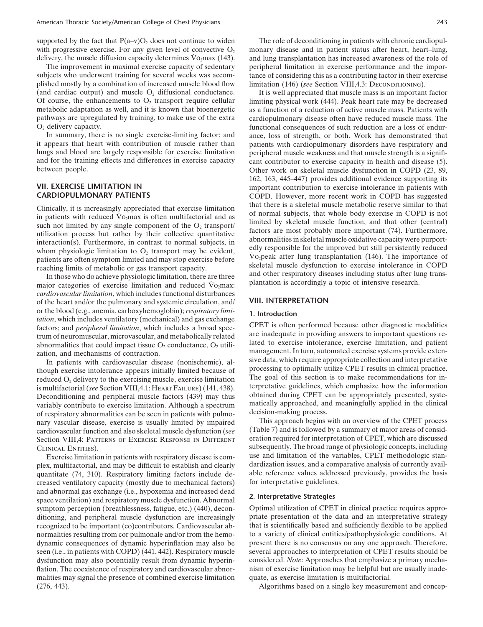supported by the fact that  $P(a-v)O_2$  does not continue to widen The role of deconditioning in patients with chronic cardiopulwith progressive exercise. For any given level of convective  $O_2$  monary disease and in patient status after heart, heart–lung, delivery, the muscle diffusion capacity determines  $\dot{V}$ o<sub>2</sub>max (143). and lung transplantation has increased awareness of the role of

plished mostly by a combination of increased muscle blood flow limitation (146) (see Section VIII,4.3: DECONDITIONING). (and cardiac output) and muscle  $O_2$  diffusional conductance. It is well appreciated that muscle mass is an important factor

it appears that heart with contribution of muscle rather than patients with cardiopulmonary disorders have respiratory and<br>lungs and blood are largely responsible for exercise limitation peripheral muscle weakness and that and for the training effects and differences in exercise capacity cant contributor to exercise capacity in health and disease (5).<br>Other work on skeletal muscle dysfunction in COPD (23, 89).

In those who do achieve physiologic limitation, there are three and other respiratory diseases including status after lung trans-<br>In the plantation is accordingly a topic of intensive research. major categories of exercise limitation and reduced  $Vo<sub>2</sub>$ max: *cardiovascular limitation*, which includes functional disturbances of the heart and/or the pulmonary and systemic circulation, and/ **VIII. INTERPRETATION** or the blood (e.g., anemia, carboxyhemoglobin); *respiratory limi-* **1. Introduction** Factors; and *peripheral limitation*, which includes a broad specific CPET is often performed because other diagnostic modalities<br>trum of neuromuscular, microvascular, and metabolically related<br>abnormalities that could im

variably contribute to exercise limitation. Although a spectrum matically approached, and respiratory abnormalities can be seen in patients with pulmo-<br>decision-making process. of respiratory abnormalities can be seen in patients with pulmo-<br>nary vascular disease, exercise is usually limited by impaired This approach begins with an overview of the CPET process nary vascular disease, exercise is usually limited by impaired (Table 7) and is followed by a summary of major areas of consid- cardiovascular function and also skeletal muscle dysfunction (*see* Section VIII,4: PATTERNS OF EXERCISE RESPONSE IN DIFFERENT eration required for interpretation of CPET, which are discussed

plex, multifactorial, and may be difficult to establish and clearly dardization issues, and a comparative analysis of currently avail-<br>quantitate (74, 310). Respiratory limiting factors include de-<br>able reference values ad quantitate (74, 310). Respiratory limiting factors include de-<br>creased ventilatory capacity (mostly due to mechanical factors) for interpretative guidelines. creased ventilatory capacity (mostly due to mechanical factors) and abnormal gas exchange (i.e., hypoxemia and increased dead **2. Interpretative Strategies** space ventilation) and respiratory muscle dysfunction. Abnormal symptom perception (breathlessness, fatigue, etc.) (440), decon-<br>ditioning, and peripheral muscle dysfunction are increasingly priate presentation of the data and an interpretative strategy ditioning, and peripheral muscle dysfunction are increasingly malities may signal the presence of combined exercise limitation quate, as exercise limitation is multifactorial. (276, 443). Algorithms based on a single key measurement and concep-

The improvement in maximal exercise capacity of sedentary peripheral limitation in exercise performance and the imporsubjects who underwent training for several weeks was accom- tance of considering this as a contributing factor in their exercise

Of course, the enhancements to  $O_2$  transport require cellular limiting physical work (444). Peak heart rate may be decreased metabolic adaptation as well, and it is known that bioenergetic as a function of a reduction of active muscle mass. Patients with pathways are upregulated by training, to make use of the extra cardiopulmonary disease often cardiopulmonary disease often have reduced muscle mass. The  $O<sub>2</sub>$  delivery capacity.  $O<sub>2</sub>$  delivery capacity.  $O<sub>3</sub>$  functional consequences of such reduction are a loss of endur-In summary, there is no single exercise-limiting factor; and ance, loss of strength, or both. Work has demonstrated that it appears that heart with contribution of muscle rather than patients with cardiopulmonary disorders peripheral muscle weakness and that muscle strength is a signifi-Other work on skeletal muscle dysfunction in COPD (23, 89, 162, 163, 445–447) provides additional evidence supporting its **VII. EXERCISE LIMITATION IN**<br> **COPD** However more recent work in COPD has suggested<br>
COPD However more recent work in COPD has suggested COPD. However, more recent work in COPD has suggested Clinically, it is increasingly appreciated that exercise limitation<br>in patients with reduced  $V_{O2}$ max is often multifactorial and as<br>such not limited by any single component of the  $O_2$  transport/<br>utilization process b patients are often symptom limited and may stop exercise before<br>reaching limits of metabolic or gas transport capacity.<br>In those who do schieve physiologic limitation there are three and other respiratory diseases includin

zation, and mechanisms of contraction.<br>
In patients with cardiovascular disease (nonischemic), al-<br>
though exercise intolerance appears initially limited because of<br>
reduced O<sub>2</sub> delivery to the exercising muscle, exercise Deconditioning and peripheral muscle factors (439) may thus obtained during CPET can be appropriately presented, syste-<br>variably contribute to exercise limitation. Although a spectrum matically approached, and meaningfully

CLINICAL ENTITIES).<br>
Exercise limitation in patients with respiratory disease is com-<br>
use and limitation of the variables, CPET methodologic stan-<br>
Exercise limitation in patients with respiratory disease is com-<br>
use and Exercise limitation in patients with respiratory disease is com-<br>x, multifactorial, and may be difficult to establish and clearly dardization issues, and a comparative analysis of currently avail-

recognized to be important (co)contributors. Cardiovascular ab- that is scientifically based and sufficiently flexible to be applied normalities resulting from cor pulmonale and/or from the hemo- to a variety of clinical entities/pathophysiologic conditions. At dynamic consequences of dynamic hyperinflation may also be present there is no consensus on any one approach. Therefore, seen (i.e., in patients with COPD) (441, 442). Respiratory muscle several approaches to interpretation of CPET results should be dysfunction may also potentially result from dynamic hyperin- considered. *Note*: Approaches that emphasize a primary mechaflation. The coexistence of respiratory and cardiovascular abnor- nism of exercise limitation may be helpful but are usually inade-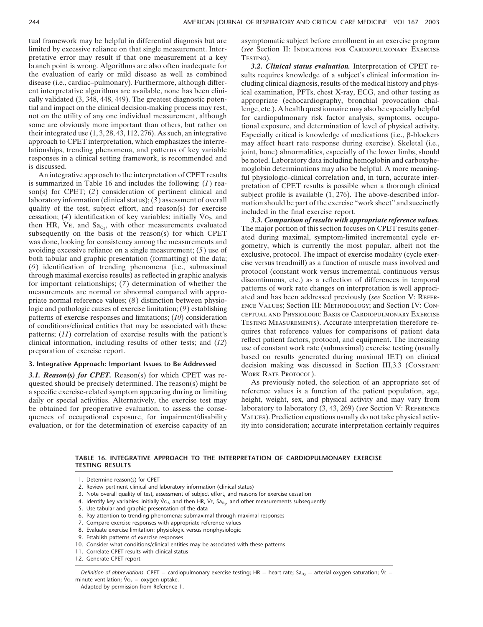pretative error may result if that one measurement at a key Testing). branch point is wrong. Algorithms are also often inadequate for *3.2. Clinical status evaluation.* Interpretation of CPET re-

**3.1. Reason(s) for CPET.** Reason(s) for which CPET was re-<br>quested should be precisely determined. The reason(s) might be <br>As previously noted, the selection of an appropriate set of quested should be precisely determined. The reason(s) might be As previously noted, the selection of an appropriate set of a specific exercise-related symptom appearing during or limiting reference values is a function of a specific exercise-related symptom appearing during or limiting reference values is a function of the patient population, age, daily or special activities. Alternatively, the exercise test may height, weight, sex, and phy daily or special activities. Alternatively, the exercise test may height, weight, sex, and physical activity and may vary from<br>be obtained for preoperative evaluation, to assess the conse-<br>laboratory to laboratory (3, 43, be obtained for preoperative evaluation, to assess the consequences of occupational exposure, for impairment/disability Values). Prediction equations usually do not take physical activevaluation, or for the determination of exercise capacity of an ity into consideration; accurate interpretation certainly requires

tual framework may be helpful in differential diagnosis but are asymptomatic subject before enrollment in an exercise program limited by excessive reliance on that single measurement. Inter-<br>
(*see* Section II: INDICATIONS FOR CARDIOPULMONARY EXERCISE

the evaluation of early or mild disease as well as combined sults requires knowledge of a subject's clinical information indisease (i.e., cardiac–pulmonary). Furthermore, although differ-<br>ent interpretative algorithms are available, none has been clini-<br>ical examination, PFTs, chest X-ray, ECG, and other testing as ent interpretative algorithms are available, none has been clini-<br>cal examination, PFTs, chest X-ray, ECG, and other testing as<br>cally validated (3, 348, 448, 449). The greatest diagnostic poten-<br>appropriate (echocardiograp cally validated (3, 348, 448, 449). The greatest diagnostic poten-<br>tial and impact on the clinical decision-making process may rest, lenge, etc.). A health questionnaire may also be especially helpful tial and impact on the clinical decision-making process may rest, lenge, etc.). A health questionnaire may also be especially helpful<br>not on the utility of any one individual measurement, although for cardiopulmonary risk not on the utility of any one individual measurement, although for cardiopulmonary risk factor analysis, symptoms, occupa-<br>some are obviously more important than others, but rather on fional exposure, and determination of some are obviously more important than others, but rather on<br>their integrated use (1, 3, 28, 43, 112, 276). As such, an integrative<br>approach to CPET interpretation, which emphasizes the interre-<br>may affect heart rate resp approach to CPET interpretation, which emphasizes the interre-<br>
lationships, trending phenomena, and patterns of key variable<br>
is discussed.<br>
In a clinical setting framework, is recommended and<br>
is discussed.<br>
An integrat

then HR, VE, and Sa<sub>op</sub>, with other measurements evaluated<br>
sequently on the basis of the reason(s) for which CPET and during maximal, symptom-limided incremental cycle<br>
sexuentwas done, looking for consistency among the **3. Integrative Approach: Important Issues to Be Addressed** decision making was discussed in Section III,3.3 (Constant

### **TABLE 16. INTEGRATIVE APPROACH TO THE INTERPRETATION OF CARDIOPULMONARY EXERCISE TESTING RESULTS**

- 2. Review pertinent clinical and laboratory information (clinical status)
- 3. Note overall quality of test, assessment of subject effort, and reasons for exercise cessation
- 4. Identify key variables: initially  $\dot{\vee}_{\text{O}_Z}$  and then HR,  $\dot{\vee}$ e, Sa $_{\text{O}_{Z'}}$  and other measurements subsequently
- 5. Use tabular and graphic presentation of the data
- 6. Pay attention to trending phenomena: submaximal through maximal responses
- 7. Compare exercise responses with appropriate reference values
- 8. Evaluate exercise limitation: physiologic versus nonphysiologic
- 9. Establish patterns of exercise responses
- 10. Consider what conditions/clinical entities may be associated with these patterns
- 11. Correlate CPET results with clinical status
- 12. Generate CPET report

<sup>1.</sup> Determine reason(s) for CPET

*Definition of abbreviations*: CPET = cardiopulmonary exercise testing; HR = heart rate; Sa<sub>O2</sub> = arterial oxygen saturation; V<sup>i</sup> = minute ventilation;  $\dot{V}_{O_2} = 0$ xygen uptake.

Adapted by permission from Reference 1.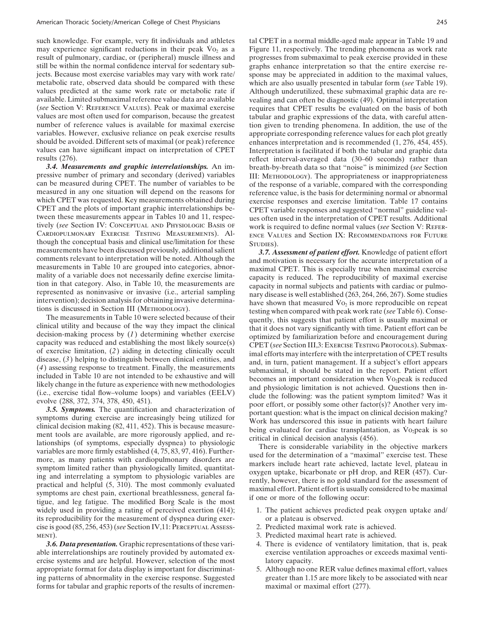such knowledge. For example, very fit individuals and athletes tal CPET in a normal middle-aged male appear in Table 19 and

widely used in providing a rating of perceived exertion (414); 1. The patient achieves predicted peak oxygen uptake and/ its reproducibility for the measurement of dyspnea during exer- or a plateau is observed. cise is good (85, 256, 453) (*see* Section IV,11: Perceptual Assess- 2. Predicted maximal work rate is achieved. ment). 3. Predicted maximal heart rate is achieved.

able interrelationships are routinely provided by automated ex- exercise ventilation approaches or exceeds maximal ventiercise systems and are helpful. However, selection of the most latory capacity. appropriate format for data display is important for discriminat- 5. Although no one RER value defines maximal effort, values ing patterns of abnormality in the exercise response. Suggested greater than 1.15 are more likely to be associated with near forms for tabular and graphic reports of the results of incremen- maximal or maximal effort (277).

may experience significant reductions in their peak  $V_0$  as a Figure 11, respectively. The trending phenomena as work rate result of pulmonary, cardiac, or (peripheral) muscle illness and progresses from submaximal to peak exercise provided in these still be within the normal confidence interval for sedentary sub- graphs enhance interpretation so that the entire exercise rejects. Because most exercise variables may vary with work rate/ sponse may be appreciated in addition to the maximal values, metabolic rate, observed data should be compared with these which are also usually presented in tabular form (*see* Table 19). values predicted at the same work rate or metabolic rate if Although underutilized, these submaximal graphic data are reavailable. Limited submaximal reference value data are available vealing and can often be diagnostic (49). Optimal interpretation (*see* Section V: Reference Values). Peak or maximal exercise requires that CPET results be evaluated on the basis of both values are most often used for comparison, because the greatest tabular and graphic expressions of the data, with careful attennumber of reference values is available for maximal exercise tion given to trending phenomena. In addition, the use of the variables. However, exclusive reliance on peak exercise results appropriate corresponding reference values for each plot greatly should be avoided. Different sets of maximal (or peak) reference enhances interpretation and is recommended (1, 276, 454, 455). values can have significant impact on interpretation of CPET Interpretation is facilitated if both the tabular and graphic data results (276).<br>3.4. Measurements and graphic interrelationships. An im-<br>3.4. Measurements and graphic interrelationships. An im-<br>breath-by-breath data so that "noise" is minimized (see Section *3.4. Measurements and graphic interrelationships.* An im- breath-by-breath data so that "noise" is minimized (*see* Section pressive number of primary and secondary (derived) variables III: METHODOLOGY). The appropriateness or inappropriateness can be measured during CPET. The number of variables to be of the response of a variable, compared wi can be measured during CPET. The number of variables to be of the response of a variable, compared with the corresponding measured in any one situation will depend on the reasons for reference value, is the basis for deter measured in any one situation will depend on the reasons for reference value, is the basis for determining normal or abnormal<br>which CPET was requested. Key measurements obtained during exercise responses and exercise limit which CPET was requested. Key measurements obtained during exercise responses and exercise limitation. Table 17 contains<br>CPET and the plots of important graphic interrelationships be-<br>CPET variable responses and suggested CPET variable responses and suggested "normal" guideline values the values of CPET variable responses and suggested "normal" guideline values these measurements appear in Tables 10 and 11, respectively use often used in th Exercise measurements appear in Tables 10 and 11, respectively are often used in the interpretation of CPET results. Additional<br>
ively (see Section IV: Conceptual and Physiologic Basis of a work is required to define norma CARDIOPULMONARY EXERCISE TESTING MEASUREMENTS). Al-<br>though the conceptual basis and clinical use/limitation for these  $S_{\text{TTIDES}}$ 

though the conceptual basis and chimical use/limitation for these STUDIES). The symetron particular the conceptual basis and chimical measurements have been discussed previously, additional silent 3.7.As essentent of port

- 
- 
- 
- *3.6. Data presentation.* Graphic representations of these vari- 4. There is evidence of ventilatory limitation, that is, peak
	-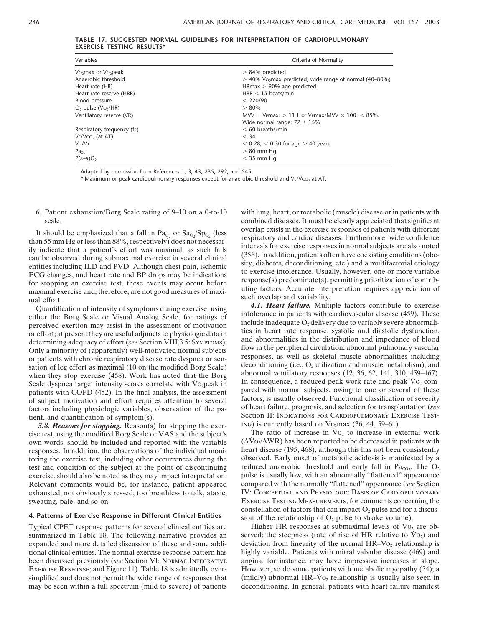| <b>EXERCISE TESTING RESULTS*</b> | TABLE 17. SUGGESTED NORMAL GUIDELINES FOR INTERPRETATION OF CARDIOPULMONARY |
|----------------------------------|-----------------------------------------------------------------------------|
| Variables                        | Criteria of Normality                                                       |
| $Vo_2$ max or $Vo_2$ peak        | $>84\%$ predicted                                                           |

| <u>variavitu</u>               | CHILLIU VI TVUIHUILY                                                             |  |  |  |  |  |
|--------------------------------|----------------------------------------------------------------------------------|--|--|--|--|--|
| Vo,max or Vo,peak              | $>84\%$ predicted                                                                |  |  |  |  |  |
| Anaerobic threshold            | $>$ 40% V <sub>O</sub> <sub>2</sub> max predicted; wide range of normal (40–80%) |  |  |  |  |  |
| Heart rate (HR)                | HRmax $>$ 90% age predicted                                                      |  |  |  |  |  |
| Heart rate reserve (HRR)       | HRR $<$ 15 beats/min                                                             |  |  |  |  |  |
| Blood pressure                 | < 220/90                                                                         |  |  |  |  |  |
| $O2$ pulse ( $\dot{V}o2/HR$ )  | $> 80\%$                                                                         |  |  |  |  |  |
| Ventilatory reserve (VR)       | MVV - VEmax: $>$ 11 L or VEmax/MVV $\times$ 100: $<$ 85%.                        |  |  |  |  |  |
|                                | Wide normal range: $72 \pm 15\%$                                                 |  |  |  |  |  |
| Respiratory frequency (fR)     | $< 60$ breaths/min                                                               |  |  |  |  |  |
| VE/Vco, (at AT)                | $<$ 34                                                                           |  |  |  |  |  |
| V <sub>D</sub> /V <sub>T</sub> | $< 0.28$ ; $< 0.30$ for age $> 40$ years                                         |  |  |  |  |  |
| Pa <sub>o</sub>                | $> 80$ mm Hq                                                                     |  |  |  |  |  |
| $P(A-a)O2$                     | $<$ 35 mm Hq                                                                     |  |  |  |  |  |
|                                |                                                                                  |  |  |  |  |  |

Adapted by permission from References 1, 3, 43, 235, 292, and 545.

\* Maximum or peak cardiopulmonary responses except for anaerobic threshold and VE/Vco2 at AT.

It should be emphasized that a fall in  $P_{40x}$  or  $S_{40x}$ /Sp<sub>0</sub>, (less<br>than 55 mm Hg or Issued and Equivariative of the central resistant and the case is respiratory and cardiac diseases. Furthermore, wide confidence<br>il

determining adequacy of effort (see Section VIII,3.5: SYMPTOMS).<br>Only a minority of (apparently) well-motivated normal subjects flow in the peripheral circulation; abnormal pulmonary vascular<br>or patients with chronic respi or patients with chronic respiratory disease rate dyspnea or sen-<br>sation of leg effort as maximal (10 on the modified Borg Scale)<br>when they stop exercise (458) Work has noted that the Borg<br>abnormal ventilatory responses ( when they stop exercise (458). Work has noted that the Borg abnormal ventilatory responses (12, 36, 62, 141, 310, 459–467).<br>Scale dyspnea target intensity scores correlate with Vo-peak in In consequence, a reduced peak wo

cise test, using the modified Borg Scale or VAS and the subject's own words, should be included and reported with the variable  $(\Delta V_0/\Delta WR)$  has been reported to be decreased in patients with responses. In addition, the observations of the individual moni- heart disease (195, 468), although this has not been consistently toring the exercise test, including other occurrences during the observed. Early onset of metabolic acidosis is manifested by a test and condition of the subject at the point of discontinuing reduced anaerobic threshold and early fall in  $Pa_{CO}$ . The  $O_2$ exercise, should also be noted as they may impact interpretation. pulse is usually low, with an abnormally "flattened" appearance Relevant comments would be, for instance, patient appeared compared with the normally "flattened" appearance (*see* Section exhausted, not obviously stressed, too breathless to talk, ataxic, IV: CONCEPTUAL AND PHYSIOLOGIC BASIS OF CARDIOPULMONARY sweating, pale, and so on. EXERCISE TESTING MEASUREMENTS, for comments concerning the

summarized in Table 18. The following narrative provides an served; the steepness (rate of rise of HR relative to  $V_{O_2}$ ) and expanded and more detailed discussion of these and some addi-<br>deviation from linearity of the normal  $HR-Vo<sub>2</sub>$  relationship is been discussed previously (*see* Section VI: Normal Integrative angina, for instance, may have impressive increases in slope. EXERCISE RESPONSE; and Figure 11). Table 18 is admittedly over-<br>However, so do some patients with metabolic myopathy (54); a simplified and does not permit the wide range of responses that (mildly) abnormal  $HR-Vo_2$  relationship is usually also seen in may be seen within a full spectrum (mild to severe) of patients deconditioning. In general, pa may be seen within a full spectrum (mild to severe) of patients

6. Patient exhaustion/Borg Scale rating of 9–10 on a 0-to-10 with lung, heart, or metabolic (muscle) disease or in patients with scale. Combined diseases. It must be clearly appreciated that significant It should be emphasized that a fall in  $Pa_{O_2}$  or  $Sa_{O_2}/Sp_{O_2}$  (less overlap exists in the exercise responses of patients with different responses of patients with different responses of patients with different respons

Scale dyspnea target intensity scores correlate with  $V_{O_2}$  lines in an analysis, the assessment<br>of subject motivation and effort requires attention to several the pared with normal subjects, owing to one or several of *3.8. Reasons for stopping.* Reason(s) for stopping the exer-<br> *3.8. Reasons for stopping.* Reason(s) for stopping the exer-<br>
rightarrow is currently based on V<sub>02</sub>max (36, 44, 59–61).<br>
Cise test using the modified Borg Sc

**4. Patterns of Exercise Response in Different Clinical Entities** constellation of factors that can impact O<sub>2</sub> pulse and for a discus-<br>sion of the relationship of O<sub>2</sub> pulse to stroke volume).

Typical CPET response patterns for several clinical entities are Higher HR responses at submaximal levels of  $V_0$  are obtional clinical entities. The normal exercise response pattern has highly variable. Patients with mitral valvular disease (469) and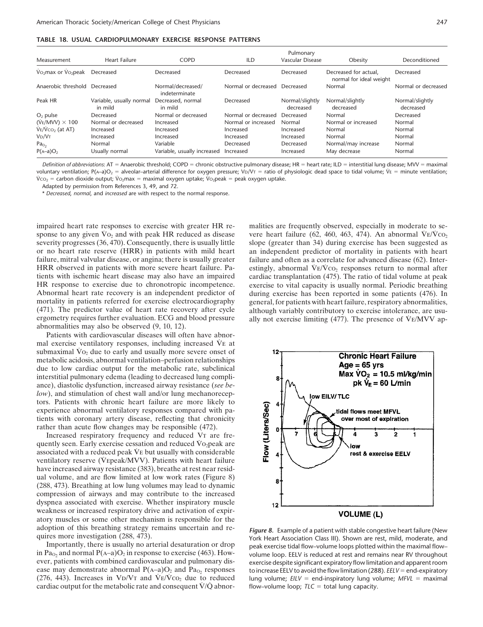**TABLE 18. USUAL CARDIOPULMONARY EXERCISE RESPONSE PATTERNS**

|                                                           |                                     |                                    |                     | Pulmonary                    |                                                  |                              |
|-----------------------------------------------------------|-------------------------------------|------------------------------------|---------------------|------------------------------|--------------------------------------------------|------------------------------|
| Measurement                                               | Heart Failure                       | <b>COPD</b>                        | ILD                 | Vascular Disease             | Obesity                                          | Deconditioned                |
| $\dot{V}$ <sub>2</sub> max or $\dot{V}$ <sub>2</sub> peak | Decreased                           | Decreased                          | Decreased           | Decreased                    | Decreased for actual.<br>normal for ideal weight | Decreased                    |
| Anaerobic threshold Decreased                             |                                     | Normal/decreased/<br>indeterminate | Normal or decreased | Decreased                    | Normal                                           | Normal or decreased          |
| Peak HR                                                   | Variable, usually normal<br>in mild | Decreased, normal<br>in mild       | Decreased           | Normal/slightly<br>decreased | Normal/slightly<br>decreased                     | Normal/slightly<br>decreased |
| $O2$ pulse                                                | Decreased                           | Normal or decreased                | Normal or decreased | Decreased                    | Normal                                           | Decreased                    |
| $(V_E/MVV) \times 100$                                    | Normal or decreased                 | Increased                          | Normal or increased | Normal                       | Normal or increased                              | Normal                       |
| $V_{E}/V_{CO2}$ (at AT)                                   | Increased                           | Increased                          | Increased           | Increased                    | Normal                                           | Normal                       |
| $V_D/V_T$                                                 | Increased                           | Increased                          | Increased           | Increased                    | Normal                                           | Normal                       |
| Pa <sub>0</sub>                                           | Normal                              | Variable                           | Decreased           | Decreased                    | Normal/may increase                              | Normal                       |
| $P(A-a)O2$                                                | Usually normal                      | Variable, usually increased        | Increased           | Increased                    | May decrease                                     | Normal                       |

*Definition of abbreviations*: AT = Anaerobic threshold; COPD = chronic obstructive pulmonary disease; HR = heart rate; ILD = interstitial lung disease; MVV = maximal voluntary ventilation; P( $A$ –a)O<sub>2</sub> = alveolar–arterial difference for oxygen pressure; V<sub>D</sub>/V<sub>T</sub> = ratio of physiologic dead space to tidal volume; VE = minute ventilation;  $\dot{V}$ co<sub>2</sub> = carbon dioxide output;  $\dot{V}$ o<sub>2</sub>max = maximal oxygen uptake;  $\dot{V}$ o<sub>2</sub>peak = peak oxygen uptake.

Adapted by permission from References 3, 49, and 72.

\* *Decreased*, *normal*, and *increased* are with respect to the normal response.

sponse to any given  $\overline{V_{O_2}}$  and with peak HR reduced as disease vere heart failure (62, 460, 463, 474). An abnormal  $\overline{V_{E}/V_{CO_2}}$ severity progresses (36,470). Consequently, there is usually little slope (greater than 34) during exercise has been suggested as or no heart rate reserve (HRR) in patients with mild heart an independent predictor of mortality in patients with heart failure, mitral valvular disease, or angina; there is usually greater failure and often as a correlate for advanced disease (62). Inter-HRR observed in patients with more severe heart failure. Pa-<br>tients with ischemic heart disease may also have an impaired cardiac transplantation (475). The ratio of tidal volume at peak tients with ischemic heart disease may also have an impaired cardiac transplantation (475). The ratio of tidal volume at peak<br>HR response to exercise due to chronotropic incompetence. exercise to vital capacity is usually Abnormal heart rate recovery is an independent predictor of during exercise has been reported in some patients (476). In mortality in patients referred for exercise electrocardiography general, for patients with heart failure, respiratory abnormalities, (471). The predictor value of heart rate recovery after cycle although variably contributory to exercise intolerance, are usu-<br>ergometry requires further evaluation. ECG and blood pressure ally not exercise limiting (477) abnormalities may also be observed (9, 10, 12).

Patients with cardiovascular diseases will often have abnormal exercise ventilatory responses, including increased VE at submaximal  $\dot{V}$ <sub>2</sub> due to early and usually more severe onset of metabolic acidosis, abnormal ventilation–perfusion relationships due to low cardiac output for the metabolic rate, subclinical interstitial pulmonary edema (leading to decreased lung compliance), diastolic dysfunction, increased airway resistance (*see below*), and stimulation of chest wall and/or lung mechanoreceptors. Patients with chronic heart failure are more likely to experience abnormal ventilatory responses compared with patients with coronary artery disease, reflecting that chronicity rather than acute flow changes may be responsible (472).

Increased respiratory frequency and reduced VT are frequently seen. Early exercise cessation and reduced  $\dot{V}$ <sub>2</sub> peak are associated with a reduced peak  $\dot{V}$  but usually with considerable ventilatory reserve (VEpeak/MVV). Patients with heart failure have increased airway resistance (383), breathe at rest near residual volume, and are flow limited at low work rates (Figure 8) (288, 473). Breathing at low lung volumes may lead to dynamic compression of airways and may contribute to the increased dyspnea associated with exercise. Whether inspiratory muscle weakness or increased respiratory drive and activation of expiratory muscles or some other mechanism is responsible for the

in Pa<sub>O2</sub> and normal P( $A$ –a)O<sub>2</sub> in response to exercise (463). How-<br>ever, patients with combined cardiovascular and pulmonary dis-<br>exercise despite significant expiratory flow limitation and particle views of the server ever, patients with combined cardiovascular and pulmonary dis-<br>ease may demonstrate abnormal  $P(A-a)O_2$  and  $Pa_0$ , responses to increase EELV to avoid the flow limitation (288). *EELV* = end-expiratory ease may demonstrate abnormal  $P(A-a)O_2$  and  $Pa_{O_2}$  responses to increase EELV to avoid the flow limitation (288). *EELV* = end-expiratory (276, 443). Increases in V<sub>D</sub>/V<sub>T</sub> and V<sub>E</sub>/V<sub>CO<sub>2</sub> due to reduced lung volume; *</sub>* cardiac output for the metabolic rate and consequent  $\dot{V}/\dot{Q}$  abnor-<br>
flow–volume loop;  $\mathcal{I}L\mathcal{C} = \text{total lung capacity}$ .

impaired heart rate responses to exercise with greater HR re- malities are frequently observed, especially in moderate to seexercise to vital capacity is usually normal. Periodic breathing ally not exercise limiting (477). The presence of  $V_{E}/MVV$  ap-



adoption of this breathing strategy remains uncertain and re-<br>quires more investigation (288, 473).<br>Importantly, there is usually no arterial desaturation or drop<br>in Pa<sub>O</sub>, and normal P( $A$ -a) $O_2$  in response to exercise lung volume; *EILV* = end-inspiratory lung volume; *MFVL* = maximal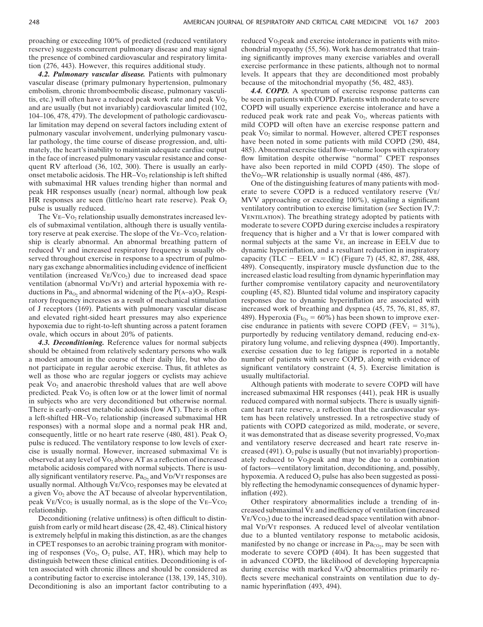proaching or exceeding 100% of predicted (reduced ventilatory reduced Vo<sub>2</sub>peak and exercise intolerance in patients with mito-

vascular disease (primary pulmonary hypertension, pulmonary because of the mitochondrial myopathy (56, 482, 483). embolism, chronic thromboembolic disease, pulmonary vasculi-**4.4. COPD.** A spectrum of exercise response patterns can tis, etc.) will often have a reduced peak work rate and peak  $V_0$  be seen in patients with COPD. Patients with moderate to severe and are usually (but not invariably) cardiovascular limited (102, COPD will usually experience exercise intolerance and have a 104–106, 478, 479). The development of pathologic cardiovascu-<br>reduced peak work rate and peak Vo<sub>2</sub>, whereas patients with lar limitation may depend on several factors including extent of mild COPD will often have an exercise response pattern and pulmonary vascular involvement, underlying pulmonary vascu- peak  $\rm\acute{v}o_2$  similar to normal. However, altered CPET responses lar pathology, the time course of disease progression, and, ulti- have been noted in some patients with mild COPD (290, 484, mately, the heart's inability to maintain adequate cardiac output 485). Abnormal exercise tidal flow–volume loops with expiratory in the face of increased pulmonary vascular resistance and conse- flow limitation despite otherwise "normal" CPET responses quent RV afterload (36, 102, 300). There is usually an early- have also been reported in mild COPD (450). The slope of onset metabolic acidosis. The HR–V $o_2$  relationship is left shifted theV $o_2$ –WR relationship is usually normal (486, 487). with submaximal HR values trending higher than normal and One of the distinguishing features of many patients with modpeak HR responses usually (near) normal, although low peak erate to severe COPD is a reduced ventilatory reserve ( $V_{E}$ ) HR responses are seen (little/no heart rate reserve). Peak  $O<sub>2</sub>$  MVV approaching or exceeding 100%), signaling a significant

els of submaximal ventilation, although there is usually ventila- moderate to severe COPD during exercise includes a respiratory tory reserve at peak exercise. The slope of the  $V_{E}-V_{CO}$  relation-frequency that is higher and a V<sub>T</sub> that is lower compared with ship is clearly abnormal. An abnormal breathing pattern of normal subjects at the same  $V_{E}$ , an increase in EELV due to reduced Vt and increased respiratory frequency is usually ob- dynamic hyperinflation, and a resultant reduction in inspiratory served throughout exercise in response to a spectrum of pulmo-<br>capacity (TLC  $-$  EELV = IC) (Figure 7) (45, 82, 87, 288, 488, nary gas exchange abnormalities including evidence of inefficient 489). Consequently, inspiratory muscle dysfunction due to the ventilation (increased  $V_{E}/V_{CO_2}$ ) due to increased dead space increased elastic load resulting from dynamic hyperinflation may ventilation (abnormal  $V<sub>D</sub>/V<sub>T</sub>$ ) and arterial hypoxemia with re- further compromise ventilatory capacity and neuroventilatory ductions in Pa<sub>O2</sub> and abnormal widening of the P( $A$ -a)O<sub>2</sub>. Respi-<br>ratory frequency increases as a result of mechanical stimulation responses due to dynamic hyperinflation are associated with of J receptors (169). Patients with pulmonary vascular disease increased work of breathing and dyspnea (45, 75, 76, 81, 85, 87, and elevated right-sided heart pressures may also experience 489). Hyperoxia ( $F_{102} = 60\%$ ) has been shown to improve exer-<br>hypoxemia due to right-to-left shunting across a patent foramen cise endurance in patients with ovale, which occurs in about 20% of patients. purportedly by reducing ventilatory demand, reducing end-ex-

should be obtained from relatively sedentary persons who walk exercise cessation due to leg fatigue is reported in a notable a modest amount in the course of their daily life, but who do number of patients with severe COPD, along with evidence of not participate in regular aerobic exercise. Thus, fit athletes as significant ventilatory constraint (4, 5). Exercise limitation is well as those who are regular joggers or cyclists may achieve usually multifactorial. peak V<sub>0</sub>, and anaerobic threshold values that are well above Although patients with moderate to severe COPD will have predicted. Peak  $\dot{V}$ o<sub>2</sub> is often low or at the lower limit of normal increased submaximal HR responses (441), peak HR is usually in subjects who are very deconditioned but otherwise normal. reduced compared with normal subjects. There is usually signifi-There is early-onset metabolic acidosis (low AT). There is often cant heart rate reserve, a reflection that the cardiovascular sysa left-shifted HR–V $o_2$  relationship (increased submaximal HR  $\qquad$  tem has been relatively unstressed. In a retrospective study of responses) with a normal slope and a normal peak HR and, patients with COPD categorized as mild, moderate, or severe, consequently, little or no heart rate reserve (480, 481). Peak  $O_2$  it was demonstrated that as disease severity progressed, V $o_2$ max pulse is reduced. The ventilatory response to low levels of exer- and ventilatory reserve decreased and heart rate reserve incise is usually normal. However, increased submaximal VE is creased (491). O<sub>2</sub> pulse is usually (but not invariably) proportionobserved at any level of  $\rm\acute{V}o_2$  above AT as a reflection of increased ately reduced to  $\rm\acute{V}o_2$  peak and may be due to a combination metabolic acidosis compared with normal subjects. There is usu- of factors—ventilatory limitation, deconditioning, and, possibly, ally significant ventilatory reserve. Pa<sub>O2</sub> and VD/VT responses are hypoxemia. A reduced O<sub>2</sub> pulse has also been suggested as possi-<br>usually normal. Although VE/Vco<sub>2</sub> responses may be elevated at bly reflecting the hem usually normal. Although  $\dot{V}E/\dot{V}CO<sub>2</sub>$  responses may be elevated at a given  $\overline{V}o_2$  above the AT because of alveolar hyperventilation, inflation (492). peak V $E/V$ co<sub>2</sub> is usually normal, as is the slope of the V $E-V$ co<sub>2</sub> Other respiratory abnormalities include a trending of in-

in CPET responses to an aerobic training program with monitor-<br>ing of responses ( $\rm Vo_2$ ,  $\rm O_2$  pulse, AT, HR), which may help to Deconditioning is also an important factor contributing to a namic hyperinflation (493, 494).

reserve) suggests concurrent pulmonary disease and may signal chondrial myopathy (55, 56). Work has demonstrated that trainthe presence of combined cardiovascular and respiratory limita- ing significantly improves many exercise variables and overall tion (276, 443). However, this requires additional study. exercise performance in these patients, although not to normal *4.2. Pulmonary vascular disease.* Patients with pulmonary levels. It appears that they are deconditioned most probably

pulse is usually reduced. ventilatory contribution to exercise limitation (*see* Section IV,7: The V $E-V_0$  relationship usually demonstrates increased lev-<br>VENTILATION). The breathing strategy adopted by patients with responses due to dynamic hyperinflation are associated with cise endurance in patients with severe COPD (FEV<sub>1</sub> = 31%), *4.3. Deconditioning.* Reference values for normal subjects piratory lung volume, and relieving dyspnea (490). Importantly,

relationship. creased submaximal V<sup>E</sup> and inefficiency of ventilation (increased Deconditioning (relative unfitness) is often difficult to distin- $V_{E}/V_{CO_2}$ ) due to the increased dead space ventilation with abnorguish from early or mild heart disease (28, 42, 48). Clinical history mal VD/VT responses. A reduced level of alveolar ventilation is extremely helpful in making this distinction, as are the changes due to a blunted ventilatory response to metabolic acidosis, manifested by no change or increase in  $Pa<sub>CO</sub>$ , may be seen with moderate to severe COPD (404). It has been suggested that distinguish between these clinical entities. Deconditioning is of- in advanced COPD, the likelihood of developing hypercapnia ten associated with chronic illness and should be considered as during exercise with marked V<sup>A</sup>/Q abnormalities primarily rea contributing factor to exercise intolerance (138, 139, 145, 310). flects severe mechanical constraints on ventilation due to dy-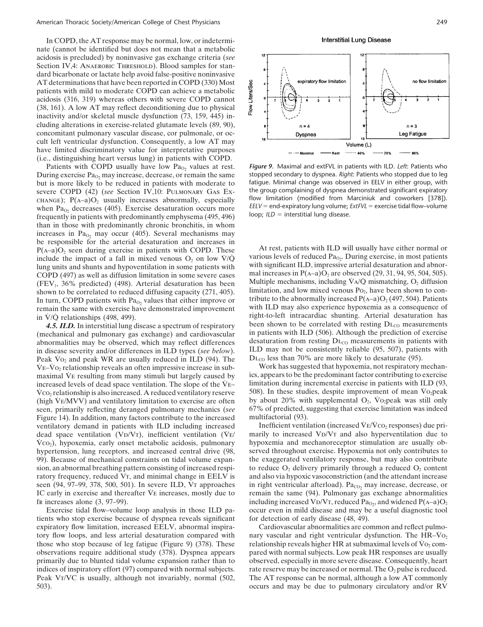In COPD, the AT response may be normal, low, or indeterminate (cannot be identified but does not mean that a metabolic acidosis is precluded) by noninvasive gas exchange criteria (*see* Section IV, 4: ANAEROBIC THRESHOLD). Blood samples for standard bicarbonate or lactate help avoid false-positive noninvasive AT determinations that have been reported in COPD (330) Most patients with mild to moderate COPD can achieve a metabolic acidosis (316, 319) whereas others with severe COPD cannot (38, 161). A low AT may reflect deconditioning due to physical inactivity and/or skeletal muscle dysfunction (73, 159, 445) including alterations in exercise-related glutamate levels (89, 90), concomitant pulmonary vascular disease, cor pulmonale, or occult left ventricular dysfunction. Consequently, a low AT may have limited discriminatory value for interpretative purposes (i.e., distinguishing heart versus lung) in patients with COPD.

During exercise Pa<sub>O2</sub> may increase, decrease, or remain the same stopped secondary to dyspnea. *Right*: Patients who stopped due to leg 2 may increase, decrease, or remain the same stopped and remain the same in EELV in e but is more likely to be reduced in patients with moderate to fatigue. Minimal change was observed in EELV in either group, with severe COPD (42) (see Section IV.10: PULMONARY GAS Ex. the group complaining of dyspnea demon severe COPD (42) (*see* Section IV,10: PULMONARY GAS Ex-<br>CHANGE): P(A-3)O, usually increases abnormally especially flow limitation (modified from Marciniuk and coworkers [378]).  $F(A-a)O_2$  usually increases abnormally, especially flow limitation (modified from Marciniuk and coworkers [378]).<br>when Pa<sub>n d</sub>ecreases (405) Exercise desaturation occurs more  $ELV =$  end-expiratory lung volume; ExtFVL = exe when Pa<sub>02</sub> decreases (405). Exercise desaturation occurs more<br>frequently in patients with predominantly emphysema (495, 496) loop;  $lLD =$  interstitial lung disease. than in those with predominantly chronic bronchitis, in whom increases in Pa<sub>O2</sub> may occur (405). Several mechanisms may be responsible for the arterial desaturation and increases in be responsible for the arterial desaturation and increases in<br>  $P(A-a)O_2$  seen during exercise in patients with COPD. These<br>
include the impact of a fall in mixed venous  $O_2$  on low  $V/Q$ <br>
various levels of reduced  $Pa_{O_2}$ lung units and shunts and hypoventilation in some patients with  $\frac{1}{\text{with significant ILD}}$ , impressive arterial desaturation and abnor-<br>COPD (497) as well as diffusion limitation in some severe cases and increases in  $P(A-a)O_2$  are o COPD (497) as well as diffusion limitation in some severe cases mal increases in P(A–a)O<sub>2</sub> are observed (29, 31, 94, 95, 504, 505).<br>(FEV. 36% predicted) (498) Arterial desaturation has been Multiple mechanisms, including

(mechanical and pulmonary gas exchange) and cardiovascular in patients with ILD (506). Although the prediction of exercise abnormalities may be observed, which may reflect differences desaturation from resting  $D_{\text{L}_\text{CO}}$  measurements in patients with in disease severity and/or differences in ILD types (*see below*). ILD may not be consistently reliable (95, 507), patients with Peak V<sub>O</sub>, and peak WR are usually reduced in ILD (94). The D<sub>Lco</sub> less than 70% are more lik Peak Vo<sub>2</sub> and peak WR are usually reduced in ILD (94). The  $D_{L_{CO}}$  less than 70% are more likely to desaturate (95).<br>VE-Vo<sub>2</sub> relationship reveals an often impressive increase in sub-<br>Work has suggested that hypoxemia,  $V_{E}-V_{O}$ , relationship reveals an often impressive increase in submaximal V<sub>E</sub> resulting from many stimuli but largely caused by ics, appears to be the predominant factor contributing to exercise increased levels of dead space ventilation. The slope of the  $V_{E-}$  limitation during incremental exercise in patients with ILD (93, V $\cos$  relationship is also increased. A reduced ventilatory reserve  $\qquad$  508). In these studies, despite improvement of mean V $\alpha$ <sub>2</sub> peak (high V $E/MVV$ ) and ventilatory limitation to exercise are often by about 20% with supplemental  $O_2$ , V $O_2$ peak was still only seen, primarily reflecting deranged pulmonary mechanics (see 67% of predicted, suggesting that seen, primarily reflecting deranged pulmonary mechanics (see Figure 14). In addition, many factors contribute to the increased multifactorial (93). ventilatory demand in patients with ILD including increased Inefficient ventilation (increased  $V_{E}/V_{CO_2}$  responses) due pridead space ventilation (VD/V<sub>T</sub>), inefficient ventilation (V<sub>E</sub>/ marily to increased VD/V<sub>T</sub> and also hyperventilation due to  $V_{\text{CO}_2}$ ), hypoxemia, early onset metabolic acidosis, pulmonary hypoxemia and mechanoreceptor stimulation are usually ob-<br>hyportension, lung receptors, and increased central drive (98, served throughout exercise. Hypox hypertension, lung receptors, and increased central drive  $(98, 98)$ 99). Because of mechanical constraints on tidal volume expan- the exaggerated ventilatory response, but may also contribute sion, an abnormal breathing pattern consisting of increased respi- to reduce  $O_2$  delivery primarily through a reduced  $O_2$  content ratory frequency, reduced VT, and minimal change in EELV is and also via hypoxic vasoconstriction (and the attendant increase seen (94, 97–99, 378, 500, 501). In severe ILD, Vr approaches in right ventricular afterload). Pa<sub>cO2</sub> may increase, decrease, or<br>IC early in exercise and thereafter VE increases, mostly due to remain the same (94). Pulmo

tients who stop exercise because of dyspnea reveals significant for detection of early disease (48, 49). expiratory flow limitation, increased EELV, abnormal inspira- Cardiovascular abnormalities are common and reflect pulmotory flow loops, and less arterial desaturation compared with nary vascular and right ventricular dysfunction. The  $HR-Vo<sub>2</sub>$ those who stop because of leg fatigue (Figure 9) (378). These relationship reveals higher HR at submaximal levels of  $\rm V_{O_2}$  comobservations require additional study (378). Dyspnea appears pared with normal subjects. Low peak HR responses are usually primarily due to blunted tidal volume expansion rather than to observed, especially in more severe disease. Consequently, heart indices of inspiratory effort (97) compared with normal subjects. rate reserve may be increased or normal. The  $O_2$  pulse is reduced. Peak V<sub>T</sub>/VC is usually, although not invariably, normal (502, The AT response can be normal, although a low AT commonly 503). occurs and may be due to pulmonary circulatory and/or RV



Patients with COPD usually have low Pa<sub>O<sub>2</sub> values at rest. Figure 9. Maximal and extFVL in patients with ILD. *Left*: Patients who *figure 9.* Maximal and extFVL in patients with ILD. *Left*: Patients who estroped due to </sub>

(FEV<sub>1</sub>, 36% predicted) (498). Arterial desaturation has been<br>shown to be correlated to reduced diffusing capacity (271, 405).<br>In turn, COPD patients with Pa<sub>O2</sub> values that either improve or<br>remain the same with exercise *in V*/Q relationships (498, 499).<br>4.5. ILD. In interstitial lung disease a spectrum of respiratory been shown to be correlated with resting DL<sub>CO</sub> measurements

remain the same (94). Pulmonary gas exchange abnormalities fr increases alone (3, 97–99). including increased VD/V<sub>T</sub>, reduced Pa<sub>O2</sub>, and widened P(A–a)O<sub>2</sub> Exercise tidal flow–volume loop analysis in those ILD pa- occur even in mild disease and may be a useful diagnostic tool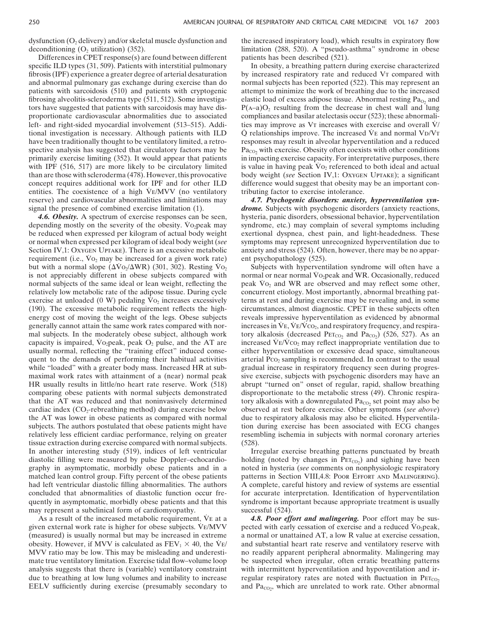Differences in CPET response(s) are found between different patients has been described (521). specific ILD types (31, 509). Patients with interstitial pulmonary In obesity, a breathing pattern during exercise characterized fibrosis (IPF) experience a greater degree of arterial desaturation by increased respiratory rate and reduced V<sub>T</sub> compared with and abnormal pulmonary gas exchange during exercise than do normal subjects has been reported (522). This may represent an patients with sarcoidosis (510) and patients with cryptogenic attempt to minimize the work of breathing due to the increased fibrosing alveolitis-scleroderma type (511, 512). Some investiga-<br>tors have suggested that patients with sarcoidosis may have dis-<br> $P(A-A)O_2$  resulting from the decrease in chest wall and lung proportionate cardiovascular abnormalities due to associated compliances and basilar atelectasis occur (523); these abnormalileft- and right-sided myocardial involvement (513–515). Addi-<br>ties may improve as V<sub>T</sub> increases with exercise and overall V<sup>/</sup> tional investigation is necessary. Although patients with ILD  $\dot{Q}$  relationships improve. The increased V $\dot{\gamma}$  and normal VD/V $\dot{\gamma}$ have been traditionally thought to be ventilatory limited, a retro- responses may result in alveolar hyperventilation and a reduced spective analysis has suggested that circulatory factors may be  $P_{a_{CO_2}}$  with exercise. Obesity often coexists with other conditions primarily exercise limiting (352). It would appear that patients in impacting exercise with IPF (516, 517) are more likely to be circulatory limited is value in having peak  $V_0$  referenced to both ideal and actual than are those with scleroderma (478). However, this provocative body weight (*see* Section IV,1: Oxygen Uptake); a significant concept requires additional work for IPF and for other ILD difference would suggest that obesity may be an important conentities. The coexistence of a high  $V_{E}/MVV$  (no ventilatory tributing factor to exercise intolerance. reserve) and cardiovascular abnormalities and limitations may *4.7. Psychogenic disorders: anxiety, hyperventilation syn*signal the presence of combined exercise limitation (1). *drome.* Subjects with psychogenic disorders (anxiety reactions,

depending mostly on the severity of the obesity. V $o_2$  peak may syndrome, etc.) may complain of several symptoms including be reduced when expressed per kilogram of actual body weight exertional dyspnea, chest pain, and light-headedness. These or normal when expressed per kilogram of ideal body weight (*see* symptoms may represent unrecognized hyperventilation due to Section IV,1: Oxygen Uptake). There is an excessive metabolic anxiety and stress (524). Often, however, there may be no apparrequirement (i.e.,  $\dot{V}$  o<sub>2</sub> may be increased for a given work rate) ent psychopathology (525). but with a normal slope ( $\Delta \text{Vo}_2/\Delta \text{WR}$ ) (301, 302). Resting  $\text{Vo}_2$  Subjects with hyperventilation syndrome will often have a is not appreciably different in obese subjects compared with normal or near normal  $\dot{V}o_2$  peak and WR. Occasionally, reduced normal subjects of the same ideal or lean weight, reflecting the peak  $\overline{V}$  peak  $\overline{V}$  o<sub>2</sub> and WR are observed and may reflect some other, relatively low metabolic rate of the adipose tissue. During cycle concurrent etiology. Most importantly, abnormal breathing patexercise at unloaded (0 W) pedaling  $\dot{V}o_2$  increases excessively terns at rest and during exercise may be revealing and, in some (190). The excessive metabolic requirement reflects the high-circumstances, almost diagn energy cost of moving the weight of the legs. Obese subjects reveals impressive hyperventilation as evidenced by abnormal generally cannot attain the same work rates compared with nor- increases in  $V_E$ ,  $V_E/V_{CO_2}$ , and respiratory frequency, and respiramal subjects. In the moderately obese subject, although work tory alkalosis (decreased  $\text{Per}_{\text{CO}_2}$  and  $\text{Pa}_{\text{CO}_2}$ ) (526, 527). As an capacity is impaired, Vo<sub>2</sub> peak, peak O<sub>2</sub> pulse, and the AT are increased VE/VC usually normal, reflecting the "training effect" induced conse- either hyperventilation or excessive dead space, simultaneous quent to the demands of performing their habitual activities arterial Pco<sub>2</sub> sampling is recommended. In contrast to the usual while "loaded" with a greater body mass. Increased HR at sub-<br>gradual increase in respiratory frequency seen during progresmaximal work rates with attainment of a (near) normal peak sive exercise, subjects with psychogenic disorders may have an HR usually results in little/no heart rate reserve. Work (518) abrupt "turned on" onset of regular, rapid, shallow breathing comparing obese patients with normal subjects demonstrated disproportionate to the metabolic stress (49). Chronic respirathat the AT was reduced and that noninvasively determined tory alkalosis with a downregulated  $Pa_{CO_2}$  set point may also be cardiac index (CO<sub>2</sub>-rebreathing method) during exercise below observed at rest before exercise. the AT was lower in obese patients as compared with normal due to respiratory alkalosis may also be elicited. Hyperventilasubjects. The authors postulated that obese patients might have tion during exercise has been associated with ECG changes relatively less efficient cardiac performance, relying on greater resembling ischemia in subjects with normal coronary arteries tissue extraction during exercise compared with normal subjects. (528). In another interesting study (519), indices of left ventricular Irregular exercise breathing patterns punctuated by breath diastolic filling were measured by pulse Doppler–echocardio-graphy in asymptomatic, morbidly obese patients and in a matched lean control group. Fifty percent of the obese patients patterns in Section VIII,4.8: Poor EFFORT AND MALINGERING). had left ventricular diastolic filling abnormalities. The authors A complete, careful history and review of systems are essential concluded that abnormalities of diastolic function occur fre- for accurate interpretation. Identification of hyperventilation quently in asymptomatic, morbidly obese patients and that this syndrome is important because appropriate treatment is usually may represent a subclinical form of cardiomyopathy. successful (524).

given external work rate is higher for obese subjects. V $E/MVV$  pected with early cessation of exercise and a reduced V $o_2$ peak, (measured) is usually normal but may be increased in extreme a normal or unattained AT, a low R value at exercise cessation, obesity. However, if MVV is calculated as  $FEV_1 \times 40$ , the VE/ and substantial heart rate reserve and ventilatory reserve with MVV ratio may be low. This may be misleading and underesti- no readily apparent peripheral abnormality. Malingering may mate true ventilatory limitation. Exercise tidal flow–volume loop be suspected when irregular, often erratic breathing patterns analysis suggests that there is (variable) ventilatory constraint with intermittent hyperventilation and hypoventilation and irdue to breathing at low lung volumes and inability to increase regular respiratory rates are noted with fluctuation in  $P_{ETCO_2}$ <br>EELV sufficiently during exercise (presumably secondary to and  $Pa_{CO_2}$ , which are unrelated

deconditioning (O<sub>2</sub> utilization) (352). limitation (288, 520). A "pseudo-asthma" syndrome in obese

 $P(A-a)O_2$  resulting from the decrease in chest wall and lung in impacting exercise capacity. For interpretative purposes, there

*4.6. Obesity.* A spectrum of exercise responses can be seen, hysteria, panic disorders, obsessional behavior, hyperventilation

circumstances, almost diagnostic. CPET in these subjects often increased  $\dot{V} E / \dot{V} C_2$  may reflect inappropriate ventilation due to observed at rest before exercise. Other symptoms (*see above*)

holding (noted by changes in  $PET_{CO<sub>2</sub>}$ ) and sighing have been noted in hysteria (*see* comments on nonphysiologic respiratory

As a result of the increased metabolic requirement, V<sub>E</sub> at a **4.8. Poor effort and malingering.** Poor effort may be susand  $Pa<sub>CO</sub>$ , which are unrelated to work rate. Other abnormal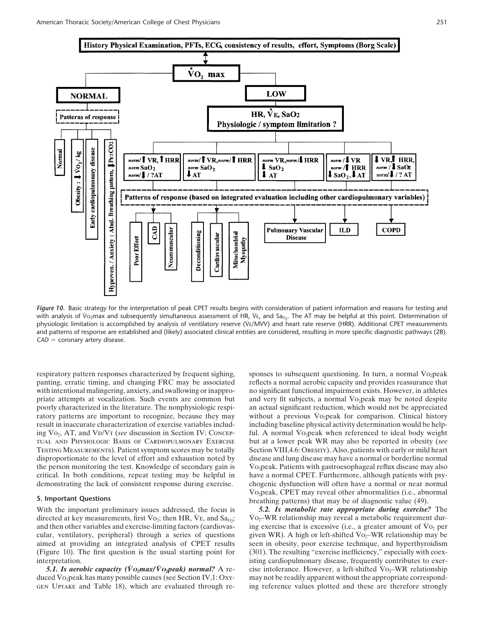

*Figure 10.* Basic strategy for the interpretation of peak CPET results begins with consideration of patient information and reasons for testing and with analysis of Vo<sub>2</sub>max and subsequently simultaneous assessment of HR, VE, and Sa<sub>02</sub>. The AT may be helpful at this point. Determination of physiologic limitation is accomplished by analysis of ventilatory reserve (VE/MVV) and heart rate reserve (HRR). Additional CPET measurements and patterns of response are established and (likely) associated clinical entities are considered, resulting in more specific diagnostic pathways (28).  $CAD = \text{coronary artery disease.}$ 

respiratory pattern responses characterized by frequent sighing, sponses to subsequent questioning. In turn, a normal Vo<sub>2</sub>peak

With the important preliminary issues addressed, the focus is and then other variables and exercise-limiting factors (cardiovas- ing exercise that is excessive (i.e., a greater amount of  $V_0$  per cular, ventilatory, peripheral) through a series of questions given WR). A high or left-shifted  $\dot{V}_{O_2}$ -WR relationship may be aimed at providing an integrated analysis of CPET results seen in obesity, poor exercise technique, and hyperthyroidism (Figure 10). The first question is the usual starting point for (301). The resulting "exercise inefficiency," especially with coexinterpretation. interpretation.  $\sim$  isting cardiopulmonary disease, frequently contributes to exer-

panting, erratic timing, and changing FRC may be associated reflects a normal aerobic capacity and provides reassurance that with intentional malingering, anxiety, and swallowing or inappro- no significant functional impairment exists. However, in athletes priate attempts at vocalization. Such events are common but and very fit subjects, a normal  $\dot{V}_{Q}$  peak may be noted despite poorly characterized in the literature. The nonphysiologic respi- an actual significant reduction, which would not be appreciated ratory patterns are important to recognize, because they may without a previous Vo<sub>2</sub>peak for comparison. Clinical history result in inaccurate characterization of exercise variables includ-<br>including baseline physical activity determination would be helping V<sub>O<sub>2</sub>, AT, and V<sub>D</sub>/V<sub>T</sub> (*see* discussion in Section IV: Concep-<br>
TUAL AND PHYSIOLOGIC BASIS OF CARDIOPULMONARY EXERCISE but at a lower peak WR may also be reported in obesity (*see*</sub> but at a lower peak WR may also be reported in obesity (see Testing Measurements). Patient symptom scores may be totally Section VIII,4.6: Obesity). Also, patients with early or mild heart disproportionate to the level of effort and exhaustion noted by disease and lung disease may have a normal or borderline normal the person monitoring the test. Knowledge of secondary gain is  $V_{O_2}$  Deak. Patients with gastroesophageal reflux disease may also critical. In both conditions, repeat testing may be helpful in have a normal CPET. Furthermore, although patients with psydemonstrating the lack of consistent response during exercise. chogenic dysfunction will often have a normal or near normal **5. Important Questions**<br> **5. Important Questions**<br> **5.2. Is metabolic rate appropriate during exercise?** The<br> **15.2. Is metabolic rate appropriate during exercise?** The

directed at key measurements, first  $\dot{V}_{Q_2}$ ; then HR,  $\dot{V}_{E}$ , and  $Sa_{Q_2}$ ;  $\dot{V}_{Q_2}$ -WR relationship may reveal a metabolic requirement dur-**5.1. Is aerobic capacity (Vo<sub>2</sub>max/Vo<sub>2</sub>peak) normal?** A re- cise intolerance. However, a left-shifted Vo<sub>2</sub>–WR relationship duced V $o_2$  peak has many possible causes (see Section IV,1: Oxy- may not be readily apparent without the appropriate correspondgen Uptake and Table 18), which are evaluated through re- ing reference values plotted and these are therefore strongly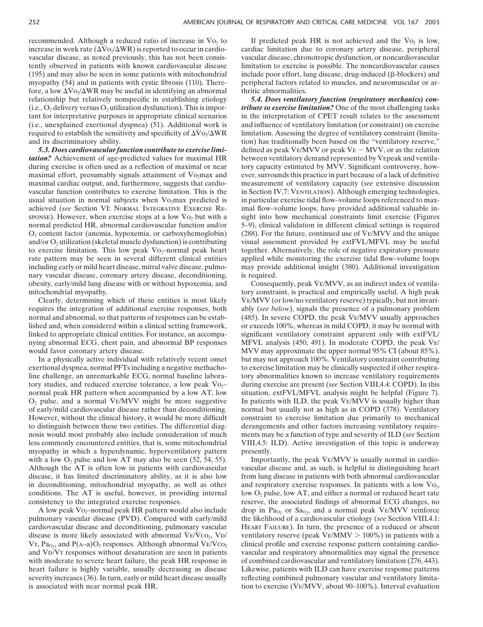recommended. Although a reduced ratio of increase in  $V_0$  to If predicted peak HR is not achieved and the  $V_0$  is low, fore, a low  $\Delta \text{V}o_2/\Delta \text{WR}$  may be useful in identifying an abnormal thritic abnormalities. relationship but relatively nonspecific in establishing etiology *5.4. Does ventilatory function (respiratory mechanics) con-* (i.e.,  $O_2$  delivery versus  $O_2$  utilization dysfunction). This is impor-<br>*tribute to exercise limitation?* One of the most challenging tasks tant for interpretative purposes in appropriate clinical scenarios in the interpretation of CPET result relates to the assessment (i.e., unexplained exertional dyspnea) (51). Additional work is and influence of ventilatory limitation (or constraint) on exercise required to establish the sensitivity and specificity of  $\Delta \text{V}_0/\Delta \text{WR}$  limitation. Assessing the degree of ventilatory constraint (limita-

*tation?* Achievement of age-predicted values for maximal HR between ventilatory demand represented by VE peak and ventiladuring exercise is often used as a reflection of maximal or near tory capacity estimated by MVV. Significant controversy, howmaximal effort, presumably signals attainment of  $V_{Q2}$ max and ever, surrounds this practice in part because of a lack of definitive maximal cardiac output, and, furthermore, suggests that cardio- measurement of ventilatory capacity (*see* extensive discussion vascular function contributes to exercise limitation. This is the in Section IV,7: VENTILATION). Although emerging technologies, usual situation in normal subjects when  $V_{Q}$ max predicted is in particular exercise tidal flow–volume loops referenced to maxachieved (*see* Section VI: Normal Integrative Exercise Re- imal flow–volume loops, have provided additional valuable insponse). However, when exercise stops at a low  $\rm\acute{Vo}_2$  but with a sight into how mechanical constraints limit exercise (Figures normal predicted HR, abnormal cardiovascular function and/or 5–9), clinical validation in different clinical settings is required  $O_2$  content factor (anemia, hypoxemia, or carboxyhemoglobin) (288). For the future, continued use of V $E/MVV$  and the unique and/or  $O<sub>2</sub>$  utilization (skeletal muscle dysfunction) is contributing visual assessment provided by  $extFVL/MFVL$  may be useful to exercise limitation. This low peak  $\overline{V}_{0}$ –normal peak heart together. Alternatively, the role of negative expiratory pressure rate pattern may be seen in several different clinical entities applied while monitoring the exercise tidal flow–volume loops including early or mild heart disease, mitral valve disease, pulmo- may provide additional insight (380). Additional investigation nary vascular disease, coronary artery disease, deconditioning, is required. obesity, early/mild lung disease with or without hypoxemia, and Consequently, peak V˙ e/MVV, as an indirect index of ventilamitochondrial myopathy. tory constraint, is practical and empirically useful. A high peak

requires the integration of additional exercise responses, both ably (*see below*), signals the presence of a pulmonary problem normal and abnormal, so that patterns of responses can be estab- (485). In severe COPD, the peak VE/MVV usually approaches lished and, when considered within a clinical setting framework, or exceeds 100%, whereas in mild COPD, it may be normal with linked to appropriate clinical entities. For instance, an accompa-<br>significant ventilatory constraint apparent only with extFVL/ nying abnormal ECG, chest pain, and abnormal BP responses MFVL analysis (450, 491). In moderate COPD, the peak  $V_E$ would favor coronary artery disease. MVV may approximate the upper normal 95% CI (about 85%),

exertional dyspnea, normal PFTs including a negative methacho- to exercise limitation may be clinically suspected if other respiraline challenge, an unremarkable ECG, normal baseline labora- tory abnormalities known to increase ventilatory requirements tory studies, and reduced exercise tolerance, a low peak V<sub>0</sub>, during exercise are present (*see* Section VIII,4.4: COPD). In this normal peak HR pattern when accompanied by a low AT, low situation, extFVL/MFVL analysis might be helpful (Figure 7).  $O_2$  pulse, and a normal V $E/MVV$  might be more suggestive In patients with ILD, the peak V $E/MVV$  is usually higher than of early/mild cardiovascular disease rather than deconditioning. normal but usually not as high as in COPD (378). Ventilatory However, without the clinical history, it would be more difficult constraint to exercise limitation due primarily to mechanical to distinguish between these two entities. The differential diag- derangements and other factors increasing ventilatory requirenosis would most probably also include consideration of much ments may be a function of type and severity of ILD (*see* Section less commonly encountered entities, that is, some mitochondrial VIII,4.5: ILD). Active investigation of this topic is underway myopathy in which a hyperdynamic, hyperventilatory pattern presently. with a low  $O_2$  pulse and low AT may also be seen (52, 54, 55). Importantly, the peak V $\varepsilon$ /MVV is usually normal in cardio-Although the AT is often low in patients with cardiovascular vascular disease and, as such, is helpful in distinguishing heart disease, it has limited discriminatory ability, as it is also low from lung disease in patients with both abnormal cardiovascular in deconditioning, mitochondrial myopathy, as well as other and respiratory exercise responses. In patients with a low  $\dot{V}$ o<sub>2</sub>, conditions. The AT is useful, however, in providing internal low  $O_2$  pulse, low AT, and either a normal or reduced heart rate

A low peak  $Vo_2$ -normal peak HR pattern would also include pulmonary vascular disease (PVD). Compared with early/mild cardiovascular disease and deconditioning, pulmonary vascular Heart Failure). In turn, the presence of a reduced or absent disease is more likely associated with abnormal  $V_{E}/V_{CO_2}$ , V<sub>D</sub>/ V<sub>T</sub>, Pa<sub>O</sub><sub>2</sub>, and P( $A$ –a)O<sub>2</sub> responses. Although abnormal  $\dot{V}E/\dot{V}CO_2$ and VD/VT responses without desaturation are seen in patients vascular and respiratory abnormalities may signal the presence with moderate to severe heart failure, the peak HR response in of combined cardiovascular and ventilatory limitation (276, 443). heart failure is highly variable, usually decreasing as disease Likewise, patients with ILD can have exercise response patterns severity increases (36). In turn, early or mild heart disease usually reflecting combined pulmonary vascular and ventilatory limitais associated with near normal peak HR. tion to exercise ( $V_E/MVV$ , about 90–100%). Interval evaluation

increase in work rate  $(\Delta V_0/\Delta WR)$  is reported to occur in cardio-cardiac limitation due to coronary artery disease, peripheral vascular disease, as noted previously, this has not been consis- vascular disease, chronotropic dysfunction, or noncardiovascular tently observed in patients with known cardiovascular disease limitation to exercise is possible. The noncardiovascular causes (195) and may also be seen in some patients with mitochondrial include poor effort, lung disease, drug-induced ( $\beta$ -blockers) and myopathy (54) and in patients with cystic fibrosis (110). There- peripheral factors related to muscles, and neuromuscular or ar-

and its discriminatory ability. The same of the traditionally been based on the "ventilatory reserve," **5.3. Does cardiovascular function contribute to exercise limi-** defined as peak V<sub>E</sub>/MVV or peak V<sub>E</sub> – MVV, or as the relation

Clearly, determining which of these entities is most likely VE/MVV (or low/no ventilatory reserve) typically, but not invari-In a physically active individual with relatively recent onset but may not approach 100%. Ventilatory constraint contributing

consistency to the integrated exercise responses. The reserve, the associated findings of abnormal ECG changes, no drop in Pa<sub>0</sub>, or Sa<sub>0</sub>, and a normal peak  $V_{E}/MVV$  reinforce the likelihood of a cardiovascular etiology (*see* Section VIII,4.1: ventilatory reserve (peak  $V_{E}/MMV > 100\%$ ) in patients with a clinical profile and exercise response pattern containing cardio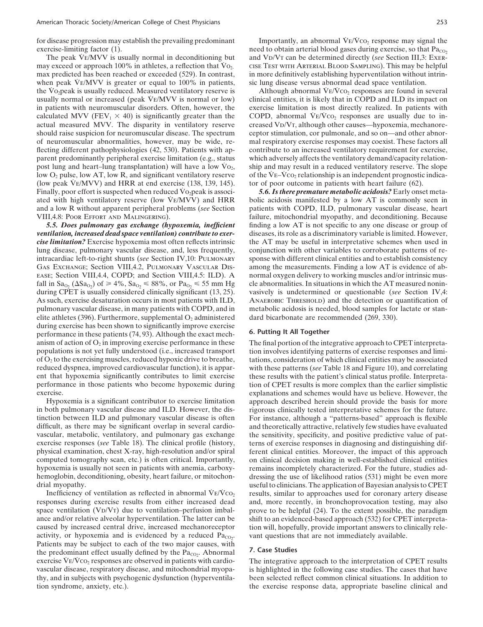for disease progression may establish the prevailing predominant Importantly, an abnormal  $V_{E}/V_{CO}$  response may signal the

The peak VE/MVV is usually normal in deconditioning but when peak VE/MVV is greater or equal to 100% in patients, sic lung disease versus abnormal dead space ventilation. the Vo<sub>2</sub>peak is usually reduced. Measured ventilatory reserve is Although abnormal V $E/VCO<sub>2</sub>$  responses are found in several usually normal or increased (peak VE/MVV is normal or low) clinical entities, it is likely that in COPD and ILD its impact on in patients with neuromuscular disorders. Often, however, the exercise limitation is most directly realized. In patients with calculated MVV (FEV<sub>1</sub>  $\times$  40) is significantly greater than the COPD, abnormal V $\epsilon$ /V $\epsilon$  responses are usually due to in-<br>actual measured MVV. The disparity in ventilatory reserve creased VD/V<sub>T</sub>, although other cause should raise suspicion for neuromuscular disease. The spectrum ceptor stimulation, cor pulmonale, and so on—and other abnorof neuromuscular abnormalities, however, may be wide, re- mal respiratory exercise responses may coexist. These factors all flecting different pathophysiologies (42, 530). Patients with ap- contribute to an increased ventilatory requirement for exercise, parent predominantly peripheral exercise limitation (e.g., status which adversely affects the ventilatory demand/capacity relationpost lung and heart–lung transplantation) will have a low  $\rm\dot{V}o_2$ , ship and may result in a reduced ventilatory reserve. The slope low  $O_2$  pulse, low AT, low R, and significant ventilatory reserve of the V $E-VCO_2$  relationship is an independent prognostic indica-(low peak VE/MVV) and HRR at end exercise (138, 139, 145).  $\qquad$  tor of poor outcome in patients with heart failure (62). Finally, poor effort is suspected when reduced Vo<sub>2</sub>peak is associ-**5.6. Is there premature metabolic acidosis?** Early onset metaated with high ventilatory reserve (low VE/MVV) and HRR bolic acidosis manifested by a low AT is commonly seen in and a low R without apparent peripheral problems (*see* Section patients with COPD, ILD, pulmonary vascular disease, heart

*ventilation, increased dead space ventilation) contribute to exer-* diseases, its role as a discriminatory variable is limited. However, *cise limitation?* Exercise hypoxemia most often reflects intrinsic the AT may be useful in interpretative schemes when used in lung disease, pulmonary vascular disease, and, less frequently, conjunction with other variables to corroborate patterns of reintracardiac left-to-right shunts (*see* Section IV,10: Pulmonary sponse with different clinical entities and to establish consistency Gas Exchange; Section VIII,4.2, Pulmonary Vascular Dis- among the measurements. Finding a low AT is evidence of abease; Section VIII,4.4, COPD; and Section VIII,4.5: ILD). A normal oxygen delivery to working muscles and/or intrinsic musfall in Sa<sub>O<sub>2</sub></sub> ( $\Delta$ Sa<sub>O<sub>2</sub>)</sub> of  $\geq 4\%$ , Sa<sub>O<sub>2</sub>  $\leq$  88%, or Pa<sub>O<sub>2</sub>  $\leq$  55 mm Hg cle abnormalities. In situations in which the AT measured nonin-</sub></sub> during CPET is usually considered clinically significant (13, 25). vasively is undetermined or questionable (*see* Section IV,4: As such, exercise desaturation occurs in most patients with ILD, ANAEROBIC THRESHOLD) and the detection or quantification of pulmonary vascular disease, in many patients with COPD, and in metabolic acidosis is needed, blood samples for lactate or stanelite athletes (396). Furthermore, supplemental  $O_2$  administered dard bicarbonate are recommended (269, 330). during exercise has been shown to significantly improve exercise **6. Putting It All Together** performance in these patients (74, 93). Although the exact mechanism of action of  $O_2$  in improving exercise performance in these The final portion of the integrative approach to CPET interpretapopulations is not yet fully understood (i.e., increased transport tion involves identifying patterns of exercise responses and limiof  $O_2$  to the exercising muscles, reduced hypoxic drive to breathe, tations, consideration of which clinical entities may be associated reduced dyspnea, improved cardiovascular function), it is appar- with these patterns (*see* Table 18 and Figure 10), and correlating ent that hypoxemia significantly contributes to limit exercise these results with the patient's clinical status profile. Interpretaperformance in those patients who become hypoxemic during tion of CPET results is more complex than the earlier simplistic

in both pulmonary vascular disease and ILD. However, the dis- rigorous clinically tested interpretative schemes for the future. tinction between ILD and pulmonary vascular disease is often For instance, although a "patterns-based" approach is flexible difficult, as there may be significant overlap in several cardio- and theoretically attractive, relatively few studies have evaluated vascular, metabolic, ventilatory, and pulmonary gas exchange the sensitivity, specificity, and positive predictive value of patexercise responses (*see* Table 18). The clinical profile (history, terns of exercise responses in diagnosing and distinguishing difphysical examination, chest X-ray, high-resolution and/or spiral ferent clinical entities. Moreover, the impact of this approach computed tomography scan, etc.) is often critical. Importantly, on clinical decision making in well-established clinical entities hypoxemia is usually not seen in patients with anemia, carboxy- remains incompletely characterized. For the future, studies adhemoglobin, deconditioning, obesity, heart failure, or mitochon-<br>dressing the use of likelihood ratios (531) might be even more

responses during exercise results from either increased dead and, more recently, in bronchoprovocation testing, may also space ventilation (VD/V<sub>T</sub>) due to ventilation-perfusion imbal-<br>prove to be helpful (24). To the exte ance and/or relative alveolar hyperventilation. The latter can be shift to an evidenced-based approach (532) for CPET interpretacaused by increased central drive, increased mechanoreceptor tion will, hopefully, provide important answers to clinically releactivity, or hypoxemia and is evidenced by a reduced  $Pa<sub>CO</sub>$ . Patients may be subject to each of the two major causes, with<br>the predominant effect usually defined by the  $Pa_{CO_2}$ . Abnormal 7. Case Studies<br>exercise  $Ve/Vo_2$  responses are observed in patients with cardio-<br>The integrati the predominant effect usually defined by the  $Pa<sub>CO</sub>$ . Abnormal vascular disease, respiratory disease, and mitochondrial myopa- is highlighted in the following case studies. The cases that have thy, and in subjects with psychogenic dysfunction (hyperventila- been selected reflect common clinical situations. In addition to tion syndrome, anxiety, etc.). the exercise response data, appropriate baseline clinical and

exercise-limiting factor (1).<br>The peak VE/MVV is usually normal in deconditioning but and VD/VT can be determined directly (see Section III,3: Exermay exceed or approach 100% in athletes, a reflection that  $V_{\text{O}_2}$  cise Test with Arterial Blood Sampling). This may be helpful max predicted has been reached or exceeded (529). In contrast, in more definitively establishing hyperventilation without intrin-

creased VD/V<sub>T</sub>, although other causes—hypoxemia, mechanore-

VIII,4.8: Poor Effort and Malingering). failure, mitochondrial myopathy, and deconditioning. Because *5.5. Does pulmonary gas exchange (hypoxemia, inefficient* finding a low AT is not specific to any one disease or group of

exercise. explanations and schemes would have us believe. However, the Hypoxemia is a significant contributor to exercise limitation approach described herein should provide the basis for more drial myopathy.<br>Inefficiency of ventilation as reflected in abnormal  $\dot{V}E/\dot{V}CO_2$  results, similar to approaches used for coronary artery disease Inefficiency of ventilation as reflected in abnormal  $\overline{V}E/VCO_2$  results, similar to approaches used for coronary artery disease responses during exercise results from either increased dead and, more recently, in bronch prove to be helpful (24). To the extent possible, the paradigm . vant questions that are not immediately available.

The integrative approach to the interpretation of CPET results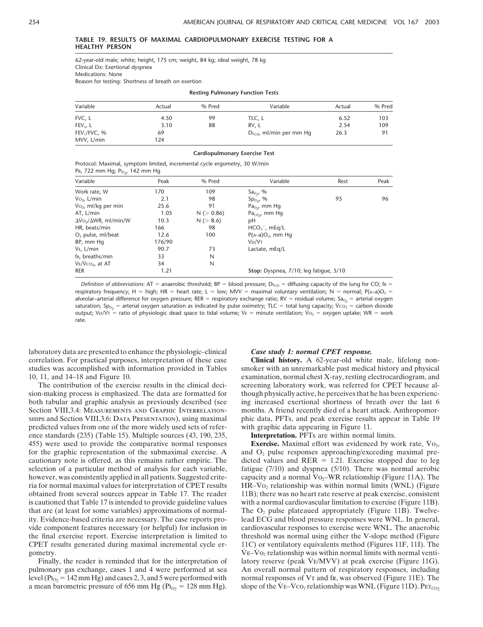### **TABLE 19. RESULTS OF MAXIMAL CARDIOPULMONARY EXERCISE TESTING FOR A HEALTHY PERSON**

62-year-old male; white; height, 175 cm; weight, 84 kg; ideal weight, 78 kg Clinical Dx: Exertional dyspnea Medications: None Reason for testing: Shortness of breath on exertion

|                          | <b>Resting Pulmonary Function Tests</b> |        |                              |        |        |  |  |  |
|--------------------------|-----------------------------------------|--------|------------------------------|--------|--------|--|--|--|
| Variable                 | Actual                                  | % Pred | Variable                     | Actual | % Pred |  |  |  |
| FVC, L                   | 4.50                                    | 99     | TLC, L                       | 6.52   | 103    |  |  |  |
| $FEV1$ , L               | 3.10                                    | 88     | RV.L                         | 2.54   | 109    |  |  |  |
| FEV <sub>1</sub> /FVC, % | 69                                      |        | $D_{LCO}$ , ml/min per mm Hq | 26.3   | 91     |  |  |  |
| MVV, L/min               | 124                                     |        |                              |        |        |  |  |  |

### **Cardiopulmonary Exercise Test**

| Protocol: Maximal, symptom limited, incremental cycle ergometry, 30 W/min |  |  |  |
|---------------------------------------------------------------------------|--|--|--|
| P <sub>B</sub> , 722 mm Hg; P <sub>lo</sub> , 142 mm Hg                   |  |  |  |

| Variable                                              | Peak   | % Pred     | Variable                               | Rest | Peak |
|-------------------------------------------------------|--------|------------|----------------------------------------|------|------|
| Work rate, W                                          | 170    | 109        | $Sa02$ , %                             |      |      |
| $\dot{V}_{O2}$ , L/min                                | 2.1    | 98         | $Sp_{0n}$ %                            | 95   | 96   |
| $\dot{V}_{\text{O}_2}$ , ml/kg per min                | 25.6   | 91         | $Pa02$ , mm Hg                         |      |      |
| AT, L/min                                             | 1.05   | N (> 0.86) | $PaCo$ , mm Hg                         |      |      |
| $\Delta \dot{V}$ <sub>2</sub> / $\Delta$ WR, ml/min/W | 10.3   | N (> 8.6)  | рH                                     |      |      |
| HR, beats/min                                         | 166    | 98         | $HCO3$ , mEg/L                         |      |      |
| $O2$ pulse, ml/beat                                   | 12.6   | 100        | $P(A-a)O2$ , mm Hq                     |      |      |
| BP, mm Hq                                             | 176/90 |            | $V_D/V_T$                              |      |      |
| VE, L/min                                             | 90.7   | 73         | Lactate, mEg/L                         |      |      |
| fr, breaths/min                                       | 33     | N          |                                        |      |      |
| $V_{E}/V_{CO}$ , at AT                                | 34     | N          |                                        |      |      |
| RER                                                   | 1.21   |            | Stop: Dyspnea, 7/10; leg fatique, 5/10 |      |      |

*Definition of abbreviations*: AT = anaerobic threshold; BP = blood pressure; DL<sub>CO</sub> = diffusing capacity of the lung for CO; fR = respiratory frequency; H = high; HR = heart rate; L = low; MVV = maximal voluntary ventilation; N = normal; P(A–a)O<sub>2</sub> = alveolar–arterial difference for oxygen pressure; RER = respiratory exchange ratio; RV = residual volume; Sa<sub>O2</sub> = arterial oxygen saturation; Sp<sub>O2</sub> = arterial oxygen saturation as indicated by pulse oximetry; TLC = total lung capacity; VcO<sub>2</sub> = carbon dioxide output; V<sub>D</sub>/V<sub>T</sub> = ratio of physiologic dead space to tidal volume; V<sub>E</sub> = minute ventilation; V<sub>O2</sub> = oxygen uptake; WR = work rate.

laboratory data are presented to enhance the physiologic–clinical *Case study 1: normal CPET response.* correlation. For practical purposes, interpretation of these case **Clinical history.** A 62-year-old white male, lifelong nonstudies was accomplished with information provided in Tables smoker with an unremarkable past medical history and physical

sion-making process is emphasized. The data are formatted for though physically active, he perceives that he has been experiencboth tabular and graphic analysis as previously described (see ing increased exertional shortness of breath over the last 6 Section VIII,3.4: MEASUREMENTS AND GRAPHIC INTERRELATION- months. A friend recently died of a heart attack. Anthropomorships and Section VIII,3.6: Data Presentation), using maximal phic data, PFTs, and peak exercise results appear in Table 19 predicted values from one of the more widely used sets of refer- with graphic data appearing in Figure 11. ence standards (235) (Table 15). Multiple sources (43, 190, 235, **Interpretation.** PFTs are within normal limits. 455) were used to provide the comparative normal responses **Exercise.** Maximal effort was evidenced by work rate,  $V_{O_2}$ , for the graphic representation of the submaximal exercise. A and  $O_2$  pulse responses approaching/exceeding maximal precautionary note is offered, as this remains rather empiric. The dicted values and RER  $= 1.21$ . Exercise stopped due to leg selection of a particular method of analysis for each variable, fatigue (7/10) and dyspnea (5/10). There was normal aerobic however, was consistently applied in all patients. Suggested crite- capacity and a normal  $\rm\dot{V}o_2\rm\text{-}WR$  relationship (Figure 11A). The ria for normal maximal values for interpretation of CPET results HR–V $o_2$  relationship was within normal limits (WNL) (Figure obtained from several sources appear in Table 17. The reader 11B); there was no heart rate reserve at peak exercise, consistent is cautioned that Table 17 is intended to provide guideline values with a normal cardiovascular limitation to exercise (Figure 11B). that are (at least for some variables) approximations of normal-<br>The  $O_2$  pulse plateaued appropriately (Figure 11B). Twelveity. Evidence-based criteria are necessary. The case reports pro- lead ECG and blood pressure responses were WNL. In general, vide component features necessary (or helpful) for inclusion in cardiovascular responses to exercise were WNL. The anaerobic the final exercise report. Exercise interpretation is limited to threshold was normal using either the V-slope method (Figure CPET results generated during maximal incremental cycle er- 11C) or ventilatory equivalents method (Figures 11F, 11I). The

pulmonary gas exchange, cases 1 and 4 were performed at sea An overall normal pattern of respiratory responses, including level ( $P_{10_2}$  = 142 mm Hg) and cases 2, 3, and 5 were performed with normal responses of VT and fr, was observed (Figure 11E). The a mean barometric pressure of 656 mm Hg ( $P_{10_2}$  = 128 mm Hg). Slope of the VE-VCo<sub>2</sub>

10, 11, and 14–18 and Figure 10. examination, normal chest X-ray, resting electrocardiogram, and<br>The contribution of the exercise results in the clinical deci-<br>screening laboratory work, was referred for CPET because alscreening laboratory work, was referred for CPET because al-

gometry.  $V = V_0$ , relationship was within normal limits with normal venti-Finally, the reader is reminded that for the interpretation of latory reserve (peak V $E/MVV$ ) at peak exercise (Figure 11G). slope of the VE–V $\rm{co}_2$  relationship was WNL (Figure 11D).  $\rm{Per}_{Co_2}$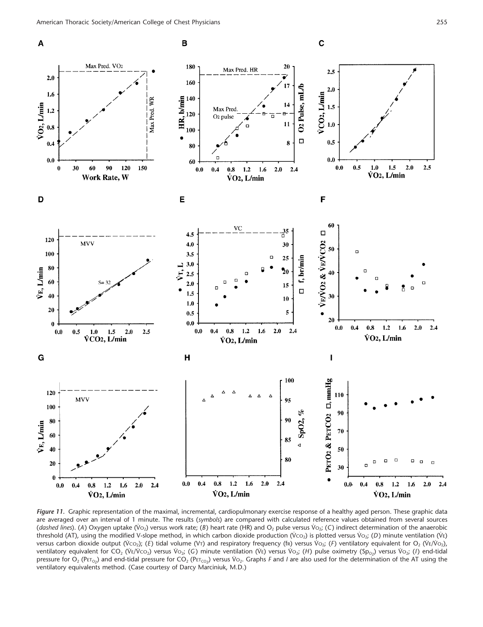$\overline{\mathsf{A}}$ 

2.0

1.6

 $1.2$ 

 $0.8\,$ 

 $0.4$ 

 $0.0$ 

 $\boldsymbol{0}$ 

30

60

VO2, L/min

D





*Figure 11.* Graphic representation of the maximal, incremental, cardiopulmonary exercise response of a healthy aged person. These graphic data are averaged over an interval of 1 minute. The results (*symbols*) are compared with calculated reference values obtained from several sources (*dashed lines*). (A) Oxygen uptake (V<sub>O2</sub>) versus work rate; (B) heart rate (HR) and O<sub>2</sub> pulse versus V<sub>O2</sub>; (C) indirect determination of the anaerobic threshold (AT), using the modified V-slope method, in which carbon dioxide production (Vc<sub>O2</sub>) is plotted versus V<sub>O2</sub>; (D) minute ventilation (VE) versus carbon dioxide output (Vco<sub>2</sub>); (E) tidal volume (V<sub>T</sub>) and respiratory frequency (fr.) versus Vo<sub>2</sub>; (F) ventilatory equivalent for O<sub>2</sub> (VE/Vo<sub>2</sub>), ventilatory equivalent for CO<sub>2</sub> (VE/VcO<sub>2</sub>) versus VO<sub>2</sub>; (G) minute ventilation (VE) versus VO<sub>2</sub>; (*H*) pulse oximetry (Sp<sub>O2</sub>) versus VO<sub>2</sub>; (*I*) end-tidal pressure for O<sub>2</sub> (PET<sub>O2</sub>) and end-tidal pressure for CO<sub>2</sub> (PET<sub>CO2</sub>) versus V<sub>O2</sub>. Graphs *F* and *I* are also used for the determination of the AT using the ventilatory equivalents method. (Case courtesy of Darcy Marciniuk, M.D.)

2.5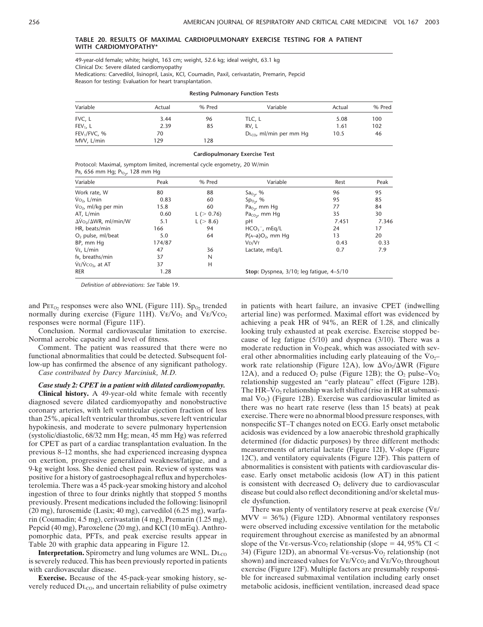## **TABLE 20. RESULTS OF MAXIMAL CARDIOPULMONARY EXERCISE TESTING FOR A PATIENT WITH CARDIOMYOPATHY**\*

49-year-old female; white; height, 163 cm; weight, 52.6 kg; ideal weight, 63.1 kg Clinical Dx: Severe dilated cardiomyopathy Medications: Carvedilol, lisinopril, Lasix, KCl, Coumadin, Paxil, cerivastatin, Premarin, Pepcid Reason for testing: Evaluation for heart transplantation.

| Variable                 | Actual | % Pred | Variable                        | Actual | % Pred |  |  |
|--------------------------|--------|--------|---------------------------------|--------|--------|--|--|
| FVC, L                   | 3.44   | 96     | TLC, L                          | 5.08   | 100    |  |  |
| $FEV_1$ , L              | 2.39   | 85     | RV.L                            | 1.61   | 102    |  |  |
| FEV <sub>1</sub> /FVC, % | 70     |        | $D_{L_{CO}}$ , ml/min per mm Hq | 10.5   | 46     |  |  |
| MVV, L/min               | 129    | 128    |                                 |        |        |  |  |

**Resting Pulmonary Function Tests**

### **Cardiopulmonary Exercise Test**

| Protocol: Maximal, symptom limited, incremental cycle ergometry, 20 W/min |  |  |  |
|---------------------------------------------------------------------------|--|--|--|
| P <sub>B</sub> , 656 mm Hg; P <sub>lo</sub> , 128 mm Hg                   |  |  |  |

| Variable                                              | Peak   | % Pred     | Variable                                 | Rest  | Peak  |
|-------------------------------------------------------|--------|------------|------------------------------------------|-------|-------|
| Work rate, W                                          | 80     | 88         | $Sa02$ , %                               | 96    | 95    |
| $Vo2$ , L/min                                         | 0.83   | 60         | $Sp_{0,2}$ , %                           | 95    | 85    |
| $\dot{V}_{O_2}$ , ml/kg per min                       | 15.8   | 60         | $Pa0$ , mm Hq                            | 77    | 84    |
| AT, L/min                                             | 0.60   | L (> 0.76) | $PaCO$ , mm Hg                           | 35    | 30    |
| $\Delta \dot{V}$ <sub>2</sub> / $\Delta$ WR, ml/min/W | 5.1    | L (> 8.6)  | рH                                       | 7.451 | 7.346 |
| HR, beats/min                                         | 166    | 94         | $HCO3^-$ , mEq/L                         | 24    | 17    |
| $O2$ pulse, ml/beat                                   | 5.0    | 64         | $P(A-a)O_2$ , mm Hq                      | 13    | 20    |
| BP, mm Hq                                             | 174/87 |            | $V_D/V_T$                                | 0.43  | 0.33  |
| $V_E$ , L/min                                         | 47     | 36         | Lactate, mEq/L                           | 0.7   | 7.9   |
| fr, breaths/min                                       | 37     | N          |                                          |       |       |
| $V_{E}/V_{CO}$ , at AT                                | 37     | H          |                                          |       |       |
| RER                                                   | 1.28   |            | Stop: Dyspnea, 3/10; leg fatique, 4-5/10 |       |       |

*Definition of abbreviations*: *See* Table 19.

previously. Present medications included the following: lisinopril cle dysfunction.  $(20 \text{ mg})$ , furosemide (Lasix; 40 mg), carvedilol (6.25 mg), warfa-<br>
There was plenty of ventilatory reserve at peak exercise (VE/<br>
There was plenty of ventilatory reserve at peak exercise (VE/<br>
There was plenty of ventil rin (Coumadin; 4.5 mg), cerivastatin (4 mg), Premarin (1.25 mg), MVV = 36%) (Figure 12D). Abnormal ventilatory responses Pencid (40 mg), Paroxelene (20 mg), and KCl (10 mEq), Anthro- were observed including excessive vent Pepcid (40 mg), Paroxelene (20 mg), and KCl (10 mEq). Anthro-<br>pomorphic data. PFTs, and peak exercise results appear in requirement throughout exercise as manifested by an abnormal pomorphic data, PFTs, and peak exercise results appear in

is severely reduced. This has been previously reported in patients shown) and increased values for  $V \in V \times C_2$  and  $V \in V \times C_2$  throughout with cardiovascular disease. exercise (Figure 12F). Multiple factors are presumably responsi-

verely reduced  $D_{L_{CO}}$ , and uncertain reliability of pulse oximetry metabolic acidosis, inefficient ventilation, increased dead space

and P $ET_{O_2}$  responses were also WNL (Figure 11I). Sp<sub>O2</sub> trended in patients with heart failure, an invasive CPET (indwelling normally during exercise (Figure 11H). VE/V<sub>O2</sub> and VE/V<sub>CO2</sub> arterial line) was performed. M arterial line) was performed. Maximal effort was evidenced by responses were normal (Figure 11F). achieving a peak HR of 94%, an RER of 1.28, and clinically Conclusion. Normal cardiovascular limitation to exercise. looking truly exhausted at peak exercise. Exercise stopped be-<br>Normal aerobic capacity and level of fitness.<br>also exercise. cause of leg fatigue (5/10) and dyspnea cause of leg fatigue  $(5/10)$  and dyspnea  $(3/10)$ . There was a Comment. The patient was reassured that there were no moderate reduction in  $\dot{V}o_2$  peak, which was associated with sev-<br>functional abnormalities that could be detected. Subsequent fol-<br>eral other abnormalities includi eral other abnormalities including early plateauing of the  $\text{Vo}_{2-}$ low-up has confirmed the absence of any significant pathology. work rate relationship (Figure 12A), low  $\Delta \dot{V}o_2/\Delta WR$  (Figure Case contributed by Darcy Marciniuk, M.D. 12A), and a reduced O<sub>2</sub> pulse (Figure 12B); the O<sub></sub> 12A), and a reduced  $O_2$  pulse (Figure 12B); the  $O_2$  pulse–V $O_2$ Case study 2: CPET in a patient with dilated cardiomyopathy.<br>
Clinical history, A 49-year-old white female with recently<br>  $\text{m} = \text{NP} \cdot \text{V}_0$  relationship suggested an "early plateau" effect (Figure 12B).<br>
Clinical hist

Table 20 with graphic data appearing in Figure 12. slope of the VE-versus-Vco<sub>2</sub> relationship (slope = 44, 95% CI  $\lt$ **Interpretation.** Spirometry and lung volumes are WNL. D<sub>LCO</sub> slope of the VE-versus-Vco<sub>2</sub> relationship (slope = 44, 95% CI < **Interpretation.** Spirometry and lung volumes are WNL. D<sub>LCO</sub> 34) (Figure 12D), an abnormal VE **Exercise.** Because of the 45-pack-year smoking history, se- ble for increased submaximal ventilation including early onset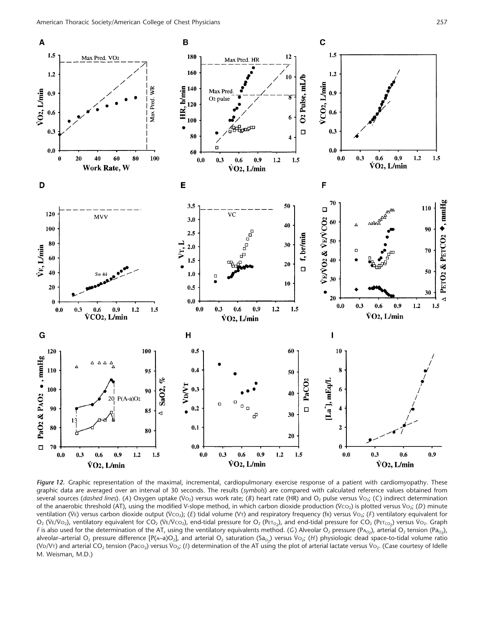

*Figure 12.* Graphic representation of the maximal, incremental, cardiopulmonary exercise response of a patient with cardiomyopathy. These graphic data are averaged over an interval of 30 seconds. The results (*symbols*) are compared with calculated reference values obtained from several sources (*dashed lines*). (A) Oxygen uptake (V<sub>O2</sub>) versus work rate; (B) heart rate (HR) and O<sub>2</sub> pulse versus V<sub>O2</sub>; (C) indirect determination of the anaerobic threshold (AT), using the modified V-slope method, in which carbon dioxide production (Vco<sub>2</sub>) is plotted versus Vo<sub>2</sub>; (D) minute ventilation (VE) versus carbon dioxide output (Vco<sub>2</sub>); (E) tidal volume (V<sub>T</sub>) and respiratory frequency (fr.) versus Vo<sub>2</sub>; (F) ventilatory equivalent for  $O_2$  (VE/V $O_2$ ), ventilatory equivalent for CO<sub>2</sub> (VE/Vc<sub>O2</sub>), end-tidal pressure for O<sub>2</sub> (PET<sub>O2</sub>), and end-tidal pressure for CO<sub>2</sub> (PET<sub>CO2</sub>) versus V<sub>O2</sub>. Graph *F* is also used for the determination of the AT, using the ventilatory equivalents method. (*G*) Alveolar O<sub>2</sub> pressure (P<sub>AO2</sub>), arterial O<sub>2</sub> tension (Pa<sub>O2</sub>), alveolar–arterial O<sub>2</sub> pressure difference [P(A–a)O<sub>2</sub>], and arterial O<sub>2</sub> saturation (Sa<sub>02</sub>) versus V<sub>O2</sub>; (H) physiologic dead space-to-tidal volume ratio (VD/VT) and arterial CO<sub>2</sub> tension (PacO<sub>2</sub>) versus V<sub>O2</sub>; (*I*) determination of the AT using the plot of arterial lactate versus VO<sub>2</sub>. (Case courtesy of Idelle M. Weisman, M.D.)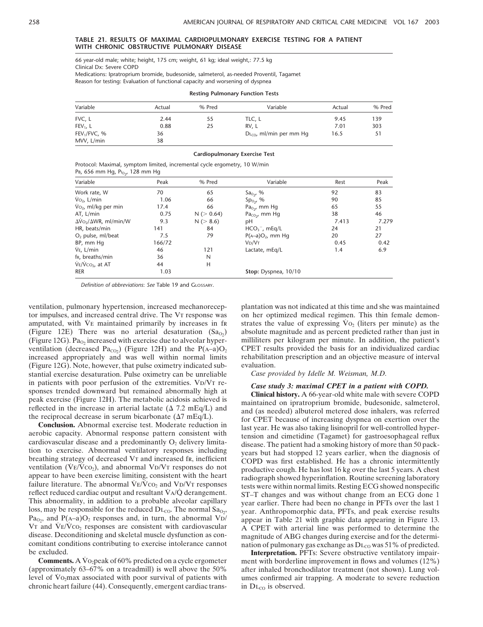# **TABLE 21. RESULTS OF MAXIMAL CARDIOPULMONARY EXERCISE TESTING FOR A PATIENT WITH CHRONIC OBSTRUCTIVE PULMONARY DISEASE**

66 year-old male; white; height, 175 cm; weight, 61 kg; ideal weight,: 77.5 kg Clinical Dx: Severe COPD Medications: Ipratroprium bromide, budesonide, salmeterol, as-needed Proventil, Tagamet Reason for testing: Evaluation of functional capacity and worsening of dyspnea

|                          | Resume Funnomary Function Tests |        |                                 |        |        |  |  |
|--------------------------|---------------------------------|--------|---------------------------------|--------|--------|--|--|
| Variable                 | Actual                          | % Pred | Variable                        | Actual | % Pred |  |  |
| FVC, L                   | 2.44                            | 55     | TLC, L                          | 9.45   | 139    |  |  |
| $FEV_1$ , L              | 0.88                            | 25     | RV, L                           | 7.01   | 303    |  |  |
| FEV <sub>1</sub> /FVC, % | 36                              |        | $D_{L_{CO}}$ , ml/min per mm Hq | 16.5   | 51     |  |  |
| MVV, L/min               | 38                              |        |                                 |        |        |  |  |

**Resting Pulmonary Function Tests**

### **Cardiopulmonary Exercise Test**

| Protocol: Maximal, symptom limited, incremental cycle ergometry, 10 W/min |  |  |
|---------------------------------------------------------------------------|--|--|
| Рв, 656 mm Hg, Pı <sub>0</sub> ,, 128 mm Hg                               |  |  |

| Variable                                              | Peak   | % Pred     | Variable             | Rest  | Peak  |
|-------------------------------------------------------|--------|------------|----------------------|-------|-------|
| Work rate, W                                          | 70     | 65         | $Sa_{0,1}$ %         | 92    | 83    |
| $\mathsf{V}_\mathsf{O}_2$ , L/min                     | 1.06   | 66         | $Sp_{0,1}$ %         | 90    | 85    |
| $Vo2$ , ml/kg per min                                 | 17.4   | 66         | $Pa02$ , mm Hq       | 65    | 55    |
| AT, L/min                                             | 0.75   | N (> 0.64) | $PaCO$ , mm Hg       | 38    | 46    |
| $\Delta \dot{V}$ <sub>2</sub> / $\Delta$ WR, ml/min/W | 9.3    | N (> 8.6)  | pH                   | 7.413 | 7.279 |
| HR, beats/min                                         | 141    | 84         | $HCO3$ , mEq/L       | 24    | 21    |
| $O2$ pulse, ml/beat                                   | 7.5    | 79         | $P(A-a)O_2$ , mm Hq  | 20    | 27    |
| BP, mm Hq                                             | 166/72 |            | $V_D/V_T$            | 0.45  | 0.42  |
| $V_E$ , L/min                                         | 46     | 121        | Lactate, mEq/L       | 1.4   | 6.9   |
| fr. breaths/min                                       | 36     | N          |                      |       |       |
| $V_{E}/V_{CO2}$ , at AT                               | 44     | Н          |                      |       |       |
| RER                                                   | 1.03   |            | Stop: Dyspnea, 10/10 |       |       |

*Definition of abbreviations*: *See* Table 19 and GLOSSARY.

ventilation, pulmonary hypertension, increased mechanorecep- plantation was not indicated at this time and she was maintained tor impulses, and increased central drive. The V<sub>T</sub> response was on her optimized medical regimen. This thin female demonamputated, with VE maintained primarily by increases in fraction strates the value of expressing  $V_{\text{O}_2}$  (liters per minute) as the (Figure 12E) There was no arterial desaturation  $(Sa_{O_2})$  absolute magnitude and as percent predicted rather than just in (Figure 12G). Pa<sub>O<sub>2</sub></sub> increased with exercise due to alveolar hyper-<br>ventilation (decreased Pa<sub>CO2</sub>) (Figure 12H) and the P(A-a)O<sub>2</sub> CPET results provided the basis for an individualized cardiac ventilation (decreased  $Pa_{CO_2}$ ) (Figure 12H) and the P(A–a)O<sub>2</sub> CPET results provided the basis for an individualized cardiac increased appropriately and was well within normal limits rehabilitation prescription and an objective measure of interval (Figure 12G). Note, however, that pulse oximetry indicated sub-<br>stantial exercise desaturation. Pulse oximetry can be unreliable Case provided by Idelle M. Weisman, M.D. stantial exercise desaturation. Pulse oximetry can be unreliable

loss, may be responsible for the reduced  $D_{L_{CO}}$ . The normal  $Sa_{O_2}$ , year. Anthropomorphic data, PFTs, and peak exercise results  $Pa_{O_2}$ , and  $P(A-a)O_2$  responses and, in turn, the abnormal  $VD$ / appear in Table 21 with VT and VE/VCO<sub>2</sub> responses are consistent with cardiovascular  $\overrightarrow{A}$  CPET with arterial line was performed to determine the disease. Deconditioning and skeletal muscle dysfunction as con-<br>magnitude of ABG changes during disease. Deconditioning and skeletal muscle dysfunction as con-<br>comitant conditions contributing to exercise intolerance cannot ration of pulmonary gas exchange as DL<sub>CQ</sub> was 51% of predicted. comitant conditions contributing to exercise intolerance cannot nation of pulmonary gas exchange as  $D_{L_{CO}}$  was 51% of predicted.<br>Interpretation PFTs: Severe obstructive ventilatory impair-

(approximately 63–67% on a treadmill) is well above the 50% after inhaled bronchodilator treatment (not shown). Lung vollevel of  $\rm\dot{V}o_2$  max associated with poor survival of patients with umes confirmed air trapping. A moderate to severe reduction chronic heart failure (44). Consequently, emergent cardiac trans- in  $D_{\text{L}_{\text{CO}}}$  is observed.

in patients with poor perfusion of the extremities. V<sub>N</sub>/V<sub>T</sub> re-<br>sponses trended cownward but remained abourmally high at **Changes** content of the complex exercise (Figure 12H). The metabolic acidosis achieved is **Chinal** 

Interpretation. PFTs: Severe obstructive ventilatory impair-**Comments.** A V $o_2$  peak of 60% predicted on a cycle ergometer ment with borderline improvement in flows and volumes (12%)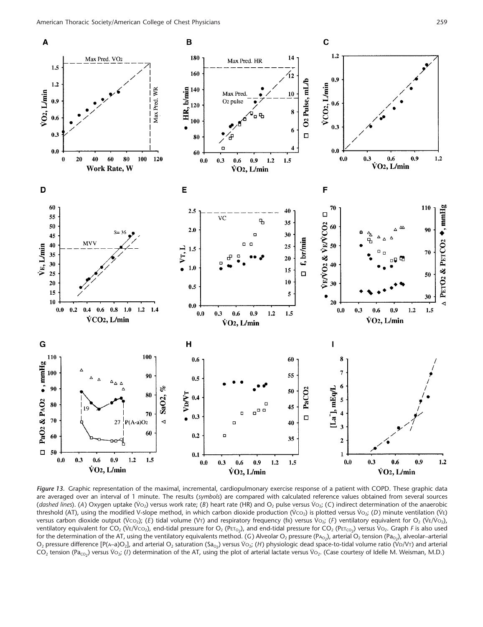

*Figure 13.* Graphic representation of the maximal, incremental, cardiopulmonary exercise response of a patient with COPD. These graphic data are averaged over an interval of 1 minute. The results (*symbols*) are compared with calculated reference values obtained from several sources (*dashed lines*). (A) Oxygen uptake (V<sub>O2</sub>) versus work rate; (B) heart rate (HR) and O<sub>2</sub> pulse versus V<sub>O2</sub>; (C) indirect determination of the anaerobic threshold (AT), using the modified V-slope method, in which carbon dioxide production (Vco<sub>2</sub>) is plotted versus Vo<sub>2</sub>; (D) minute ventilation (VE) versus carbon dioxide output (Vco<sub>2</sub>); (*E*) tidal volume (V<sub>T</sub>) and respiratory frequency (fr.) versus Vo<sub>2</sub>; (*F*) ventilatory equivalent for O<sub>2</sub> (VE/V<sub>O2</sub>), ventilatory equivalent for CO<sub>2</sub> (VE/VcO<sub>2</sub>), end-tidal pressure for O<sub>2</sub> (PET<sub>O2</sub>), and end-tidal pressure for CO<sub>2</sub> (PET<sub>CO2</sub>) versus V<sub>O2</sub>. Graph *F* is also used for the determination of the AT, using the ventilatory equivalents method. (G) Alveolar O<sub>2</sub> pressure (PA<sub>O2</sub>), arterial O<sub>2</sub> tension (Pa<sub>O2</sub>), alveolar–arterial  $O_2$  pressure difference [P(A–a)O<sub>2</sub>], and arterial O<sub>2</sub> saturation (Sa<sub>O2</sub>) versus V<sub>O2</sub>; (H) physiologic dead space-to-tidal volume ratio (VD/VT) and arterial CO<sub>2</sub> tension (Pa<sub>co2</sub>) versus Vo<sub>2</sub>; (*I*) determination of the AT, using the plot of arterial lactate versus Vo<sub>2</sub>. (Case courtesy of Idelle M. Weisman, M.D.)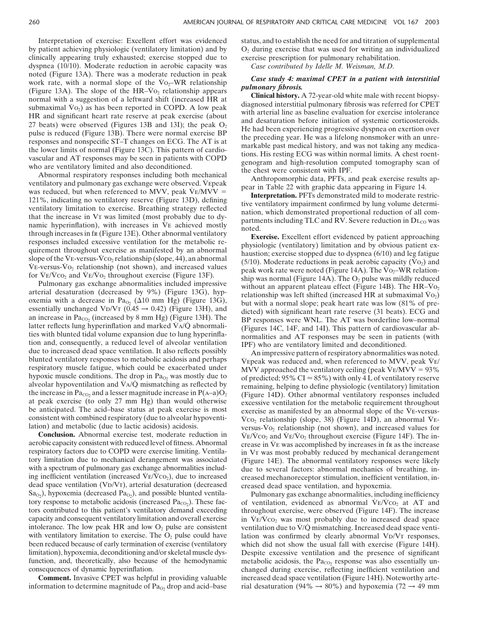by patient achieving physiologic (ventilatory limitation) and by  $O_2$  during exercise that was used for writing an individualized clinically appearing truly exhausted; exercise stopped due to exercise prescription for pulmonary rehabilitation. dyspnea (10/10). Moderate reduction in aerobic capacity was *Case contributed by Idelle M. Weisman, M.D.*

noted (Figure 13A). There was a moderate reduction in peak  $\mu$  maximal CPET in a patient with interstitial<br>normal single of the Vo<sub>2</sub>-UNR relationship  $\mu$  Case study 4: maximal CPET in a patient with interstitial<br>(Figure

for  $V_E/VCO_2$  and  $V_E/VO_2$  throughout exercise (Figure 13F).<br>
Park work neare the line of pulle was normal (Figure 14A). The O<sub>2</sub> pulse was mildly reduced<br>
Pulmonary gas exchange abnormalities included impressive<br>
arterial respiratory muscle fatigue, which could be exacerbated under MVV approached the ventilatory ceiling (peak V $E/MVV = 93\%$ hypoxic muscle conditions. The drop in Pa<sub>O2</sub> was mostly due to of predicted; 95% CI  $\approx$  85%) with only 4 L of ventilatory reserve alveolar hypoventilation and V<sub>A</sub>/Q mismatching as reflected by remaining helping to defi

aerobic capacity consistent with reduced level of fitness. Abnormal crease in  $\dot{V}$  e was accomplished by increases in fr as the increase respiratory factors due to COPD were exercise limiting. Ventila-<br>in V<sup>T</sup> was most respiratory factors due to COPD were exercise limiting. Ventila-<br>tory limitation due to mechanical derangement was associated (Figure 14E). The abnormal ventilatory responses were likely tory limitation due to mechanical derangement was associated (Figure 14E). The abnormal ventilatory responses were likely<br>with a spectrum of pulmonary gas exchange abnormalities included the several factors: abnormal mecha with a spectrum of pulmonary gas exchange abnormalities includ-<br>ing inefficient ventilation (increased  $Ve/Vo_2$ ), due to increased<br>creased mechanoreceptor stimulation inefficient ventilation, indead space ventilation (VD/VT), arterial desaturation (decreased creased dead space ventilation, and hypoxemia.  $Sa<sub>O<sub>2</sub></sub>$ ), hypoxemia (decreased  $Pa<sub>O<sub>2</sub></sub>$ tory response to metabolic acidosis (increased  $Pa_{CO<sub>2</sub>}$ ). These factors contributed to this patient's ventilatory demand exceeding throughout exercise, were observed (Figure 14F). The increase capacity and consequent ventilatory limitation and overall exercise in  $V_F/V_{CO}$  was most probably due to increased dead space intolerance. The low peak HR and low  $O_2$  pulse are consistent ventilation due to  $\dot{V}/\dot{Q}$  mismatching. Increased dead space ventiwith ventilatory limitation to exercise. The  $O_2$  pulse could have lation was confirmed by clearly abnormal VD/V<sub>T</sub> responses, been reduced because of early termination of exercise (ventilatory which did not show the usual fall with exercise (Figure 14H). limitation), hypoxemia, deconditioning and/or skeletal muscle dys- Despite excessive ventilation and the presence of significant

information to determine magnitude of  $Pa<sub>0</sub>$ , drop and acid–base

Interpretation of exercise: Excellent effort was evidenced status, and to establish the need for and titration of supplemental

mypoxic muscle conditions. The drop in Pa<sub>O<sub>2</sub> was mostly due to<br>alveolar hypoventilation and  $\dot{V}A/\dot{Q}$  mismatching as reflected by<br>the increase in P<sub>aCO<sub>2</sub> and a lesser magnitude increase in P(A-a)O<sub>2</sub><br>dat peak exerc</sub></sub> creased mechanoreceptor stimulation, inefficient ventilation, in-

Pulmonary gas exchange abnormalities, including inefficiency of ventilation, evidenced as abnormal  $V_{E}/V_{C_2}$  at AT and function, and, theoretically, also because of the hemodynamic metabolic acidosis, the  $Pa_{CO_2}$  response was also essentially unconsequences of dynamic hyperinflation.<br>
changed during exercise, reflecting inefficient venti sequences of dynamic hyperinflation.<br> **Comment.** Invasive CPET was helpful in providing valuable increased dead space ventilation (Figure 14H). Noteworthy arteincreased dead space ventilation (Figure 14H). Noteworthy arte-<br>rial desaturation (94%  $\rightarrow$  80%) and hypoxemia (72  $\rightarrow$  49 mm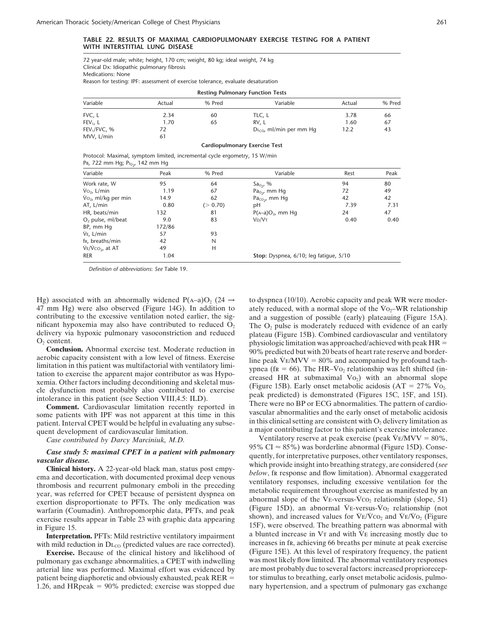### **TABLE 22. RESULTS OF MAXIMAL CARDIOPULMONARY EXERCISE TESTING FOR A PATIENT WITH INTERSTITIAL LUNG DISEASE**

72 year-old male; white; height, 170 cm; weight, 80 kg; ideal weight, 74 kg Clinical Dx: Idiopathic pulmonary fibrosis Medications: None Reason for testing: IPF: assessment of exercise tolerance, evaluate desaturation

| <b>Resting Pulmonary Function Tests</b> |        |        |                              |        |        |  |
|-----------------------------------------|--------|--------|------------------------------|--------|--------|--|
| Variable                                | Actual | % Pred | Variable                     | Actual | % Pred |  |
| FVC, L                                  | 2.34   | 60     | TLC, L                       | 3.78   | 66     |  |
| $FEV1$ , L                              | 1.70   | 65     | RV, L                        | 1.60   | 67     |  |
| FEV <sub>1</sub> /FVC, %                |        |        | $D_{LCO}$ , ml/min per mm Hq | 12.2   | 43     |  |
| MVV, L/min                              | 61     |        |                              |        |        |  |

### **Cardiopulmonary Exercise Test**

| Protocol: Maximal, symptom limited, incremental cycle ergometry, 15 W/min |  |  |
|---------------------------------------------------------------------------|--|--|
| Рв, 722 mm Hg; P <sub>lo</sub> ., 142 mm Hg                               |  |  |

| Variable                        | Peak   | % Pred   | Variable                               | Rest | Peak |
|---------------------------------|--------|----------|----------------------------------------|------|------|
| Work rate, W                    | 95     | 64       | $Sa_{0,1}$ %                           | 94   | 80   |
| $\dot{V}_{\text{O}_2}$ , L/min  | 1.19   | 67       | $Pa0y$ mm Hg                           | 72   | 49   |
| $\dot{V}_{O_2}$ , ml/kg per min | 14.9   | 62       | $PaCO$ , mm Hg                         | 42   | 42   |
| AT, L/min                       | 0.80   | (> 0.70) | рH                                     | 7.39 | 7.31 |
| HR, beats/min                   | 132    | 81       | $P(A-a)O_2$ , mm Hq                    | 24   | 47   |
| $O2$ pulse, ml/beat             | 9.0    | 83       | $V_D/V_T$                              | 0.40 | 0.40 |
| BP, mm Hq                       | 172/86 |          |                                        |      |      |
| $V_E$ , L/min                   | 57     | 93       |                                        |      |      |
| fr, breaths/min                 | 42     | N        |                                        |      |      |
| $V_{E}/V_{CO2}$ , at AT         | 49     | Н        |                                        |      |      |
| RER                             | 1.04   |          | Stop: Dyspnea, 6/10; leg fatique, 5/10 |      |      |

*Definition of abbreviations*: *See* Table 19.

47 mm Hg) were also observed (Figure 14G). In addition to contributing to the excessive ventilation noted earlier, the sig-

arterial line was performed. Maximal effort was evidenced by 1.26, and HRpeak 90% predicted; exercise was stopped due nary hypertension, and a spectrum of pulmonary gas exchange

Hg) associated with an abnormally widened  $P(A-a)O_2$  (24  $\rightarrow$  to dyspnea (10/10). Aerobic capacity and peak WR were moder-<br>47 mm Hg) were also observed (Figure 14G). In addition to ately reduced, with a normal slope of the contributing to the excessive ventilation noted earlier, the sig-<br>nificant hypoxemia may also have contributed to reduced  $O_2$ . The  $O_2$  pulse is moderately reduced with evidence of an early nificant hypoxemia may also have contributed to reduced  $O_2$  The  $O_2$  pulse is moderately reduced with evidence of an early delivery via hypoxic pulmonary vasoconstriction and reduced plateau (Figure 15B). Combined card delivery via hypoxic pulmonary vasoconstriction and reduced<br>
O<sub>2</sub> content.<br>
Conclusion. Abnormal exercise test. Moderate reduction in<br>
exercise the approached/achieved with peak HR =<br>
aerobic capacity consistent with a lo quent development of cardiovascular limitation.  $\overline{a}$  a major contributing factor to this patient's exercise intolerance.

*Case contributed by Darcy Marciniuk, M.D.* Ventilatory reserve at peak exercise (peak VE/MVV = 80%, 95% CI  $\approx$  85%) was borderline abnormal (Figure 15D). Conse-Case study 5: maximal CPET in a patient with pulmonary<br>
vascular disease.<br>
vascular disease.<br>
Clinical history. A 22-year-old black man, status post empy-<br>
ema and decortication, with documented proximal deep venous<br>
ema Interpretation. PFTs: Mild restrictive ventilatory impairment a blunted increase in V<sub>T</sub> and with V<sup>E</sup> increasing mostly due to<br>Interpretation. PFTs: Mild restrictive ventilatory impairment a blunted increase in V<sub>T</sub> and w with mild reduction in  $D_{L_{CO}}$  (predicted values are race corrected). increases in fr, achieving 66 breaths per minute at peak exercise<br>**Exercise**, Because of the clinical history and likelihood of (Figure 15E). At this **Exercise.** Because of the clinical history and likelihood of (Figure 15E). At this level of respiratory frequency, the patient monary gas exchange abnormalities, a CPET with indwelling was most likely flow limited. The ab pulmonary gas exchange abnormalities, a CPET with indwelling was most likely flow limited. The abnormal ventilatory responses arterial line was performed. Maximal effort was evidenced by are most probably due to several fa patient being diaphoretic and obviously exhausted, peak RER = tor stimulus to breathing, early onset metabolic acidosis, pulmo-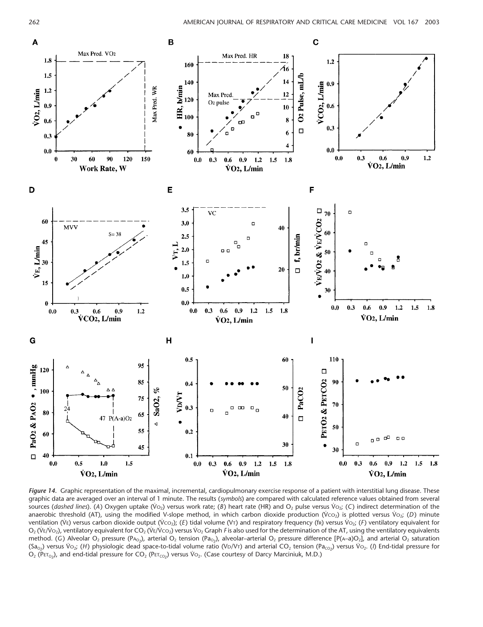

*Figure 14.* Graphic representation of the maximal, incremental, cardiopulmonary exercise response of a patient with interstitial lung disease. These graphic data are averaged over an interval of 1 minute. The results (*symbols*) are compared with calculated reference values obtained from several sources (*dashed lines*). (A) Oxygen uptake (V<sub>O2</sub>) versus work rate; (B) heart rate (HR) and O<sub>2</sub> pulse versus V<sub>O2</sub>; (C) indirect determination of the anaerobic threshold (AT), using the modified V-slope method, in which carbon dioxide production (Vco<sub>2</sub>) is plotted versus Vo<sub>2</sub>; (D) minute ventilation (VE) versus carbon dioxide output (Vco<sub>2</sub>); (E) tidal volume (V<sub>T</sub>) and respiratory frequency (fR) versus Vo<sub>2</sub>; (F) ventilatory equivalent for O<sub>2</sub> (VE/V<sub>O2</sub>), ventilatory equivalent for CO<sub>2</sub> (VE/Vc<sub>O2</sub>) versus V<sub>O2</sub> Graph *F* is also used for the determination of the AT, using the ventilatory equivalents method. (G) Alveolar O<sub>2</sub> pressure (P<sub>AO2</sub>), arterial O<sub>2</sub> tension (Pa<sub>O2</sub>), alveolar–arterial O<sub>2</sub> pressure difference [P(A–a)O<sub>2</sub>], and arterial O<sub>2</sub> saturation (Sa<sub>O2</sub>) versus V<sub>O2</sub>; (H) physiologic dead space-to-tidal volume ratio (V<sub>D</sub>/V<sub>T</sub>) and arterial CO<sub>2</sub> tension (Pa<sub>CO2</sub>) versus V<sub>O2</sub>. (*I*) End-tidal pressure for  $O_2$  (PET<sub>O2</sub>), and end-tidal pressure for CO<sub>2</sub> (PET<sub>CO2</sub>) versus V<sub>O2</sub>. (Case courtesy of Darcy Marciniuk, M.D.)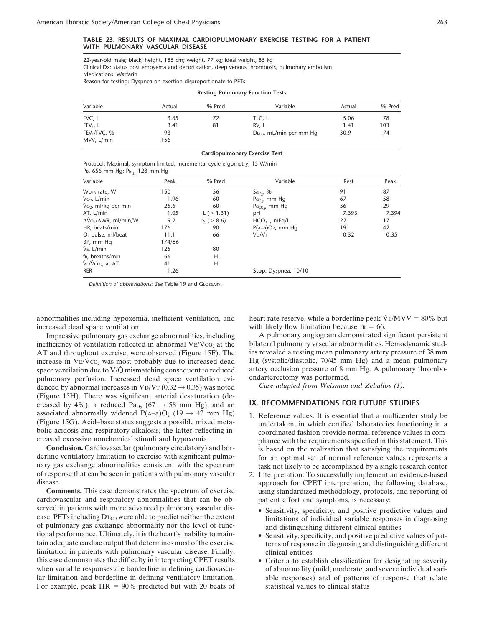### **TABLE 23. RESULTS OF MAXIMAL CARDIOPULMONARY EXERCISE TESTING FOR A PATIENT WITH PULMONARY VASCULAR DISEASE**

22-year-old male; black; height, 185 cm; weight, 77 kg; ideal weight, 85 kg Clinical Dx: status post empyema and decortication, deep venous thrombosis, pulmonary embolism Medications: Warfarin Reason for testing: Dyspnea on exertion disproportionate to PFTs

| <b>Resting Pulmonary Function Tests</b> |           |        |                                     |        |        |  |  |  |
|-----------------------------------------|-----------|--------|-------------------------------------|--------|--------|--|--|--|
| Variable                                | Actual    | % Pred | Variable                            | Actual | % Pred |  |  |  |
| FVC, L                                  | 3.65      | 72     | TLC, L                              | 5.06   | 78     |  |  |  |
| $FEV1$ , L                              | 3.41      | 81     | RV, L                               | 1.41   | 103    |  |  |  |
| FEV <sub>1</sub> /FVC, %<br>MVV, L/min  | 93<br>156 |        | $D_{\text{Lco}}$ , mL/min per mm Hq | 30.9   | 74     |  |  |  |

### **Cardiopulmonary Exercise Test**

| Protocol: Maximal, symptom limited, incremental cycle ergometry, 15 W/min |  |  |
|---------------------------------------------------------------------------|--|--|
| P <sub>B</sub> , 656 mm Hg; P <sub>los</sub> , 128 mm Hg                  |  |  |

| Variable                                       | Peak   | % Pred               | Variable            | Rest  | Peak  |
|------------------------------------------------|--------|----------------------|---------------------|-------|-------|
| Work rate, W                                   | 150    | 56                   | $Sa_{0,1}$ %        | 91    | 87    |
| Vo,L/min                                       | 1.96   | 60                   | $Pa02$ , mm Hg      | 67    | 58    |
| $\dot{\mathsf{V}}\mathsf{o}_2$ , ml/kg per min | 25.6   | 60                   | $PaCO$ , mm Hg      | 36    | 29    |
| AT, L/min                                      | 1.05   | L (> 1.31)           | pH                  | 7.393 | 7.394 |
| $\Delta V_O$ ,/ $\Delta WR$ , ml/min/W         | 9.2    | N (> 8.6)            | $HCO3-$ , mEq/L     | 22    | 17    |
| HR, beats/min                                  | 176    | 90                   | $P(A-a)O_2$ , mm Hq | 19    | 42    |
| $O2$ pulse, ml/beat                            | 11.1   | 66                   | $V_D/V_T$           | 0.32  | 0.35  |
| BP, mm Hq                                      | 174/86 |                      |                     |       |       |
| Vε, L/min                                      | 125    | 80                   |                     |       |       |
| fr, breaths/min                                | 66     | н                    |                     |       |       |
| VE/Vco <sub>2</sub> , at AT                    | 41     | н                    |                     |       |       |
| RER<br>1.26                                    |        | Stop: Dyspnea, 10/10 |                     |       |       |
|                                                |        |                      |                     |       |       |

*Definition of abbreviations*: *See* Table 19 and GLOSSARY.

increased dead space ventilation.  $\ddot{\text{with likely flow limitation because fr}} = 66.$ 

inefficiency of ventilation reflected in abnormal  $\dot{V}E/\dot{V}CO_2$  at the bilateral pulmonary vascular abnormalities. Hemodynamic stud-<br>AT and throughout exercise, were observed (Figure 15F). The ies revealed a resting me AT and throughout exercise, were observed (Figure 15F). The ies revealed a resting mean pulmonary artery pressure of 38 mm<br>increase in VE/Vco, was most probably due to increased dead Hg (systolic/diastolic, 70/45 mm Hg) an increase in  $V_{E}/V_{C}$  was most probably due to increased dead Hg (systolic/diastolic, 70/45 mm Hg) and a mean pulmonary thrombo-<br>space ventilation due to  $V/O$  mismatching consequent to reduced artery occlusion pressure o space ventilation due to V<sup></sup>/Q mismatching consequent to reduced artery occlusion pressure of 8 m<br>nulmonary perfusion. Increased dead space ventilation evi-<br>nulmonary performed. pulmonary perfusion. Increased dead space ventilation evi-<br>denced by abnormal increases in  $\text{Vp}/\text{Vr}$  (0.32  $\rightarrow$  0.35) was noted Case adapted from Weisman and Zeballos (1). denced by abnormal increases in  $V\text{D}/V\text{T}$  (0.32  $\rightarrow$  0.35) was noted (Figure 15H). There was significant arterial desaturation (decreased by 4%), a reduced  $Pa_{O_2}$  (67  $\rightarrow$  58 mm Hg), and an **IX. RECOMMENDATIONS FOR FUTURE STUDIES** associated abnormally widened  $P(A-a)O_2$  (19  $\rightarrow$  42 mm Hg) <br>1. Reference values: It is essential that a multicenter

**Conclusion.** Cardiovascular (pulmonary circulatory) and bor-<br>derline ventilatory limitation to exercise with significant pulmoderline ventilatory limitation to exercise with significant pulmo-<br>nary gas exchange abnormalities consistent with the spectrum task not likely to be accomplished by a single research center nary gas exchange abnormalities consistent with the spectrum task not likely to be accomplished by a single research center<br>of response that can be seen in patients with pulmonary vascular 2. Interpretation: To successfull of response that can be seen in patients with pulmonary vascular 2. Interpretation: To successfully implement an evidence-based

cardiovascular and respiratory abnormalities that can be ob- patient effort and symptoms, is necessary: served in patients with more advanced pulmonary vascular dis-<br>ease. PFTs including D<sub>Lco</sub> were able to predict neither the extent<br>of pulmonary gas exchange abnormality nor the level of func-<br>and distinguishing different cl tional performance. Ultimately, it is the heart's inability to main-<br>Sensitivity, specificity, and positive predictive values of pattain adequate cardiac output that determines most of the exercise terns of response in diagnosing and distinguishing different limitation in patients with pulmonary vascular disease. Finally, clinical entities this case demonstrates the difficulty in interpreting CPET results • Criteria to esta when variable responses are borderline in defining cardiovascu- of abnormality (mild, moderate, and severe individual varilar limitation and borderline in defining ventilatory limitation. able responses) and of patterns of response that relate<br>For example, peak HR = 90% predicted but with 20 beats of statistical values to clinical status For example, peak  $HR = 90\%$  predicted but with 20 beats of

abnormalities including hypoxemia, inefficient ventilation, and heart rate reserve, while a borderline peak  $\overline{V}$  e/MVV = 80% but

Impressive pulmonary gas exchange abnormalities, including A pulmonary angiogram demonstrated significant persistent fificiency of ventilation reflected in abnormal  $Ve/Ve_0$ , at the bilateral pulmonary vascular abnormalitie

- associated absorbing widened  $P(A-a)O_2$  ( $P \rightarrow 4Z$  mm Hg)<br>
(Figure 15G). Acid-base status suggests a possible mixed meta-<br>
bolic acidosis and respiratory alkalosis, the latter reflecting in-<br>
cordinated fashion provide norm
	- ease.<br> **Comments.** This case demonstrates the spectrum of exercise approach for CPET interpretation, the following database,<br>
	using standardized methodology, protocols, and reporting of using standardized methodology, protocols, and reporting of
		-
		-
		- Criteria to establish classification for designating severity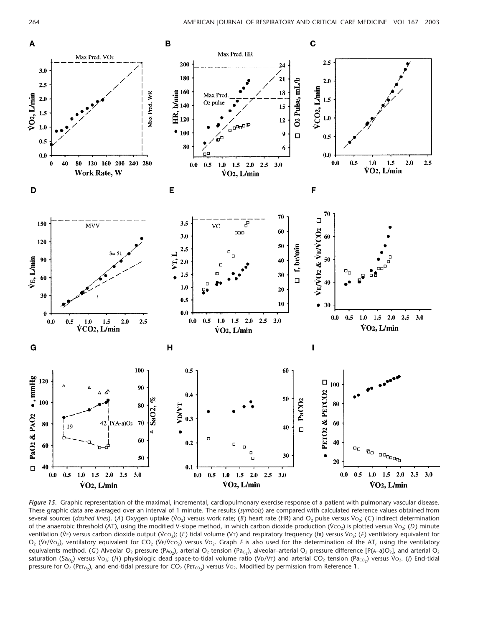

*Figure 15.* Graphic representation of the maximal, incremental, cardiopulmonary exercise response of a patient with pulmonary vascular disease. These graphic data are averaged over an interval of 1 minute. The results (*symbols*) are compared with calculated reference values obtained from several sources (*dashed lines*). (A) Oxygen uptake (V<sub>O2</sub>) versus work rate; (B) heart rate (HR) and O<sub>2</sub> pulse versus V<sub>O2</sub>; (C) indirect determination of the anaerobic threshold (AT), using the modified V-slope method, in which carbon dioxide production (Vco<sub>2</sub>) is plotted versus Vo<sub>2</sub>; (D) minute ventilation (VE) versus carbon dioxide output (Vco<sub>2</sub>); (E) tidal volume (V<sub>T</sub>) and respiratory frequency (fR) versus Vo<sub>2</sub>; (F) ventilatory equivalent for O<sub>2</sub> (VE/Vo<sub>2</sub>), ventilatory equivalent for CO<sub>2</sub> (VE/Vco<sub>2</sub>) versus Vo<sub>2</sub>. Graph *F* is also used for the determination of the AT, using the ventilatory equivalents method. (G) Alveolar O<sub>2</sub> pressure (PA<sub>O2</sub>), arterial O<sub>2</sub> tension (Pa<sub>O2</sub>), alveolar–arterial O<sub>2</sub> pressure difference [P(A–a)O<sub>2</sub>], and arterial O<sub>2</sub> saturation (Sa<sub>O2</sub>) versus V<sub>O2</sub>; (*H*) physiologic dead space-to-tidal volume ratio (VD/VT) and arterial CO<sub>2</sub> tension (Pa<sub>CO2</sub>) versus V<sub>O2</sub>. (*I*) End-tidal pressure for  $O_2(P_{ET_0})$ , and end-tidal pressure for  $CO_2(P_{ET_{CO}})$  versus V $O_2$ . Modified by permission from Reference 1.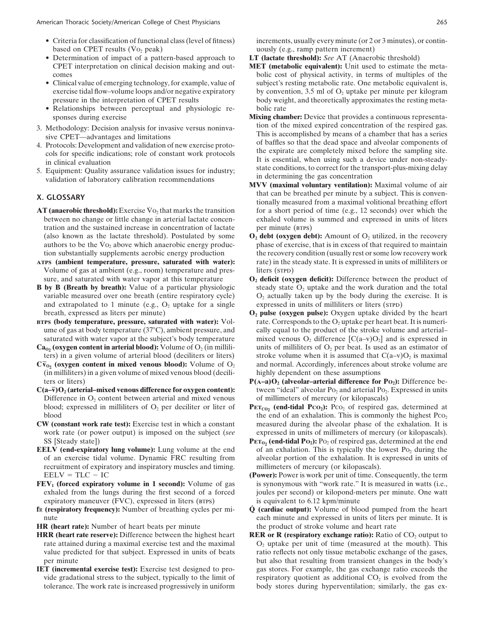- based on CPET results  $(\dot{V}_0, \text{peak})$  is the unusly (e.g., ramp pattern increment)
- Determination of impact of a pattern-based approach to **LT (lactate threshold):** *See* AT (Anaerobic threshold)
- 
- Relationships between perceptual and physiologic re- bolic rate sponses during exercise **Mixing chamber:** Device that provides a continuous representa-
- 
- 
- 

- **AT (anaerobic threshold):** Exercise V $o_2$  that marks the transition for a short period of time (e.g., 12 seconds) over which the tration and the sustained increase in concentration of lactate per minute (BTPS) (also known as the lactate threshold). Postulated by some  $O_2$  debt (oxygen debt): Amount of  $O_2$  utilized, in the recovery
- Volume of gas at ambient (e.g., room) temperature and pres-<br>liters (STPD)
- and extrapolated to 1 minute (e.g.,  $O_2$  uptake for a single expressed in units of milliliters or liters (srpp) breath, expressed as liters per minute) **O2 pulse (oxygen pulse):** Oxygen uptake divided by the heart
- 
- ters) in a given volume of arterial blood (deciliters or liters)
- (in milliliters) in a given volume of mixed venous blood (decili-
- Difference in  $O_2$  content between arterial and mixed venous of millimeters of mercury (or kilopascals) blood; expressed in milliliters of  $O_2$  per deciliter or liter of **PET<sub>CO2</sub>** (end-tidal PCO<sub>2</sub>): PcO<sub>2</sub> of respired gas, determined at the end of an exhalation. This is commonly the highest PCO<sub>2</sub>
- 
- recruitment of expiratory and inspiratory muscles and timing. millimeters of mercury (or kilopascals). EELV = TLC - IC **(Power):** Power is work per unit of time. Consequently, the term
- expiratory maneuver (FVC), expressed in liters (BTPS) is equivalent to 6.12 kpm/minute
- 
- 
- **HRR (heart rate reserve):** Difference between the highest heart **RER or R (respiratory exchange ratio):** Ratio of CO<sub>2</sub> output to
- 

• Criteria for classification of functional class (level of fitness) increments, usually every minute (or 2 or 3 minutes), or contin-

- 
- CPET interpretation on clinical decision making and out- **MET (metabolic equivalent):** Unit used to estimate the metacomes bolic cost of physical activity, in terms of multiples of the • Clinical value of emerging technology, for example, value of subject's resting metabolic rate. One metabolic equivalent is, exercise tidal flow–volume loops and/or negative expiratory by convention, 3.5 ml of  $O_2$  uptake per minute per kilogram pressure in the interpretation of CPET results body weight, and theoretically approximates the resting meta-
- 3. Methodology: Decision analysis for invasive versus noninvation of the mixed expired concentration of the respired gas.<br>
sive CPET—advantages and limitations<br>
4. Protocols: Development and validation of new exercise prot in clinical evaluation<br>
5. Equipment: Quality assurance validation issues for industry;<br>
validation of laboratory calibration recommendations<br>
validation of laboratory calibration recommendations<br>
MVV (maximal voluntary ve
- **that can be breathed per minute by a subject. This is conventionally measured from a maximal volitional breathing effort** between no change or little change in arterial lactate concen- exhaled volume is summed and expressed in units of liters
- authors to be the V<sub>02</sub> above which anaerobic energy produc- phase of exercise, that is in excess of that required to maintain tion substantially supplements aerobic energy production the recovery condition (usually rest or some low recovery work **ATPS (ambient temperature, pressure, saturated with water):** rate) in the steady state. It is expressed in units of milliliters or
- sure, and saturated with water vapor at this temperature  $O_2$  deficit (oxygen deficit): Difference between the product of **B by B (Breath by breath):** Value of a particular physiologic steady state O<sub>2</sub> uptake and the work duration and the total variable measured over one breath (entire respiratory cycle)  $O_2$  actually taken up by the body during the exercise. It is
- **BTPS** (body temperature, pressure, saturated with water): Vol-<br>rate. Corresponds to the O<sub>2</sub> uptake per heart beat. It is numeriume of gas at body temperature  $(37^{\circ}C)$ , ambient pressure, and cally equal to the product of the stroke volume and arterial– saturated with water vapor at the subject's body temperature mixed venous  $O_2$  difference  $[C(a-v)O_2]$  and is expressed in **Ca<sub>O<sub>2</sub> (oxygen content in arterial blood):** Volume of O<sub>2</sub> (in millili-<br>ters) in a given volume of arterial blood (deciliters or liters) stroke volume when it is assumed that  $C(a-v)O_2$  is maximal</sub>  $C\bar{v}_{02}$  (oxygen content in mixed venous blood): Volume of  $O_2$  and normal. Accordingly, inferences about stroke volume are (in milliliters) in a given volume of mixed venous blood (decili-<br>highly dependent on these a
- ters or liters) **P(A–a)O<sub>2</sub>** (alveolar–arterial difference for PO<sub>2</sub>): Difference be- $C(a-\overline{v})O_2$  (arterial–mixed venous difference for oxygen content): tween "ideal" alveolar Po<sub>2</sub> and arterial Po<sub>2</sub>. Expressed in units
- the end of an exhalation. This is commonly the highest  $P_{C_2}$ **CW (constant work rate test):** Exercise test in which a constant measured during the alveolar phase of the exhalation. It is work rate (or power output) is imposed on the subject (*see* expressed in units of millimeters of mercury (or kilopascals).
- SS [Steady state])<br>**PET<sub>O2</sub>** (end-tidal P<sub>O2</sub>): P<sub>O<sub>2</sub></sub> of respired gas, determined at the end<br>**EELV** (end-expiratory lung volume): Lung volume at the end<br>of an exhalation. This is typically the lowest P<sub>O<sub>2</sub></sub> during the of an exhalation. This is typically the lowest Po<sub>2</sub> during the of an exercise tidal volume. Dynamic FRC resulting from alveolar portion of the exhalation. It is expressed in units of
- **FEV<sub>1</sub>** (forced expiratory volume in 1 second): Volume of gas is synonymous with "work rate." It is measured in watts (i.e., exhaled from the lungs during the first second of a forced joules per second) or kilopond-meters per minute. One watt
- **f**r **(respiratory frequency):** Number of breathing cycles per mi- **Q˙ (cardiac output):** Volume of blood pumped from the heart nute each minute and expressed in units of liters per minute. It is **HR (heart rate):** Number of heart beats per minute the product of stroke volume and heart rate
- rate attained during a maximal exercise test and the maximal  $O<sub>2</sub>$  uptake per unit of time (measured at the mouth). This value predicted for that subject. Expressed in units of beats ratio reflects not only tissue metabolic exchange of the gases, per minute but also that resulting from transient changes in the body's **IET (incremental exercise test):** Exercise test designed to pro- gas stores. For example, the gas exchange ratio exceeds the vide gradational stress to the subject, typically to the limit of respiratory quotient as additional  $CO_2$  is evolved from the tolerance. The work rate is increased progressively in uniform body stores during hyperventilation; similarly, the gas ex-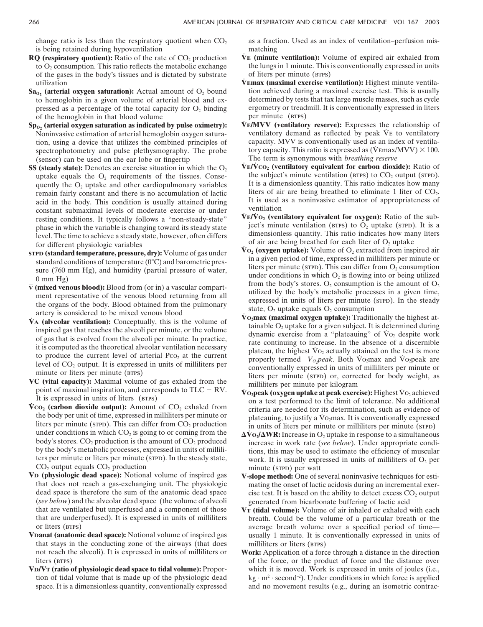is being retained during hypoventilation matching

- **RQ (respiratory quotient):** Ratio of the rate of CO<sub>2</sub> production **VE** (minute ventilation): Volume of expired air exhaled from of the gases in the body's tissues and is dictated by substrate of liters per minute (BTPS) utilization **V˙ Emax (maximal exercise ventilation):** Highest minute ventila-
- of the hemoglobin in that blood volume
- Noninvasive estimation of arterial hemoglobin oxygen saturaspectrophotometry and pulse plethysmography. The probe tory capacity. This ratio is expressed as (VEmax/Museum (Sensor) can be used on the ear lobe or fingertip The term is synonymous with *breathing reserve* (sensor) can be used on the ear lobe or fingertip<br> **The term is synonymous with** *breathing reserve*<br> **S** (steady state): Denotes an exercise situation in which the O,  $\vec{V}E\vec{V}CO_2$  (ventilatory equivalent for carbon di
- quently the  $O_2$  uptake and other cardiopulmonary variables<br>remain fairly constant and there is no accumulation of lactic<br>acid in the body. This condition is usually attained during<br>constant submaximal levels of moderate
- 
- 
- 
- 
- It is expressed in units of liters (BTPS)<br>
VCO<sub>2</sub> (carbon dioxide output): Amount of CO<sub>2</sub> exhaled from<br>
the body per unit of time, expressed in milliliters per minute or<br>
liters per minute (STPD). This can differ from CO  $CO<sub>2</sub>$  output equals  $CO<sub>2</sub>$  production minute (step) per watt<br> **VD** (physiologic dead space): Notional volume of inspired gas **V**-slope method: One of so
- (*see below*) and the alveolar dead space (the volume of alveoli generated from bicarbonate buffering of lactic acid that are ventilated but unperfused and a component of those V<sub>T</sub> (tidal volume): Volume of air inhaled or that are ventilated but unperfused and a component of those **V<sub>T</sub>** (tidal volume): Volume of air inhaled or exhaled with each that are underperfused). It is expressed in units of milliliters breath. Could be the volume of
- that stays in the conducting zone of the airways (that does milliliters or liters (BTPS) not reach the alveoli). It is expressed in units of milliliters or **Work:** Application of a force through a distance in the direction
- 

change ratio is less than the respiratory quotient when  $CO<sub>2</sub>$  as a fraction. Used as an index of ventilation–perfusion mis-

- to  $O_2$  consumption. This ratio reflects the metabolic exchange the lungs in 1 minute. This is conventionally expressed in units
- **Sa<sub>O2</sub>** (arterial oxygen saturation): Actual amount of O<sub>2</sub> bound tion achieved during a maximal exercise test. This is usually to hemoglobin in a given volume of arterial blood and ex-<br>determined by tests that tax large determined by tests that tax large muscle masses, such as cycle pressed as a percentage of the total capacity for  $O_2$  binding expressed in the ergometry or treadmill. It is conventionally expressed in liters of the hemoglobin in that blood volume per minute ( $B$ TPS)
- **Sp<sub>0</sub>** (arterial oxygen saturation as indicated by pulse oximetry): V**E/MVV** (ventilatory reserve): Expresses the relationship of Noninvasive estimation of arterial hemoglobin oxygen satura-<br>Noninvasive estimation of arte tion, using a device that utilizes the combined principles of capacity. MVV is conventionally used as an index of ventila-<br>spectrophotometry and pulse plethysmography. The probe tory capacity. This ratio is expressed as
- **SS (steady state):** Denotes an exercise situation in which the  $O_2$  **VE/VCO<sub>2</sub> (ventilatory equivalent for carbon dioxide):** Ratio of 1 uptake equals the  $O_2$  requirements of the tissues. Conse- the subject's minute ve uptake equals the  $O_2$  requirements of the tissues. Conse-<br>quently the  $O_2$  output (stpd). 2 requirements of the tissues. Conse-<br>It is a dimensionless quantity. This ratio indicates how many
	-
- resting conditions. It typically follows a "non-steady-state"<br>
phase in which the variable is changing toward its steady state"<br>
phase in which the variable is changing toward its steady state"<br>
bevel. The time to achieve
- to produce the current level of arterial  $P_0$  at the current<br>level of CO<sub>2</sub> output. It is expressed in units of milliliters per<br>minute or liters per minute (BTPS)<br>**VC** (vital capacity): Maximal volume of gas exhaled from
	-
	-
	- **V-slope method:** One of several noninvasive techniques for estithat does not reach a gas-exchanging unit. The physiologic mating the onset of lactic acidosis during an incremental exerdead space is therefore the sum of the anatomic dead space cise test. It is based on the ability to detect excess CO<sub>2</sub> output
- breath. Could be the volume of a particular breath or the or liters (btps) average breath volume over a specified period of time— Voanat (anatomic dead space): Notional volume of inspired gas usually 1 minute. It is conventionally expressed in units of
- liters (BTPS) of the force, or the product of force and the distance over **VD/VT (ratio of physiologic dead space to tidal volume):** Propor- which it is moved. Work is expressed in units of joules (i.e., tion of tidal volume that is made up of the physiologic dead kg  $\cdot$  m<sup>2</sup> · second<sup>-2</sup>). Under conditions in which force is applied space. It is a dimensionless quantity, conventionally expressed and no movement results (e.g., during an isometric contrac-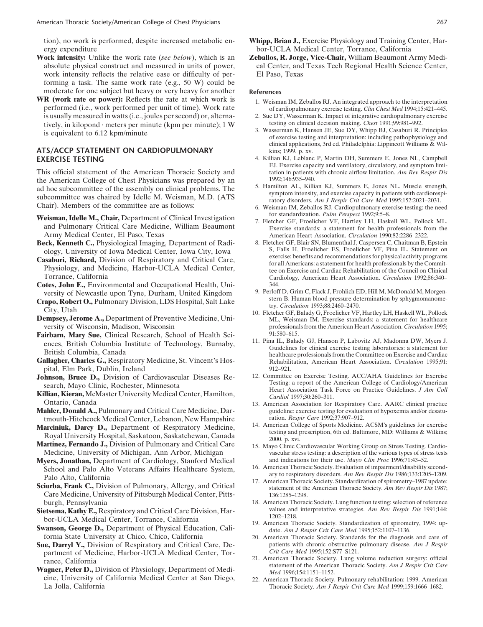tion), no work is performed, despite increased metabolic en- **Whipp, Brian J.,** Exercise Physiology and Training Center, Harergy expenditure bor-UCLA Medical Center, Torrance, California

- work intensity reflects the relative ease or difficulty of per-<br>El Paso, Texas forming a task. The same work rate (e.g., 50 W) could be moderate for one subject but heavy or very heavy for another **References**
- **WR (work rate or power):** Reflects the rate at which work is <br>performed (i.e., work performed per unit of time). Work rate  $\frac{1}{1}$ . Weisman IM, Zeballos RJ. An integrated approach to the interpretation of cardiopulmonar performed (i.e., work performed per unit of time). Work rate is usually measured in watts (i.e., joules per second) or, alterna-<br>tively in kilopond · meters per minute (kpm per minute) · 1 W testing on clinical decision making. *Chest* 1991;99:981-992. tively, in kilopond · meters per minute (kpm per minute); 1 W<br>is equivalent to 6.12 kpm/minute<br>of exercise testing and interpretation: including pathophysiology and<br>of exercise testing and interpretation: including pathoph

# **ATS/ACCP STATEMENT ON CARDIOPULMONARY** kins; 1999. p. xv. **EXERCISE TESTING** 4. Killian KJ, Leblanc P, Martin DH, Summers E, Jones NL, Campbell

This official statement of the American Thoracic Society and tation in patients the American College of Chest Physicians was prepared by an 1992:146:935–940. the American College of Chest Physicians was prepared by an<br>ad hoc subcommittee of the assembly on clinical problems. The<br>subcommittee was chaired by Idelle M. Weisman, M.D. (ATS<br>Chair). Members of the committee are as fol

- Weisman, Idelle M., Chair, Department of Clinical Investigation<br>and Pulmonary Critical Care Medicine, William Beaumont<br>Army Medical Center, El Paso, Texas<br>Army Medical Center, El Paso, Texas<br>Army Medical Center, El Paso, T
- **Beck, Kenneth C.,** Physiological Imaging, Department of Radi-<br>
ology University of Iowa Medical Center Iowa City Iowa<br>
S. Falls H. Froelicher ES, Froelicher VF, Pina IL. Statement on
- 
- **Cotes, John E.,** Environmental and Occupational Health, Uni-<br>versity of Newcastle upon Tyne, Durham, United Kingdom 9. Perloff D, Grim C, Flack J, Frohlich ED, Hill M, McDonald M, Morgen-
- 
- 
- **Fairbarn, Mary Sue,** Clinical Research, School of Health Sci-<br> **Party School of Technology, Pyrnoby** 11. Pina IL, Balady GJ, Hanson P, Labovitz AJ, Madonna DW, Myers J.
- pital, Elm Park, Dublin, Ireland<br> **hnson, Bruce D.**, Division of Cardiovascular Diseases Re- 12. Committee on Exercise Testing. ACC/AHA Guidelines for Exercise
- 
- 
- tmouth-Hitchcock Medical Center, Lebanon, New Hampshire ration. *Respir Care* 1992;37:907–912.<br> **The Carefort Department of Respiratory Medicine** 14. American College of Sports Medicine. ACSM's guidelines for exercise
- 
- Royal University Hospital, Saskatoon, Saskatchewan, Canada<br>
Martinez, Fernando J., Division of Pulmonary and Critical Care<br>
Medicine, University of Michigan, Ann Arbor, Michigan<br>
Medicine, University of Michigan, Ann Arbor
- **Myers, Jonathan,** Department of Cardiology, Stanford Medical and indications for their use. *Mayo Clin Proc* 1996;71:43–52. School and Palo Alto Veterans Affairs Healthcare System,<br>Palo Alto, California<br>Palo Alto, California<br>School and Palo Alto, California<br>It alternation of the American Thoracic Society. Standardization of spirometry-1987 upda
- Care Medicine, University of Pittsburgh Medical Center, Pitts- 136:1285–1298.
- Sietsema, Kathy E., Respiratory and Critical Care Division, Har-<br>
bor-UCLA Medical Center, Torrance, California<br>
Swanson, George D., Department of Physical Education, Cali-<br>
fornia State University at Chico, Chico, Califor
- 
- 
- La Jolla, California Thoracic Society. *Am J Respir Crit Care Med* 1999;159:1666–1682.
- 
- **Work intensity:** Unlike the work rate (*see below*), which is an **Zeballos, R. Jorge, Vice-Chair,** William Beaumont Army Mediabsolute physical construct and measured in units of power, cal Center, and Texas Tech Regional Health Science Center,

- 
- 
- clinical applications, 3rd ed. Philadelphia: Lippincott Williams & Wil-
- EJ. Exercise capacity and ventilatory, circulatory, and symptom limitation in patients with chronic airflow limitation. Am Rev Respir Dis
- 
- 
- American Heart Association. *Circulation* 1990;82:2286-2322.
- ology, University of Iowa Medical Center, Iowa City, Iowa<br>
Casaburi, Richard, Division of Respiratory and Critical Care,<br>
Physiology, and Medicine, Harbor-UCLA Medical Center,<br>
Torrance, California<br>
Torrance, California<br>
T Cardiology, American Heart Association. *Circulation* 1992;86:340–344
- versity of Newcastle upon Tyne, Durham, United Kingdom<br> **Crapo, Robert O., Pulmonary Division, LDS Hospital, Salt Lake**<br>
etermination 1993;88:2460-2470.<br>
The City, Utah<br>
10. Fletcher GF, Balady G, Froelicher VF, Hartley LH
- **Dempsey, Jerome A.,** Department of Preventive Medicine, Uni- ML, Weisman IM. Exercise standards: a statement for healthcare versity of Wisconsin, Madison, Wisconsin professionals from the American Heart Association. *Circulation* 1995;<br> **airharn. Mary Sue.** Clinical Research School of Health Sci-<br>
<sup>91:580–615.</sup>
- ences, British Columbia Institute of Technology, Burnaby,<br>British Columbia, Canada<br>
Gallagher, Charles G., Respiratory Medicine, St. Vincent's Hos-<br>
Gallagher, Charles G., Respiratory Medicine, St. Vincent's Hos-<br>
Fragment
- **Johnson, Bruce D.,** Division of Cardiovascular Diseases Re- 12. Committee on Exercise Testing. ACC/AHA Guidelines for Exercise<br>
Testing: a report of the American College of Cardiology/American search, Mayo Clinic, Rochester, Minnesota<br> **Killian, Kieran,** McMaster University Medical Center, Hamilton,<br>
Cardiol 197;30:260-311.<br>
Cardiol 197;30:260-311.<br>
Cardiol 197;30:260-311.<br>
Cardiol 197;30:260-311.<br>
Cardiol 197;3
- **Mahler, Donald A.,** Pulmonary and Critical Care Medicine, Dar-<br>
throuth-Hitchcock Medical Center. Lebanon. New Hampshire ration. Respir Care 1992;37:907-912.
- **Marciniuk, Darcy D.,** Department of Respiratory Medicine,<br>Result Initiative Islands and prescription, 6th ed. Baltimore, MD: Williams & Wilkins;
	- Medicine, University of Michigan, Ann Arbor, Michigan vascular stress testing: a description of the various types of stress tests in the various types of stress testing: a description of the various types of stress tests t
		-
		-
	- burgh, Pennsylvania 18. American Thoracic Society. Lung function testing: selection of reference<br>
	etcome Kathy F. Respiratory and Critical Care Division Har- values and interpretative strategies. Am Rev Respir Dis 1991;144
		-
- 20. American Thoracic Society. Standards for the diagnosis and care of **Sue, Darryl Y.,** Division of Respiratory and Critical Care, De- patients with chronic obstructive pulmonary disease. *Am J Respir*
- partment of Medicine, Harbor-UCLA Medical Center, Tor-<br>
rance, California<br> **Wagner, Peter D.,** Division of Physiology, Department of Medi-<br> **Wagner, Peter D.**, Division of Physiology, Department of Medi-<br>
enter at San Dieg
	-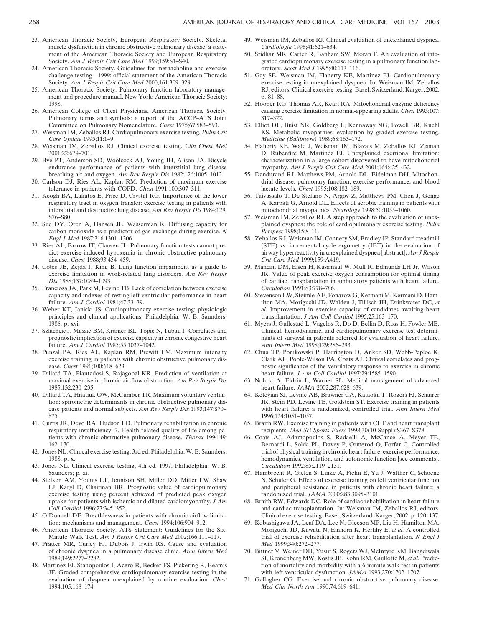- muscle dysfunction in chronic obstructive pulmonary disease: a state- *Cardiologia* 1996;41:621–634. ment of the American Thoracic Society and European Respiratory 50. Sridhar MK, Carter R, Banham SW, Moran F. An evaluation of inte-
- 24. American Thoracic Society. Guidelines for methacholine and exercise oratory. *Scott Med J* 1995;40:113–116. challenge testing—1999: official statement of the American Thoracic 51. Gay SE, Weisman IM, Flaherty KE, N
- 25. American Thoracic Society. Pulmonary function laboratory management and procedure manual. New York: American Thoracic Society; p. 81-88.
- Pulmonary terms and symbols: a report of the ACCP–ATS Joint 317–322.
- 27. Weisman IM, Zeballos RJ. Cardiopulmonary exercise testing. *Pulm Crit Care Update* 1995;11:1–9. *Medicine (Baltimore)* 1989;68:163–172.
- 28. Weisman IM, Zeballos RJ. Clinical exercise testing. *Clin Chest Med* 54. Flaherty KE, Wald J, Weisman IM, Blavais M, Zeballos RJ, Zisman
- 29. Bye PT, Anderson SD, Woolcock AJ, Young IH, Alison JA. Bicycle characterization in a large cohort discovered to have mitorial endurance performance of patients with interstitial lung disease myopathy. Am J Respir Crit endurance performance of patients with interstitial lung disease
- tolerance in patients with COPD. *Chest* 1991;100:307–311. lactate levels. *Chest* 1995;108:182–189.
- 31. Keogh BA, Lakatos E, Price D, Crystal RG. Importance of the lower 56. Taivassalo T, De Stefano N, Argov Z, Matthews PM, Chen J, Genge interstitial and destructive lung disease. *Am Rev Respir Dis* 1984;129: mitochondrial myopathies. *Neurology* 1998;50:1055–1060. S76–S80. 57. Weisman IM, Zeballos RJ. A step approach to the evaluation of unex-
- carbon monoxide as a predictor of gas exchange during exercise. *N Perspect* 1998;15:8–11. *Engl J Med* 1987;316:1301–1306. 58. Zeballos RJ, Weisman IM, Connery SM, Bradley JP. Standard treadmill
- disease. *Chest* 1988;93:454–459. *Crit Care Med* 1999;159:A419.
- 
- 35. Franciosa JA, Park M, Levine TB. Lack of correlation between exercise *Circulation* 1991;83:778–786. capacity and indexes of resting left ventricular performance in heart
- principles and clinical applications. Philadelphia: W. B. Saunders; transplantation. *J Am Coll Cardiol* 1995;25:163–170. 1986. p. xvi. 61. Myers J, Gullestad L, Vagelos R, Do D, Bellin D, Ross H, Fowler MB.
- failure. *Am J Cardiol* 1985;55:1037-1042.
- 
- 39. Dillard TA, Piantadosi S, Rajagopal KR. Prediction of ventilation at maximal exercise in chronic air-flow obstruction. *Am Rev Respir Dis* 63. Nohria A, Eldrin L, Warner SL. Medical management of advanced 1985;132:230–235. heart failure. *JAMA* 2002;287:628–639.
- 40. Dillard TA, Hnatiuk OW, McCumber TR. Maximum voluntary ventila- 64. Keteyian SJ, Levine AB, Brawner CA, Kataoka T, Rogers FJ, Schairer 875. 1996;124:1051–1057.
- 41. Curtis JR, Deyo RA, Hudson LD. Pulmonary rehabilitation in chronic 65. Braith RW. Exercise training in patients with CHF and heart transplant respiratory insufficiency. 7. Health-related quality of life among pa- recipients. *Med Sci Sports Exerc* 1998;30(10 Suppl):S367–S378.
- 
- 43. Jones NL. Clinical exercise testing, 4th ed. 1997, Philadelphia: W. B. *Circulation* 1992;85:2119–2131.
- exercise testing using percent achieved of predicted peak oxygen randomized trial. *JAMA* 2000;283:3095–3101. uptake for patients with ischemic and dilated cardiomyopathy. *J Am* 68. Braith RW, Edwards DC. Role of cardiac rehabilitation in heart failure
- 45. O'Donnell DE. Breathlessness in patients with chronic airflow limita- Clinical exercise testing. Basel, Switzerland: Karger; 2002. p. 120–137.
- 
- 47. Pratter MR, Curley FJ, Dubois J, Irwin RS. Cause and evaluation *Med* 1999;340:272–277.
- JF. Graded comprehensive cardiopulmonary exercise testing in the with left ventricular dysfunction. *JAMA* 1993;270:1702–1707. 1994;105:168–174. *Med Clin North Am* 1990;74:619–641.
- 23. American Thoracic Society, European Respiratory Society. Skeletal 49. Weisman IM, Zeballos RJ. Clinical evaluation of unexplained dyspnea.
	- Society. *Am J Respir Crit Care Med* 1999;159:S1–S40. grated cardiopulmonary exercise testing in a pulmonary function lab-
	- 51. Gay SE, Weisman IM, Flaherty KE, Martinez FJ. Cardiopulmonary Society. *Am J Respir Crit Care Med* 2000;161:309–329. exercise testing in unexplained dyspnea. In: Weisman IM, Zeballos<br>merican Thoracic Society. Pulmonary function laboratory manage-<br>RJ, editors. Clinical exercise testin
- 1998. 52. Hooper RG, Thomas AR, Kearl RA. Mitochondrial enzyme deficiency 26. American College of Chest Physicians, American Thoracic Society. causing exercise limitation in normal-appearing adults. *Chest* 1995;107:
	- Committee on Pulmonary Nomenclature. *Chest* 1975;67:583–593. 53. Elliot DL, Buist NR, Goldberg L, Kennaway NG, Powell BR, Kuehl<br>
	S. Metabolic myopathies: evaluation by graded exercise testing. Pulm Crit KS. Metabolic myop
	- 2001;22:679–701. D, Rubenfire M, Martinez FJ. Unexplained exertional limitation:
- breathing air and oxygen. *Am Rev Respir Dis* 1982;126:1005–1012. 55. Dandurand RJ, Matthews PM, Arnold DL, Eidelman DH. Mitochon-30. Carlson DJ, Ries AL, Kaplan RM. Prediction of maximum exercise drial disease: pulmonary function, exercise performance, and blood
	- respiratory tract in oxygen transfer: exercise testing in patients with A, Karpati G, Arnold DL. Effects of aerobic training in patients with
- 32. Sue DY, Oren A, Hansen JE, Wasserman K. Diffusing capacity for plained dyspnea: the role of cardiopulmonary exercise testing. *Pulm*
- 33. Ries AL, Farrow JT, Clausen JL. Pulmonary function tests cannot pre- (STE) vs. incremental cycle ergometry (IET) in the evaluation of dict exercise-induced hypoxemia in chronic obstructive pulmonary airway hyperreactiv airway hyperreactivity in unexplained dyspnea [abstract]. *Am J Respir*
- 34. Cotes JE, Zejda J, King B. Lung function impairment as a guide to 59. Mancini DM, Eisen H, Kussmaul W, Mull R, Edmunds LH Jr, Wilson exercise limitation in work-related lung disorders. *Am Rev Respir* JR. Value of peak exercise oxygen consumption for optimal timing *Dis* 1988;137:1089–1093.<br>
of cardiac transplantation in ambulatory patients with heart failure.<br> *Circulation* 1991;83:778–786.
- failure. *Am J Cardiol* 1981;47:33–39. ilton MA, Moriguchi JD, Walden J, Tillisch JH, Drinkwater DC, *et* 36. Weber KT, Janicki JS. Cardiopulmonary exercise testing: physiologic *al.* Improvement in exercise capacity of candidates awaiting heart
- 37. Szlachcic J, Massie BM, Kramer BL, Topic N, Tubau J. Correlates and Clinical, hemodynamic, and cardiopulmonary exercise test determiprognostic implication of exercise capacity in chronic congestive heart nants of survival in patients referred for evaluation of heart failure.<br>
Ann Intern Med 1998;129:286-293.
- 38. Punzal PA, Ries AL, Kaplan RM, Prewitt LM. Maximum intensity 62. Chua TP, Ponikowski P, Harrington D, Anker SD, Webb-Peploe K, exercise training in patients with chronic obstructive pulmonary dis- Clark AL, Poole-Wilson PA, Coats AJ. Clinical correlates and progease. *Chest* 1991;100:618–623. nostic significance of the ventilatory response to exercise in chronic<br>illard TA, Piantadosi S, Rajagopal KR. Prediction of ventilation at heart failure. *J Am Coll Cardiol* 1997;29:1585–159
	-
	- tion: spirometric determinants in chronic obstructive pulmonary dis- JR, Stein PD, Levine TB, Goldstein ST. Exercise training in patients ease patients and normal subjects. *Am Rev Respir Dis* 1993;147:870– with heart failure: a randomized, controlled trial. *Ann Intern Med*
		-
- tients with chronic obstructive pulmonary disease. *Thorax* 1994;49: 66. Coats AJ, Adamopoulos S, Radaelli A, McCance A, Meyer TE, 162–170. Bernardi L, Solda PL, Davey P, Ormerod O, Forfar C. Controlled 42. Jones NL. Clinical exercise testing, 3rd ed. Philadelphia: W. B. Saunders; trial of physical training in chronic heart failure: exercise performance, hemodynamics, ventilation, and autonomic function [see comments].
- Saunders; p. xi. **67. Hambrecht R, Gielen S, Linke A, Fiehn E, Yu J, Walther C, Schoene** 44. Stelken AM, Younis LT, Jennison SH, Miller DD, Miller LW, Shaw N, Schuler G. Effects of exercise training on left ventricular function LJ, Kargl D, Chaitman BR. Prognostic value of cardiopulmonary and peripheral resistance in patients with chronic heart failure: a
	- *Coll Cardiol* 1996;27:345–352. and cardiac transplantation. In: Weisman IM, Zeballos RJ, editors.
- tion: mechanisms and management. *Chest* 1994;106:904-912. 69. Kobashigawa JA, Leaf DA, Lee N, Gleeson MP, Liu H, Hamilton MA, 46. American Thoracic Society. ATS Statement: Guidelines for the Six-<br>Minute Walk Test. Am J Respir Crit Care Med 2002;166:111-117. trial of exercise rehabilitation after heart transplantation. N Engl J trial of exercise rehabilitation after heart transplantation. *N Engl J*
- of chronic dyspnea in a pulmonary disease clinic. *Arch Intern Med* 70. Bittner V, Weiner DH, Yusuf S, Rogers WJ, McIntyre KM, Bangdiwala SI, Kronenberg MW, Kostis JB, Kohn RM, Guillotte M, et al. Predic-48. Martinez FJ, Stanopoulos I, Acero R, Becker FS, Pickering R, Beamis tion of mortality and morbidity with a 6-minute walk test in patients
	- evaluation of dyspnea unexplained by routine evaluation. *Chest* 71. Gallagher CG. Exercise and chronic obstructive pulmonary disease.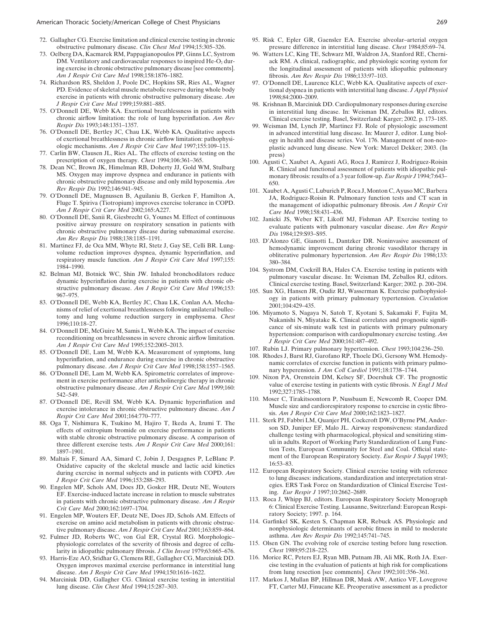- 
- *Am J Respir Crit Care Med* 1998;158:1876–1882. fibrosis. *Am Rev Respir Dis* 1986;133:97–103.
- exercise in patients with chronic obstructive pulmonary disease. *Am* 1998;84:2000–2009.<br> *J Respir Crit Care Med* 1999;159:881–885. 98. Krishnan B. Marciniu
- chronic airflow limitation: the role of lung hyperinflation. *Am Rev* Clinical exercise testing. Basel, Switzerland: Karger; 2002. p. 173–185.<br> *Respir Dis* 1993;148:1351–1357. **1898:** 1993;148:1351–1357. **1899.** Weisman I
- 
- 77. Carlin BW, Clausen JL, Ries AL. The effects of exercise testing on the press) prescription of oxygen therapy. Chest 1994;106:361-365. 100. Agusti C
- chronic obstructive pulmonary disease and only mild hypoxemia. *Am* 650.<br>
Rev Respir Dis 1992;146:941-945.<br>
101. Xaubet A, Agusti C, Luburich P, Roca J, Monton C, Ayuso MC, Barbera
- 
- 
- 
- 
- 
- 
- 
- 
- 
- 
- Oxidative capacity of the skeletal muscle and lactic acid kinetics  $10:53-83$ .<br>during exercise in normal subjects and in patients with COPD  $Am = 112$ . European Respiratory Society. Clinical exercise testing with reference
- EF. Exercise-induced lactate increase in relation to muscle substrates in the substrates in patients with chronic obstructive pulmonary disease. *Am I Respir* 113. Roca J, Whipp BJ, editors. European Respiratory Society Mo in patients with chronic obstructive pulmonary disease. Am J Respir
- 91. Engelen MP, Wouters EF, Deutz NE, Does JD, Schols AM. Effects of ratory Society; 1997. p. 164.<br>exercise on amino acid metabolism in patients with chronic obstruc-<br>114. Garfinkel SK, Kesten S, Chapman KR, Rebuck AS. Phy
- 92. Fulmer JD, Roberts WC, von Gal ER, Crystal RG. Morphologic-<br>
physiologic correlates of the severity of fibrosis and degree of cellu-<br>
115. Olsen GN. The evolving role of exercise testing before lung resection. physiologic correlates of the severity of fibrosis and degree of cellu-
- 93. Harris-Eze AO, Sridhar G, Clemens RE, Gallagher CG, Marciniuk DD.
- 
- 72. Gallagher CG. Exercise limitation and clinical exercise testing in chronic 95. Risk C, Epler GR, Gaensler EA. Exercise alveolar–arterial oxygen obstructive pulmonary disease. *Clin Chest Med* 1994;15:305–326. pressure difference in interstitial lung disease. *Chest* 1984;85:69–74.
- 73. Oelberg DA, Kacmarek RM, Pappagianopoulos PP, Ginns LC, Systrom 96. Watters LC, King TE, Schwarz MI, Waldron JA, Stanford RE, Cherni-DM. Ventilatory and cardiovascular responses to inspired He-O<sub>2</sub> dur-<br>ing exercise in chronic obstructive pulmonary disease [see comments]. the longitudinal assessment of patients with idiopathic pulmonary ing exercise in chronic obstructive pulmonary disease [see comments]. the longitudinal assessment of patients with idiopathic pulmonary<br>Am J Respir Crit Care Med 1998;158:1876–1882. the structure fibrosis. Am Rev Respir Di
	- chardson RS, Sheldon J, Poole DC, Hopkins SR, Ries AL, Wagner 97. O'Donnell DE, Laurence KLC, Webb KA. Qualitative aspects of exer-<br>PD. Evidence of skeletal muscle metabolic reserve during whole body total dyspnea in patie PD. Evidence of skeletal muscle metabolic reserve during whole body tional dyspnea in patients with interstitial lung disease. *J Appl Physiol*
- *J Respir Crit Care Med* 1999;159:881–885. 98. Krishnan B, Marciniuk DD. Cardiopulmonary responses during exercise<br> *98.* Krishnan B, Marciniuk DD. Cardiopulmonary responses during exercise<br> *n* interstitial lung disease. in interstitial lung disease. In: Weisman IM, Zeballos RJ, editors.
- *Respir Dis* 1993;148:1351–1357.<br>
76. O'Donnell DE, Bertley JC, Chau LK, Webb KA. Qualitative aspects in advanced interstitial lung disease. In: Maurer Leditor Lung biol-76. Donnell DE, Bertley JC, Chau LK, Webb KA. Qualitative aspects in advanced interstitial lung disease. In: Maurer J, editor. Lung biol-<br>of exertional breathlessness in chronic airflow limitation: pathophysi-<br>ogv in healt of exertional breathlessness in chronic airflow limitation: pathophysi-<br>
ogy in health and disease series. Vol. 176. Management of non-neo-<br>
plastic advanced lung disease. New York: Marcel Dekker: 2003. (In plastic advanced lung disease. New York: Marcel Dekker; 2003. (In
- prescription of oxygen therapy. Chest 1994;106:361-365. 100. Agusti C, Xaubet A, Agusti AG, Roca J, Ramirez J, Rodriguez-Roisin<br>78. Dean NC, Brown JK, Himelman RB, Doherty JJ, Gold WM, Stulbarg R. Clinical and functional a
- *Rev Respir Dis* 1992;146:941–945.<br>
79. O'Donnell DE, Magnusen B, Aguilaniu B, Gerken F, Hamilton A,<br>
They Respir Crit Care Med 2002;165:A227.<br> *Am J Respir Crit Care Med 2002;165:A227.*<br> *Am J Respir Crit Care Med 2002;1* 
	-
	-
	-
	-
	-
	-
	-
	-
	-
- 1944–1990.<br>
22. Belmaa MJ, Botnick WC, Shin JW. Inhaled bronchodilators reduce<br>
22. Belmaa MJ, Botnick WC, Shin JW. Inhaled bronchodilators reduce<br>
23. Belmaa MJ, Botnical experies in patients with chronic observation dur ment of the European Community for steel and Coal. Onicial state-<br>Society. *Eur Respir J Suppl* 1993;<br>Cuidating sepective of the chalatal muscle and lattice and lattice and lattice and lattice of the chalatal muscle and la
- during exercise in normal subjects and in patients with COPD. *Am* 112. European Respiratory Society. Clinical exercise testing with reference to lung diseases: indications, standardization and interpretation strat-<br>*L* Re *J Respir Crit Care Med* 1996;153:288–293.<br>90. Engelen MP, Schols AM, Does JD, Gosker HR, Deutz NE, Wouters<br>FE Exercise-induced lactate increase in relation to muscle substrates<br>FE Exercise-induced lactate increase in rela
	- *Crit Care Med* 2000;162:1697–1704.<br> **Crit Care Med** 2000;162:1697–1704.<br> **Crit Care Med** 2000;162:1697–1704.<br> **Crit Care Media 2000;162:1697–1704.**<br> **Crit Care Media 2000;162:1697–1704.**<br> **Crit Care Media 2000;162:1697–17**
	- exercise on amino acid metabolism in patients with chronic obstruc-<br>tive pulmonary disease. Am J Respir Crit Care Med 2001:163:859-864. The propriet of acrobic fitness in mild to moderate tive pulmonary disease. *Am J Respir Crit Care Med* 2001;163:859–864. nonphysiologic determinants of aerobic fitness<br>Imer JD, Roberts WC, von Gal ER, Crystal RG. Morphologic–<br>asthma. *Am Rev Respir Dis* 1992;145:741–745.
	- larity in idiopathic pulmonary fibrosis. *J Clin Invest* 1979;63:665–676. *Chest* 1989;95:218–225.
- Oxygen improves maximal exercise performance in interstitial lung cise testing in the evaluation of patients at high risk for complications disease. *Am J Respir Crit Care Med* 1994;150:1616–1622. from lung resection [see comments]. *Chest* 1992;101:356–361.<br>94. Marciniuk DD, Gallagher CG. Clinical exercise testing in interstitial 117. Markos J, Mullan BP, Hil
	- 117. Markos J, Mullan BP, Hillman DR, Musk AW, Antico VF, Lovegrove lung disease. *Clin Chest Med* 1994;15:287–303. FT, Carter MJ, Finucane KE. Preoperative assessment as a predictor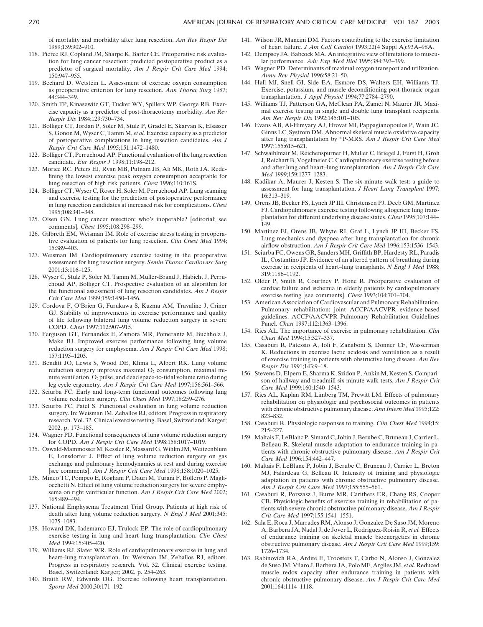- tion for lung cancer resection: predicted postoperative product as a predictor of surgical mortality. *Am J Respir Crit Care Med* 1994; 143. Wagner PD. Determinants of maximal oxygen transport and utilization.
- as preoperative criterion for lung resection. *Ann Thorac Surg* 1987; 44:344–349.<br>
transplantation. *J Appl Physiol* 1994;77:2784–2790.<br>
inith TP, Kinasewitz GT, Tucker WY, Spillers WP, George RB. Exer-<br>
<sup>145</sup>. Williams TJ, Patterson GA, McClean PA, Zamel N, Maurer JR. Maxi-
- 120. Smith TP, Kinasewitz GT, Tucker WY, Spillers WP, George RB. Exer-*Respir Dis* 1984;129:730–734. *Am Rev Respir Dis* 1992;145:101–105.
- of postoperative complications in lung resection candidates. *Am J* after lung transplant *Respir Crit Care Med* 1995:151:1472–1480 *Am J* 1997;155:615–621. *Respir Crit Care Med* 1995;151:1472–1480.<br>
olliger CT, Perruchoud AP, Functional evaluation of the lung resection 147. Schwaiblmair M, Reichenspurner H, Muller C, Briegel J, Furst H, Groh
- 122. Bolliger CT, Perruchoud AP. Functional evaluation of the lung resection
- and after lung and heart–<br>fining the lowest exercise neak oxygen consumption acceptable for *Med* 1999;159:1277–1283. fining the lowest exercise peak oxygen consumption acceptable for
- 124. Bolliger CT, Wyser C, Roser H, Soler M, Perruchoud AP. Lung scanning<br>and exercise testing for the prediction of postoperative performance<br>in lung resection candidates at increased risk for complications. *Chest* 149.
- 
- 1995;108:341–348.<br>
125. Olsen GN. Lung cancer resection: who's inoperable? [editorial; see<br>
215. Olsen GN. Lung cancer resection: who's inoperable? [editorial; see<br>
216. Gilbreth EM, Weisman IM. Role of exercise stress tes
- 
- 
- 
- 
- 
- 
- 127. Weisman IM. Cardiopulmonary exergie testing in the prosperative and M. Scienche M. H. Covens GR, Sandern (H. Tarachess, M. 2011;3116-1167, Sandern (F. Particles) and the section of the section of the section of the m
- 
- 134. Wagner PD. Functional consequences of lung volume reduction surgery<br>
135. Maltais F, LeBlanc P, Simard C, Jobin J, Berube C, Bruneau J, Carrier L,<br>
135. Oswald-Mammoser M, Kessler R, Massard G, Wihlm JM, Weitzenblum<br>
- 
- 
- 
- 139. Williams RJ, Slater WR. Role of cardiopulmonary exercise in lung and 1726–1734.<br>heart-lung transplantation. In: Weisman IM, Zeballos RJ, editors. 163. Rabinovich F heart–lung transplantation. In: Weisman IM, Zeballos RJ, editors. 163. Rabinovich RA, Ardite E, Troosters T, Carbo N, Alonso J, Gonzalez<br>Progress in respiratory research. Vol. 32. Clinical exercise testing. de Suso JM, Vil
- 140. Braith RW, Edwards DG. Exercise following heart transplantation. *Sports Med* 2000;30:171–192. 2001;164:1114–1118.
- of mortality and morbidity after lung resection. *Am Rev Respir Dis* 141. Wilson JR, Mancini DM. Factors contributing to the exercise limitation 1989;139:902–910. of heart failure. *J Am Coll Cardiol* 1993;22(4 Suppl A):93A–98A.
- 118. Pierce RJ, Copland JM, Sharpe K, Barter CE. Preoperative risk evalua-<br>tion for lung cancer resection: predicted postoperative product as a lar performance. Adv Exp Med Biol 1995;384:393-399.
	- 150:947–955. *Annu Rev Physiol* 1996;58:21–50.
- 119. Bechard D, Wetstein L. Assessment of exercise oxygen consumption 144. Hall MJ, Snell GI, Side EA, Esmore DS, Walters EH, Williams TJ.<br>as preoperative criterion for lung resection. Ann Thorac Surg 1987: Exercise, potas
	- cise capacity as a predictor of post-thoracotomy morbidity. *Am Rev* mal exercise testing in single and double lung transplant recipients.
- 121. Bolliger CT, Jordan P, Soler M, Stulz P, Gradel E, Skarvan K, Elsasser 146. Evans AB, Al-Himyary AJ, Hrovat MI, Pappagianopoulos P, Wain JC, Studies 146. Evans AB, Al-Himyary AJ, Hrovat MI, Pappagianopoulos P, Wain JC S, Gonon M, Wyser C, Tamm M, *et al.* Exercise capacity as a predictor Ginns LC, Systrom DM. Abnormal skeletal muscle oxidative capacity of postoperative complications in lung resection candidates. Am J after lung transpla
	- candidate. *Eur Respir J* 1998;11:198-212.<br>
	orice RC, Peters EJ, Ryan MB, Putnam JB, Ali MK, Roth JA. Rede-<br>
	and after lung and heart-lung transplantation. Am J Respir Crit Care
	- 148. Kadikar A, Maurer J, Kesten S. The six-minute walk test: a guide to lung resection of high risk patients. *Chest* 1996;110:161S.<br>
	2011 Manute T. Wester C. Roser H. Soler M. Perruchoud AP. Lung scanning assessment for
		-
		-
		-
		-
		-
		-
		-
		-
		-
		-
		-
		-
		-
- 1075–1083.<br>138. Howard DK, Iademarco EJ, Trulock EP. The role of cardiopulmonary and Sala E, Roca J, Marrades RM, Alonso J, Gonzalez De Suso JM, Moreno<br>A Barbera JA Nadal I de Iover J, Rodriguez-Roisin R et al Effects oward DK, Iademarco EJ, Trulock EP. The role of cardiopulmonary A, Barbera JA, Nadal J, de Jover L, Rodriguez-Roisin R, *et al.* Effects exercise testing in lung and heart-lung transplantation. *Clin Chest* of endurance tr exercise testing in lung and heart–lung transplantation. *Clin Chest* of endurance training on skeletal muscle bioenergetics in chronic obstructive pulmonary disease. Am J Respir Crit Care Med 1999;159: obstructive pulmonary disease. *Am J Respir Crit Care Med* 1999;159:
	- Progress in respiratory research. Vol. 32. Clinical exercise testing. de Suso JM, Vilaro J, Barbera JA, Polo MF, Argiles JM, *et al.* Reduced muscle redox capacity after endurance training in patients with chronic obstructive pulmonary disease. Am J Respir Crit Care Med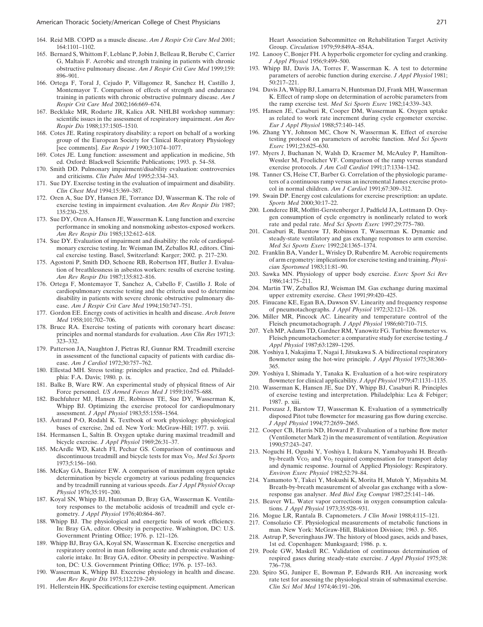- 164. Reid MB. COPD as a muscle disease. *Am J Respir Crit Care Med* 2001; Heart Association Subcommittee on Rehabilitation Target Activity 164:1101–1102. Group. *Circulation* 1979;59:849A–854A.
- 165. Bernard S, Whittom F, Leblanc P, Jobin J, Belleau R, Berube C, Carrier 192. Lanooy C, Bonjer FH. A hyperbol G, Maltais F. Aerobic and strength training in patients with chronic *J Appl Physiol* 1956;9:499–500. G, Maltais F. Aerobic and strength training in patients with chronic obstructive pulmonary disease. *Am J Respir Crit Care Med* 1999;159: 193. Whipp BJ, Davis JA, Torres F, Wasserman K. A test to determine
- 166. Ortega F, Toral J, Cejudo P, Villagomez R, Sanchez H, Castillo J, training in patients with chronic obstructive pulmnary disease. Am J
- 167. Becklake MR, Rodarte JR, Kalica AR. NHLBI workshop summary: *Respir Dis* 1988;137:1505–1510.<br> *Eur J Appl Physiol* 1988;57:140–145.<br>
Messerman K. Effect of exercise **E. Rating respiratory disability:** a report on behalf of a working 196. Zhang YY, Johnson MC, Chow N, Wasserman K. E
- group of the European Society for Clinical Respiratory Physiology testing protocol on parameters of an aerobic function. *Exerc* 1991;23:625–630. *Exerc* 1991;23:625–630. [see comments]. *Eur Respir J* 1990;3:1074–1077.
- 169. Cotes JE. Lung function: assessment and application in medicine, 5th
- 170. Smith DD. Pulmonary impairment/disability evaluation: controversies<br>and criticisms. Clin Pulm Med 1995;2:334–343.<br>198. Tanner CS, Heise CT, Barber G. Correlation of the physiologic parame-<br>171. Sue DY Exercise testing
- 171. Sue DY. Exercise testing in the evaluation of impairment and disability.<br>*Clin Chest Med* 1994;15:369-387.
- 172. Oren A, Sue DY, Hansen JE, Torrance DJ, Wasserman K. The role of 199. Swain DP. Energy cost calculation exercise testing in impairment evaluation. Am Ray Respire Dis 199. Sports Med 2000:30:17–22. exercise testing in impairment evaluation. *Am Rev Respir Dis* 1987;<br>
200. Londeree BR, Moffitt-Gerstenberger J, Padfield JA, Lottmann D. Oxy-<br>
200. Londeree BR, Moffitt-Gerstenberger J, Padfield JA, Lottmann D. Oxy-<br>
200.
- 173. Sue DY, Oren A, Hansen JE, Wasserman K. Lung function and exercise<br>performance in smoking and nonsmoking asbestos-exposed workers.<br>Am Rev Respir Dis 1985-132.612–618<br>201. Casaburi R, Barstow TJ, Robinson T, Wasserman
- monary exercise testing. In: Weisman IM, Zeballos RJ, editors. Clini-<br>cal exercise testing. Basel, Switzerland: Karger: 2002, p. 217–230. [[20]. Franklin BA, Vander L, Wrisley D, Rubenfire M. Aerobic requirements
- 
- 
- 
- 
- 
- 
- 
- 
- 
- 
- 
- cal reactions is then it shows that Normas Kaptistan in the particular and the state is the state of the state of the state of the state of the state of the state of the state of the state of the state of the state of the
- gometry. *J Appl Physiol* 1976;40:864–867. 216. Mogue LR, Rantala B. Capnometers. *J Clin Monit* 1988;4:115–121.<br>188. Whipp BJ. The physiological and energetic basis of work efficiency. 217. Consolazio CF. Physiological me
- In: Bray GA, editor. Obesity in perspective. Washington, DC: U.S. man. New York: McGraw-Hill, Blakiston Division; 1963. p. 505.<br>Government Printing Office; 1976. p. 121–126. 218. Astrup P. Severinghaus JW. The history of b
- 189. Whipp BJ, Bray GA, Koyal SN, Wasserman K. Exercise energetics and 1st ed. Copenhagen: Munksgaard; 1986. p. x. ton, DC: U.S. Government Printing Office; 1976. p. 157–163. 736–738. 736–738. 796–738. 190. Wasserman K, Whipp BJ. Excercise physiology in health and disease. 220. Spiro SG,
- 
- 191. Hellerstein HK. Specifications for exercise testing equipment. American *Clin Sci Mol Med* 1974;46:191–206.

- 
- 896–901.<br>
parameters of aerobic function during exercise. *J Appl Physiol* 1981;<br>
rtega F. Toral J. Ceiudo P. Villagomez R. Sanchez H. Castillo J. 30:217–221.
- Montemayor T. Comparison of effects of strength and endurance 194. Davis JA, Whipp BJ, Lamarra N, Huntsman DJ, Frank MH, Wasserman training in patients with chronic obstructive pulmnary disease.  $AmJ$  K. Effect of ramp slo *Respir Crit Care Med* 2002;166:669–674. the ramp exercise test. *Med Sci Sports Exerc* 1982;14:339–343.
- scientific issues in the assessment of respiratory impairment. *Am Rev* as related to work rate increment during cycle ergometer exercise.
- 168. Cotes JE. Rating respiratory disability: a report on behalf of a working 196. Zhang YY, Johnson MC, Chow N, Wasserman K. Effect of exercise testing protocol on parameters of aerobic function. *Med Sci Sports* testing
	- ed. Oxford: Blackwell Scientific Publications; 1993. p. 54–58. Wessler M, Froelicher VF. Comparison of the ramp versus standard exercise protocols. *J Am Coll Cardiol* 1991;17:1334–1342.
		-
		- *Col in normal children. <i>Am J Cardiol* 1991;67:309–312.<br>199. Swain DP. Energy cost calculations for exercise prescription: an update.
		-
- *Am Rev Respir Dis* 1985;132:612–618.<br>174. Sue DY. Evaluation of impairment and disability: the role of cardiopul-<br>174. Sue DY. Evaluation of impairment and disability: the role of cardiopul-<br>174. Sue DY. Evaluation of imp
	-
	-
	-
	-
	-
	-
	-
	-
	-
	-
	-
	-
	-
	-
	-
	- hipp BJ. The physiological and energetic basis of work efficiency. 217. Consolazio CF. Physiological measurements of metabolic functions in<br>In: Bray GA, editor. Obesity in perspective. Washington, DC: U.S. and the New York
		- 218. Astrup P, Severinghaus JW. The history of blood gases, acids and bases,
	- respiratory control in man following acute and chronic evaluation of 219. Poole GW, Maskell RC. Validation of continuous determination of calorie intake. In: Bray GA, editor. Obesity in perspective. Washing-<br>
	respired gase respired gases during steady-state exercise. *J Appl Physiol* 1975;38:
	- asserman K, Whipp BJ. Excercise physiology in health and disease. 220. Spiro SG, Juniper E, Bowman P, Edwards RH. An increasing work *Am Rev Respir Dis* 1975;112:219-249. *An increasing work* rate test for assessing the ph rate test for assessing the physiological strain of submaximal exercise.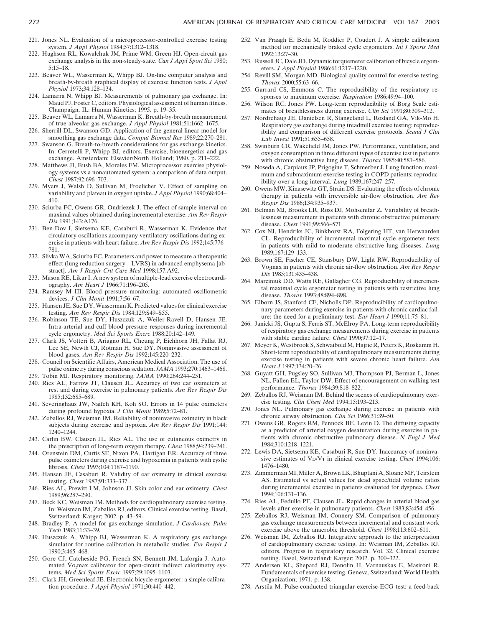- 
- 222. Hughson RL, Kowalchuk JM, Prime WM, Green HJ. Open-circuit gas 1992;13:27-30.<br>exchange analysis in the non-steady-state. Can J Appl Sport Sci 1980; 253. Russell JC, Dale
- 5:15–18. eters. *J Appl Physiol* 1986;61:1217–1220. breath-by-breath graphical display of exercise function tests. *J Appl Thorax* 2000;55:63–66.
- 224. Lamarra N, Whipp BJ. Measurements of pulmonary gas exchange. In: sponses to maximum exercise. *Respiration* 1986;49:94–100.<br>Maud PJ. Foster C. editors. Physiological assessment of human fitness. 256. Wilson RC. Jones
- 
- smoothing gas exchange data. *Comput Biomed Res* 1989;22:270–281. *Lab Invest* 1991;51:655–658.
- 
- 
- 
- 
- 
- 
- 
- 
- 
- 
- 
- 
- 
- 
- 
- 
- 243. Carlin BW, Clausen JL, Ries AL. The use of cutaneous oximetry in<br>the start of long-term oxygen therapy. Chest 1988;94:239–241.<br>244. Orenstein DM. Curtis SE. Nixon PA. Hartigan ER. Accuracy of three 272. Lewis DA, Siet
- pulse oximeters during exercise and hypoxemia in patients with cystic sive estimates of the vectors of  $\frac{1476-1480}{1476-1480}$ . fibrosis. *Chest* 1993;104:1187–1190.<br>ansen JE, Casaburi R, Validity of ear oximetry in clinical exercise 273. Zimmerman MI, Miller A, Brown LK, Bhuptani A, Sloane MF, Teirstein
- 245. Hansen JE, Casaburi R. Validity of ear oximetry in clinical exercise testing. *Chest* 1987;91:333-337.
- 246. Ries AL, Prewitt LM, Johnson JJ. Skin color and ear oximetry. *Chest* 1989;96:287–290. 1994;106:131–136.
- In: Weisman IM, Zeballos RJ, editors. Clinical exercise testing. Basel, Switzerland: Karger; 2002. p. 43–59.
- 248. Bradley P. A model for gas-exchange simulation. *J Cardiovasc Pulm Tech* 1983;11:33–39. exercise above the anaerobic threshold. *Chest* 1998;113:602–611.<br>249. Huszczuk A, Whipp BJ, Wasserman K. A respiratory gas exchange 276. Weisman IM, Zeballos RJ. Integrative approach to the interpret
- 
- 250. Gore CJ, Catcheside PG, French SN, Bennett JM, Laforgia J. Automated Vo<sub>2</sub>max calibrator for open-circuit indirect calorimetry sys-<br>
277. Andersen KL, Shepard RJ, Denolin H, Varnauskas E, Masironi R.
- 251. Clark JH, Greenleaf JE. Electronic bicycle ergometer: a simple calibra- Organization; 1971. p. 138.
- 221. Jones NL. Evaluation of a microprocessor-controlled exercise testing 252. Van Praagh E, Bedu M, Roddier P, Coudert J. A simple calibration system. *J Appl Physiol* 1984;57:1312–1318. method for mechanically braked cycle ergometers. *Int J Sports Med*
	- 253. Russell JC, Dale JD. Dynamic torquemeter calibration of bicycle ergom-
	- 254. Revill SM, Morgan MD. Biological quality control for exercise testing.
	- 255. Garrard CS, Emmons C. The reproducibility of the respiratory re-
- Maud PJ, Foster C, editors. Physiological assessment of human fitness. 256. Wilson RC, Jones PW. Long-term reproducibility of Borg Scale esti-<br>Champaign, IL: Human Kinetics; 1995. p. 19–35. https://www.mates.org/breathless Champaign, IL: Human Kinetics; 1995. p. 19–35. mates of breathlessness during exercise. *Clin Sci* 1991;80:309–312.
- 257. Nordrehaug JE, Danielsen R, Stangeland L, Rosland GA, Vik-Mo H.<br>257. Nordrehaug JE, Danielsen R, Stangeland L, Rosland GA, Vik-Mo H.<br>Respiratory pas exchange during treadmill exercise testing: reproduc-<br>Respiratory pa of true alveolar gas exchange. *J Appl Physiol* 1981;51:1662–1675.<br>226. Sherrill DL, Swanson GD. Application of the general linear model for all integration of different exercise protocols. Scand J Clin
- 229. Wanson G. Breath-to-breath considerations for gas exchange kinetics.<br>
In: Cerretelli P, Whipp BJ, editors. Exercise, bioenergetics and gas<br>
exchange Amsterdam: Elsevier/North Holland; 1980. p. 211–222.<br>
228. Matthews
	-
	-
	-
	-
	-
	-
	-
	-
- 200. State F.C. Owers GR, Ondriezek J. The effect of sample interval on<br>
201. Belman MJ, Brooks LR, Ross DJ, Moheculiar Z. Variability of breath-<br>
201. Belman MJ, Brooks LR, Ross DJ, Moheculiar Z. Variability of breath-<br>
	-
	-
	-
	- subjects during exercise and hypoxia. Am Rev Respir Dis 1991;144:<br>
	as a predictor of arterial oxygen desaturation during exercise in pa-<br>
	as a predictor of arterial oxygen desaturation during exercise in pa-<br>
	tients with c
- 244. Orenstein DM, Curtis SE, Nixon PA, Hartigan ER. Accuracy of three 272. Lewis DA, Sietsema KE, Casaburi R, Sue DY. Inaccuracy of noninva-<br>
sive estimates of VD/VT in clinical exercise testing. *Chest* 1994;106:
	- AS. Estimated vs actual values for dead space/tidal volume ratios during incremental exercise in patients evaluated for dyspnea. *Chest*
- 247. Beck KC, Weisman IM. Methods for cardiopulmonary exercise testing. 274. Ries AL, Fedullo PF, Clausen JL. Rapid changes in arterial blood gas<br>In: Weisman IM, Zeballos RJ, editors. Clinical exercise testing. Basel, leve
	- 275. Zeballos RJ, Weisman IM, Connery SM. Comparison of pulmonary gas exchange measurements between incremental and constant work
	- 276. Weisman IM, Zeballos RJ. Integrative approach to the interpretation simulator for routine calibration in metabolic studies. *Eur Respir J* of cardiopulmonary exercise testing. In: Weisman IM, Zeballos RJ, 1990;3:465–468. editors. Progress in respiratory research. Vol. 32. Clinical exercise
	- tems. *Med Sci Sports Exerc* 1997;29:1095–1103. Fundamentals of exercise testing. Geneva, Switzerland: World Health
	- tion procedure. *J Appl Physiol* 1971;30:440–442. 278. Arstila M. Pulse-conducted triangular exercise-ECG test: a feed-back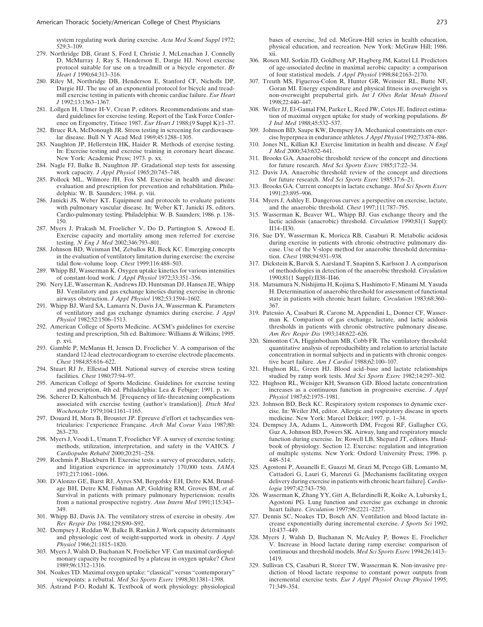system regulating work during exercise. *Acta Med Scand Suppl* 1972; bases of exercise, 3rd ed. McGraw-Hill series in health education,

- 279. Northridge DB, Grant S, Ford I, Christie J, McLenachan J, Connelly a zii.<br>D, McMurray J, Ray S, Henderson E, Dargie HJ. Novel exercise 306. Rose *Heart J* 1990;64:313–316. of four statistical models. *J Appl Physiol* 1998;84:2163–2170.
- 280. Riley M, Northridge DB, Henderson E, Stanford CF, Nicholls DP, 307. Treuth MS, Figueroa-Colon R, Hunter GR, Weinsier RL, Butte NF,
- 281. Lollgen H, Ulmer H-V, Crean P, editors. Recommendations and stanence on Ergometry, Titisee 1987. *Eur Heart J* 1988;(9 Suppl K):1-37.
- 
- In: Exercise testing and exercise training in coronary heart disease. *J Med* 2000;343:632–641.
- 284. Nagle FJ, Balke B, Naughton JP. Gradational step tests for assessing work capacity. *J Appl Physiol* 1965;20:745–748.
- 285. Pollock ML, Wilmore JH, Fox SM. Exercise in health and disease: for future research. *Med Sci Sports Exerc* 1985;17:6–21. delphia: W. B. Saunders; 1984. p. viii. 1991;23:895–906.
- 286. Janicki JS, Weber KT. Equipment and protocols to evaluate patients 314. Myers J, Ashley E. Dangerous curves: a perspective on exercise, lactate, with pulmonary vascular disease. In: Weber KT, Janicki JS, editors. and the anaerobic threshold. *Chest* 1997;111:787-795. Cardio-pulmonary testing. Philadelphia: W. B. Saunders; 1986. p. 138– 315. Wasserman K, Beaver WL, Whipp BJ. Gas exchange theory and the
- 287. Myers J, Prakash M, Froelicher V, Do D, Partington S, Atwood E. II14–II30.
- in the evaluation of ventilatory limitation during exercise: the exercise tidal flow-volume loop. *Chest* 1999;116:488-503.
- of constant-load work. *J Appl Physiol* 1972;33:351–356. 1990;81(1 Suppl):II38–II46.
- 
- 291. Whipp BJ, Ward SA, Lamarra N, Davis JA, Wasserman K. Parameters 367.
- 292. American College of Sports Medicine. ACSM's guidelines for exercise thresholds in patients with chronic obstructive pulmonary disease.<br>testing and prescription, 5th ed. Baltimore: Williams & Wilkins; 1995. Am Rev Resp testing and prescription, 5th ed. Baltimore: Williams & Wilkins; 1995. p. xvi. 320. Simonton CA, Higginbotham MB, Cobb FR. The ventilatory threshold:
- *Chest* 1984;85:616–622. tive heart failure. *Am J Cardiol* 1988;62:100–107.
- 
- 295. American College of Sports Medicine. Guidelines for exercise testing 322. Hughson RL, Weisiger KH, Swanson GD. Blood lactate concentration
- 296. Scherer D, Kaltenbach M. [Frequency of life-threatening complications
- 297. Douard H, Mora B, Broustet JP. Epreuve d'effort et tachycardies ven- medicine. New York: Marcel Dekker; 1997. p. 1–34.
- 
- 299. Rochmis P, Blackburn H. Exercise tests: a survey of procedures, safety, 448–514. and litigation experience in approximately 170,000 tests. *JAMA* 325. Agostoni P, Assanelli E, Guazzi M, Grazi M, Perego GB, Lomanto M,
- age BH, Detre KM, Fishman AP, Goldring RM, Groves BM, *et al. logia* 1997;42:743–750. Survival in patients with primary pulmonary hypertension: results 326. Wasserman K, Zhang YY, Gitt A, Belardinelli R, Koike A, Lubarsky L, 349. heart failure. *Circulation* 1997;96:2221–2227.
- 
- 302. Dempsey J, Reddan W, Balke B, Rankin J. Work capacity determinants 10:437-449.<br>and physiologic cost of weight-supported work in obesity. *J Appl* 328. Myers J, Walsh D, Buchanan N, McAuley P, Bowes E, Froelicher and physiologic cost of weight-supported work in obesity. *J Appl*
- monary capacity be recognized by a plateau in oxygen uptake? *Chest* 1419. 1989;96:1312–1316. 329. Sullivan CS, Casaburi R, Storer TW, Wasserman K. Non-invasive pre-
- 
- 305. Åstrand P-O, Rodahl K. Textbook of work physiology: physiological 71:349–354.

529:3–109. physical education, and recreation. New York: McGraw Hill; 1986.

- 306. Rosen MJ, Sorkin JD, Goldberg AP, Hagberg JM, Katzel LI. Predictors protocol suitable for use on a treadmill or a bicycle ergometer. *Br* of age-associated decline in maximal aerobic capacity: a comparison
- Dargie HJ. The use of an exponential protocol for bicycle and tread-<br>
mill exercise testing in patients with chronic cardiac failure. *Eur Heart* **Solution** non-overweight prepubertal girls. *Int J Obes Relat Metab Disord* non-overweight prepubertal girls. *Int J Obes Relat Metab Disord J* 1992;13:1363–1367. 1998;22:440–447.
- dard guidelines for exercise testing. Report of the Task Force Confer-<br>ence on Ergometry, Titisee 1987. *Eur Heart J* 1988;(9 Suppl K):1–37. *J Ind Med* 1988;45:532–537.
- 282. Bruce RA, McDonough JR. Stress testing in screening for cardiovascu- 309. Johnson BD, Saupe KW, Dempsey JA. Mechanical constraints on exerlar disease. Bull N Y Acad Med 1969;45:1288–1305. cise hyperpnea in endurance athletes. *J Appl Physiol* 1992;73:874–886.
	- 310. Jones NL, Killian KJ. Exercise limitation in health and disease. *N Engl*
	- New York: Academic Press; 1973. p. xx. 311. Brooks GA. Anaerobic threshold: review of the concept and directions 31. Brooks GA. Anaerobic threshold: review of the concept and directions for future research. *Med Sci Sports* 
		- 312. Davis JA. Anaerobic threshold: review of the concept and directions
	- evaluation and prescription for prevention and rehabilitation. Phila- 313. Brooks GA. Current concepts in lactate exchange. *Med Sci Sports Exerc*
		-
	- 150. lactic acidosis (anaerobic) threshold. *Circulation* 1990;81(1 Suppl):
- Exercise capacity and mortality among men referred for exercise 316. Sue DY, Wasserman K, Moricca RB, Casaburi R. Metabolic acidosis during exercise in patients with chronic obstructive pulmonary dis-<br>during exercise in pa during exercise in patients with chronic obstructive pulmonary dis-288. Johnson BD, Weisman IM, Zeballos RJ, Beck KC. Emerging concepts ease. Use of the V-slope method for anaerobic threshold determina-<br>in the evaluation of ventilatory limitation during exercise: the exercise the W-slope
- 317. Dickstein K, Barvik S, Aarsland T, Snapinn S, Karlsson J. A comparison 289. Whipp BJ, Wasserman K. Oxygen uptake kinetics for various intensities of methodologies in detection of the anaerobic threshold. *Circulation*
	- 318. Matsumura N, Nishijima H, Kojima S, Hashimoto F, Minami M, Yasuda BJ. Ventilatory and gas exchange kinetics during exercise in chronic H. Determination of anaerobic threshold for assessment of functional airways obstruction. *J Appl Physiol* 1982;53:1594–1602. state in patients with chronic heart failure. *Circulation* 1983;68:360–
	- of ventilatory and gas exchange dynamics during exercise. *J Appl* 319. Patessio A, Casaburi R, Carone M, Appendini L, Donner CF, Wasser-*Physiol* 1982;52:1506–1513. man K. Comparison of gas exchange, lactate, and lactic acidosis
- 293. Gamble P, McManus H, Jensen D, Froelicher V. A comparison of the quantitative analysis of reproducibility and relation to arterial lactate standard 12-lead electrocardiogram to exercise electrode placements. concentration in normal subjects and in patients with chronic conges-
- 294. Stuart RJ Jr, Ellestad MH. National survey of exercise stress testing 321. Hughson RL, Green HJ. Blood acid-base and lactate relationships facilities. Chest 1980;77:94-97.<br>
studied by ramp work tests. Med Sci Sports E studied by ramp work tests. *Med Sci Sports Exerc* 1982;14:297-302.
	- and prescription, 4th ed. Philadelphia: Lea & Febiger; 1991. p. xv. increases as a continuous function in progressive exercise. *J Appl* herer D, Kaltenbach M. [Frequency of life-threatening complications *Physiol* 1987;62
	- associated with exercise testing (author's translation)]. *Dtsch Med* 323. Johnson BD, Beck KC. Respiratory system responses to dynamic exer-*Wochenschr* 1979;104:1161–1165. cise. In: Weiler JM, editor. Allergic and respiratory disease in sports
- tricularies: l'experience Française. Arch Mal Coeur Vaiss 1987;80: 324. Dempsey JA, Adams L, Ainsworth DM, Fregosi RF, Gallagher CG, 263–270. Guz A, Johnson BD, Powers SK. Airway, lung and respiratory muscle 298. Myers J, Voodi L, Umann T, Froelicher VF. A survey of exercise testing: function during exercise. In: Rowell LB, Shepard JT, editors. Handmethods, utilization, interpretation, and safety in the VAHCS. *J* book of physiology. Section 12. Exercise: regulation and integration Cardiopulm Rehabil 2000;20:251-258. **Section** of multiple systems. New York: Oxford Un of multiple systems. New York: Oxford University Press; 1996. p.
- 1971;217:1061–1066. Cattadori G, Lauri G, Marenzi G. [Mechanisms facilitating oxygen 300. D'Alonzo GE, Barst RJ, Ayres SM, Bergofsky EH, Detre KM, Brund- delivery during exercise in patients with chronic heart failure]. *Cardio*
	- from a national prospective registry. *Ann Intern Med* 1991;115:343– Agostoni PG. Lung function and exercise gas exchange in chronic
	- 327. Dennis SC, Noakes TD, Bosch AN. Ventilation and blood lactate in-*Rev Respir Dis* 1984;129:S90–S92. crease exponentially during incremental exercise. *J Sports Sci* 1992;
- *Physiol* 1966;21:1815–1820. V. Increase in blood lactate during ramp exercise: comparison of 303. Myers J, Walsh D, Buchanan N, Froelicher VF. Can maximal cardiopul- continuous and threshold models. *Med Sci Sports Exerc* 1994;26:1413–
- 304. Noakes TD. Maximal oxygen uptake: "classical" versus "contemporary" diction of blood lactate response to constant power outputs from viewpoints: a rebuttal. *Med Sci Sports Exerc* 1998;30:1381–1398. incremental exercise tests. *Eur J Appl Physiol Occup Physiol* 1995;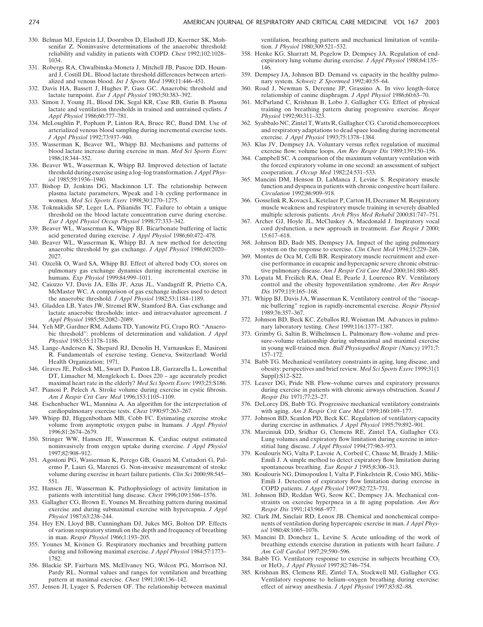- 330. Belman MJ, Epstein LJ, Doornbos D, Elashoff JD, Koerner SK, Moh-<br>senifar Z. Noninvasive determinations of the anaerobic threshold:<br>tion. *J Physiol* 1980:309:521-532. senifar Z. Noninvasive determinations of the anaerobic threshold: reliability and validity in patients with COPD. *Chest* 1992;102:1028– 358. Henke KG, Sharratt M, Pegelow D, Dempsey JA. Regulation of end-
- 331. Robergs RA, Chwalbinska-Moneta J, Mitchell JB, Pascoe DD, Houm- 146. alized and venous blood. *Int J Sports Med* 1990;11:446–451. nary system. *Schweiz Z Sportmed* 1992;40:55–64.
- 332. Davis HA, Bassett J, Hughes P, Gass GC. Anaerobic threshold and 360. Road J, Newman S, Derenne JP, Grassino A. In vivo length–force relationship of canine diaphragm. *J Appl Physiol* 1986;60:63–70.
- 
- *Appl Physiol* 1986;60:777–781. *Physiol* 1992;90:311–323.
- 335. Wasserman K, Beaver WL, Whipp BJ. Mechanisms and patterns of 363. Klas JV, Dempsey JA. Voluntary versus reflex regulation of maxima blood lactate increase during exercise in man. Med Sci Sports Exerc exercise flow: vo blood lactate increase during exercise in man. *Med Sci Sports Exerc*
- 336. Beaver WL, Wasserman K, Whipp BJ. Improved detection of lactate the forced expiratory volume in one second:<br>threshold during exercise using a log-log transformation. J Appl Phys-<br>cooperation. J Occup Med 1982;24:531-5 threshold during exercise using a log-log transformation. *J Appl Phys-*
- plasma lactate parameters, Wpeak and 1-h cycling performance in *Circulation* 1992;86:909–918.
- threshold on the blood lactate concentration curve during exercise. multiple sclerosis patients. *Arch Phys Med Rehabil* 2000;81:747–751.
- acid generated during exercise. *J Appl Physiol* 1986;60:472-478. 15:617-618.<br>340. Beaver WL, Wasserman K, Whipp BJ. A new method for detecting 368. Johnson BD,
- 2027. 369. Montes de Oca M, Celli BR. Respiratory muscle recruitment and exer-
- pulmonary gas exchange dynamics during incremental exercise in tive pulmonary disease. *Am J Respir Crit Care Med* 2000;161:880–885.<br>humans. *Exp Physiol* 1999;84:999-1011. 370. Lopata M, Freilich RA, Onal E, Pearle J, Lou
- 342. Caiozzo VJ, Davis JA, Ellis JF, Azus JL, Vandagriff R, Prietto CA, McMaster WC. A comparison of gas exchange indices used to detect *Dis* 1979;119:165–168. the anaerobic threshold. *J Appl Physiol* 1982;53:1184–1189. 371. Whipp BJ, Davis JA, Wasserman K. Ventilatory control of the "isocap-
- lactate anaerobic thresholds: inter- and intraevaluator agreement. *J* 1989;76:357–367.
- 344. Yeh MP, Gardner RM, Adams TD, Yanowitz FG, Crapo RO. "Anaero- nary laboratory testing. *Chest* 1999;116:1377–1387. bic threshold": problems of determination and validation. *J Appl* 373. Grimby G, Saltin B, Wilhelmsen L. Pulmonary flow–volume and pres-<br>
sure–volume relationship during submaximal and maximal exercise
- R. Fundamentals of exercise testing. Geneva, Switzerland: World 157–172. Health Organization; 1971. 374. Babb TG. Mechanical ventilatory constraints in aging, lung disease, and
- 346. Graves JE, Pollock ML, Swart D, Panton LB, Garzarella L, Lowenthal obesity: perspectives and brief review. *Med Sci Sports Exerc* 1999;31(1 DT, Limacher M, Menglekoch L. Does 220 – age accurately predict
- *Am J Respir Crit Care Med* 1996;153:1105–1109. *Respir Dis* 1971;77:23–27.
- 348. Eschenbacher WL, Mannina A. An algorithm for the interpretation of 376. DeLorey DS, Babb TG. Progressive mechanical ventilatory constraints
- 349. Whipp BJ, Higgenbotham MB, Cobb FC. Estimating exercise stroke volume from asymptotic oxygen pulse in humans. *J Appl Physiol* during exercise in asthmatics. *J Appl Physiol* 1995;79:892–901. 1996;81:2674–2679. 378. Marciniuk DD, Sridhar G, Clemens RE, Zintel TA, Gallagher CG.
- noninvasively from oxygen uptake during exercise. *J Appl Physiol* stitial lung disease. *J Appl Physiol* 1994;77:963–973. 1997;82:908–912. 379. Koulouris NG, Valta P, Lavoie A, Corbeil C, Chasse M, Braidy J, Milic-
- ermo P, Lauri G, Marenzi G. Non-invasive measurement of stroke spontaneous breathing. *Eur Respir J* 1995;8:306–313. volume during exercise in heart failure patients. *Clin Sci* 2000;98:545– 380. Koulouris NG, Dimopoulou I, Valta P, Finkelstein R, Cosio MG, Milic-
- 352. Hansen JE, Wasserman K. Pathophysiology of activity limitation in patients with interstitial lung disease. *Chest* 1996;109:1566–1576. 381. Johnson BD, Reddan WG, Seow KC, Dempsey JA. Mechanical con-
- exercise and during submaximal exercise with hypercapnia. *J Appl Physiol* 1987:63:238-244.
- of various respiratory stimuli on the depth and frequency of breathing *iol* 1980;48:1065–1076.
- during and following maximal exercise. *J Appl Physiol* 1984;57:1773– *Am Coll Cardiol* 1997;29:590–596.
- 356. Blackie SP, Fairbarn MS, McElvaney NG, Wilcox PG, Morrison NJ, Pardy RL. Normal values and ranges for ventilation and breathing 385. Krishnan BS, Clemens RE, Zintel TA, Stockwell MJ, Gallagher CG.
- 

- expiratory lung volume during exercise. *J Appl Physiol* 1988;64:135–
- ard J, Costill DL. Blood lactate threshold differences between arteri- 359. Dempsey JA, Johnson BD. Demand vs. capacity in the healthy pulmo-
- lactate turnpoint. *Eur J Appl Physiol* 1983;50:383–392. relationship of canine diaphragm. *J Appl Physiol* 1986;60:63–70.
	- 361. McParland C, Krishnan B, Lobo J, Gallagher CG. Effect of physical lactate and ventilation thresholds in trained and untrained cyclists. *J* training on breathing pattern during progressive exercise. *Respir*
	- 362. Syabbalo NC, Zintel T, Watts R, Gallagher CG. Carotid chemoreceptors arterialized venous blood sampling during incremental exercise tests. and respiratory adaptations to dead space loading during incremental *J Appl Physiol* 1992;73:937–940. exercise. *J Appl Physiol* 1993;75:1378–1384.
		-
	- 1986;18:344–352. 364. Campbell SC. A comparison of the maximum voluntary ventilation with
- *iol* 1985;59:1936–1940. 365. Mancini DM, Henson D, LaManca J, Levine S. Respiratory muscle 337. Bishop D, Jenkins DG, Mackinnon LT. The relationship between function and dyspnea in patients with chronic congestive heart failure.
- 366. Gosselink R, Kovacs L, Ketelaer P, Carton H, Decramer M. Respiratory 338. Tokmakidis SP, Leger LA, Pilianidis TC. Failure to obtain a unique muscle weakness and respiratory muscle training in severely disabled
- *Eur J Appl Physiol Occup Physiol* 1998;77:333–342. 367. Archer GJ, Hoyle JL, McCluskey A, Macdonald J. Inspiratory vocal 339. Beaver WL, Wasserman K, Whipp BJ. Bicarbonate buffering of lactic cord dysfunction, a new approach in treatment. *Eur Respir J* 2000;
	- 368. Johnson BD, Badr MS, Dempsey JA. Impact of the aging pulmonary anaerobic threshold by gas exchange. *J Appl Physiol* 1986;60:2020– system on the response to exercise. *Clin Chest Med* 1994;15:229–246.
- 341. Ozcelik O, Ward SA, Whipp BJ. Effect of altered body CO<sub>2</sub> stores on cise performance in eucapnic and hypercapnic severe chronic obstruc-
	- 370. Lopata M, Freilich RA, Onal E, Pearle J, Lourenco RV. Ventilatory control and the obesity hypoventilation syndrome. Am Rev Respir
- 343. Gladden LB, Yates JW, Stremel RW, Stamford BA. Gas exchange and nic buffering" region in rapidly-incremental exercise. *Respir Physiol*
	- *Appl Physiol* 1985;58:2082–2089. 372. Johnson BD, Beck KC, Zeballos RJ, Weisman IM. Advances in pulmo-
- sure–volume relationship during submaximal and maximal exercise 345. Lange-Andersen K, Shepard RJ, Denolin H, Varnauskas E, Masironi in young well-trained men. *Bull Physiopathol Respir (Nancy)* 1971;7:
	-
- maximal heart rate in the elderly? *Med Sci Sports Exerc* 1993;25:S186. 375. Leaver DG, Pride NB. Flow–volume curves and expiratory pressures 347. Pianosi P, Pelech A. Stroke volume during exercise in cystic fibrosis. during exercise in patients with chronic airways obstruction. *Scand J*
	- cardiopulmonary exercise tests. *Chest* 1990;97:263–267. with aging. *Am J Respir Crit Care Med* 1999;160:169–177.
		-
- 350. Stringer WW, Hansen JE, Wasserman K. Cardiac output estimated Lung volumes and expiratory flow limitation during exercise in inter-
- 351. Agostoni PG, Wasserman K, Perego GB, Guazzi M, Cattadori G, Pal- Emili J. A simple method to detect expiratory flow limitation during
	- 551. Emili J. Detection of expiratory flow limitation during exercise in<br>ansen JE, Wasserman K. Pathophysiology of activity limitation in COPD patients. J Appl Physiol 1997;82:723-731.
- 353. Gallagher CG, Brown E, Younes M. Breathing pattern during maximal straints on exercise hyperpnea in a fit aging population. *Am Rev*
- 382. Clark JM, Sinclair RD, Lenox JB. Chemical and nonchemical compo-354. Hey EN, Lloyd BB, Cunningham DJ, Jukes MG, Bolton DP. Effects nents of ventilation during hypercapnic exercise in man. *J Appl Phys-*
- 383. Mancini D, Donchez L, Levine S. Acute unloading of the work of 355. Younes M, Kivinen G. Respiratory mechanics and breathing pattern breathing extends exercise duration in patients with heart failure. *J*
	- 384. Babb TG. Ventilatory response to exercise in subjects breathing CO<sub>2</sub> or HeO<sub>2</sub>. *J Appl Physiol* 1997;82:746–754.
- pattern at maximal exercise. *Chest* 1991;100:136–142. Ventilatory response to helium–oxygen breathing during exercise: 357. Jensen JI, Lyager S, Pedersen OF. The relationship between maximal effect of airway anesthesia. *J Appl Physiol* 1997;83:82–88.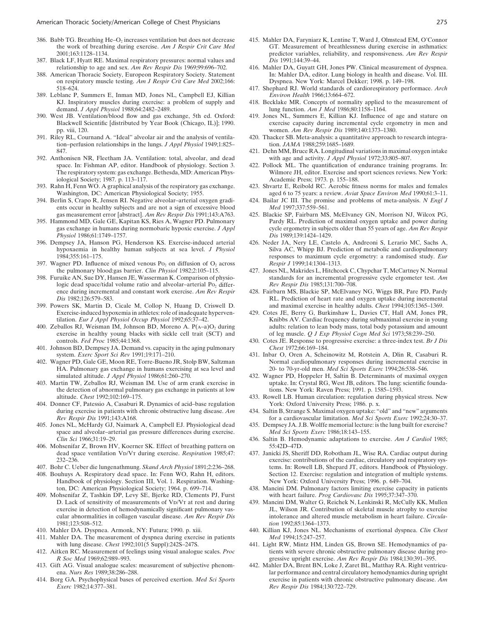- 386. Babb TG. Breathing He–O<sub>2</sub> increases ventilation but does not decrease 415. Mahler DA, Faryniarz K, Lentine T, Ward J, Olmstead EM, O'Connor
- 387. Black LF, Hyatt RE. Maximal respiratory pressures: normal values and relationship to age and sex. *Am Rev Respir Dis* 1969;99:696–702. 416. Mahler DA, Guyatt GH, Jones PW. Clinical measurement of dyspnea.
- 388. American Thoracic Society, Europeon Respiratory Society. Statement In: Mahler DA, editor. Lung biology in health and disease. Vol. III. on respiratory muscle testing. *Am J Respir Crit Care Med* 2002;166: Dyspnea. New York: Marcel Dekker; 1998. p. 149–198.
- 389. Leblanc P, Summers E, Inman MD, Jones NL, Campbell EJ, Killian
- 390. West JB. Ventilation/blood flow and gas exchange, 5th ed. Oxford: 419. Jones NL, Summers E, Killian KJ. Influence of age and stature on pp. viii, 120. women. *Am Rev Respir Dis* 1989;140:1373–1380.
- 391. Riley RL, Cournand A. "Ideal" alveolar air and the analysis of ventila-<br>tion-perfusion relationships in the lungs. *J Appl Physiol* 1949;1:825-<br>tion. *JAMA* 1988;259:1685-1689. tion–perfusion relationships in the lungs. *J Appl Physiol* 1949;1:825–
- 392. Anthonisen NR, Fleetham JA. Ventilation: total, alveolar, and dead with age and activity. *J Appl Physiol* 1972;33:805–807.
- 393. Rahn H, Fenn WO. A graphical analysis of the respiratory gas exchange.
- ents occur in healthy subjects and are not a sign of excessive blood *Med* 1997;337:559–561.
- 
- 396. Dempsey JA, Hanson PG, Henderson KS. Exercise-induced arterial
- 397. Wagner PD. Influence of mixed venous Po<sub>2</sub> on diffusion of O<sub>2</sub> across *Respir J* 1999;14:1304–1313. the pulmonary blood:gas barrier. *Clin Physiol* 1982;2:105–115. 427. Jones NL, Makrides L, Hitchcock C, Chypchar T, McCartney N. Normal
- logic dead space/tidal volume ratio and alveolar–arterial Po<sub>2</sub> difference during incremental and constant work exercise. Am Rev Respir
- 399. Powers SK, Martin D, Cicale M, Collop N, Huang D, Criswell D. and maximal exercise in healthy adults. *Chest* 1994;105:1365–1369. Exercise-induced hypoxemia in athletes: role of inadequate hyperven- 429. Cotes JE, Berry G, Burkinshaw L, Davies CT, Hall AM, Jones PR,
- 400. Zeballos RJ, Weisman IM, Johnson BD, Moreno A.  $P(A-A)O_2$  during adults: relation to lean body mass, total body potassium and amount exercise in healthy young blacks with sickle cell trait (SCT) and of leg muscle. Q J exercise in healthy young blacks with sickle cell trait (SCT) and controls. *Fed Proc* 1985;44:1368.
- 401. Johnson BD, Dempsey JA. Demand vs. capacity in the aging pulmonary *Chest* 1972;66:169–184.
- HA. Pulmonary gas exchange in humans exercising at sea level and 20- to 70-yr-old men. *Med Sci Sports Exerc* 1994;26:538–546.
- the detection of abnormal pulmonary gas exchange in patients at low tions. New York: Raven Press; 1991. p. 1585–1593.<br>433. Rowell LB. Human circulation: regulation during ph
- 404. Donner CF, Patessio A, Casaburi R. Dynamics of acid–base regulation York: Oxford University Press; 1986. p. x. during exercise in patients with chronic obstructive lung disease. *Am* 434. Saltin B, Strange S. Maximal oxygen uptake: "old" and "new" arguments
- 405. Jones NL, McHardy GJ, Naimark A, Campbell EJ. Physiological dead space and alveolar–arterial gas pressure differences during exercise. *Med Sci Sports Exerc* 1986;18:143–155. *Clin Sci* 1966;31:19–29. 436. Saltin B. Hemodynamic adaptations to exercise. *Am J Cardiol* 1985;
- 406. Mohsenifar Z, Brown HV, Koerner SK. Effect of breathing pattern on 55:42D–47D dead space ventilation VD/VT during exercise. Respiration 1985;47: 437. Janicki JS, Sher
- 
- Handbook of physiology. Section III, Vol. 1. Respiration. Washing- New York: Oxford University Press; 1996. p. 649–704.
- 1981;123:508–512. *tion* 1992;85:1364–1373.
- 
- 411. Mahler DA. The measurement of dyspnea during exercise in patients
- 
- 
- 414. Borg GA. Psychophysical bases of perceived exertion. *Med Sci Sports* exercise in patients with chronic obstructive pulmonary disease. *Am Exerc* 1982;14:377–381. *Rev Respir Dis* 1984;130:722–729.
- the work of breathing during exercise. *Am J Respir Crit Care Med* GT. Measurement of breathlessness during exercise in asthmatics: 2001;163:1128–1134. predictor variables, reliability, and responsiveness. *Am Rev Respir*
	-
- 518–624. 417. Shephard RJ. World standards of cardiorespiratory performace. *Arch*
- KJ. Inspiratory muscles during exercise: a problem of supply and 418. Becklake MR. Concepts of normality applied to the measurement of demand. *J Appl Physiol* 1988;64:2482-2489. lung function. *Am J Med* 1986;80:1158-1164.
	- exercise capacity during incremental cycle ergometry in men and
	-
- 847. 421. Dehn MM, Bruce RA. Longitudinal variations in maximal oxygen intake
- 422. Pollock ML. The quantification of endurance training programs. In: The respiratory system: gas exchange. Bethesda, MD: American Phys- Wilmore JH, editor. Exercise and sport sciences reviews. New York: iological Society; 1987. p. 113–117. Academic Press; 1973. p. 155–188.
- Washington, DC: American Physiological Society; 1955. aged 6 to 75 years: a review. *Aviat Space Environ Med* 1990;61:3–11.
- 394. Berlin S, Crapo R, Jensen RI. Negative alveolar–arterial oxygen gradi- 424. Bailar JC III. The promise and problems of meta-analysis. *N Engl J*
- gas measurement error [abstract]. *Am Rev Respir Dis* 1991;143:A763. 425. Blackie SP, Fairbarn MS, McElvaney GN, Morrison NJ, Wilcox PG, 395. Hammond MD, Gale GE, Kapitan KS, Ries A, Wagner PD. Pulmonary Pardy RL. Prediction of maximal oxygen uptake and power during gas exchange in humans during normobaric hypoxic exercise. *J Appl* cycle ergometry in subjects older than 55 years of age. *Am Rev Respir Physiol* 1986;61:1749–1757. *Dis* 1989;139:1424–1429.
	- hypoxaemia in healthy human subjects at sea level. *J Physiol* Silva AC, Whipp BJ. Prediction of metabolic and cardiopulmonary 1984;355:161–175. responses to maximum cycle ergometry: a randomised study. *Eur*
- 398. Furuike AN, Sue DY, Hansen JE, Wasserman K. Comparison of physio-<br>logic dead space/tidal volume ratio and alveolar-arterial Po, differ-<br>Rev Respir Dis 1985;131:700-708.
	- 428. Fairbarn MS, Blackie SP, McElvaney NG, Wiggs BR, Pare PD, Pardy *Dis* 1982;126:579–583. RL. Prediction of heart rate and oxygen uptake during incremental
	- tilation. *Eur J Appl Physiol Occup Physiol* 1992;65:37–42. Knibbs AV. Cardiac frequency during submaximal exercise in young
		- 430. Cotes JE. Response to progressive exercise: a three-index test. *Br J Dis*
- 431. Inbar O, Oren A, Scheinowitz M, Rotstein A, Dlin R, Casaburi R. 402. Wagner PD, Gale GE, Moon RE, Torre-Bueno JR, Stolp BW, Saltzman Normal cardiopulmonary responses during incremental exercise in
- 432. Wagner PD, Hoppeler H, Saltin B. Determinants of maximal oxygen 403. Martin TW, Zeballos RJ, Weisman IM. Use of arm crank exercise in uptake. In: Crystal RG, West JB, editors. The lung: scientific founda-
	- 433. Rowell LB. Human circulation: regulation during physical stress. New
	- *Rev Respir Dis* 1991;143:A168. for a cardiovascular limitation. *Med Sci Sports Exerc* 1992;24:30–37.
		-
		-
- 437. Janicki JS, Sheriff DD, Robotham JL, Wise RA. Cardiac output during 232–236. exercise: contributions of the cardiac, circulatory and respiratory sys-407. Bohr C. Ueber die lungenathmung. *Skand Arch Physiol* 1891;2:236–268. tems. In: Rowell LB, Shepard JT, editors. Handbook of Physiology. 408. Bouhuys A. Respiratory dead space. In: Fenn WO, Rahn H, editors. Section 12. Exercise: regulation and integration of multiple systems.
- ton, DC: American Physiological Society; 1964. p. 699–714. 438. Mancini DM. Pulmonary factors limiting exercise capacity in patients 409. Mohsenifar Z, Tashkin DP, Levy SE, Bjerke RD, Clements PJ, Furst with heart failure. *Prog Cardiovasc Dis* 1995;37:347–370.
	- D. Lack of sensitivity of measurements of VD/VT at rest and during 439. Mancini DM, Walter G, Reichek N, Lenkinski R, McCully KK, Mullen exercise in detection of hemodynamically significant pulmonary vas-<br>
	Cular abnormalities in collagen vascular disease. Am Rev Respir Dis
	
	intolerance and altered muscle metabolism in heart failure. Circulaintolerance and altered muscle metabolism in heart failure. *Circula-*
- 410. Mahler DA. Dyspnea. Armonk, NY: Futura; 1990. p. xiii. 440. Killian KJ, Jones NL. Mechanisms of exertional dyspnea. *Clin Chest*
- with lung disease. *Chest* 1992;101(5 Suppl):242S-247S. 441. Light RW, Mintz HM, Linden GS, Brown SE. Hemodynamics of pa-412. Aitken RC. Measurement of feelings using visual analogue scales. *Proc* tients with severe chronic obstructive pulmonary disease during pro-<br>*R Soc Med* 1969;62:989-993. **All analogue scales.** *Proc* gressive upright *R Soc Med* 1969;62:989–993. gressive upright exercise. *Am Rev Respir Dis* 1984;130:391–395.
- 413. Gift AG. Visual analogue scales: measurement of subjective phenom- 442. Mahler DA, Brent BN, Loke J, Zaret BL, Matthay RA. Right ventricuena. *Nurs Res* 1989;38:286–288. lar performance and central circulatory hemodynamics during upright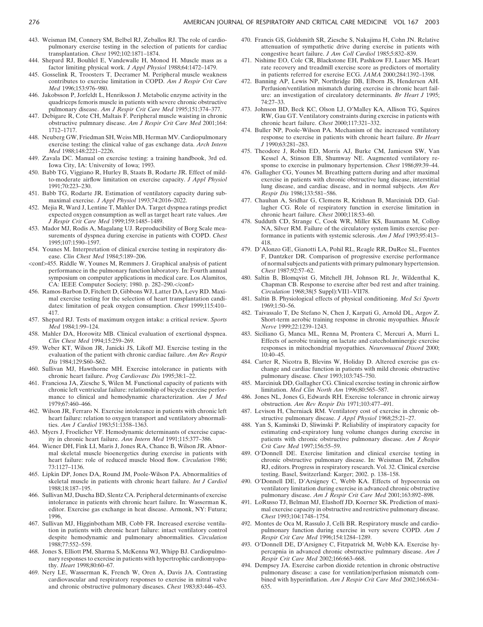- 
- 444. Shepard RJ, Bouhlel E, Vandewalle H, Monod H. Muscle mass as a
- contributes to exercise limitation in COPD. *Am J Respir Crit Care* 472. Banning AP, Lewis NP, Northridge DB, Elborn JS, Hendersen AH.
- 446. Jakobsson P, Jorfeldt L, Henriksson J. Metabolic enzyme activity in the quadriceps femoris muscle in patients with severe chronic obstructive 74:27–33.
- obstructive pulmnary disease. *Am J Respir Crit Care Med* 2001;164:
- 448. Neuberg GW, Friedman SH, Weiss MB, Herman MV. Cardiopulmonary response to exercise in patients with chronical value of gas exchange data. *Arch Intern J* 1990;63:281–283. exercise testing: the clinical value of gas exchange data. *Arch Intern Med* 1988:148:2221–2226.
- Iowa City, IA: University of Iowa; 1993.<br>450. Babb TG, Viggiano R, Hurley B, Staats B, Rodarte JR. Effect of mild-<br>476. Gallagher CG, Younes M. Breathing pattern during and after maximal
- 
- 451. Babb TG, Rodarte JR. Estimation of ventilatory capacity during sub- *Respir Dis* 1986;133:581–586.
- expected oxygen consumption as well as target heart rate values. *Am* chronic heart failure. *Chest* 2000;118:53–60.
- 1995;107:1590–1597. 418.
- 
- performance in the pulmonary function laboratory. In: Fourth annual *Chest* 1987;92:57–62.
- 456. Ramos-Barbon D, Fitchett D, Gibbons WJ, Latter DA, Levy RD. Maxi- *Circulation* 1968;38(5 Suppl):VII1–VII78. dates: limitation of peak oxygen consumption. *Chest* 1999;115:410–
- 457. Shepard RJ. Tests of maximum oxygen intake: a critical review. Sports
- 458. Mahler DA, Horowitz MB. Clinical evaluation of exertional dyspnea.<br> *Clin Chest Med* 1994;15:259-269.
- evaluation of the patient with chronic cardiac failure. *Am Rev Respir* 10:40–45. *Dis* 1984;129:S60–S62. 484. Carter R, Nicotra B, Blevins W, Holiday D. Altered exercise gas ex-
- chronic heart failure. *Prog Cardiovasc Dis* 1995;38:1-22
- chronic left ventricular failure: relationship of bicycle exercise perfor-<br>mance to clinical and hemodynamic characterization. *Am J Med* 486. Jones NL, Jones G, Edwards RH. Exercise tolerance in chronic airway mance to clinical and hemodynamic characterization. *Am J Med* 1979;67:460–466. obstruction. *Am Rev Respir Dis* 1971;103:477–491.
- heart failure: relation to oxygen transport and ventilatory abnormali-<br>ties. Am J Cardiol 1983;51:1358–1363.<br>488. Yan S, Kaminski D, Sliwinski P. Reliability of inspiratory cap
- 
- 464. Wiener DH, Fink LI, Maris J, Jones RA, Chance B, Wilson JR. Abnor- *Crit Care Med* 1997;156:55–59. mal skeletal muscle bioenergetics during exercise in patients with 489. O'Donnell DE. Exercise limitation and clinical exercise testing in
- 465. Lipkin DP, Jones DA, Round JM, Poole-Wilson PA. Abnormalities of
- 
- despite hemodynamic and pulmonary abnormalities. *Circulation*
- nary responses to exercise in patients with hypertrophic cardiomyopa-
- and chronic obstructive pulmonary diseases. *Chest* 1983;83:446–453. 635.
- 443. Weisman IM, Connery SM, Belbel RJ, Zeballos RJ. The role of cardio- 470. Francis GS, Goldsmith SR, Ziesche S, Nakajima H, Cohn JN. Relative pulmonary exercise testing in the selection of patients for cardiac attenuation of sympathetic drive during exercise in patients with transplantation. *Chest* 1992;102:1871-1874. congestive heart failure. *J Am Coll Cardiol* 1985;5:832-839.<br>epard RJ, Bouhlel E, Vandewalle H, Monod H. Muscle mass as a 471. Nishime EO, Cole CR, Blackstone EH, Pashkow FJ, L
- factor limiting physical work. *J Appl Physiol* 1988;64:1472–1479. rate recovery and treadmill exercise score as predictors of mortality 445. Gosselink R, Troosters T, Decramer M. Peripheral muscle weakness in patients referred for exercise ECG. *JAMA* 2000;284:1392–1398.
	- *Med* 1996;153:976–980.<br> **Altabolic enzyme activity in the** Perfusion/ventilation mismatch during exercise in chronic heart fail-<br> **Altabolic enzyme activity in the** Perfusion of circulatory determinants. *Br Heart J* 1995
- pulmonary disease. *Am J Respir Crit Care Med* 1995;151:374–377. 473. Johnson BD, Beck KC, Olson LJ, O'Malley KA, Allison TG, Squires 447. Debigare R, Cote CH, Maltais F. Peripheral muscle waisting in chronic and RW, Gau GT. Ventilatory constraints during exercise in patients with obstructive pulmnary disease. Am J Respir Crit Care Med 2001;164: chronic
	- 1712–1717.<br>abuler NP, Poole-Wilson PA. Mechanism of the increased ventilatory response to exercise in patients with chronic heart failure. Br Heart<br>response to exercise in patients with chronic heart failure. Br Heart
- 475. Theodore J, Robin ED, Morris AJ, Burke CM, Jamieson SW, Van 449. Zavala DC. Manual on exercise testing: a training handbook, 3rd ed. Kessel A, Stinson EB, Shumway NE. Augmented ventilatory re-
	- 476. Gallagher CG, Younes M. Breathing pattern during and after maximal to-moderate airflow limitation on exercise capacity. *J Appl Physiol* exercise in patients with chronic obstructive lung disease, interstitial 1991;70:223–230. lung disease, and cardiac disease, and in normal subjects. *Am Rev*
- 477. Chauhan A, Sridhar G, Clemens R, Krishnan B, Marciniuk DD, Gal-452. Mejia R, Ward J, Lentine T, Mahler DA. Target dyspnea ratings predict lagher CG. Role of respiratory function in exercise limitation in
- *J Respir Crit Care Med* 1999;159:1485–1489. 478. Sudduth CD, Strange C, Cook WR, Miller KS, Baumann M, Collop 453. Mador MJ, Rodis A, Magalang UJ. Reproducibility of Borg Scale mea- NA, Silver RM. Failure of the circulatory system limits exercise persurements of dyspnea during exercise in patients with COPD. *Chest* formance in patients with systemic sclerosis. *Am J Med* 1993;95:413–
- 454. Younes M. Interpretation of clinical exercise testing in respiratory dis-<br>ease. Clin Chest Med 1984;5:189-206.<br>F, Dantzker DR. Comparison of progressive exercise performance ease. *Clin Chest Med* 1984;5:189–206.<br>
<conf>455. Riddle W, Younes M, Remmers J. Graphical analysis of patient conformal subjects and patients with primary pulmonary hypertension. of normal subjects and patients with primary pulmonary hypertension.
	- symposium on computer applications in medical care. Los Alamitos, 480. Saltin B, Blomqvist G, Mitchell JH, Johnson RL Jr, Wildenthal K, CA: IEEE Computer Society; 1980. p. 282-290. </conf> Chapman CB. Response to exercise Chapman CB. Response to exercise after bed rest and after training.
	- mal exercise testing for the selection of heart transplantation candi-<br>dates: limitation of peak oxygen consumption. *Chest* 1999;115:410-<br>1969;1:50-56.
	- 417. 482. Taivassalo T, De Stefano N, Chen J, Karpati G, Arnold DL, Argov Z.<br>Alepard RJ. Tests of maximum oxygen intake: a critical review. Sports<br>Short-term aerobic training response in chronic myopathies. Muscle *Med* 1984;1:99–124.<br>ahler DA, Horowitz MB. Clinical evaluation of exertional dyspnea. 483. Siciliano G, Manca ML, Renna M, Prontera C, Mercuri A, Murri L.
- Effects of aerobic training on lactate and catecholaminergic exercise 459. Weber KT, Wilson JR, Janicki JS, Likoff MJ. Exercise testing in the responses in mitochondrial myopathies. *Neuromuscul Disord* 2000;
- 460. Sullivan MJ, Hawthorne MH. Exercise intolerance in patients with change and cardiac function in patients with mild chronic obstructive chronic heart failure. *Prog Cardiovasc Dis* 1995;38:1–22. pulmonary disease. *Che*
- 461. Franciosa JA, Ziesche S, Wilen M. Functional capacity of patients with 485. Marciniuk DD, Gallagher CG. Clinical exercise testing in chronic airflow
	-
- 462. Wilson JR, Ferraro N. Exercise intolerance in patients with chronic left 487. Levison H, Cherniack RM. Ventilatory cost of exercise in chronic ob-
- 488. Yan S, Kaminski D, Sliwinski P. Reliability of inspiratory capacity for 463. Myers J, Froelicher VF. Hemodynamic determinants of exercise capac- estimating end-expiratory lung volume changes during exercise in ity in chronic heart failure. *Ann Intern Med* 1991;115:377–386. patients with chronic obstructive pulmonary disease. *Am J Respir*
	- heart failure: role of reduced muscle blood flow. *Circulation* 1986; chronic obstructive pulmonary disease. In: Weisman IM, Zeballos 73:1127–1136.<br>
	Physical exercise RJ, editors. Progress in respiratory research. Vol. 32. Clinical exercise<br>
	pkin DP, Jones DA, Round JM, Poole-Wilson PA. Abnormalities of testing. Basel, Switzerland: Karger; 2002. p. 138–1
- skeletal muscle in patients with chronic heart failure. *Int J Cardiol* 490. O'Donnell DE, D'Arsigney C, Webb KA. Effects of hypoeroxia on 1988;18:187–195. ventilatory limitation during exercise in advanced chronic obstructive 466. Sullivan MJ, Duscha BD, Slentz CA. Peripheral determinants of exercise pulmonary disease. *Am J Respir Crit Care Med* 2001;163:892–898.
	- intolerance in patients with chronic heart failure. In: Wasserman K, 491. LoRusso TJ, Belman MJ, Elashoff JD, Koerner SK. Prediction of maxieditor. Exercise gas exchange in heat disease. Armonk, NY: Futura; mal exercise capacity in obstructive and restrictive pulmonary disease.<br>
	Chest 1993:104:1748-1754. 1996, *Chest* 1993;104:1748–1754.
- 467. Sullivan MJ, Higginbotham MB, Cobb FR. Increased exercise ventila- 492. Montes de Oca M, Rassulo J, Celli BR. Respiratory muscle and cardiotion in patients with chronic heart failure: intact ventilatory control pulmonary function during exercise in very severe COPD. Am J<br>despite hemodynamic and pulmonary abnormalities. *Circulation* Respir Crit Care Med 1996;
- 1988;77:552–559. 493. O'Donnell DE, D'Arsigney C, Fitzpatrick M, Webb KA. Exercise hy-468. Jones S, Elliott PM, Sharma S, McKenna WJ, Whipp BJ. Cardiopulmo- percapnia in advanced chronic obstructive pulmnary disease. *Am J*
- thy. *Heart* 1998;80:60–67. 494. Dempsey JA. Exercise carbon dioxide retention in chronic obstructive 469. Nery LE, Wasserman K, French W, Oren A, Davis JA. Contrasting pulmonary disease: a case for ventilation/perfusion mismatch comcardiovascular and respiratory responses to exercise in mitral valve bined with hyperinflation. *Am J Respir Crit Care Med* 2002;166:634–